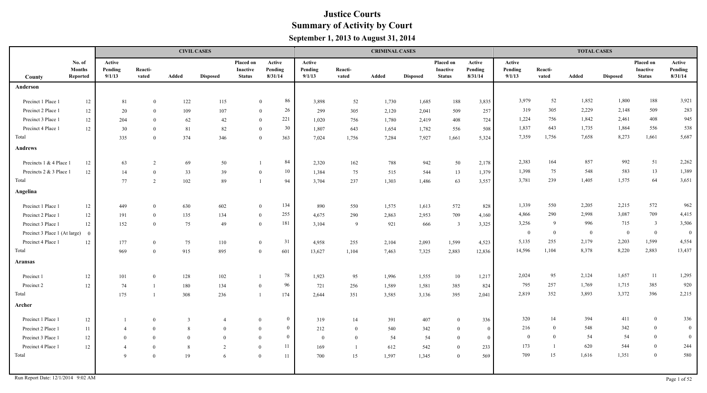|                               |                                     |                             |                  |                | <b>CIVIL CASES</b> |                                        |                              |                             |                  | <b>CRIMINAL CASES</b> |                 |                                               |                              |                             |                  | <b>TOTAL CASES</b> |                 |                                               |                              |
|-------------------------------|-------------------------------------|-----------------------------|------------------|----------------|--------------------|----------------------------------------|------------------------------|-----------------------------|------------------|-----------------------|-----------------|-----------------------------------------------|------------------------------|-----------------------------|------------------|--------------------|-----------------|-----------------------------------------------|------------------------------|
| County                        | No. of<br><b>Months</b><br>Reported | Active<br>Pending<br>9/1/13 | Reacti-<br>vated | Added          | <b>Disposed</b>    | Placed on<br>Inactive<br><b>Status</b> | Active<br>Pending<br>8/31/14 | Active<br>Pending<br>9/1/13 | Reacti-<br>vated | Added                 | <b>Disposed</b> | Placed on<br><b>Inactive</b><br><b>Status</b> | Active<br>Pending<br>8/31/14 | Active<br>Pending<br>9/1/13 | Reacti-<br>vated | Added              | <b>Disposed</b> | Placed on<br><b>Inactive</b><br><b>Status</b> | Active<br>Pending<br>8/31/14 |
| Anderson                      |                                     |                             |                  |                |                    |                                        |                              |                             |                  |                       |                 |                                               |                              |                             |                  |                    |                 |                                               |                              |
| Precinct 1 Place 1            | $12\,$                              | 81                          | $\theta$         | 122            | 115                |                                        | 86<br>$\theta$               | 3,898                       | 52               | 1,730                 | 1,685           | 188                                           | 3,835                        | 3,979                       | 52               | 1,852              | 1,800           | 188                                           | 3,921                        |
| Precinct 2 Place 1            | 12                                  | 20                          | $\Omega$         | 109            | 107                |                                        | 26<br>$\theta$               | 299                         | 305              | 2,120                 | 2,041           | 509                                           | 257                          | 319                         | 305              | 2,229              | 2,148           | 509                                           | 283                          |
| Precinct 3 Place 1            | 12                                  | 204                         | $\theta$         | 62             | 42                 |                                        | 221<br>$\mathbf{0}$          | 1,020                       | 756              | 1,780                 | 2,419           | 408                                           | 724                          | 1,224                       | 756              | 1,842              | 2,461           | 408                                           | 945                          |
| Precinct 4 Place 1            | 12                                  | 30                          | $\Omega$         | 81             | 82                 | $\mathbf{0}$                           | 30                           | 1,807                       | 643              | 1,654                 | 1,782           | 556                                           | 508                          | 1,837                       | 643              | 1,735              | 1,864           | 556                                           | 538                          |
| Total                         |                                     | 335                         | $\theta$         | 374            | 346                | $\theta$                               | 363                          | 7,024                       | 1,756            | 7,284                 | 7,927           | 1,661                                         | 5,324                        | 7,359                       | 1,756            | 7,658              | 8,273           | 1,661                                         | 5,687                        |
| <b>Andrews</b>                |                                     |                             |                  |                |                    |                                        |                              |                             |                  |                       |                 |                                               |                              |                             |                  |                    |                 |                                               |                              |
| Precincts 1 & 4 Place 1       | 12                                  | 63                          | $\overline{2}$   | 69             | 50                 |                                        | 84                           | 2,320                       | 162              | 788                   | 942             | 50                                            | 2,178                        | 2,383                       | 164              | 857                | 992             | 51                                            | 2,262                        |
| Precincts 2 & 3 Place 1       | 12                                  | 14                          | $\overline{0}$   | 33             | 39                 | $\theta$                               | 10                           | 1,384                       | 75               | 515                   | 544             | 13                                            | 1,379                        | 1,398                       | 75               | 548                | 583             | 13                                            | 1,389                        |
| Total                         |                                     | 77                          | 2                | 102            | 89                 | $\mathbf{1}$                           | 94                           | 3,704                       | 237              | 1,303                 | 1,486           | 63                                            | 3,557                        | 3,781                       | 239              | 1,405              | 1,575           | 64                                            | 3,651                        |
| Angelina                      |                                     |                             |                  |                |                    |                                        |                              |                             |                  |                       |                 |                                               |                              |                             |                  |                    |                 |                                               |                              |
| Precinct 1 Place 1            | 12                                  | 449                         | $\theta$         | 630            | 602                | $\theta$                               | 134                          | 890                         | 550              | 1,575                 | 1,613           | 572                                           | 828                          | 1,339                       | 550              | 2,205              | 2,215           | 572                                           | 962                          |
| Precinct 2 Place 1            | 12                                  | 191                         | $\theta$         | 135            | 134                | $\theta$                               | 255                          | 4,675                       | 290              | 2,863                 | 2,953           | 709                                           | 4,160                        | 4,866                       | 290              | 2,998              | 3,087           | 709                                           | 4,415                        |
| Precinct 3 Place 1            | $12\,$                              | 152                         | $\Omega$         | 75             | 49                 | $\overline{0}$                         | 181                          | 3,104                       | -9               | 921                   | 666             | $\overline{\mathbf{3}}$                       | 3,325                        | 3,256                       | -9               | 996                | 715             | $\overline{3}$                                | 3,506                        |
| Precinct 3 Place 1 (At large) | $\Omega$                            |                             |                  |                |                    |                                        |                              |                             |                  |                       |                 |                                               |                              | $\bf{0}$                    | $\overline{0}$   | $\overline{0}$     | $\overline{0}$  | $\mathbf{0}$                                  | $\overline{0}$               |
| Precinct 4 Place 1            | 12                                  | 177                         | $\overline{0}$   | 75             | 110                | $\overline{0}$                         | 31                           | 4,958                       | 255              | 2,104                 | 2,093           | 1,599                                         | 4,523                        | 5,135                       | 255              | 2,179              | 2,203           | 1,599                                         | 4,554                        |
| Total                         |                                     | 969                         | $\theta$         | 915            | 895                | $\theta$                               | 601                          | 13,627                      | 1,104            | 7,463                 | 7,325           | 2,883                                         | 12,836                       | 14,596                      | 1,104            | 8,378              | 8,220           | 2,883                                         | 13,437                       |
| Aransas                       |                                     |                             |                  |                |                    |                                        |                              |                             |                  |                       |                 |                                               |                              |                             |                  |                    |                 |                                               |                              |
| Precinct 1                    | $12\,$                              | 101                         | $\Omega$         | 128            | 102                |                                        | 78                           | 1,923                       | 95               | 1,996                 | 1,555           | 10                                            | 1,217                        | 2,024                       | 95               | 2,124              | 1,657           | 11                                            | 1,295                        |
| Precinct 2                    | 12                                  | 74                          |                  | 180            | 134                | $\theta$                               | 96                           | 721                         | 256              | 1,589                 | 1,581           | 385                                           | 824                          | 795                         | 257              | 1,769              | 1,715           | 385                                           | 920                          |
| Total                         |                                     | 175                         |                  | 308            | 236                |                                        | 174                          | 2,644                       | 351              | 3,585                 | 3,136           | 395                                           | 2,041                        | 2,819                       | 352              | 3,893              | 3,372           | 396                                           | 2,215                        |
| Archer                        |                                     |                             |                  |                |                    |                                        |                              |                             |                  |                       |                 |                                               |                              |                             |                  |                    |                 |                                               |                              |
| Precinct 1 Place 1            | 12                                  |                             | $\overline{0}$   | $\overline{3}$ |                    | $\theta$                               | $\mathbf{0}$                 | 319                         | 14               | 391                   | 407             | $\theta$                                      | 336                          | 320                         | 14               | 394                | 411             | $\bf{0}$                                      | 336                          |
| Precinct 2 Place 1            | $11\,$                              | $\overline{4}$              | $\overline{0}$   | 8              | $\Omega$           | $\theta$                               | $\mathbf{0}$                 | 212                         | $\bf{0}$         | 540                   | 342             | $\theta$                                      | $\overline{0}$               | 216                         | $\overline{0}$   | 548                | 342             | $\bf{0}$                                      | $\bf{0}$                     |
| Precinct 3 Place 1            | 12                                  | $\overline{0}$              | $\overline{0}$   | $\theta$       | $\Omega$           | $\Omega$                               | $\bf{0}$                     | $\theta$                    | $\bf{0}$         | 54                    | 54              | $\overline{0}$                                | $\mathbf{0}$                 | $\overline{0}$              | $\overline{0}$   | 54                 | 54              | $\overline{0}$                                | $\bf{0}$                     |
| Precinct 4 Place 1            | 12                                  | $\overline{4}$              | $\overline{0}$   | 8              | $\overline{2}$     | $\overline{0}$                         | 11                           | 169                         |                  | 612                   | 542             | $\theta$                                      | 233                          | 173                         | -1               | 620                | 544             | $\boldsymbol{0}$                              | 244                          |
| Total                         |                                     | 9                           | $\mathbf{0}$     | 19             | -6                 | $\overline{0}$                         | 11                           | 700                         | 15               | 1,597                 | 1,345           | $\overline{0}$                                | 569                          | 709                         | 15               | 1,616              | 1,351           | $\bf{0}$                                      | 580                          |
|                               |                                     |                             |                  |                |                    |                                        |                              |                             |                  |                       |                 |                                               |                              |                             |                  |                    |                 |                                               |                              |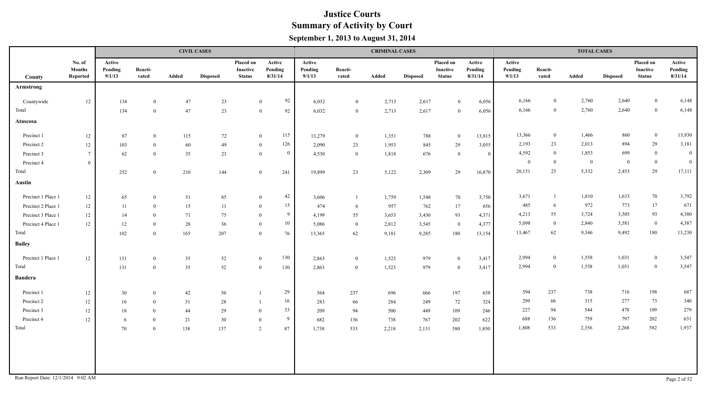|                                    |                                     |                             |                  |       | <b>CIVIL CASES</b> |                                        |                              |                             |                  | <b>CRIMINAL CASES</b> |                 |                                        |                              |                             |                  | <b>TOTAL CASES</b> |                 |                                        |                              |
|------------------------------------|-------------------------------------|-----------------------------|------------------|-------|--------------------|----------------------------------------|------------------------------|-----------------------------|------------------|-----------------------|-----------------|----------------------------------------|------------------------------|-----------------------------|------------------|--------------------|-----------------|----------------------------------------|------------------------------|
| County                             | No. of<br><b>Months</b><br>Reported | Active<br>Pending<br>9/1/13 | Reacti-<br>vated | Added | <b>Disposed</b>    | Placed on<br>Inactive<br><b>Status</b> | Active<br>Pending<br>8/31/14 | Active<br>Pending<br>9/1/13 | Reacti-<br>vated | Added                 | <b>Disposed</b> | Placed on<br>Inactive<br><b>Status</b> | Active<br>Pending<br>8/31/14 | Active<br>Pending<br>9/1/13 | Reacti-<br>vated | Added              | <b>Disposed</b> | Placed on<br>Inactive<br><b>Status</b> | Active<br>Pending<br>8/31/14 |
| Armstrong                          |                                     |                             |                  |       |                    |                                        |                              |                             |                  |                       |                 |                                        |                              |                             |                  |                    |                 |                                        |                              |
| Countywide                         | 12                                  | 134                         | $\theta$         | 47    | 23                 |                                        | 92<br>$\bf{0}$               | 6,032                       | $\bf{0}$         | 2,713                 | 2,617           | $\theta$                               | 6,056                        | 6,166                       | $\overline{0}$   | 2,760              | 2,640           | $\overline{0}$                         | 6,148                        |
| Total                              |                                     | 134                         | $\Omega$         | 47    | 23                 |                                        | 92<br>$\overline{0}$         | 6,032                       | $\mathbf{0}$     | 2,713                 | 2,617           | $\theta$                               | 6,056                        | 6,166                       | $\bf{0}$         | 2,760              | 2,640           | $\boldsymbol{0}$                       | 6,148                        |
| Atascosa                           |                                     |                             |                  |       |                    |                                        |                              |                             |                  |                       |                 |                                        |                              |                             |                  |                    |                 |                                        |                              |
| Precinct 1                         | 12                                  | 87                          | $\bf{0}$         | 115   | 72                 |                                        | 115<br>$\overline{0}$        | 13,279                      | $\overline{0}$   | 1,351                 | 788             | $\overline{0}$                         | 13,815                       | 13,366                      | $\overline{0}$   | 1,466              | 860             | $\overline{0}$                         | 13,930                       |
| Precinct 2                         | 12                                  | 103                         | $\bf{0}$         | 60    | 49                 |                                        | 126<br>$\bf{0}$              | 2,090                       | 23               | 1,953                 | 845             | 29                                     | 3,055                        | 2,193                       | 23               | 2,013              | 894             | $29\,$                                 | 3,181                        |
| Precinct 3                         | $\overline{7}$                      | 62                          | $\mathbf{0}$     | 35    | 23                 |                                        | $\bf{0}$<br>$\overline{0}$   | 4,530                       | $\overline{0}$   | 1,818                 | 676             | $\bf{0}$                               | $\theta$                     | 4,592                       | $\bf{0}$         | 1,853              | 699             | $\overline{0}$                         | $\bf{0}$                     |
| Precinct 4                         | $\overline{0}$                      |                             |                  |       |                    |                                        |                              |                             |                  |                       |                 |                                        |                              | $\overline{0}$              | $\bf{0}$         | $\bf{0}$           | $\overline{0}$  | $\overline{0}$                         | $\bf{0}$                     |
| Total                              |                                     | 252                         | $\mathbf{0}$     | 210   | 144                |                                        | 241<br>$\overline{0}$        | 19,899                      | 23               | 5,122                 | 2,309           | 29                                     | 16,870                       | 20,151                      | 23               | 5,332              | 2,453           | $29\,$                                 | 17,111                       |
| <b>Austin</b>                      |                                     |                             |                  |       |                    |                                        |                              |                             |                  |                       |                 |                                        |                              |                             |                  |                    |                 |                                        |                              |
| Precinct 1 Place 1                 | 12                                  | 65                          | $\bf{0}$         | 51    | 85                 |                                        | 42<br>$\bf{0}$               | 3,606                       |                  | 1,759                 | 1,548           | 70                                     | 3,750                        | 3,671                       |                  | 1,810              | 1,633           | 70                                     | 3,792                        |
| Precinct 2 Place 1                 | 12                                  | 11                          | $\overline{0}$   | 15    | 11                 |                                        | 15<br>$\bf{0}$               | 474                         | -6               | 957                   | 762             | 17                                     | 656                          | 485                         | -6               | 972                | 773             | 17                                     | 671                          |
| Precinct 3 Place 1                 | $12\,$                              | 14                          | $\bf{0}$         | 71    | 75                 |                                        | 9<br>$\Omega$                | 4,199                       | 55               | 3,653                 | 3,430           | 93                                     | 4,371                        | 4,213                       | 55               | 3,724              | 3,505           | 93                                     | 4,380                        |
| Precinct 4 Place 1                 | 12                                  | 12                          | $\mathbf{0}$     | 28    | 36                 |                                        | 10<br>$\bf{0}$               | 5,086                       | $\bf{0}$         | 2,812                 | 3,545           | $\overline{0}$                         | 4,377                        | 5,098                       | $\overline{0}$   | 2,840              | 3,581           | $\mathbf{0}$                           | 4,387                        |
| Total                              |                                     | 102                         | $\theta$         | 165   | 207                |                                        | 76<br>$\overline{0}$         | 13,365                      | 62               | 9,181                 | 9,285           | 180                                    | 13,154                       | 13,467                      | 62               | 9,346              | 9,492           | 180                                    | 13,230                       |
| <b>Bailey</b>                      |                                     |                             |                  |       |                    |                                        |                              |                             |                  |                       |                 |                                        |                              |                             |                  |                    |                 |                                        |                              |
| Precinct 1 Place 1                 | $12\,$                              | 131                         | $\bf{0}$         | 35    | 52                 |                                        | 130<br>$\mathbf{0}$          | 2,863                       | $\overline{0}$   | 1,523                 | 979             | $\bf{0}$                               | 3,417                        | 2,994                       | $\overline{0}$   | 1,558              | 1,031           | $\mathbf{0}$                           | 3,547                        |
| Total                              |                                     | 131                         | $\bf{0}$         | 35    | $52\,$             |                                        | 130<br>$\mathbf{0}$          | 2,863                       | $\overline{0}$   | 1,523                 | 979             | $\bf{0}$                               | 3,417                        | 2,994                       | $\overline{0}$   | 1,558              | 1,031           | $\boldsymbol{0}$                       | 3,547                        |
| <b>Bandera</b>                     |                                     |                             |                  |       |                    |                                        |                              |                             |                  |                       |                 |                                        |                              |                             |                  |                    |                 |                                        |                              |
| Precinct 1                         | 12                                  | 30                          | $\bf{0}$         | 42    | 50                 |                                        | 29                           | 564                         | 237              | 696                   | 666             | 197                                    | 658                          | 594                         | 237              | 738                | 716             | 198                                    | 687                          |
| Precinct 2                         | $12 \,$                             | 16                          | $\overline{0}$   | 31    | 28                 |                                        | 16                           | 283                         | 66               | 284                   | 249             | 72                                     | 324                          | 299                         | 66               | 315                | 277             | 73                                     | 340                          |
| Precinct 3                         | $12 \,$                             | 18                          | $\overline{0}$   | 44    | 29                 |                                        | 33<br>$\theta$               | 209                         | 94               | 500                   | 449             | 109                                    | 246                          | 227                         | 94               | 544                | 478             | 109                                    | 279                          |
| Precinct 4                         | 12                                  | 6                           | $\Omega$         | 21    | 30                 |                                        | 9<br>$\theta$                | 682                         | 136              | 738                   | 767             | 202                                    | 622                          | 688                         | 136              | 759                | 797             | 202                                    | 631                          |
| Total                              |                                     | 70                          | $\theta$         | 138   | 137                |                                        | 2<br>87                      | 1,738                       | 533              | 2,218                 | 2,131           | 580                                    | 1,850                        | 1,808                       | 533              | 2,356              | 2,268           | 582                                    | 1,937                        |
|                                    |                                     |                             |                  |       |                    |                                        |                              |                             |                  |                       |                 |                                        |                              |                             |                  |                    |                 |                                        |                              |
| Run Report Date: 12/1/2014 9:02 AM |                                     |                             |                  |       |                    |                                        |                              |                             |                  |                       |                 |                                        |                              |                             |                  |                    |                 |                                        | Page 2 of 52                 |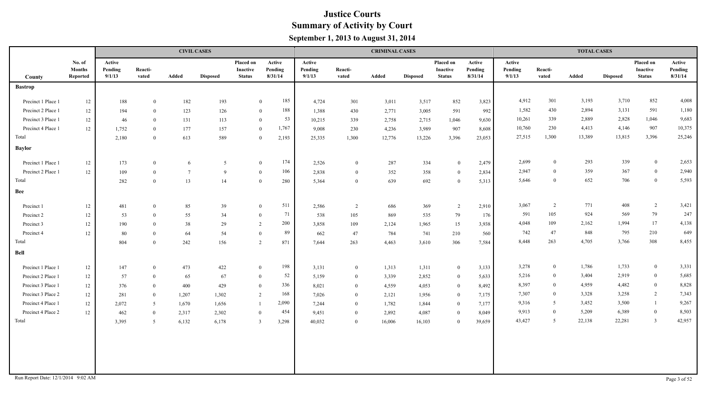|                                    |                                     |                             |                  |                 | <b>CIVIL CASES</b> |                                               |                              |                             |                  | <b>CRIMINAL CASES</b> |                 |                                        |                              |                             |                  | <b>TOTAL CASES</b> |                 |                                               |                              |
|------------------------------------|-------------------------------------|-----------------------------|------------------|-----------------|--------------------|-----------------------------------------------|------------------------------|-----------------------------|------------------|-----------------------|-----------------|----------------------------------------|------------------------------|-----------------------------|------------------|--------------------|-----------------|-----------------------------------------------|------------------------------|
| County                             | No. of<br><b>Months</b><br>Reported | Active<br>Pending<br>9/1/13 | Reacti-<br>vated | Added           | <b>Disposed</b>    | <b>Placed on</b><br>Inactive<br><b>Status</b> | Active<br>Pending<br>8/31/14 | Active<br>Pending<br>9/1/13 | Reacti-<br>vated | Added                 | <b>Disposed</b> | Placed on<br>Inactive<br><b>Status</b> | Active<br>Pending<br>8/31/14 | Active<br>Pending<br>9/1/13 | Reacti-<br>vated | Added              | <b>Disposed</b> | Placed on<br><b>Inactive</b><br><b>Status</b> | Active<br>Pending<br>8/31/14 |
| <b>Bastrop</b>                     |                                     |                             |                  |                 |                    |                                               |                              |                             |                  |                       |                 |                                        |                              |                             |                  |                    |                 |                                               |                              |
| Precinct 1 Place 1                 | 12                                  | 188                         | $\theta$         | 182             | 193                |                                               | 185<br>$\overline{0}$        | 4,724                       | 301              | 3,011                 | 3,517           | 852                                    | 3,823                        | 4,912                       | 301              | 3,193              | 3,710           | 852                                           | 4,008                        |
| Precinct 2 Place 1                 | 12                                  | 194                         | $\theta$         | 123             | 126                |                                               | 188<br>$\overline{0}$        | 1,388                       | 430              | 2,771                 | 3,005           | 591                                    | 992                          | 1,582                       | 430              | 2,894              | 3,131           | 591                                           | 1,180                        |
| Precinct 3 Place 1                 | 12                                  | 46                          | $\theta$         | 131             | 113                |                                               | 53<br>$\mathbf{0}$           | 10,215                      | 339              | 2,758                 | 2,715           | 1,046                                  | 9,630                        | 10,261                      | 339              | 2,889              | 2,828           | 1,046                                         | 9,683                        |
| Precinct 4 Place 1                 | 12                                  | 1,752                       | $\theta$         | 177             | 157                |                                               | 1,767<br>$\overline{0}$      | 9,008                       | 230              | 4,236                 | 3,989           | 907                                    | 8,608                        | 10,760                      | 230              | 4,413              | 4,146           | 907                                           | 10,375                       |
| Total                              |                                     | 2,180                       | $\overline{0}$   | 613             | 589                |                                               | $\mathbf{0}$<br>2,193        | 25,335                      | 1,300            | 12,776                | 13,226          | 3,396                                  | 23,053                       | 27,515                      | 1,300            | 13,389             | 13,815          | 3,396                                         | 25,246                       |
| <b>Baylor</b>                      |                                     |                             |                  |                 |                    |                                               |                              |                             |                  |                       |                 |                                        |                              |                             |                  |                    |                 |                                               |                              |
| Precinct 1 Place 1                 | 12                                  | 173                         | $\overline{0}$   | 6               | 5                  |                                               | 174<br>$\mathbf{0}$          | 2,526                       | $\overline{0}$   | 287                   | 334             | $\overline{0}$                         | 2,479                        | 2,699                       | $\mathbf{0}$     | 293                | 339             | $\mathbf{0}$                                  | 2,653                        |
| Precinct 2 Place 1                 | 12                                  | 109                         | $\theta$         | $7\phantom{.0}$ | 9                  |                                               | 106<br>$\overline{0}$        | 2,838                       | $\overline{0}$   | 352                   | 358             | $\overline{0}$                         | 2,834                        | 2,947                       | $\mathbf{0}$     | 359                | 367             | $\bf{0}$                                      | 2,940                        |
| Total                              |                                     | 282                         | $\overline{0}$   | 13              | 14                 | $\theta$                                      | 280                          | 5,364                       | $\overline{0}$   | 639                   | 692             | $\overline{0}$                         | 5,313                        | 5,646                       | $\theta$         | 652                | 706             | $\bf{0}$                                      | 5,593                        |
| Bee                                |                                     |                             |                  |                 |                    |                                               |                              |                             |                  |                       |                 |                                        |                              |                             |                  |                    |                 |                                               |                              |
| Precinct 1                         | 12                                  | 481                         | $\overline{0}$   | 85              | 39                 | $\theta$                                      | 511                          | 2,586                       | 2                | 686                   | 369             | 2                                      | 2,910                        | 3,067                       | 2                | 771                | 408             | $\overline{2}$                                | 3,421                        |
| Precinct 2                         | 12                                  | 53                          | $\theta$         | 55              | 34                 | $\bf{0}$                                      | 71                           | 538                         | 105              | 869                   | 535             | 79                                     | 176                          | 591                         | 105              | 924                | 569             | 79                                            | 247                          |
| Precinct 3                         | 12                                  | 190                         | $\theta$         | 38              | 29                 | 2                                             | 200                          | 3,858                       | 109              | 2,124                 | 1,965           | 15                                     | 3,938                        | 4,048                       | 109              | 2,162              | 1,994           | 17                                            | 4,138                        |
| Precinct 4                         | 12                                  | 80                          | $\theta$         | 64              | 54                 | $\theta$                                      | 89                           | 662                         | 47               | 784                   | 741             | 210                                    | 560                          | 742                         | 47               | 848                | 795             | 210                                           | 649                          |
| Total                              |                                     | 804                         | $\theta$         | 242             | 156                | 2                                             | 871                          | 7,644                       | 263              | 4,463                 | 3,610           | 306                                    | 7,584                        | 8,448                       | 263              | 4,705              | 3,766           | 308                                           | 8,455                        |
| Bell                               |                                     |                             |                  |                 |                    |                                               |                              |                             |                  |                       |                 |                                        |                              |                             |                  |                    |                 |                                               |                              |
| Precinct 1 Place 1                 | 12                                  | 147                         | $\overline{0}$   | 473             | 422                | $\overline{0}$                                | 198                          | 3,131                       | $\overline{0}$   | 1,313                 | 1,311           | $\bf{0}$                               | 3,133                        | 3,278                       | $\bf{0}$         | 1,786              | 1,733           | $\bf{0}$                                      | 3,331                        |
| Precinct 2 Place 1                 | 12                                  | 57                          | $\overline{0}$   | 65              | 67                 | $\bf{0}$                                      | 52                           | 5,159                       | $\overline{0}$   | 3,339                 | 2,852           | $\bf{0}$                               | 5,633                        | 5,216                       | $\bf{0}$         | 3,404              | 2,919           | $\bf{0}$                                      | 5,685                        |
| Precinct 3 Place 1                 | 12                                  | 376                         | $\overline{0}$   | 400             | 429                | $\bf{0}$                                      | 336                          | 8,021                       | $\bf{0}$         | 4,559                 | 4,053           | $\bf{0}$                               | 8,492                        | 8,397                       | $\overline{0}$   | 4,959              | 4,482           | $\overline{0}$                                | 8,828                        |
| Precinct 3 Place 2                 | 12                                  | 281                         | $\overline{0}$   | 1,207           | 1,302              | 2                                             | 168                          | 7,026                       | $\overline{0}$   | 2,121                 | 1,956           | $\bf{0}$                               | 7,175                        | 7,307                       | $\overline{0}$   | 3,328              | 3,258           | 2                                             | 7,343                        |
| Precinct 4 Place 1                 | 12                                  | 2,072                       | -5               | 1,670           | 1,656              | $\overline{1}$                                | 2,090                        | 7,244                       | $\bf{0}$         | 1,782                 | 1,844           | $\bf{0}$                               | 7,177                        | 9,316                       | 5                | 3,452              | 3,500           | $\mathbf{1}$                                  | 9,267                        |
| Precinct 4 Place 2                 | $12 \,$                             | 462                         | $\overline{0}$   | 2,317           | 2,302              | $\overline{0}$                                | 454                          | 9,451                       | $\bf{0}$         | 2,892                 | 4,087           | $\theta$                               | 8,049                        | 9,913                       | $\overline{0}$   | 5,209              | 6,389           | $\mathbf{0}$                                  | 8,503                        |
| Total                              |                                     | 3,395                       | 5                | 6,132           | 6,178              | 3                                             | 3,298                        | 40,032                      | $\overline{0}$   | 16,006                | 16,103          | $\mathbf{0}$                           | 39,659                       | 43,427                      | 5                | 22,138             | 22,281          | $\overline{3}$                                | 42,957                       |
|                                    |                                     |                             |                  |                 |                    |                                               |                              |                             |                  |                       |                 |                                        |                              |                             |                  |                    |                 |                                               |                              |
| Run Report Date: 12/1/2014 9:02 AM |                                     |                             |                  |                 |                    |                                               |                              |                             |                  |                       |                 |                                        |                              |                             |                  |                    |                 |                                               | Page 3 of 52                 |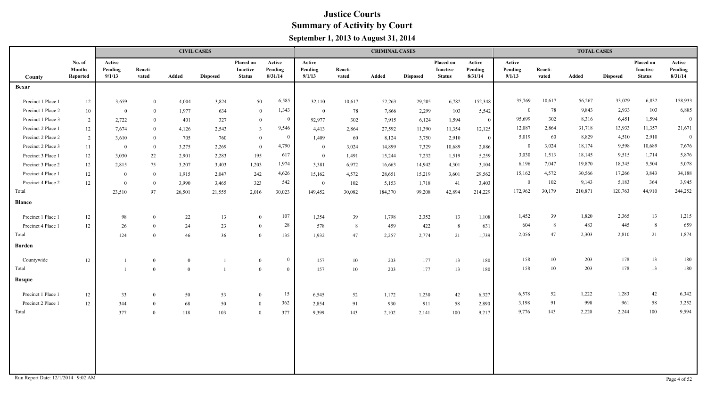|                    |                                     |                             |                  | <b>CIVIL CASES</b> |                 |                                        |                              |                             |                  | <b>CRIMINAL CASES</b> |                 |                                        |                              |                             |                  | <b>TOTAL CASES</b> |                 |                                        |                              |
|--------------------|-------------------------------------|-----------------------------|------------------|--------------------|-----------------|----------------------------------------|------------------------------|-----------------------------|------------------|-----------------------|-----------------|----------------------------------------|------------------------------|-----------------------------|------------------|--------------------|-----------------|----------------------------------------|------------------------------|
| County             | No. of<br><b>Months</b><br>Reported | Active<br>Pending<br>9/1/13 | Reacti-<br>vated | Added              | <b>Disposed</b> | Placed on<br>Inactive<br><b>Status</b> | Active<br>Pending<br>8/31/14 | Active<br>Pending<br>9/1/13 | Reacti-<br>vated | Added                 | <b>Disposed</b> | Placed on<br>Inactive<br><b>Status</b> | Active<br>Pending<br>8/31/14 | Active<br>Pending<br>9/1/13 | Reacti-<br>vated | Added              | <b>Disposed</b> | Placed on<br>Inactive<br><b>Status</b> | Active<br>Pending<br>8/31/14 |
| <b>Bexar</b>       |                                     |                             |                  |                    |                 |                                        |                              |                             |                  |                       |                 |                                        |                              |                             |                  |                    |                 |                                        |                              |
| Precinct 1 Place 1 | $12\,$                              | 3,659                       | $\overline{0}$   | 4,004              | 3,824           | 50                                     | 6,585                        | 32,110                      | 10,617           | 52,263                | 29,205          | 6,782                                  | 152,348                      | 35,769                      | 10,617           | 56,267             | 33,029          | 6,832                                  | 158,933                      |
| Precinct 1 Place 2 | 10                                  | $\overline{0}$              | $\theta$         | 1,977              | 634             | $\overline{0}$                         | 1,343                        | $\overline{0}$              | 78               | 7,866                 | 2,299           | 103                                    | 5,542                        | $\bf{0}$                    | 78               | 9,843              | 2,933           | 103                                    | 6,885                        |
| Precinct 1 Place 3 | 2                                   | 2,722                       | $\overline{0}$   | 401                | 327             | $\mathbf{0}$                           | $\bf{0}$                     | 92,977                      | 302              | 7,915                 | 6,124           | 1,594                                  | $\mathbf{0}$                 | 95,699                      | 302              | 8,316              | 6,451           | 1,594                                  | $\overline{0}$               |
| Precinct 2 Place 1 | $12\,$                              | 7,674                       | $\overline{0}$   | 4,126              | 2,543           | $\overline{3}$                         | 9,546                        | 4,413                       | 2,864            | 27,592                | 11,390          | 11,354                                 | 12,125                       | 12,087                      | 2,864            | 31,718             | 13,933          | 11,357                                 | 21,671                       |
| Precinct 2 Place 2 | 2                                   | 3,610                       | $\bf{0}$         | 705                | 760             | $\overline{0}$                         | $\bf{0}$                     | 1,409                       | -60              | 8,124                 | 3,750           | 2,910                                  | $\bf{0}$                     | 5,019                       | 60               | 8,829              | 4,510           | 2,910                                  | $\overline{0}$               |
| Precinct 2 Place 3 | 11                                  | $\overline{0}$              | $\bf{0}$         | 3,275              | 2,269           | $\overline{0}$                         | 4,790                        | $\bf{0}$                    | 3,024            | 14,899                | 7,329           | 10,689                                 | 2,886                        | $\bf{0}$                    | 3,024            | 18,174             | 9,598           | 10,689                                 | 7,676                        |
| Precinct 3 Place 1 | $12 \,$                             | 3,030                       | 22               | 2,901              | 2,283           | 195                                    | 617                          | $\overline{0}$              | 1,491            | 15,244                | 7,232           | 1,519                                  | 5,259                        | 3,030                       | 1,513            | 18,145             | 9,515           | 1,714                                  | 5,876                        |
| Precinct 3 Place 2 | 12                                  | 2,815                       | 75               | 3,207              | 3,403           | 1,203                                  | 1,974                        | 3,381                       | 6,972            | 16,663                | 14,942          | 4,301                                  | 3,104                        | 6,196                       | 7,047            | 19,870             | 18,345          | 5,504                                  | 5,078                        |
| Precinct 4 Place 1 | 12                                  | $\overline{0}$              | $\bf{0}$         | 1,915              | 2,047           | 242                                    | 4,626                        | 15,162                      | 4,572            | 28,651                | 15,219          | 3,601                                  | 29,562                       | 15,162                      | 4,572            | 30,566             | 17,266          | 3,843                                  | 34,188                       |
| Precinct 4 Place 2 | 12                                  | $\overline{0}$              | $\overline{0}$   | 3,990              | 3,465           | 323                                    | 542                          | $\overline{0}$              | 102              | 5,153                 | 1,718           | 41                                     | 3,403                        | $\theta$                    | 102              | 9,143              | 5,183           | 364                                    | 3,945                        |
| Total              |                                     | 23,510                      | 97               | 26,501             | 21,555          | 2,016                                  | 30,023                       | 149,452                     | 30,082           | 184,370               | 99,208          | 42,894                                 | 214,229                      | 172,962                     | 30,179           | 210,871            | 120,763         | 44,910                                 | 244,252                      |
| <b>Blanco</b>      |                                     |                             |                  |                    |                 |                                        |                              |                             |                  |                       |                 |                                        |                              |                             |                  |                    |                 |                                        |                              |
| Precinct 1 Place 1 | 12                                  | 98                          | $\overline{0}$   | 22                 | 13              | $\mathbf{0}$                           | 107                          | 1,354                       | 39               | 1,798                 | 2,352           | 13                                     | 1,108                        | 1,452                       | 39               | 1,820              | 2,365           | 13                                     | 1,215                        |
| Precinct 4 Place 1 | 12                                  | 26                          | $\overline{0}$   | 24                 | 23              | $\mathbf{0}$                           | 28                           | 578                         | 8                | 459                   | 422             | -8                                     | 631                          | 604                         | 8                | 483                | 445             | $\,$ 8 $\,$                            | 659                          |
| Total              |                                     | 124                         | $\overline{0}$   | 46                 | 36              | $\Omega$                               | 135                          | 1,932                       | 47               | 2,257                 | 2,774           | $21\,$                                 | 1,739                        | 2,056                       | 47               | 2,303              | 2,810           | 21                                     | 1,874                        |
| <b>Borden</b>      |                                     |                             |                  |                    |                 |                                        |                              |                             |                  |                       |                 |                                        |                              |                             |                  |                    |                 |                                        |                              |
| Countywide         | 12                                  | $\overline{1}$              | $\theta$         | $\theta$           |                 | $\mathbf{0}$                           | $\theta$                     | 157                         | 10               | 203                   | 177             | 13                                     | 180                          | 158                         | 10               | 203                | 178             | 13                                     | 180                          |
| Total              |                                     | $\overline{1}$              | $\theta$         | $\theta$           |                 | $\mathbf{0}$                           | $\theta$                     | 157                         | 10               | 203                   | 177             | 13                                     | 180                          | 158                         | 10               | 203                | 178             | 13                                     | 180                          |
| <b>Bosque</b>      |                                     |                             |                  |                    |                 |                                        |                              |                             |                  |                       |                 |                                        |                              |                             |                  |                    |                 |                                        |                              |
| Precinct 1 Place 1 | 12                                  | 33                          | $\overline{0}$   | 50                 | 53              | $\theta$                               | 15                           | 6,545                       | 52               | 1,172                 | 1,230           | $42\,$                                 | 6,327                        | 6,578                       | 52               | 1,222              | 1,283           | 42                                     | 6,342                        |
| Precinct 2 Place 1 | 12                                  | 344                         | $\overline{0}$   | 68                 | 50              | $\overline{0}$                         | 362                          | 2,854                       | 91               | 930                   | 911             | 58                                     | 2,890                        | 3,198                       | 91               | 998                | 961             | 58                                     | 3,252                        |
| Total              |                                     | 377                         | $\overline{0}$   | 118                | 103             | $\overline{0}$                         | 377                          | 9,399                       | 143              | 2,102                 | 2,141           | 100                                    | 9,217                        | 9,776                       | 143              | 2,220              | 2,244           | 100                                    | 9,594                        |
|                    |                                     |                             |                  |                    |                 |                                        |                              |                             |                  |                       |                 |                                        |                              |                             |                  |                    |                 |                                        |                              |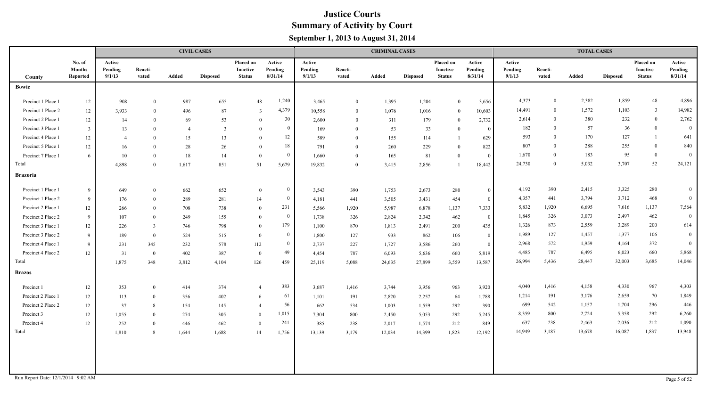|                                    |                                     |                             |                  |                | <b>CIVIL CASES</b> |                                               |                              |                             |                  | <b>CRIMINAL CASES</b> |                 |                                        |                              |                             |                  | <b>TOTAL CASES</b> |                 |                                        |                              |
|------------------------------------|-------------------------------------|-----------------------------|------------------|----------------|--------------------|-----------------------------------------------|------------------------------|-----------------------------|------------------|-----------------------|-----------------|----------------------------------------|------------------------------|-----------------------------|------------------|--------------------|-----------------|----------------------------------------|------------------------------|
| County                             | No. of<br><b>Months</b><br>Reported | Active<br>Pending<br>9/1/13 | Reacti-<br>vated | Added          | <b>Disposed</b>    | Placed on<br><b>Inactive</b><br><b>Status</b> | Active<br>Pending<br>8/31/14 | Active<br>Pending<br>9/1/13 | Reacti-<br>vated | Added                 | <b>Disposed</b> | Placed on<br>Inactive<br><b>Status</b> | Active<br>Pending<br>8/31/14 | Active<br>Pending<br>9/1/13 | Reacti-<br>vated | Added              | <b>Disposed</b> | Placed on<br>Inactive<br><b>Status</b> | Active<br>Pending<br>8/31/14 |
| <b>Bowie</b>                       |                                     |                             |                  |                |                    |                                               |                              |                             |                  |                       |                 |                                        |                              |                             |                  |                    |                 |                                        |                              |
| Precinct 1 Place 1                 | 12                                  | 908                         | $\mathbf{0}$     | 987            | 655                | 48                                            | 1,240                        | 3,465                       | $\bf{0}$         | 1,395                 | 1,204           | $\bf{0}$                               | 3,656                        | 4,373                       | $\bf{0}$         | 2,382              | 1,859           | 48                                     | 4,896                        |
| Precinct 1 Place 2                 | 12                                  | 3,933                       | $\theta$         | 496            | 87                 | $\overline{3}$                                | 4,379                        | 10,558                      | $\overline{0}$   | 1,076                 | 1,016           | $\bf{0}$                               | 10,603                       | 14,491                      | $\bf{0}$         | 1,572              | 1,103           | $\overline{3}$                         | 14,982                       |
| Precinct 2 Place 1                 | 12                                  | 14                          | $\theta$         | 69             | 53                 | $\mathbf{0}$                                  | 30                           | 2,600                       | $\theta$         | 311                   | 179             | $\mathbf{0}$                           | 2,732                        | 2,614                       | $\Omega$         | 380                | 232             | $\overline{0}$                         | 2,762                        |
| Precinct 3 Place 1                 | $\overline{3}$                      | 13                          | $\Omega$         | $\overline{4}$ | $\overline{3}$     | $\theta$                                      | $\theta$                     | 169                         | $\theta$         | 53                    | 33              | $\theta$                               | $\overline{0}$               | 182                         | $\Omega$         | 57                 | 36              | $\overline{0}$                         | $\mathbf{0}$                 |
| Precinct 4 Place 1                 | 12                                  | $\overline{4}$              | $\theta$         | 15             | 13                 | $\Omega$                                      | 12                           | 589                         | $\theta$         | 155                   | 114             |                                        | 629                          | 593                         | $\theta$         | 170                | 127             | $\mathbf{1}$                           | 641                          |
| Precinct 5 Place 1                 | 12                                  | 16                          | $\theta$         | 28             | 26                 | $\Omega$                                      | 18                           | 791                         | $\theta$         | 260                   | 229             | $\overline{0}$                         | 822                          | 807                         | $\overline{0}$   | 288                | 255             | $\overline{0}$                         | 840                          |
| Precinct 7 Place 1                 | 6                                   | 10                          | $\theta$         | 18             | 14                 | $\overline{0}$                                | $\Omega$                     | 1,660                       | $\theta$         | 165                   | 81              | $\theta$                               | $\overline{0}$               | 1,670                       | $\overline{0}$   | 183                | 95              | $\mathbf{0}$                           | $\overline{0}$               |
| Total                              |                                     | 4,898                       | $\theta$         | 1,617          | 851                | 51                                            | 5,679                        | 19,832                      | $\mathbf{0}$     | 3,415                 | 2,856           |                                        | 18,442                       | 24,730                      | $\overline{0}$   | 5,032              | 3,707           | 52                                     | 24,121                       |
| <b>Brazoria</b>                    |                                     |                             |                  |                |                    |                                               |                              |                             |                  |                       |                 |                                        |                              |                             |                  |                    |                 |                                        |                              |
| Precinct 1 Place 1                 | 9                                   | 649                         | $\theta$         | 662            | 652                | $\bf{0}$                                      | $\overline{0}$               | 3,543                       | 390              | 1,753                 | 2,673           | 280                                    | $\Omega$                     | 4,192                       | 390              | 2,415              | 3,325           | 280                                    | $\overline{0}$               |
| Precinct 1 Place 2                 | 9                                   | 176                         | $\theta$         | 289            | 281                | 14                                            | $\bf{0}$                     | 4,181                       | 441              | 3,505                 | 3,431           | 454                                    | $\Omega$                     | 4,357                       | 441              | 3,794              | 3,712           | 468                                    | $\overline{0}$               |
| Precinct 2 Place 1                 | 12                                  | 266                         | $\overline{0}$   | 708            | 738                | $\bf{0}$                                      | 231                          | 5,566                       | 1,920            | 5,987                 | 6,878           | 1,137                                  | 7,333                        | 5,832                       | 1,920            | 6,695              | 7,616           | 1,137                                  | 7,564                        |
| Precinct 2 Place 2                 | -9                                  | 107                         | $\theta$         | 249            | 155                | $\bf{0}$                                      | $\overline{0}$               | 1,738                       | 326              | 2,824                 | 2,342           | 462                                    | $\theta$                     | 1,845                       | 326              | 3,073              | 2,497           | 462                                    | $\boldsymbol{0}$             |
| Precinct 3 Place 1                 | 12                                  | 226                         | $\overline{3}$   | 746            | 798                | $\overline{0}$                                | 179                          | 1,100                       | 870              | 1,813                 | 2,491           | 200                                    | 435                          | 1,326                       | 873              | 2,559              | 3,289           | 200                                    | 614                          |
| Precinct 3 Place 2                 | -9                                  | 189                         | $\theta$         | 524            | 515                | $\overline{0}$                                | $\bf{0}$                     | 1,800                       | 127              | 933                   | 862             | 106                                    | $\theta$                     | 1,989                       | 127              | 1,457              | 1,377           | 106                                    | $\mathbf{0}$                 |
| Precinct 4 Place 1                 | -9                                  | 231                         | 345              | 232            | 578                | 112                                           | $\bf{0}$                     | 2,737                       | 227              | 1,727                 | 3,586           | 260                                    | $\theta$                     | 2,968                       | 572              | 1,959              | 4,164           | 372                                    | $\mathbf{0}$                 |
| Precinct 4 Place 2                 | 12                                  | 31                          | $\bf{0}$         | 402            | 387                | $\overline{0}$                                | 49                           | 4,454                       | 787              | 6,093                 | 5,636           | 660                                    | 5,819                        | 4,485                       | 787              | 6,495              | 6,023           | 660                                    | 5,868                        |
| Total                              |                                     | 1,875                       | 348              | 3,812          | 4,104              | 126                                           | 459                          | 25,119                      | 5,088            | 24,635                | 27,899          | 3,559                                  | 13,587                       | 26,994                      | 5,436            | 28,447             | 32,003          | 3,685                                  | 14,046                       |
| <b>Brazos</b>                      |                                     |                             |                  |                |                    |                                               |                              |                             |                  |                       |                 |                                        |                              |                             |                  |                    |                 |                                        |                              |
| Precinct 1                         | 12                                  | 353                         | $\mathbf{0}$     | 414            | 374                | $\overline{4}$                                | 383                          | 3,687                       | 1,416            | 3,744                 | 3,956           | 963                                    | 3,920                        | 4,040                       | 1,416            | 4,158              | 4,330           | 967                                    | 4,303                        |
| Precinct 2 Place 1                 | 12                                  | 113                         | $\overline{0}$   | 356            | 402                | 6                                             | 61                           | 1,101                       | 191              | 2,820                 | 2,257           | 64                                     | 1,788                        | 1,214                       | 191              | 3,176              | 2,659           | 70                                     | 1,849                        |
| Precinct 2 Place 2                 | 12                                  | 37                          | -8               | 154            | 145                | $\overline{4}$                                | 56                           | 662                         | 534              | 1,003                 | 1,559           | 292                                    | 390                          | 699                         | 542              | 1,157              | 1,704           | 296                                    | 446                          |
| Precinct 3                         | 12                                  | 1,055                       | $\overline{0}$   | 274            | 305                | $\theta$                                      | 1,015                        | 7,304                       | 800              | 2,450                 | 5,053           | 292                                    | 5,245                        | 8,359                       | 800              | 2,724              | 5,358           | 292                                    | 6,260                        |
| Precinct 4                         | 12                                  | 252                         | $\Omega$         | 446            | 462                | $\bf{0}$                                      | 241                          | 385                         | 238              | 2,017                 | 1,574           | 212                                    | 849                          | 637                         | 238              | 2,463              | 2,036           | 212                                    | 1,090                        |
| Total                              |                                     | 1,810                       | 8                |                | 1,644 1,688        | 14                                            | 1,756                        | 13,139                      | 3,179            | 12,034                | 14,399          | 1,823                                  | 12,192                       | 14,949                      | 3,187            | 13,678             | 16,087          | 1,837                                  | 13,948                       |
|                                    |                                     |                             |                  |                |                    |                                               |                              |                             |                  |                       |                 |                                        |                              |                             |                  |                    |                 |                                        |                              |
|                                    |                                     |                             |                  |                |                    |                                               |                              |                             |                  |                       |                 |                                        |                              |                             |                  |                    |                 |                                        |                              |
| Run Report Date: 12/1/2014 9:02 AM |                                     |                             |                  |                |                    |                                               |                              |                             |                  |                       |                 |                                        |                              |                             |                  |                    |                 |                                        | Page 5 of 52                 |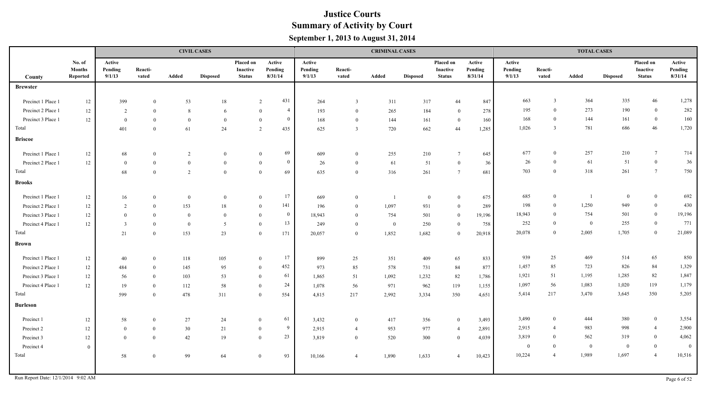|                    |                                     |                             |                  |                | <b>CIVIL CASES</b> |                                        |                                  |                             |                         | <b>CRIMINAL CASES</b>    |                 |                                        |                              |                             |                  | <b>TOTAL CASES</b> |                 |                                        |                              |
|--------------------|-------------------------------------|-----------------------------|------------------|----------------|--------------------|----------------------------------------|----------------------------------|-----------------------------|-------------------------|--------------------------|-----------------|----------------------------------------|------------------------------|-----------------------------|------------------|--------------------|-----------------|----------------------------------------|------------------------------|
| County             | No. of<br><b>Months</b><br>Reported | Active<br>Pending<br>9/1/13 | Reacti-<br>vated | Added          | <b>Disposed</b>    | Placed on<br>Inactive<br><b>Status</b> | Active<br>Pending<br>8/31/14     | Active<br>Pending<br>9/1/13 | Reacti-<br>vated        | Added                    | <b>Disposed</b> | Placed on<br>Inactive<br><b>Status</b> | Active<br>Pending<br>8/31/14 | Active<br>Pending<br>9/1/13 | Reacti-<br>vated | Added              | <b>Disposed</b> | Placed on<br>Inactive<br><b>Status</b> | Active<br>Pending<br>8/31/14 |
| <b>Brewster</b>    |                                     |                             |                  |                |                    |                                        |                                  |                             |                         |                          |                 |                                        |                              |                             |                  |                    |                 |                                        |                              |
| Precinct 1 Place 1 | $12\,$                              | 399                         | $\Omega$         | 53             | $18\,$             |                                        | 431<br>2                         | 264                         | $\overline{\mathbf{3}}$ | 311                      | 317             | 44                                     | 847                          | 663                         | $\overline{3}$   | 364                | 335             | 46                                     | 1,278                        |
| Precinct 2 Place 1 | 12                                  | 2                           | $\Omega$         | 8              | 6                  |                                        | $\overline{4}$<br>$\Omega$       | 193                         | $\theta$                | 265                      | 184             | $\overline{0}$                         | 278                          | 195                         | $\theta$         | 273                | 190             | $\bf{0}$                               | 282                          |
| Precinct 3 Place 1 | 12                                  | $\overline{0}$              | $\Omega$         | $\overline{0}$ | $\theta$           |                                        | $\overline{0}$<br>$\theta$       | 168                         | $\overline{0}$          | 144                      | 161             | $\mathbf{0}$                           | 160                          | 168                         | $\theta$         | 144                | 161             | $\bf{0}$                               | 160                          |
| Total              |                                     | 401                         | $\theta$         | 61             | 24                 |                                        | 435<br>2                         | 625                         | $\overline{3}$          | 720                      | 662             | 44                                     | 1,285                        | 1,026                       | $\overline{3}$   | 781                | 686             | $46\,$                                 | 1,720                        |
| <b>Briscoe</b>     |                                     |                             |                  |                |                    |                                        |                                  |                             |                         |                          |                 |                                        |                              |                             |                  |                    |                 |                                        |                              |
| Precinct 1 Place 1 | 12                                  | 68                          | $\overline{0}$   | 2              | $\mathbf{0}$       |                                        | 69<br>$\overline{0}$             | 609                         | $\theta$                | 255                      | 210             | $7\phantom{.0}$                        | 645                          | 677                         | $\theta$         | 257                | 210             | $7\overline{ }$                        | 714                          |
| Precinct 2 Place 1 | 12                                  | $\bf{0}$                    | $\theta$         | $\overline{0}$ | $\mathbf{0}$       |                                        | $\overline{0}$<br>$\overline{0}$ | 26                          | $\overline{0}$          | 61                       | 51              | $\overline{0}$                         | 36                           | 26                          | $\theta$         | 61                 | 51              | $\boldsymbol{0}$                       | 36                           |
| Total              |                                     | 68                          | $\theta$         | 2              | $\theta$           |                                        | 69<br>$\overline{0}$             | 635                         | $\overline{0}$          | 316                      | 261             | $7\phantom{.0}$                        | 681                          | 703                         | $\overline{0}$   | 318                | 261             | $7\phantom{.0}$                        | 750                          |
| <b>Brooks</b>      |                                     |                             |                  |                |                    |                                        |                                  |                             |                         |                          |                 |                                        |                              |                             |                  |                    |                 |                                        |                              |
| Precinct 1 Place 1 | 12                                  | 16                          | $\theta$         | $\mathbf{0}$   | $\theta$           |                                        | 17<br>$\overline{0}$             | 669                         | $\theta$                | $\overline{\phantom{0}}$ | $\theta$        | $\bf{0}$                               | 675                          | 685                         | $\bf{0}$         | $\overline{1}$     | $\overline{0}$  | $\mathbf{0}$                           | 692                          |
| Precinct 2 Place 1 | 12                                  | 2                           | $\theta$         | 153            | 18                 |                                        | 141<br>$\overline{0}$            | 196                         | $\theta$                | 1,097                    | 931             | $\mathbf{0}$                           | 289                          | 198                         | $\mathbf{0}$     | 1,250              | 949             | $\bf{0}$                               | 430                          |
| Precinct 3 Place 1 | 12                                  | $\mathbf{0}$                | $\theta$         | $\mathbf{0}$   | $\theta$           |                                        | $\mathbf{0}$<br>$\theta$         | 18,943                      | $\theta$                | 754                      | 501             | $\theta$                               | 19,196                       | 18,943                      | $\Omega$         | 754                | 501             | $\overline{0}$                         | 19,196                       |
| Precinct 4 Place 1 | 12                                  | $\overline{3}$              | $\theta$         | $\theta$       | $\overline{5}$     |                                        | 13<br>$\theta$                   | 249                         | $\overline{0}$          | $\overline{0}$           | 250             | $\bf{0}$                               | 758                          | 252                         | $\Omega$         | $\overline{0}$     | 255             | $\overline{0}$                         | 771                          |
| Total              |                                     | 21                          | $\mathbf{0}$     | 153            | 23                 |                                        | 171<br>$\mathbf{0}$              | 20,057                      | $\overline{0}$          | 1,852                    | 1,682           | $\overline{0}$                         | 20,918                       | 20,078                      | $\theta$         | 2,005              | 1,705           | $\mathbf{0}$                           | 21,089                       |
| <b>Brown</b>       |                                     |                             |                  |                |                    |                                        |                                  |                             |                         |                          |                 |                                        |                              |                             |                  |                    |                 |                                        |                              |
| Precinct 1 Place 1 | $12 \,$                             | 40                          | $\theta$         | 118            | 105                |                                        | 17<br>$\theta$                   | 899                         | 25                      | 351                      | 409             | 65                                     | 833                          | 939                         | 25               | 469                | 514             | 65                                     | 850                          |
| Precinct 2 Place 1 | 12                                  | 484                         | $\theta$         | 145            | 95                 |                                        | 452<br>$\theta$                  | 973                         | 85                      | 578                      | 731             | 84                                     | 877                          | 1,457                       | 85               | 723                | 826             | 84                                     | 1,329                        |
| Precinct 3 Place 1 | 12                                  | 56                          | $\theta$         | 103            | 53                 |                                        | 61<br>$\theta$                   | 1,865                       | 51                      | 1,092                    | 1,232           | 82                                     | 1,786                        | 1,921                       | 51               | 1,195              | 1,285           | 82                                     | 1,847                        |
| Precinct 4 Place 1 | 12                                  | 19                          | $\theta$         | 112            | 58                 |                                        | 24<br>$\theta$                   | 1,078                       | 56                      | 971                      | 962             | 119                                    | 1,155                        | 1,097                       | 56               | 1,083              | 1,020           | 119                                    | 1,179                        |
| Total              |                                     | 599                         | $\Omega$         | 478            | 311                |                                        | 554<br>$\overline{0}$            | 4,815                       | 217                     | 2,992                    | 3,334           | 350                                    | 4,651                        | 5,414                       | 217              | 3,470              | 3,645           | 350                                    | 5,205                        |
| <b>Burleson</b>    |                                     |                             |                  |                |                    |                                        |                                  |                             |                         |                          |                 |                                        |                              |                             |                  |                    |                 |                                        |                              |
| Precinct 1         | 12                                  | 58                          | $\theta$         | 27             | 24                 |                                        | 61<br>$\Omega$                   | 3,432                       | $\overline{0}$          | 417                      | 356             | $\overline{0}$                         | 3,493                        | 3,490                       | $\overline{0}$   | 444                | 380             | $\overline{0}$                         | 3,554                        |
| Precinct 2         | 12                                  | $\overline{0}$              | $\overline{0}$   | 30             | 21                 |                                        | 9<br>$\theta$                    | 2,915                       | $\overline{4}$          | 953                      | 977             | $\overline{4}$                         | 2,891                        | 2,915                       | $\overline{4}$   | 983                | 998             | $\overline{4}$                         | 2,900                        |
| Precinct 3         | 12                                  | $\overline{0}$              | $\overline{0}$   | 42             | 19                 |                                        | 23<br>$\bf{0}$                   | 3,819                       | $\overline{0}$          | 520                      | 300             | $\bf{0}$                               | 4,039                        | 3,819                       | $\theta$         | 562                | 319             | $\mathbf{0}$                           | 4,062                        |
| Precinct 4         | $\mathbf{0}$                        |                             |                  |                |                    |                                        |                                  |                             |                         |                          |                 |                                        |                              | $\overline{0}$              | $\theta$         | $\theta$           | $\overline{0}$  | $\boldsymbol{0}$                       | $\overline{0}$               |
| Total              |                                     | 58                          | $\overline{0}$   | 99             | 64                 |                                        | 93<br>$\mathbf{0}$               | 10,166                      | $\overline{4}$          | 1,890                    | 1,633           | $\overline{4}$                         | 10,423                       | 10,224                      | $\overline{4}$   | 1,989              | 1,697           | $\overline{4}$                         | 10,516                       |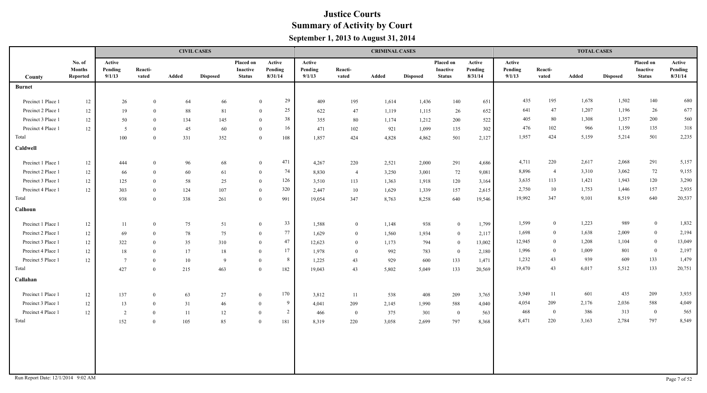|                                    |                                     |                             |                  |       | <b>CIVIL CASES</b> |                                               |                              |                             |                  | <b>CRIMINAL CASES</b> |                 |                                        |                              |                             |                  | <b>TOTAL CASES</b> |                 |                                        |                              |
|------------------------------------|-------------------------------------|-----------------------------|------------------|-------|--------------------|-----------------------------------------------|------------------------------|-----------------------------|------------------|-----------------------|-----------------|----------------------------------------|------------------------------|-----------------------------|------------------|--------------------|-----------------|----------------------------------------|------------------------------|
| County                             | No. of<br><b>Months</b><br>Reported | Active<br>Pending<br>9/1/13 | Reacti-<br>vated | Added | <b>Disposed</b>    | <b>Placed on</b><br>Inactive<br><b>Status</b> | Active<br>Pending<br>8/31/14 | Active<br>Pending<br>9/1/13 | Reacti-<br>vated | Added                 | <b>Disposed</b> | Placed on<br>Inactive<br><b>Status</b> | Active<br>Pending<br>8/31/14 | Active<br>Pending<br>9/1/13 | Reacti-<br>vated | Added              | <b>Disposed</b> | Placed on<br>Inactive<br><b>Status</b> | Active<br>Pending<br>8/31/14 |
| <b>Burnet</b>                      |                                     |                             |                  |       |                    |                                               |                              |                             |                  |                       |                 |                                        |                              |                             |                  |                    |                 |                                        |                              |
| Precinct 1 Place 1                 | 12                                  | 26                          | $\overline{0}$   | 64    | 66                 |                                               | 29<br>$\mathbf{0}$           | 409                         | 195              | 1,614                 | 1,436           | 140                                    | 651                          | 435                         | 195              | 1,678              | 1,502           | 140                                    | 680                          |
| Precinct 2 Place 1                 | 12                                  | 19                          | $\theta$         | 88    | 81                 |                                               | 25<br>$\overline{0}$         | 622                         | 47               | 1,119                 | 1,115           | 26                                     | 652                          | 641                         | 47               | 1,207              | 1,196           | 26                                     | 677                          |
| Precinct 3 Place 1                 | 12                                  | 50                          | $\theta$         | 134   | 145                |                                               | 38<br>$\theta$               | 355                         | 80               | 1,174                 | 1,212           | 200                                    | 522                          | 405                         | 80               | 1,308              | 1,357           | 200                                    | 560                          |
| Precinct 4 Place 1                 | 12                                  | 5                           | $\theta$         | 45    | 60                 |                                               | 16<br>$\mathbf{0}$           | 471                         | 102              | 921                   | 1,099           | 135                                    | 302                          | 476                         | 102              | 966                | 1,159           | 135                                    | 318                          |
| Total                              |                                     | 100                         | $\overline{0}$   | 331   | 352                |                                               | 108<br>$\bf{0}$              | 1,857                       | 424              | 4,828                 | 4,862           | 501                                    | 2,127                        | 1,957                       | 424              | 5,159              | 5,214           | 501                                    | 2,235                        |
| Caldwell                           |                                     |                             |                  |       |                    |                                               |                              |                             |                  |                       |                 |                                        |                              |                             |                  |                    |                 |                                        |                              |
| Precinct 1 Place 1                 | 12                                  | 444                         | $\theta$         | 96    | 68                 |                                               | 471<br>$\mathbf{0}$          | 4,267                       | 220              | 2,521                 | 2,000           | 291                                    | 4,686                        | 4,711                       | 220              | 2,617              | 2,068           | 291                                    | 5,157                        |
| Precinct 2 Place 1                 | $12\,$                              | 66                          | $\theta$         | 60    | 61                 |                                               | 74<br>$\bf{0}$               | 8,830                       | $\overline{4}$   | 3,250                 | 3,001           | 72                                     | 9,081                        | 8,896                       | $\overline{4}$   | 3,310              | 3,062           | 72                                     | 9,155                        |
| Precinct 3 Place 1                 | 12                                  | 125                         | $\overline{0}$   | 58    | 25                 |                                               | 126<br>$\overline{0}$        | 3,510                       | 113              | 1,363                 | 1,918           | 120                                    | 3,164                        | 3,635                       | 113              | 1,421              | 1,943           | 120                                    | 3,290                        |
| Precinct 4 Place 1                 | 12                                  | 303                         | $\theta$         | 124   | 107                | $\theta$                                      | 320                          | 2,447                       | 10               | 1,629                 | 1,339           | 157                                    | 2,615                        | 2,750                       | 10               | 1,753              | 1,446           | 157                                    | 2,935                        |
| Total                              |                                     | 938                         | $\theta$         | 338   | 261                | $\overline{0}$                                | 991                          | 19,054                      | 347              | 8,763                 | 8,258           | 640                                    | 19,546                       | 19,992                      | 347              | 9,101              | 8,519           | 640                                    | 20,537                       |
| Calhoun                            |                                     |                             |                  |       |                    |                                               |                              |                             |                  |                       |                 |                                        |                              |                             |                  |                    |                 |                                        |                              |
| Precinct 1 Place 1                 | 12                                  | 11                          | $\theta$         | 75    | 51                 | $\bf{0}$                                      | 33                           | 1,588                       | $\bf{0}$         | 1,148                 | 938             | $\bf{0}$                               | 1,799                        | 1,599                       | $\bf{0}$         | 1,223              | 989             | $\overline{0}$                         | 1,832                        |
| Precinct 2 Place 1                 | 12                                  | 69                          | $\theta$         | 78    | 75                 | $\theta$                                      | 77                           | 1,629                       | $\overline{0}$   | 1,560                 | 1,934           | $\bf{0}$                               | 2,117                        | 1,698                       | $\overline{0}$   | 1,638              | 2,009           | $\bf{0}$                               | 2,194                        |
| Precinct 3 Place 1                 | 12                                  | 322                         | $\theta$         | 35    | 310                | $\theta$                                      | 47                           | 12,623                      | $\overline{0}$   | 1,173                 | 794             | $\bf{0}$                               | 13,002                       | 12,945                      | $\bf{0}$         | 1,208              | 1,104           | $\bf{0}$                               | 13,049                       |
| Precinct 4 Place 1                 | 12                                  | 18                          | $\theta$         | 17    | 18                 | $\bf{0}$                                      | 17                           | 1,978                       | $\overline{0}$   | 992                   | 783             | $\bf{0}$                               | 2,180                        | 1,996                       | $\overline{0}$   | 1,009              | 801             | $\bf{0}$                               | 2,197                        |
| Precinct 5 Place 1                 | 12                                  | $7\phantom{.0}$             | $\overline{0}$   | 10    | - 9                | $\overline{0}$                                | 8                            | 1,225                       | 43               | 929                   | 600             | 133                                    | 1,471                        | 1,232                       | 43               | 939                | 609             | 133                                    | 1,479                        |
| Total                              |                                     | 427                         | $\theta$         | 215   | 463                | $\theta$                                      | 182                          | 19,043                      | 43               | 5,802                 | 5,049           | 133                                    | 20,569                       | 19,470                      | 43               | 6,017              | 5,512           | 133                                    | 20,751                       |
| Callahan                           |                                     |                             |                  |       |                    |                                               |                              |                             |                  |                       |                 |                                        |                              |                             |                  |                    |                 |                                        |                              |
| Precinct 1 Place 1                 | 12                                  | 137                         | $\overline{0}$   | 63    | 27                 | $\mathbf{0}$                                  | 170                          | 3,812                       | 11               | 538                   | 408             | 209                                    | 3,765                        | 3,949                       | 11               | 601                | 435             | 209                                    | 3,935                        |
| Precinct 3 Place 1                 | 12                                  | 13                          | $\overline{0}$   | 31    | 46                 | $\theta$                                      | 9                            | 4,041                       | 209              | 2,145                 | 1,990           | 588                                    | 4,040                        | 4,054                       | 209              | 2,176              | 2,036           | 588                                    | 4,049                        |
| Precinct 4 Place 1                 | 12                                  | 2                           | $\theta$         | 11    | 12                 | $\overline{0}$                                | $\overline{2}$               | 466                         | $\overline{0}$   | 375                   | 301             | $\bf{0}$                               | 563                          | 468                         | $\overline{0}$   | 386                | 313             | $\mathbf{0}$                           | 565                          |
| Total                              |                                     | 152                         | $\overline{0}$   | 105   | 85                 | $\overline{0}$                                | 181                          | 8,319                       | 220              | 3,058                 | 2,699           | 797                                    | 8,368                        | 8,471                       | 220              | 3,163              | 2,784           | 797                                    | 8,549                        |
| Run Report Date: 12/1/2014 9:02 AM |                                     |                             |                  |       |                    |                                               |                              |                             |                  |                       |                 |                                        |                              |                             |                  |                    |                 |                                        | Page 7 of 52                 |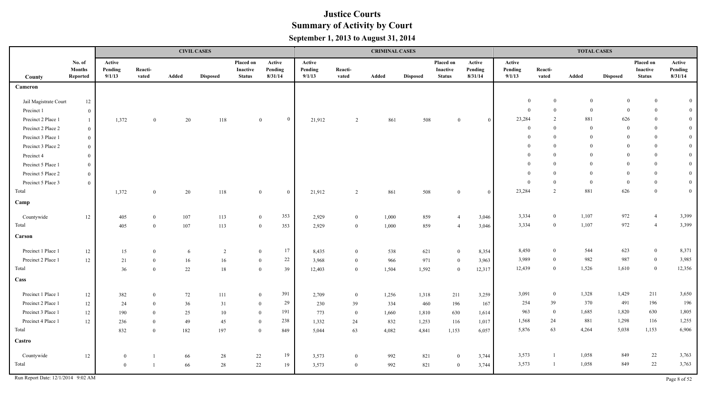|                                    |                                     |                             |                  |        | <b>CIVIL CASES</b> |                                               |                              |                             |                  | <b>CRIMINAL CASES</b> |                 |                                        |                              |                             |                  | <b>TOTAL CASES</b> |                 |                                        |                              |
|------------------------------------|-------------------------------------|-----------------------------|------------------|--------|--------------------|-----------------------------------------------|------------------------------|-----------------------------|------------------|-----------------------|-----------------|----------------------------------------|------------------------------|-----------------------------|------------------|--------------------|-----------------|----------------------------------------|------------------------------|
| County                             | No. of<br><b>Months</b><br>Reported | Active<br>Pending<br>9/1/13 | Reacti-<br>vated | Added  | <b>Disposed</b>    | Placed on<br><b>Inactive</b><br><b>Status</b> | Active<br>Pending<br>8/31/14 | Active<br>Pending<br>9/1/13 | Reacti-<br>vated | Added                 | <b>Disposed</b> | Placed on<br>Inactive<br><b>Status</b> | Active<br>Pending<br>8/31/14 | Active<br>Pending<br>9/1/13 | Reacti-<br>vated | Added              | <b>Disposed</b> | Placed on<br>Inactive<br><b>Status</b> | Active<br>Pending<br>8/31/14 |
| Cameron                            |                                     |                             |                  |        |                    |                                               |                              |                             |                  |                       |                 |                                        |                              |                             |                  |                    |                 |                                        |                              |
| Jail Magistrate Court              |                                     |                             |                  |        |                    |                                               |                              |                             |                  |                       |                 |                                        |                              | $\theta$                    | $\bf{0}$         | $\theta$           | $\mathbf{0}$    | $\overline{0}$                         | $\mathbf{0}$                 |
| Precinct 1                         | $12 \,$<br>$\overline{0}$           |                             |                  |        |                    |                                               |                              |                             |                  |                       |                 |                                        |                              | $\boldsymbol{0}$            | $\mathbf{0}$     | $\overline{0}$     | $\Omega$        | $\bf{0}$                               | $\mathbf{0}$                 |
| Precinct 2 Place 1                 | -1                                  | 1,372                       | $\theta$         | 20     | 118                |                                               | $\mathbf{0}$<br>$\mathbf{0}$ | 21,912                      | 2                | 861                   | 508             | $\theta$                               | $\theta$                     | 23,284                      | $\overline{2}$   | 881                | 626             | $\mathbf{0}$                           | $\mathbf{0}$                 |
| Precinct 2 Place 2                 | $\bf{0}$                            |                             |                  |        |                    |                                               |                              |                             |                  |                       |                 |                                        |                              | $\theta$                    | $\theta$         | $\theta$           | $\theta$        | $\mathbf{0}$                           | $\mathbf{0}$                 |
| Precinct 3 Place 1                 | $\bf{0}$                            |                             |                  |        |                    |                                               |                              |                             |                  |                       |                 |                                        |                              | $\mathbf{0}$                | $\theta$         | $\theta$           | $\Omega$        | $\mathbf{0}$                           | $\mathbf{0}$                 |
| Precinct 3 Place 2                 | $\bf{0}$                            |                             |                  |        |                    |                                               |                              |                             |                  |                       |                 |                                        |                              | $\theta$                    | $\Omega$         | $\Omega$           | $\Omega$        | $\overline{0}$                         | $\mathbf{0}$                 |
| Precinct 4                         | $\boldsymbol{0}$                    |                             |                  |        |                    |                                               |                              |                             |                  |                       |                 |                                        |                              |                             | $\theta$         | $\Omega$           | $\Omega$        | $\mathbf{0}$                           | $\mathbf{0}$                 |
| Precinct 5 Place 1                 | $\bf{0}$                            |                             |                  |        |                    |                                               |                              |                             |                  |                       |                 |                                        |                              | $\theta$                    | $\Omega$         | $\Omega$           | $\Omega$        | $\overline{0}$                         | $\mathbf{0}$                 |
| Precinct 5 Place 2                 | $\bf{0}$                            |                             |                  |        |                    |                                               |                              |                             |                  |                       |                 |                                        |                              | $\theta$                    | $\Omega$         | $\Omega$           | $\Omega$        | $\bf{0}$                               | $\overline{0}$               |
| Precinct 5 Place 3                 | $\bf{0}$                            |                             |                  |        |                    |                                               |                              |                             |                  |                       |                 |                                        |                              | $\theta$                    | $\Omega$         | $\theta$           | $\theta$        | $\mathbf{0}$                           | $\overline{0}$               |
| Total                              |                                     | 1,372                       | $\overline{0}$   | 20     | 118                |                                               | $\bf{0}$<br>$\mathbf{0}$     | 21,912                      | 2                | 861                   | 508             | $\theta$                               | $\theta$                     | 23,284                      | 2                | 881                | 626             | $\overline{0}$                         | $\mathbf{0}$                 |
| Camp                               |                                     |                             |                  |        |                    |                                               |                              |                             |                  |                       |                 |                                        |                              |                             |                  |                    |                 |                                        |                              |
| Countywide                         | $12 \,$                             | $405\,$                     | $\overline{0}$   | 107    | 113                |                                               | 353<br>$\bf{0}$              | 2,929                       | $\bf{0}$         | 1,000                 | 859             | $\overline{4}$                         | 3,046                        | 3,334                       | $\bf{0}$         | 1,107              | 972             | $\overline{4}$                         | 3,399                        |
| Total                              |                                     | 405                         | $\theta$         | 107    | 113                |                                               | 353<br>$\bf{0}$              | 2,929                       | $\overline{0}$   | 1,000                 | 859             | $\overline{4}$                         | 3,046                        | 3,334                       | $\bf{0}$         | 1,107              | 972             | $\overline{4}$                         | 3,399                        |
| Carson                             |                                     |                             |                  |        |                    |                                               |                              |                             |                  |                       |                 |                                        |                              |                             |                  |                    |                 |                                        |                              |
| Precinct 1 Place 1                 | 12                                  | 15                          | $\bf{0}$         | 6      | 2                  |                                               | 17<br>$\overline{0}$         | 8,435                       | $\overline{0}$   | 538                   | 621             | $\bf{0}$                               | 8,354                        | 8,450                       | $\theta$         | 544                | 623             | $\bf{0}$                               | 8,371                        |
| Precinct 2 Place 1                 | 12                                  | 21                          | $\overline{0}$   | 16     | 16                 |                                               | 22<br>$\overline{0}$         | 3,968                       | $\bf{0}$         | 966                   | 971             | $\bf{0}$                               | 3,963                        | 3,989                       | $\overline{0}$   | 982                | 987             | $\bf{0}$                               | 3,985                        |
| Total                              |                                     | 36                          | $\overline{0}$   | $22\,$ | 18                 |                                               | 39<br>$\theta$               | 12,403                      | $\overline{0}$   | 1,504                 | 1,592           | $\overline{0}$                         | 12,317                       | 12,439                      | $\mathbf{0}$     | 1,526              | 1,610           | $\overline{0}$                         | 12,356                       |
| Cass                               |                                     |                             |                  |        |                    |                                               |                              |                             |                  |                       |                 |                                        |                              |                             |                  |                    |                 |                                        |                              |
| Precinct 1 Place 1                 | 12                                  | 382                         | $\bf{0}$         | 72     | 111                |                                               | 391<br>$\overline{0}$        | 2,709                       | $\overline{0}$   | 1,256                 | 1,318           | 211                                    | 3,259                        | 3,091                       | $\bf{0}$         | 1,328              | 1,429           | 211                                    | 3,650                        |
| Precinct 2 Place 1                 | 12                                  | 24                          | $\overline{0}$   | 36     | 31                 |                                               | 29<br>$\bf{0}$               | 230                         | 39               | 334                   | 460             | 196                                    | 167                          | 254                         | 39               | 370                | 491             | 196                                    | 196                          |
| Precinct 3 Place 1                 | 12                                  | 190                         | $\theta$         | 25     | 10                 |                                               | 191<br>$\overline{0}$        | 773                         | $\overline{0}$   | 1,660                 | 1,810           | 630                                    | 1,614                        | 963                         | $\theta$         | 1,685              | 1,820           | 630                                    | 1,805                        |
| Precinct 4 Place 1                 | 12                                  | 236                         | $\theta$         | 49     | 45                 |                                               | 238<br>$\overline{0}$        | 1,332                       | 24               | 832                   | 1,253           | 116                                    | 1,017                        | 1,568                       | 24               | 881                | 1,298           | 116                                    | 1,255                        |
| Total                              |                                     | 832                         | $\overline{0}$   | 182    | 197                |                                               | 849<br>$\overline{0}$        | 5,044                       | 63               | 4,082                 | 4,841           | 1,153                                  | 6,057                        | 5,876                       | 63               | 4,264              | 5,038           | 1,153                                  | 6,906                        |
| Castro                             |                                     |                             |                  |        |                    |                                               |                              |                             |                  |                       |                 |                                        |                              |                             |                  |                    |                 |                                        |                              |
| Countywide                         | 12                                  | $\overline{0}$              | $\overline{1}$   | 66     | 28                 |                                               | 19<br>22                     | 3,573                       | $\bf{0}$         | 992                   | 821             | $\overline{0}$                         | 3,744                        | 3,573                       | $\mathbf{1}$     | 1,058              | 849             | 22                                     | 3,763                        |
| Total                              |                                     | $\overline{0}$              | $\overline{1}$   | 66     | 28                 |                                               | 22<br>19                     | 3,573                       | $\bf{0}$         | 992                   | 821             | $\overline{0}$                         | 3,744                        | 3,573                       | $\mathbf{1}$     | 1,058              | 849             | 22                                     | 3,763                        |
| Run Report Date: 12/1/2014 9:02 AM |                                     |                             |                  |        |                    |                                               |                              |                             |                  |                       |                 |                                        |                              |                             |                  |                    |                 |                                        | Page 8 of 52                 |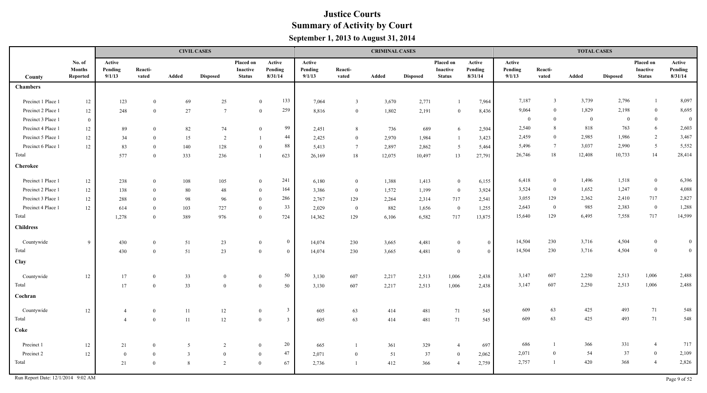|                    |                                     |                             |                  |                | <b>CIVIL CASES</b> |                                               |                                |                             |                  | <b>CRIMINAL CASES</b> |                 |                                        |                              |                             |                  | <b>TOTAL CASES</b> |                 |                                        |                              |
|--------------------|-------------------------------------|-----------------------------|------------------|----------------|--------------------|-----------------------------------------------|--------------------------------|-----------------------------|------------------|-----------------------|-----------------|----------------------------------------|------------------------------|-----------------------------|------------------|--------------------|-----------------|----------------------------------------|------------------------------|
| County             | No. of<br><b>Months</b><br>Reported | Active<br>Pending<br>9/1/13 | Reacti-<br>vated | <b>Added</b>   | <b>Disposed</b>    | Placed on<br><b>Inactive</b><br><b>Status</b> | Active<br>Pending<br>8/31/14   | Active<br>Pending<br>9/1/13 | Reacti-<br>vated | Added                 | <b>Disposed</b> | Placed on<br>Inactive<br><b>Status</b> | Active<br>Pending<br>8/31/14 | Active<br>Pending<br>9/1/13 | Reacti-<br>vated | Added              | <b>Disposed</b> | Placed on<br>Inactive<br><b>Status</b> | Active<br>Pending<br>8/31/14 |
| <b>Chambers</b>    |                                     |                             |                  |                |                    |                                               |                                |                             |                  |                       |                 |                                        |                              |                             |                  |                    |                 |                                        |                              |
| Precinct 1 Place 1 | $12\,$                              | 123                         | $\theta$         | 69             | $25\,$             |                                               | 133<br>$\overline{0}$          | 7,064                       | $\overline{3}$   | 3,670                 | 2,771           |                                        | 7,964                        | 7,187                       | $\overline{3}$   | 3,739              | 2,796           | $\mathbf{1}$                           | 8,097                        |
| Precinct 2 Place 1 | $12\,$                              | 248                         | $\theta$         | 27             | $7\phantom{.0}$    |                                               | 259<br>$\overline{0}$          | 8,816                       | $\overline{0}$   | 1,802                 | 2,191           | $\overline{0}$                         | 8,436                        | 9,064                       | $\Omega$         | 1,829              | 2,198           | $\boldsymbol{0}$                       | 8,695                        |
| Precinct 3 Place 1 | $\overline{0}$                      |                             |                  |                |                    |                                               |                                |                             |                  |                       |                 |                                        |                              | $\bf{0}$                    | $\theta$         | $\overline{0}$     | $\overline{0}$  | $\boldsymbol{0}$                       | $\mathbf{0}$                 |
| Precinct 4 Place 1 | 12                                  | 89                          | $\overline{0}$   | 82             | 74                 |                                               | 99<br>$\mathbf{0}$             | 2,451                       | -8               | 736                   | 689             | 6                                      | 2,504                        | 2,540                       | 8                | 818                | 763             | 6                                      | 2,603                        |
| Precinct 5 Place 1 | $12\,$                              | 34                          | $\Omega$         | 15             | 2                  |                                               | 44<br>$\overline{1}$           | 2,425                       | $\overline{0}$   | 2,970                 | 1,984           | - 1                                    | 3,423                        | 2,459                       | $\theta$         | 2,985              | 1,986           | $\overline{2}$                         | 3,467                        |
| Precinct 6 Place 1 | 12                                  | 83                          | $\Omega$         | 140            | 128                |                                               | 88<br>$\theta$                 | 5,413                       | $7\phantom{.0}$  | 2,897                 | 2,862           | 5                                      | 5,464                        | 5,496                       | $7\phantom{.0}$  | 3,037              | 2,990           | $5\overline{)}$                        | 5,552                        |
| Total              |                                     | 577                         | $\Omega$         | 333            | 236                |                                               | 623<br>$\mathbf{1}$            | 26,169                      | 18               | 12,075                | 10,497          | 13                                     | 27,791                       | 26,746                      | $18\,$           | 12,408             | 10,733          | 14                                     | 28,414                       |
| <b>Cherokee</b>    |                                     |                             |                  |                |                    |                                               |                                |                             |                  |                       |                 |                                        |                              |                             |                  |                    |                 |                                        |                              |
| Precinct 1 Place 1 | $12\,$                              | 238                         | $\overline{0}$   | $108\,$        | 105                |                                               | 241<br>$\overline{0}$          | 6,180                       | $\overline{0}$   | 1,388                 | 1,413           | $\bf{0}$                               | 6,155                        | 6,418                       | $\overline{0}$   | 1,496              | 1,518           | $\boldsymbol{0}$                       | 6,396                        |
| Precinct 2 Place 1 | $12\,$                              | 138                         | $\theta$         | 80             | 48                 |                                               | 164<br>$\theta$                | 3,386                       | $\overline{0}$   | 1,572                 | 1,199           | $\bf{0}$                               | 3,924                        | 3,524                       | $\bf{0}$         | 1,652              | 1,247           | $\overline{0}$                         | 4,088                        |
| Precinct 3 Place 1 | 12                                  | 288                         | $\theta$         | 98             | 96                 |                                               | 286<br>$\overline{0}$          | 2,767                       | 129              | 2,264                 | 2,314           | 717                                    | 2,541                        | 3,055                       | 129              | 2,362              | 2,410           | 717                                    | 2,827                        |
| Precinct 4 Place 1 | 12                                  | 614                         | $\theta$         | 103            | 727                |                                               | 33<br>$\theta$                 | 2,029                       | $\overline{0}$   | 882                   | 1,656           | $\overline{0}$                         | 1,255                        | 2,643                       | $\overline{0}$   | 985                | 2,383           | $\bf{0}$                               | 1,288                        |
| Total              |                                     | 1,278                       | $\overline{0}$   | 389            | 976                |                                               | 724<br>$\theta$                | 14,362                      | 129              | 6,106                 | 6,582           | 717                                    | 13,875                       | 15,640                      | 129              | 6,495              | 7,558           | 717                                    | 14,599                       |
| <b>Childress</b>   |                                     |                             |                  |                |                    |                                               |                                |                             |                  |                       |                 |                                        |                              |                             |                  |                    |                 |                                        |                              |
| Countywide         | -9                                  | 430                         | $\theta$         | 51             | 23                 |                                               | $\overline{0}$<br>$\mathbf{0}$ | 14,074                      | 230              | 3,665                 | 4,481           | $\overline{0}$                         | $\overline{0}$               | 14,504                      | 230              | 3,716              | 4,504           | $\overline{0}$                         | $\overline{0}$               |
| Total              |                                     | 430                         | $\theta$         | 51             | 23                 |                                               | $\theta$<br>$\overline{0}$     | 14,074                      | 230              | 3,665                 | 4,481           | $\overline{0}$                         | $\overline{0}$               | 14,504                      | 230              | 3,716              | 4,504           | $\mathbf{0}$                           | $\overline{0}$               |
| Clay               |                                     |                             |                  |                |                    |                                               |                                |                             |                  |                       |                 |                                        |                              |                             |                  |                    |                 |                                        |                              |
| Countywide         | 12                                  | $17$                        | $\mathbf{0}$     | 33             | $\mathbf{0}$       |                                               | 50<br>$\mathbf{0}$             | 3,130                       | 607              | 2,217                 | 2,513           | 1,006                                  | 2,438                        | 3,147                       | 607              | 2,250              | 2,513           | 1,006                                  | 2,488                        |
| Total              |                                     | 17                          | $\Omega$         | 33             | $\theta$           | $\theta$                                      | 50                             | 3,130                       | 607              | 2,217                 | 2,513           | 1,006                                  | 2,438                        | 3,147                       | 607              | 2,250              | 2,513           | 1,006                                  | 2,488                        |
| Cochran            |                                     |                             |                  |                |                    |                                               |                                |                             |                  |                       |                 |                                        |                              |                             |                  |                    |                 |                                        |                              |
| Countywide         | 12                                  | $\overline{4}$              | $\overline{0}$   | 11             | 12                 | $\overline{0}$                                | $\mathbf{3}$                   | 605                         | 63               | 414                   | 481             | 71                                     | 545                          | 609                         | 63               | 425                | 493             | 71                                     | 548                          |
| Total              |                                     | $\overline{4}$              | $\overline{0}$   | 11             | 12                 | $\mathbf{0}$                                  | $\overline{3}$                 | 605                         | 63               | 414                   | 481             | 71                                     | 545                          | 609                         | 63               | 425                | 493             | 71                                     | 548                          |
| Coke               |                                     |                             |                  |                |                    |                                               |                                |                             |                  |                       |                 |                                        |                              |                             |                  |                    |                 |                                        |                              |
| Precinct 1         | 12                                  | 21                          | $\theta$         | 5              | 2                  | $\mathbf{0}$                                  | 20                             | 665                         |                  | 361                   | 329             | $\overline{4}$                         | 697                          | 686                         |                  | 366                | 331             | $\overline{4}$                         | 717                          |
| Precinct 2         | 12                                  | $\overline{0}$              | $\overline{0}$   | $\overline{3}$ | $\overline{0}$     | $\overline{0}$                                | 47                             | 2,071                       | $\overline{0}$   | 51                    | 37              | $\overline{0}$                         | 2,062                        | 2,071                       | $\theta$         | 54                 | 37              | $\boldsymbol{0}$                       | 2,109                        |
| Total              |                                     | 21                          | $\overline{0}$   | 8              | 2                  | $\theta$                                      | 67                             | 2,736                       |                  | 412                   | 366             | $\overline{4}$                         | 2,759                        | 2,757                       | -1               | 420                | 368             | $\overline{4}$                         | 2,826                        |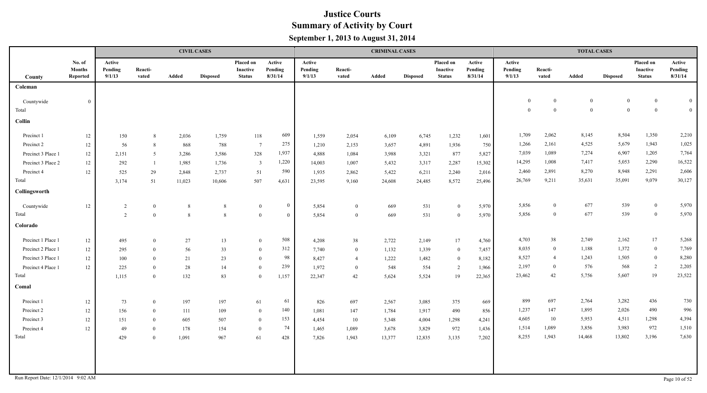|                                    |                                     |                             |                  |        | <b>CIVIL CASES</b> |                                               |                              |                             |                  | <b>CRIMINAL CASES</b> |                 |                                        |                              |                             |                  | <b>TOTAL CASES</b> |                 |                                               |                              |
|------------------------------------|-------------------------------------|-----------------------------|------------------|--------|--------------------|-----------------------------------------------|------------------------------|-----------------------------|------------------|-----------------------|-----------------|----------------------------------------|------------------------------|-----------------------------|------------------|--------------------|-----------------|-----------------------------------------------|------------------------------|
| County                             | No. of<br><b>Months</b><br>Reported | Active<br>Pending<br>9/1/13 | Reacti-<br>vated | Added  | <b>Disposed</b>    | Placed on<br><b>Inactive</b><br><b>Status</b> | Active<br>Pending<br>8/31/14 | Active<br>Pending<br>9/1/13 | Reacti-<br>vated | Added                 | <b>Disposed</b> | Placed on<br>Inactive<br><b>Status</b> | Active<br>Pending<br>8/31/14 | Active<br>Pending<br>9/1/13 | Reacti-<br>vated | Added              | <b>Disposed</b> | Placed on<br><b>Inactive</b><br><b>Status</b> | Active<br>Pending<br>8/31/14 |
| Coleman                            |                                     |                             |                  |        |                    |                                               |                              |                             |                  |                       |                 |                                        |                              |                             |                  |                    |                 |                                               |                              |
| Countywide                         | $\overline{0}$                      |                             |                  |        |                    |                                               |                              |                             |                  |                       |                 |                                        |                              | $\mathbf{0}$                | $\overline{0}$   | $\mathbf{0}$       | $\overline{0}$  | $\overline{0}$                                | $\mathbf{0}$                 |
| Total                              |                                     |                             |                  |        |                    |                                               |                              |                             |                  |                       |                 |                                        |                              | $\theta$                    | $\theta$         | $\theta$           | $\Omega$        | $\overline{0}$                                | $\overline{0}$               |
| Collin                             |                                     |                             |                  |        |                    |                                               |                              |                             |                  |                       |                 |                                        |                              |                             |                  |                    |                 |                                               |                              |
| Precinct 1                         | 12                                  | 150                         | -8               | 2,036  | 1,759              | 118                                           | 609                          | 1,559                       | 2,054            | 6,109                 | 6,745           | 1,232                                  | 1,601                        | 1,709                       | 2,062            | 8,145              | 8,504           | 1,350                                         | 2,210                        |
| Precinct 2                         | 12                                  | 56                          | 8                | 868    | 788                | $\overline{7}$                                | 275                          | 1,210                       | 2,153            | 3,657                 | 4,891           | 1,936                                  | 750                          | 1,266                       | 2,161            | 4,525              | 5,679           | 1,943                                         | 1,025                        |
| Precinct 3 Place 1                 | 12                                  | 2,151                       | 5                | 3,286  | 3,586              | 328                                           | 1,937                        | 4,888                       | 1,084            | 3,988                 | 3,321           | 877                                    | 5,827                        | 7,039                       | 1,089            | 7,274              | 6,907           | 1,205                                         | 7,764                        |
| Precinct 3 Place 2                 | 12                                  | 292                         | - 1              | 1,985  | 1,736              | $\overline{3}$                                | 1,220                        | 14,003                      | 1,007            | 5,432                 | 3,317           | 2,287                                  | 15,302                       | 14,295                      | 1,008            | 7,417              | 5,053           | 2,290                                         | 16,522                       |
| Precinct 4                         | 12                                  | 525                         | 29               | 2,848  | 2,737              | 51                                            | 590                          | 1,935                       | 2,862            | 5,422                 | 6,211           | 2,240                                  | 2,016                        | 2,460                       | 2,891            | 8,270              | 8,948           | 2,291                                         | 2,606                        |
| Total                              |                                     | 3,174                       | 51               | 11,023 | 10,606             | 507                                           | 4,631                        | 23,595                      | 9,160            | 24,608                | 24,485          | 8,572                                  | 25,496                       | 26,769                      | 9,211            | 35,631             | 35,091          | 9,079                                         | 30,127                       |
| Collingsworth                      |                                     |                             |                  |        |                    |                                               |                              |                             |                  |                       |                 |                                        |                              |                             |                  |                    |                 |                                               |                              |
| Countywide                         | 12                                  | 2                           | $\overline{0}$   | 8      | 8                  | $\mathbf{0}$                                  | $\mathbf{0}$                 | 5,854                       | $\mathbf{0}$     | 669                   | 531             | $\overline{0}$                         | 5,970                        | 5,856                       | $\mathbf{0}$     | 677                | 539             | $\bf{0}$                                      | 5,970                        |
| Total                              |                                     | 2                           | $\overline{0}$   | 8      | 8                  | $\overline{0}$                                | $\bf{0}$                     | 5,854                       | $\overline{0}$   | 669                   | 531             | $\overline{0}$                         | 5,970                        | 5,856                       | $\overline{0}$   | 677                | 539             | $\bf{0}$                                      | 5,970                        |
| Colorado                           |                                     |                             |                  |        |                    |                                               |                              |                             |                  |                       |                 |                                        |                              |                             |                  |                    |                 |                                               |                              |
| Precinct 1 Place 1                 | 12                                  | 495                         | $\overline{0}$   | 27     | 13                 | $\mathbf{0}$                                  | 508                          | 4,208                       | 38               | 2,722                 | 2,149           | 17                                     | 4,760                        | 4,703                       | 38               | 2,749              | 2,162           | 17                                            | 5,268                        |
| Precinct 2 Place 1                 | 12                                  | 295                         | $\theta$         | 56     | 33                 | $\overline{0}$                                | 312                          | 7,740                       | $\bf{0}$         | 1,132                 | 1,339           | $\bf{0}$                               | 7,457                        | 8,035                       | $\bf{0}$         | 1,188              | 1,372           | $\overline{0}$                                | 7,769                        |
| Precinct 3 Place 1                 | 12                                  | 100                         | $\theta$         | 21     | 23                 | $\theta$                                      | 98                           | 8,427                       | $\overline{4}$   | 1,222                 | 1,482           | $\overline{0}$                         | 8,182                        | 8,527                       | $\overline{4}$   | 1,243              | 1,505           | $\bf{0}$                                      | 8,280                        |
| Precinct 4 Place 1                 | 12                                  | $225\,$                     | $\mathbf{0}$     | 28     | 14                 | $\overline{0}$                                | 239                          | 1,972                       | $\overline{0}$   | 548                   | 554             | $\overline{2}$                         | 1,966                        | 2,197                       | $\theta$         | 576                | 568             | 2                                             | 2,205                        |
| Total                              |                                     | 1,115                       | $\theta$         | 132    | 83                 | $\overline{0}$                                | 1,157                        | 22,347                      | 42               | 5,624                 | 5,524           | 19                                     | 22,365                       | 23,462                      | 42               | 5,756              | 5,607           | 19                                            | 23,522                       |
| Comal                              |                                     |                             |                  |        |                    |                                               |                              |                             |                  |                       |                 |                                        |                              |                             |                  |                    |                 |                                               |                              |
| Precinct 1                         | 12                                  | 73                          | $\overline{0}$   | 197    | 197                | 61                                            | 61                           | 826                         | 697              | 2,567                 | 3,085           | 375                                    | 669                          | 899                         | 697              | 2,764              | 3,282           | 436                                           | 730                          |
| Precinct 2                         | 12                                  | 156                         | $\overline{0}$   | 111    | 109                | $\overline{0}$                                | 140                          | 1,081                       | 147              | 1,784                 | 1,917           | 490                                    | 856                          | 1,237                       | 147              | 1,895              | 2,026           | 490                                           | 996                          |
| Precinct 3                         | 12                                  | 151                         | $\theta$         | 605    | 507                | $\theta$                                      | 153                          | 4,454                       | 10               | 5,348                 | 4,004           | 1,298                                  | 4,241                        | 4,605                       | 10               | 5,953              | 4,511           | 1,298                                         | 4,394                        |
| Precinct 4                         | 12                                  | 49                          | $\theta$         | 178    | 154                | $\bf{0}$                                      | 74                           | 1,465                       | 1,089            | 3,678                 | 3,829           | 972                                    | 1,436                        | 1,514                       | 1,089            | 3,856              | 3,983           | 972                                           | 1,510                        |
| Total                              |                                     | 429                         | $\theta$         | 1,091  | 967                | 61                                            | 428                          | 7,826                       | 1,943            | 13,377                | 12,835          | 3,135                                  | 7,202                        | 8,255                       | 1,943            | 14,468             | 13,802          | 3,196                                         | 7,630                        |
|                                    |                                     |                             |                  |        |                    |                                               |                              |                             |                  |                       |                 |                                        |                              |                             |                  |                    |                 |                                               |                              |
|                                    |                                     |                             |                  |        |                    |                                               |                              |                             |                  |                       |                 |                                        |                              |                             |                  |                    |                 |                                               |                              |
|                                    |                                     |                             |                  |        |                    |                                               |                              |                             |                  |                       |                 |                                        |                              |                             |                  |                    |                 |                                               |                              |
| Run Report Date: 12/1/2014 9:02 AM |                                     |                             |                  |        |                    |                                               |                              |                             |                  |                       |                 |                                        |                              |                             |                  |                    |                 |                                               | Page 10 of 52                |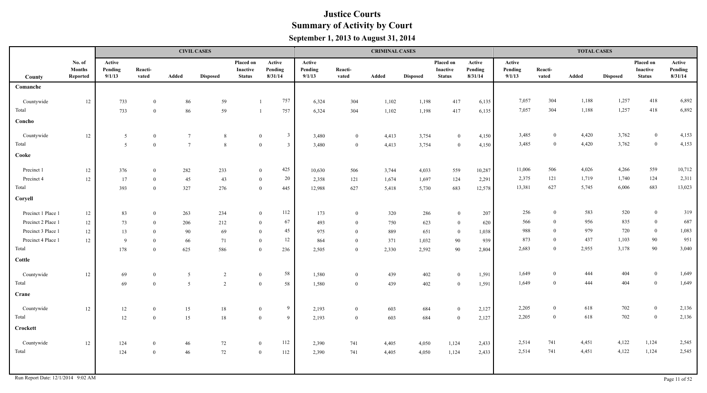|                    |                                     |                             |                  |                 | <b>CIVIL CASES</b> |                                               |                                |                             |                  | <b>CRIMINAL CASES</b> |                 |                                               |                              |                             |                      | <b>TOTAL CASES</b> |                 |                                        |                              |
|--------------------|-------------------------------------|-----------------------------|------------------|-----------------|--------------------|-----------------------------------------------|--------------------------------|-----------------------------|------------------|-----------------------|-----------------|-----------------------------------------------|------------------------------|-----------------------------|----------------------|--------------------|-----------------|----------------------------------------|------------------------------|
| County             | No. of<br><b>Months</b><br>Reported | Active<br>Pending<br>9/1/13 | Reacti-<br>vated | Added           | <b>Disposed</b>    | Placed on<br><b>Inactive</b><br><b>Status</b> | Active<br>Pending<br>8/31/14   | Active<br>Pending<br>9/1/13 | Reacti-<br>vated | Added                 | <b>Disposed</b> | Placed on<br><b>Inactive</b><br><b>Status</b> | Active<br>Pending<br>8/31/14 | Active<br>Pending<br>9/1/13 | Reacti-<br>vated     | Added              | <b>Disposed</b> | Placed on<br>Inactive<br><b>Status</b> | Active<br>Pending<br>8/31/14 |
| Comanche           |                                     |                             |                  |                 |                    |                                               |                                |                             |                  |                       |                 |                                               |                              |                             |                      |                    |                 |                                        |                              |
| Countywide         | 12                                  | 733                         | $\overline{0}$   | 86              | 59                 |                                               | 757                            | 6,324                       | 304              | 1,102                 | 1,198           | 417                                           | 6,135                        | 7,057                       | 304                  | 1,188              | 1,257           | 418                                    | 6,892                        |
| Total              |                                     | 733                         | $\overline{0}$   | 86              | 59                 |                                               | 757                            | 6,324                       | 304              | 1,102                 | 1,198           | 417                                           | 6,135                        | 7,057                       | 304                  | 1,188              | 1,257           | 418                                    | 6,892                        |
| Concho             |                                     |                             |                  |                 |                    |                                               |                                |                             |                  |                       |                 |                                               |                              |                             |                      |                    |                 |                                        |                              |
| Countywide         | $12\,$                              | $5\overline{)}$             | $\overline{0}$   | $7\phantom{.0}$ | 8                  |                                               | $\overline{3}$<br>$\mathbf{0}$ | 3,480                       | $\overline{0}$   | 4,413                 | 3,754           | $\bf{0}$                                      | 4,150                        | 3,485                       | $\mathbf{0}$         | 4,420              | 3,762           | $\overline{0}$                         | 4,153                        |
| Total              |                                     | 5                           | $\overline{0}$   | $7\phantom{.0}$ | 8                  |                                               | $\mathbf{0}$<br>$\overline{3}$ | 3,480                       | $\overline{0}$   | 4,413                 | 3,754           | $\bf{0}$                                      | 4,150                        | 3,485                       | $\overline{0}$       | 4,420              | 3,762           | $\boldsymbol{0}$                       | 4,153                        |
| Cooke              |                                     |                             |                  |                 |                    |                                               |                                |                             |                  |                       |                 |                                               |                              |                             |                      |                    |                 |                                        |                              |
| Precinct 1         | 12                                  | 376                         | $\overline{0}$   | 282             | 233                |                                               | 425<br>$\overline{0}$          | 10,630                      | 506              | 3,744                 | 4,033           | 559                                           | 10,287                       | 11,006                      | 506                  | 4,026              | 4,266           | 559                                    | 10,712                       |
| Precinct 4         | $12\,$                              | 17                          | $\theta$         | 45              | 43                 |                                               | 20<br>$\mathbf{0}$             | 2,358                       | 121              | 1,674                 | 1,697           | 124                                           | 2,291                        | 2,375                       | 121                  | 1,719              | 1,740           | 124                                    | 2,311                        |
| Total              |                                     | 393                         | $\theta$         | 327             | 276                |                                               | $\overline{0}$<br>445          | 12,988                      | 627              | 5,418                 | 5,730           | 683                                           | 12,578                       | 13,381                      | 627                  | 5,745              | 6,006           | 683                                    | 13,023                       |
| Coryell            |                                     |                             |                  |                 |                    |                                               |                                |                             |                  |                       |                 |                                               |                              |                             |                      |                    |                 |                                        |                              |
| Precinct 1 Place 1 | $12\,$                              | 83                          | $\mathbf{0}$     | 263             | 234                |                                               | 112<br>$\mathbf{0}$            | 173                         | $\overline{0}$   | 320                   | 286             | $\bf{0}$                                      | 207                          | 256                         | $\mathbf{0}$         | 583                | 520             | $\overline{0}$                         | 319                          |
| Precinct 2 Place 1 | $12 \,$                             | 73                          | $\theta$         | 206             | 212                |                                               | 67<br>$\theta$                 | 493                         | $\theta$         | 750                   | 623             | $\overline{0}$                                | 620                          | 566                         | $\overline{0}$       | 956                | 835             | $\overline{0}$                         | 687                          |
| Precinct 3 Place 1 | 12                                  | 13                          | $\theta$         | 90              | 69                 | $\overline{0}$                                | 45                             | 975                         | $\overline{0}$   | 889                   | 651             | $\bf{0}$                                      | 1,038                        | 988                         | $\mathbf{0}$         | 979                | 720             | $\overline{0}$                         | 1,083                        |
| Precinct 4 Place 1 | 12                                  | 9                           | $\mathbf{0}$     | 66              | 71                 |                                               | 12<br>$\mathbf{0}$             | 864                         | $\overline{0}$   | 371                   | 1,032           | 90                                            | 939                          | 873                         | $\theta$<br>$\theta$ | 437                | 1,103           | $90\,$                                 | 951<br>3,040                 |
| Total              |                                     | 178                         | $\theta$         | 625             | 586                |                                               | $\overline{0}$<br>236          | 2,505                       | $\theta$         | 2,330                 | 2,592           | 90                                            | 2,804                        | 2,683                       |                      | 2,955              | 3,178           | 90                                     |                              |
| Cottle             |                                     |                             |                  |                 |                    |                                               |                                |                             |                  |                       |                 |                                               |                              |                             |                      |                    |                 |                                        |                              |
| Countywide         | 12                                  | 69                          | $\overline{0}$   | 5               | 2                  | $\mathbf{0}$                                  | $58\,$                         | 1,580                       | $\overline{0}$   | 439                   | 402             | $\overline{0}$                                | 1,591                        | 1,649                       | $\theta$             | 444                | 404             | $\overline{0}$                         | 1,649                        |
| Total              |                                     | 69                          | $\mathbf{0}$     | $\overline{5}$  | 2                  | $\bf{0}$                                      | 58                             | 1,580                       | $\bf{0}$         | 439                   | 402             | $\mathbf{0}$                                  | 1,591                        | 1,649                       | $\overline{0}$       | 444                | 404             | $\bf{0}$                               | 1,649                        |
| <b>Crane</b>       |                                     |                             |                  |                 |                    |                                               |                                |                             |                  |                       |                 |                                               |                              |                             |                      |                    |                 |                                        |                              |
| Countywide         | 12                                  | 12                          | $\overline{0}$   | 15              | 18                 | $\mathbf{0}$                                  | 9                              | 2,193                       | $\mathbf{0}$     | 603                   | 684             | $\bf{0}$                                      | 2,127                        | 2,205                       | $\theta$             | 618                | 702             | $\bf{0}$                               | 2,136                        |
| Total              |                                     | $12\,$                      | $\theta$         | 15              | 18                 | $\overline{0}$                                | 9                              | 2,193                       | $\bf{0}$         | 603                   | 684             | $\overline{0}$                                | 2,127                        | 2,205                       | $\overline{0}$       | 618                | 702             | $\bf{0}$                               | 2,136                        |
| Crockett           |                                     |                             |                  |                 |                    |                                               |                                |                             |                  |                       |                 |                                               |                              |                             |                      |                    |                 |                                        |                              |
| Countywide         | 12                                  | 124                         | $\theta$         | 46              | 72                 | $\bf{0}$                                      | 112                            | 2,390                       | 741              | 4,405                 | 4,050           | 1,124                                         | 2,433                        | 2,514                       | 741                  | 4,451              | 4,122           | 1,124                                  | 2,545                        |
| Total              |                                     | 124                         | $\overline{0}$   | $46\,$          | 72                 | $\overline{0}$                                | 112                            | 2,390                       | 741              | 4,405                 | 4,050           | 1,124                                         | 2,433                        | 2,514                       | 741                  | 4,451              | 4,122           | 1,124                                  | 2,545                        |
|                    |                                     |                             |                  |                 |                    |                                               |                                |                             |                  |                       |                 |                                               |                              |                             |                      |                    |                 |                                        |                              |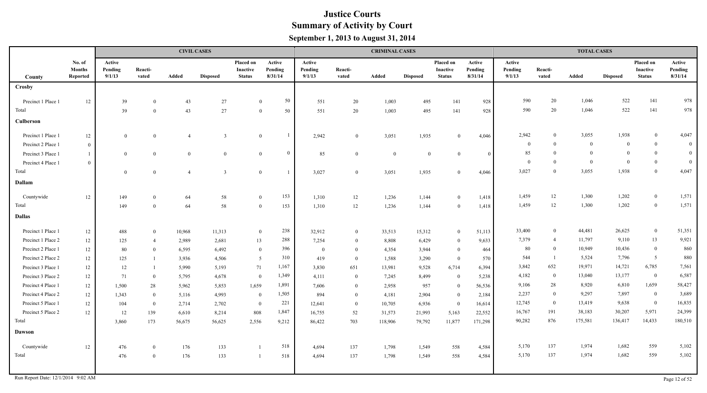|                             |                                            |                             |                  |                | <b>CIVIL CASES</b> |                                               |                                |                             |                  | <b>CRIMINAL CASES</b> |                 |                                        |                              |                             |                  | <b>TOTAL CASES</b> |                 |                                               |                              |
|-----------------------------|--------------------------------------------|-----------------------------|------------------|----------------|--------------------|-----------------------------------------------|--------------------------------|-----------------------------|------------------|-----------------------|-----------------|----------------------------------------|------------------------------|-----------------------------|------------------|--------------------|-----------------|-----------------------------------------------|------------------------------|
| County                      | No. of<br><b>Months</b><br><b>Reported</b> | Active<br>Pending<br>9/1/13 | Reacti-<br>vated | Added          | <b>Disposed</b>    | Placed on<br><b>Inactive</b><br><b>Status</b> | Active<br>Pending<br>8/31/14   | Active<br>Pending<br>9/1/13 | Reacti-<br>vated | Added                 | <b>Disposed</b> | Placed on<br>Inactive<br><b>Status</b> | Active<br>Pending<br>8/31/14 | Active<br>Pending<br>9/1/13 | Reacti-<br>vated | Added              | <b>Disposed</b> | Placed on<br><b>Inactive</b><br><b>Status</b> | Active<br>Pending<br>8/31/14 |
| <b>Crosby</b>               |                                            |                             |                  |                |                    |                                               |                                |                             |                  |                       |                 |                                        |                              |                             |                  |                    |                 |                                               |                              |
|                             |                                            |                             |                  |                |                    |                                               |                                |                             |                  |                       |                 |                                        |                              | 590                         | 20               | 1,046              |                 | 141                                           |                              |
| Precinct 1 Place 1<br>Total | 12                                         | 39                          | $\Omega$         | 43             | 27                 |                                               | 50<br>$\overline{0}$           | 551                         | 20               | 1,003                 | 495             | 141                                    | 928                          | 590                         | 20               | 1,046              | 522<br>522      | 141                                           | 978<br>978                   |
|                             |                                            | 39                          | $\overline{0}$   | 43             | 27                 |                                               | 50<br>$\overline{0}$           | 551                         | 20               | 1,003                 | 495             | 141                                    | 928                          |                             |                  |                    |                 |                                               |                              |
| Culberson                   |                                            |                             |                  |                |                    |                                               |                                |                             |                  |                       |                 |                                        |                              |                             |                  |                    |                 |                                               |                              |
| Precinct 1 Place 1          | 12                                         | $\overline{0}$              | $\bf{0}$         | $\overline{4}$ | $\overline{3}$     |                                               | $\overline{1}$<br>$\mathbf{0}$ | 2,942                       | $\overline{0}$   | 3,051                 | 1,935           | $\theta$                               | 4,046                        | 2,942                       | $\mathbf{0}$     | 3,055              | 1,938           | $\bf{0}$                                      | 4,047                        |
| Precinct 2 Place 1          | $\theta$                                   |                             |                  |                |                    |                                               |                                |                             |                  |                       |                 |                                        |                              | $\overline{0}$              | $\theta$         | $\theta$           | $\theta$        | $\overline{0}$                                | $\mathbf{0}$                 |
| Precinct 3 Place 1          |                                            | $\mathbf{0}$                | $\theta$         | $\mathbf{0}$   | $\mathbf{0}$       |                                               | $\Omega$<br>$\overline{0}$     | 85                          | $\overline{0}$   | $\overline{0}$        | $\overline{0}$  | $\overline{0}$                         | $\overline{0}$               | 85                          | $\overline{0}$   | $\Omega$           | $\Omega$        | $\mathbf{0}$                                  | $\mathbf{0}$                 |
| Precinct 4 Place 1          | $\theta$                                   |                             |                  |                |                    |                                               |                                |                             |                  |                       |                 |                                        |                              | $\overline{0}$              | $\Omega$         | $\theta$           | $\theta$        | $\bf{0}$                                      | $\overline{0}$               |
| Total                       |                                            | $\overline{0}$              | $\theta$         | $\overline{4}$ | $\overline{3}$     |                                               | $\overline{0}$<br>$\mathbf{1}$ | 3,027                       | $\theta$         | 3,051                 | 1,935           | $\theta$                               | 4,046                        | 3,027                       | $\overline{0}$   | 3,055              | 1,938           | $\overline{0}$                                | 4,047                        |
| Dallam                      |                                            |                             |                  |                |                    |                                               |                                |                             |                  |                       |                 |                                        |                              |                             |                  |                    |                 |                                               |                              |
| Countywide                  | 12                                         | 149                         | $\theta$         | 64             | 58                 |                                               | 153<br>$\overline{0}$          | 1,310                       | 12               | 1,236                 | 1,144           | $\mathbf{0}$                           | 1,418                        | 1,459                       | 12               | 1,300              | 1,202           | $\overline{0}$                                | 1,571                        |
| Total                       |                                            | 149                         | $\theta$         | 64             | 58                 |                                               | 153<br>$\overline{0}$          | 1,310                       | 12               | 1,236                 | 1,144           | $\overline{0}$                         | 1,418                        | 1,459                       | 12               | 1,300              | 1,202           | $\bf{0}$                                      | 1,571                        |
| <b>Dallas</b>               |                                            |                             |                  |                |                    |                                               |                                |                             |                  |                       |                 |                                        |                              |                             |                  |                    |                 |                                               |                              |
| Precinct 1 Place 1          | 12                                         | 488                         | $\theta$         | 10,968         | 11,313             |                                               | 238<br>$\overline{0}$          | 32,912                      | $\theta$         | 33,513                | 15,312          | $\mathbf{0}$                           | 51,113                       | 33,400                      | $\bf{0}$         | 44,481             | 26,625          | $\mathbf{0}$                                  | 51,351                       |
| Precinct 1 Place 2          | 12                                         | 125                         | $\overline{4}$   | 2,989          | 2,681              | 13                                            | 288                            | 7,254                       | $\theta$         | 8,808                 | 6,429           | $\bf{0}$                               | 9,633                        | 7,379                       | $\overline{4}$   | 11,797             | 9,110           | 13                                            | 9,921                        |
| Precinct 2 Place 1          | $12 \,$                                    | 80                          | $\theta$         | 6,595          | 6,492              |                                               | 396<br>$\overline{0}$          | $\overline{0}$              | $\theta$         | 4,354                 | 3,944           | $\overline{0}$                         | 464                          | 80                          | $\bf{0}$         | 10,949             | 10,436          | $\boldsymbol{0}$                              | 860                          |
| Precinct 2 Place 2          | 12                                         | 125                         |                  | 3,936          | 4,506              | 5                                             | 310                            | 419                         | $\overline{0}$   | 1,588                 | 3,290           | $\overline{0}$                         | 570                          | 544                         | $\overline{1}$   | 5,524              | 7,796           | $\overline{5}$                                | 880                          |
| Precinct 3 Place 1          | 12                                         | 12                          | $\overline{1}$   | 5,990          | 5,193              | 71                                            | 1,167                          | 3,830                       | 651              | 13,981                | 9,528           | 6,714                                  | 6,394                        | 3,842                       | 652              | 19,971             | 14,721          | 6,785                                         | 7,561                        |
| Precinct 3 Place 2          | 12                                         | 71                          | $\theta$         | 5,795          | 4,678              | $\overline{0}$                                | 1,349                          | 4,111                       | $\theta$         | 7,245                 | 8,499           | $\overline{0}$                         | 5,238                        | 4,182                       | $\bf{0}$         | 13,040             | 13,177          | $\overline{0}$                                | 6,587                        |
| Precinct 4 Place 1          | 12                                         | 1,500                       | 28               | 5,962          | 5,853              | 1,659                                         | 1,891                          | 7,606                       | $\theta$         | 2,958                 | 957             | $\overline{0}$                         | 56,536                       | 9,106                       | 28               | 8,920              | 6,810           | 1,659                                         | 58,427                       |
| Precinct 4 Place 2          | 12                                         | 1,343                       | $\overline{0}$   | 5,116          | 4,993              | $\overline{0}$                                | 1,505                          | 894                         | $\theta$         | 4,181                 | 2,904           | $\theta$                               | 2,184                        | 2,237                       | $\overline{0}$   | 9,297              | 7,897           | $\overline{0}$                                | 3,689                        |
| Precinct 5 Place 1          | $12 \,$                                    | 104                         | $\overline{0}$   | 2,714          | 2,702              | $\overline{0}$                                | 221                            | 12,641                      | $\mathbf{0}$     | 10,705                | 6,936           | $\overline{0}$                         | 16,614                       | 12,745                      | $\overline{0}$   | 13,419             | 9,638           | $\boldsymbol{0}$                              | 16,835                       |
| Precinct 5 Place 2          | 12                                         | 12                          | 139              | 6,610          | 8,214              | 808                                           | 1,847                          | 16,755                      | 52               | 31,573                | 21,993          | 5,163                                  | 22,552                       | 16,767                      | 191              | 38,183             | 30,207          | 5,971                                         | 24,399                       |
| Total                       |                                            | 3,860                       | 173              | 56,675         | 56,625             | 2,556                                         | 9,212                          | 86,422                      | 703              | 118,906               | 79,792          | 11,877                                 | 171,298                      | 90,282                      | 876              | 175,581            | 136,417         | 14,433                                        | 180,510                      |
| <b>Dawson</b>               |                                            |                             |                  |                |                    |                                               |                                |                             |                  |                       |                 |                                        |                              |                             |                  |                    |                 |                                               |                              |
| Countywide                  | 12                                         | 476                         | $\theta$         | 176            | 133                | $\overline{1}$                                | 518                            | 4,694                       | 137              | 1,798                 | 1,549           | 558                                    | 4,584                        | 5,170                       | 137              | 1,974              | 1,682           | 559                                           | 5,102                        |
| Total                       |                                            | 476                         | $\overline{0}$   | 176            | 133                | $\overline{1}$                                | 518                            | 4,694                       | 137              | 1,798                 | 1,549           | 558                                    | 4,584                        | 5,170                       | 137              | 1,974              | 1,682           | 559                                           | 5,102                        |
|                             |                                            |                             |                  |                |                    |                                               |                                |                             |                  |                       |                 |                                        |                              |                             |                  |                    |                 |                                               |                              |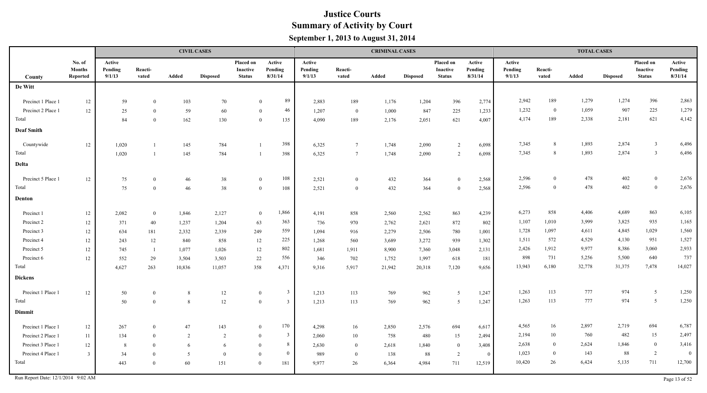|                                    |                                            |                             |                  |        | <b>CIVIL CASES</b> |                                        |                                  |                             |                  | <b>CRIMINAL CASES</b> |                 |                                        |                              |                             |                  | <b>TOTAL CASES</b> |                 |                                               |                              |
|------------------------------------|--------------------------------------------|-----------------------------|------------------|--------|--------------------|----------------------------------------|----------------------------------|-----------------------------|------------------|-----------------------|-----------------|----------------------------------------|------------------------------|-----------------------------|------------------|--------------------|-----------------|-----------------------------------------------|------------------------------|
| County                             | No. of<br><b>Months</b><br><b>Reported</b> | Active<br>Pending<br>9/1/13 | Reacti-<br>vated | Added  | <b>Disposed</b>    | Placed on<br>Inactive<br><b>Status</b> | Active<br>Pending<br>8/31/14     | Active<br>Pending<br>9/1/13 | Reacti-<br>vated | Added                 | <b>Disposed</b> | Placed on<br>Inactive<br><b>Status</b> | Active<br>Pending<br>8/31/14 | Active<br>Pending<br>9/1/13 | Reacti-<br>vated | Added              | <b>Disposed</b> | Placed on<br><b>Inactive</b><br><b>Status</b> | Active<br>Pending<br>8/31/14 |
| De Witt                            |                                            |                             |                  |        |                    |                                        |                                  |                             |                  |                       |                 |                                        |                              |                             |                  |                    |                 |                                               |                              |
| Precinct 1 Place 1                 | 12                                         | 59                          | $\Omega$         | 103    | 70                 |                                        | 89<br>$\Omega$                   | 2,883                       | 189              | 1,176                 | 1,204           | 396                                    | 2,774                        | 2,942                       | 189              | 1,279              | 1,274           | 396                                           | 2,863                        |
| Precinct 2 Place 1                 | 12                                         | 25                          | $\Omega$         | 59     | 60                 |                                        | 46<br>$\Omega$                   | 1,207                       | $\bf{0}$         | 1,000                 | 847             | 225                                    | 1,233                        | 1,232                       | $\bf{0}$         | 1,059              | 907             | 225                                           | 1,279                        |
| Total                              |                                            | 84                          | $\Omega$         | 162    | 130                |                                        | 135<br>$\theta$                  | 4,090                       | 189              | 2,176                 | 2,051           | 621                                    | 4,007                        | 4,174                       | 189              | 2,338              | 2,181           | 621                                           | 4,142                        |
| <b>Deaf Smith</b>                  |                                            |                             |                  |        |                    |                                        |                                  |                             |                  |                       |                 |                                        |                              |                             |                  |                    |                 |                                               |                              |
|                                    |                                            |                             |                  |        |                    |                                        |                                  |                             |                  |                       |                 |                                        |                              |                             |                  |                    |                 |                                               |                              |
| Countywide                         | 12                                         | 1,020                       |                  | 145    | 784                |                                        | 398                              | 6,325                       | $\overline{7}$   | 1,748                 | 2,090           | 2                                      | 6,098                        | 7,345                       | 8                | 1,893              | 2,874           | $\overline{\mathbf{3}}$                       | 6,496                        |
| Total                              |                                            | 1,020                       |                  | 145    | 784                |                                        | 398                              | 6,325                       | $\overline{7}$   | 1,748                 | 2,090           | $\overline{2}$                         | 6,098                        | 7,345                       | 8                | 1,893              | 2,874           | $\overline{3}$                                | 6,496                        |
| Delta                              |                                            |                             |                  |        |                    |                                        |                                  |                             |                  |                       |                 |                                        |                              |                             |                  |                    |                 |                                               |                              |
| Precinct 5 Place 1                 | 12                                         | 75                          | $\theta$         | 46     | 38                 |                                        | 108<br>$\overline{0}$            | 2,521                       | $\overline{0}$   | 432                   | 364             | $\theta$                               | 2,568                        | 2,596                       | $\overline{0}$   | 478                | 402             | $\overline{0}$                                | 2,676                        |
| Total                              |                                            | 75                          | $\Omega$         | 46     | $38\,$             |                                        | 108<br>$\overline{0}$            | 2,521                       | $\mathbf{0}$     | 432                   | 364             | $\Omega$                               | 2,568                        | 2,596                       | $\theta$         | 478                | 402             | $\mathbf{0}$                                  | 2,676                        |
| Denton                             |                                            |                             |                  |        |                    |                                        |                                  |                             |                  |                       |                 |                                        |                              |                             |                  |                    |                 |                                               |                              |
| Precinct 1                         | 12                                         | 2,082                       | $\bf{0}$         | 1,846  | 2,127              |                                        | 1,866<br>$\mathbf{0}$            | 4,191                       | 858              | 2,560                 | 2,562           | 863                                    | 4,239                        | 6,273                       | 858              | 4,406              | 4,689           | 863                                           | 6,105                        |
| Precinct 2                         | 12                                         | 371                         | 40               | 1,237  | 1,204              | 63                                     | 363                              | 736                         | 970              | 2,762                 | 2,621           | 872                                    | 802                          | 1,107                       | 1,010            | 3,999              | 3,825           | 935                                           | 1,165                        |
| Precinct 3                         | 12                                         | 634                         | 181              | 2,332  | 2,339              | 249                                    | 559                              | 1,094                       | 916              | 2,279                 | 2,506           | 780                                    | 1,001                        | 1,728                       | 1,097            | 4,611              | 4,845           | 1,029                                         | 1,560                        |
| Precinct 4                         | 12                                         | 243                         | 12               | 840    | 858                | 12                                     | 225                              | 1,268                       | 560              | 3,689                 | 3,272           | 939                                    | 1,302                        | 1,511                       | 572              | 4,529              | 4,130           | 951                                           | 1,527                        |
| Precinct 5                         | 12                                         | 745                         | $\overline{1}$   | 1,077  | 1,026              | 12                                     | 802                              | 1,681                       | 1,911            | 8,900                 | 7,360           | 3,048                                  | 2,131                        | 2,426                       | 1,912            | 9,977              | 8,386           | 3,060                                         | 2,933                        |
| Precinct 6                         | $12\,$                                     | 552                         | 29               | 3,504  | 3,503              | 22                                     | 556                              | 346                         | 702              | 1,752                 | 1,997           | 618                                    | 181                          | 898                         | 731              | 5,256              | 5,500           | 640                                           | 737                          |
| Total                              |                                            | 4,627                       | 263              | 10,836 | 11,057             | 358                                    | 4,371                            | 9,316                       | 5,917            | 21,942                | 20,318          | 7,120                                  | 9,656                        | 13,943                      | 6,180            | 32,778             | 31,375          | 7,478                                         | 14,027                       |
| <b>Dickens</b>                     |                                            |                             |                  |        |                    |                                        |                                  |                             |                  |                       |                 |                                        |                              |                             |                  |                    |                 |                                               |                              |
| Precinct 1 Place 1                 | 12                                         | 50                          | $\bf{0}$         | 8      | 12                 |                                        | $\overline{3}$<br>$\overline{0}$ | 1,213                       | 113              | 769                   | 962             | 5                                      | 1,247                        | 1,263                       | 113              | 777                | 974             | 5                                             | 1,250                        |
| Total                              |                                            | 50                          | $\theta$         | 8      | 12                 |                                        | $\overline{0}$<br>$\mathcal{R}$  | 1,213                       | 113              | 769                   | 962             | 5                                      | 1,247                        | 1,263                       | 113              | 777                | 974             | 5                                             | 1,250                        |
| Dimmit                             |                                            |                             |                  |        |                    |                                        |                                  |                             |                  |                       |                 |                                        |                              |                             |                  |                    |                 |                                               |                              |
| Precinct 1 Place 1                 | $12\,$                                     | 267                         | $\bf{0}$         | 47     | 143                |                                        | 170<br>$\mathbf{0}$              | 4,298                       | 16               | 2,850                 | 2,576           | 694                                    | 6,617                        | 4,565                       | 16               | 2,897              | 2,719           | 694                                           | 6,787                        |
| Precinct 2 Place 1                 | 11                                         | 134                         | $\overline{0}$   | 2      | 2                  |                                        | $\overline{3}$<br>$\overline{0}$ | 2,060                       | 10               | 758                   | 480             | 15                                     | 2,494                        | 2,194                       | 10               | 760                | 482             | 15                                            | 2,497                        |
| Precinct 3 Place 1                 | 12                                         | 8                           | $\theta$         | 6      | 6                  | $\theta$                               | 8                                | 2,630                       | $\bf{0}$         | 2,618                 | 1,840           | $\overline{0}$                         | 3,408                        | 2,638                       | $\theta$         | 2,624              | 1,846           | $\mathbf{0}$                                  | 3,416                        |
| Precinct 4 Place 1                 | $\overline{\mathbf{3}}$                    | 34                          | $\overline{0}$   | 5      | $\overline{0}$     |                                        | $\overline{0}$<br>$\overline{0}$ | 989                         | $\bf{0}$         | 138                   | 88              | 2                                      | $\bf{0}$                     | 1,023                       | $\theta$         | 143                | 88              | 2                                             | $\theta$                     |
| Total                              |                                            | 443                         | $\overline{0}$   | 60     | 151                |                                        | $\overline{0}$<br>181            | 9,977                       | 26               | 6,364                 | 4,984           | 711                                    | 12,519                       | 10,420                      | 26               | 6,424              | 5,135           | 711                                           | 12,700                       |
| Run Report Date: 12/1/2014 9:02 AM |                                            |                             |                  |        |                    |                                        |                                  |                             |                  |                       |                 |                                        |                              |                             |                  |                    |                 |                                               | Page 13 of 52                |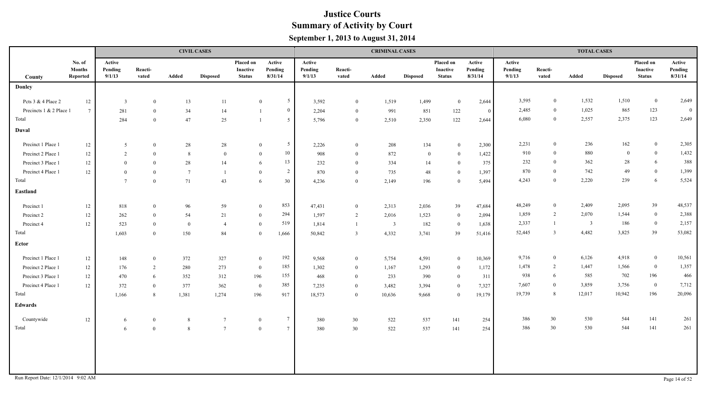|                                    |                                     |                             |                  |                 | <b>CIVIL CASES</b> |                                        |                                 |                             |                  | <b>CRIMINAL CASES</b>   |                 |                                        |                              |                             |                  | <b>TOTAL CASES</b> |                 |                                        |                              |
|------------------------------------|-------------------------------------|-----------------------------|------------------|-----------------|--------------------|----------------------------------------|---------------------------------|-----------------------------|------------------|-------------------------|-----------------|----------------------------------------|------------------------------|-----------------------------|------------------|--------------------|-----------------|----------------------------------------|------------------------------|
| County                             | No. of<br><b>Months</b><br>Reported | Active<br>Pending<br>9/1/13 | Reacti-<br>vated | Added           | <b>Disposed</b>    | Placed on<br>Inactive<br><b>Status</b> | Active<br>Pending<br>8/31/14    | Active<br>Pending<br>9/1/13 | Reacti-<br>vated | Added                   | <b>Disposed</b> | Placed on<br>Inactive<br><b>Status</b> | Active<br>Pending<br>8/31/14 | Active<br>Pending<br>9/1/13 | Reacti-<br>vated | Added              | <b>Disposed</b> | Placed on<br>Inactive<br><b>Status</b> | Active<br>Pending<br>8/31/14 |
| <b>Donley</b>                      |                                     |                             |                  |                 |                    |                                        |                                 |                             |                  |                         |                 |                                        |                              |                             |                  |                    |                 |                                        |                              |
| Pcts 3 & 4 Place 2                 | 12                                  | $\overline{\mathbf{3}}$     | $\mathbf{0}$     | 13              | 11                 |                                        | 5 <sup>5</sup><br>$\mathbf{0}$  | 3,592                       | $\overline{0}$   | 1,519                   | 1,499           | $\bf{0}$                               | 2,644                        | 3,595                       | $\overline{0}$   | 1,532              | 1,510           | $\overline{0}$                         | 2,649                        |
| Precincts 1 & 2 Place 1            | $7\overline{ }$                     | 281                         | $\overline{0}$   | 34              | 14                 |                                        | $\overline{0}$                  | 2,204                       | $\overline{0}$   | 991                     | 851             | 122                                    | $\overline{0}$               | 2,485                       | $\bf{0}$         | 1,025              | 865             | 123                                    | $\overline{0}$               |
| Total                              |                                     | 284                         | $\mathbf{0}$     | 47              | 25                 |                                        | 5 <sup>5</sup>                  | 5,796                       | $\bf{0}$         | 2,510                   | 2,350           | 122                                    | 2,644                        | 6,080                       | $\bf{0}$         | 2,557              | 2,375           | 123                                    | 2,649                        |
| Duval                              |                                     |                             |                  |                 |                    |                                        |                                 |                             |                  |                         |                 |                                        |                              |                             |                  |                    |                 |                                        |                              |
| Precinct 1 Place 1                 | 12                                  | 5                           | $\bf{0}$         | 28              | 28                 |                                        | $5\overline{)}$<br>$\mathbf{0}$ | 2,226                       | $\overline{0}$   | 208                     | 134             | $\mathbf{0}$                           | 2,300                        | 2,231                       | $\overline{0}$   | 236                | 162             | $\overline{0}$                         | 2,305                        |
| Precinct 2 Place 1                 | 12                                  | 2                           | $\overline{0}$   | 8               | $\theta$           |                                        | 10<br>$\bf{0}$                  | 908                         | $\overline{0}$   | 872                     | $\bf{0}$        | $\bf{0}$                               | 1,422                        | 910                         | $\bf{0}$         | 880                | $\overline{0}$  | $\mathbf{0}$                           | 1,432                        |
| Precinct 3 Place 1                 | 12                                  | $\theta$                    | $\overline{0}$   | 28              | 14                 |                                        | 13<br>6                         | 232                         | $\overline{0}$   | 334                     | 14              | $\overline{0}$                         | 375                          | 232                         | $\mathbf{0}$     | 362                | 28              | 6                                      | 388                          |
| Precinct 4 Place 1                 | 12                                  | $\Omega$                    | $\overline{0}$   | $7\phantom{.0}$ | $\overline{1}$     | $\overline{0}$                         | $\overline{2}$                  | 870                         | $\overline{0}$   | 735                     | 48              | $\bf{0}$                               | 1,397                        | 870                         | $\theta$         | 742                | 49              | $\boldsymbol{0}$                       | 1,399                        |
| Total                              |                                     | $7\phantom{.0}$             | $\overline{0}$   | 71              | 43                 |                                        | 30<br>6                         | 4,236                       | $\overline{0}$   | 2,149                   | 196             | $\overline{0}$                         | 5,494                        | 4,243                       | $\theta$         | 2,220              | 239             | 6                                      | 5,524                        |
| Eastland                           |                                     |                             |                  |                 |                    |                                        |                                 |                             |                  |                         |                 |                                        |                              |                             |                  |                    |                 |                                        |                              |
| Precinct 1                         | 12                                  | 818                         | $\bf{0}$         | 96              | 59                 | $\overline{0}$                         | 853                             | 47,431                      | $\bf{0}$         | 2,313                   | 2,036           | 39                                     | 47,684                       | 48,249                      | $\overline{0}$   | 2,409              | 2,095           | 39                                     | 48,537                       |
| Precinct 2                         | 12                                  | 262                         | $\overline{0}$   | 54              | 21                 |                                        | 294<br>$\bf{0}$                 | 1,597                       | 2                | 2,016                   | 1,523           | $\bf{0}$                               | 2,094                        | 1,859                       | $\overline{2}$   | 2,070              | 1,544           | $\bf{0}$                               | 2,388                        |
| Precinct 4                         | 12                                  | 523                         | $\overline{0}$   | $\overline{0}$  | -4                 |                                        | 519<br>$\bf{0}$                 | 1,814                       | $\overline{1}$   | $\overline{\mathbf{3}}$ | 182             | $\bf{0}$                               | 1,638                        | 2,337                       |                  | $\overline{3}$     | 186             | $\overline{0}$                         | 2,157                        |
| Total                              |                                     | 1,603                       | $\overline{0}$   | 150             | 84                 | $\theta$                               | 1,666                           | 50,842                      | $\overline{3}$   | 4,332                   | 3,741           | 39                                     | 51,416                       | 52,445                      | $\overline{3}$   | 4,482              | 3,825           | 39                                     | 53,082                       |
| Ector                              |                                     |                             |                  |                 |                    |                                        |                                 |                             |                  |                         |                 |                                        |                              |                             |                  |                    |                 |                                        |                              |
| Precinct 1 Place 1                 | 12                                  | 148                         | $\overline{0}$   | 372             | 327                | $\overline{0}$                         | 192                             | 9,568                       | $\overline{0}$   | 5,754                   | 4,591           | $\bf{0}$                               | 10,369                       | 9,716                       | $\overline{0}$   | 6,126              | 4,918           | $\bf{0}$                               | 10,561                       |
| Precinct 2 Place 1                 | 12                                  | 176                         | $\overline{2}$   | 280             | 273                | $\bf{0}$                               | 185                             | 1,302                       | $\overline{0}$   | 1,167                   | 1,293           | $\bf{0}$                               | 1,172                        | 1,478                       | 2                | 1,447              | 1,566           | $\boldsymbol{0}$                       | 1,357                        |
| Precinct 3 Place 1                 | 12                                  | 470                         | 6                | 352             | 312                | 196                                    | 155                             | 468                         | $\overline{0}$   | 233                     | 390             | $\bf{0}$                               | 311                          | 938                         | -6               | 585                | 702             | 196                                    | 466                          |
| Precinct 4 Place 1                 | 12                                  | 372                         | $\overline{0}$   | 377             | 362                | $\bf{0}$                               | 385                             | 7,235                       | $\bf{0}$         | 3,482                   | 3,394           | $\bf{0}$                               | 7,327                        | 7,607                       | $\overline{0}$   | 3,859              | 3,756           | $\mathbf{0}$                           | 7,712                        |
| Total                              |                                     | 1,166                       | 8                | 1,381           | 1,274              | 196                                    | 917                             | 18,573                      | $\overline{0}$   | 10,636                  | 9,668           | $\bf{0}$                               | 19,179                       | 19,739                      | 8                | 12,017             | 10,942          | 196                                    | 20,096                       |
| <b>Edwards</b>                     |                                     |                             |                  |                 |                    |                                        |                                 |                             |                  |                         |                 |                                        |                              |                             |                  |                    |                 |                                        |                              |
| Countywide                         | $12\,$                              | 6                           | $\overline{0}$   | 8               |                    | $\overline{0}$                         | $7\phantom{.0}$                 | 380                         | 30               | 522                     | 537             | 141                                    | 254                          | 386                         | 30               | 530                | 544             | 141                                    | 261                          |
| Total                              |                                     | 6                           | $\theta$         | 8               | $\overline{7}$     | $\overline{0}$                         | $7\phantom{.0}$                 | 380                         | 30               | 522                     | 537             | 141                                    | 254                          | 386                         | 30               | 530                | 544             | 141                                    | 261                          |
|                                    |                                     |                             |                  |                 |                    |                                        |                                 |                             |                  |                         |                 |                                        |                              |                             |                  |                    |                 |                                        |                              |
|                                    |                                     |                             |                  |                 |                    |                                        |                                 |                             |                  |                         |                 |                                        |                              |                             |                  |                    |                 |                                        |                              |
|                                    |                                     |                             |                  |                 |                    |                                        |                                 |                             |                  |                         |                 |                                        |                              |                             |                  |                    |                 |                                        |                              |
| Run Report Date: 12/1/2014 9:02 AM |                                     |                             |                  |                 |                    |                                        |                                 |                             |                  |                         |                 |                                        |                              |                             |                  |                    |                 |                                        | Page 14 of 52                |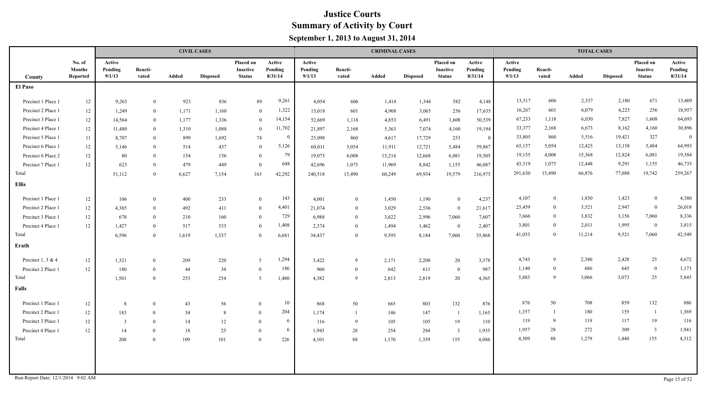|                                    |                                     |                             |                  |       | <b>CIVIL CASES</b> |                                        |                              |                             |                  | <b>CRIMINAL CASES</b> |                 |                                        |                              |                             |                  | <b>TOTAL CASES</b> |                 |                                        |                              |
|------------------------------------|-------------------------------------|-----------------------------|------------------|-------|--------------------|----------------------------------------|------------------------------|-----------------------------|------------------|-----------------------|-----------------|----------------------------------------|------------------------------|-----------------------------|------------------|--------------------|-----------------|----------------------------------------|------------------------------|
| <b>County</b>                      | No. of<br><b>Months</b><br>Reported | Active<br>Pending<br>9/1/13 | Reacti-<br>vated | Added | <b>Disposed</b>    | Placed on<br>Inactive<br><b>Status</b> | Active<br>Pending<br>8/31/14 | Active<br>Pending<br>9/1/13 | Reacti-<br>vated | Added                 | <b>Disposed</b> | Placed on<br>Inactive<br><b>Status</b> | Active<br>Pending<br>8/31/14 | Active<br>Pending<br>9/1/13 | Reacti-<br>vated | Added              | <b>Disposed</b> | Placed on<br>Inactive<br><b>Status</b> | Active<br>Pending<br>8/31/14 |
| El Paso                            |                                     |                             |                  |       |                    |                                        |                              |                             |                  |                       |                 |                                        |                              |                             |                  |                    |                 |                                        |                              |
| Precinct 1 Place 1                 | 12                                  | 9,263                       | $\overline{0}$   | 923   | 836                | 89                                     | 9,261                        | 4,054                       | 606              | 1,414                 | 1,344           | 582                                    | 4,148                        | 13,317                      | 606              | 2,337              | 2,180           | 671                                    | 13,409                       |
| Precinct 2 Place 1                 | 12                                  | 1,249                       | $\bf{0}$         | 1,171 | 1,160              | $\overline{0}$                         | 1,322                        | 15,018                      | 601              | 4,908                 | 3,065           | 256                                    | 17,635                       | 16,267                      | 601              | 6,079              | 4,225           | 256                                    | 18,957                       |
| Precinct 3 Place 1                 | 12                                  | 14,564                      | $\overline{0}$   | 1,177 | 1,336              | $\theta$                               | 14,154                       | 52,669                      | 1,118            | 4,853                 | 6,491           | 1,608                                  | 50,539                       | 67,233                      | 1,118            | 6,030              | 7,827           | 1,608                                  | 64,693                       |
| Precinct 4 Place 1                 | 12                                  | 11,480                      | $\overline{0}$   | 1,310 | 1,088              | $\overline{0}$                         | 11,702                       | 21,897                      | 2,168            | 5,363                 | 7,074           | 4,160                                  | 19,194                       | 33,377                      | 2,168            | 6,673              | 8,162           | 4,160                                  | 30,896                       |
| Precinct 5 Place 1                 | 11                                  | 8,707                       | $\overline{0}$   | 899   | 1,692              | 74                                     | $\bf{0}$                     | 25,098                      | 860              | 4,617                 | 17,729          | 253                                    | $\overline{0}$               | 33,805                      | 860              | 5,516              | 19,421          | 327                                    | $\mathbf{0}$                 |
| Precinct 6 Place 1                 | 12                                  | 5,146                       | $\Omega$         | 514   | 437                | $\theta$                               | 5,126                        | 60,011                      | 5,054            | 11,911                | 12,721          | 5,484                                  | 59,867                       | 65,157                      | 5,054            | 12,425             | 13,158          | 5,484                                  | 64,993                       |
| Precinct 6 Place 2                 | 12                                  | 80                          | $\Omega$         | 154   | 156                | $\theta$                               | 79                           | 19,075                      | 4,008            | 15,214                | 12,668          | 6,081                                  | 19,505                       | 19,155                      | 4,008            | 15,368             | 12,824          | 6,081                                  | 19,584                       |
| Precinct 7 Place 1                 | 12                                  | 623                         | $\overline{0}$   | 479   | 449                | $\theta$                               | 648                          | 42,696                      | 1,075            | 11,969                | 8,842           | 1,155                                  | 46,087                       | 43,319                      | 1,075            | 12,448             | 9,291           | 1,155                                  | 46,735                       |
| Total                              |                                     | 51,112                      | $\Omega$         | 6,627 | 7,154              | 163                                    | 42,292                       | 240,518                     | 15,490           | 60,249                | 69,934          | 19,579                                 | 216,975                      | 291,630                     | 15,490           | 66,876             | 77,088          | 19,742                                 | 259,267                      |
| <b>Ellis</b>                       |                                     |                             |                  |       |                    |                                        |                              |                             |                  |                       |                 |                                        |                              |                             |                  |                    |                 |                                        |                              |
| Precinct 1 Place 1                 | 12                                  | 106                         | $\Omega$         | 400   | 233                | $\Omega$                               | 143                          | 4,001                       | $\mathbf{0}$     | 1,450                 | 1,190           | $\overline{0}$                         | 4,237                        | 4,107                       | $\mathbf{0}$     | 1,850              | 1,423           | $\bf{0}$                               | 4,380                        |
| Precinct 2 Place 1                 | 12                                  | 4,385                       | $\Omega$         | 492   | 411                | $\mathbf{0}$                           | 4,401                        | 21,074                      | $\overline{0}$   | 3,029                 | 2,536           | $\overline{0}$                         | 21,617                       | 25,459                      | $\overline{0}$   | 3,521              | 2,947           | $\overline{0}$                         | 26,018                       |
| Precinct 3 Place 1                 | 12                                  | 678                         | $\Omega$         | 210   | 160                | $\mathbf{0}$                           | 729                          | 6,988                       | $\overline{0}$   | 3,622                 | 2,996           | 7,060                                  | 7,607                        | 7,666                       | $\overline{0}$   | 3,832              | 3,156           | 7,060                                  | 8,336                        |
| Precinct 4 Place 1                 | 12                                  | 1,427                       | $\theta$         | 517   | 533                | $\bf{0}$                               | 1,408                        | 2,374                       | $\overline{0}$   | 1,494                 | 1,462           | $\overline{0}$                         | 2,407                        | 3,801                       | $\theta$         | 2,011              | 1,995           | $\overline{0}$                         | 3,815                        |
| Total                              |                                     | 6,596                       | $\Omega$         | 1,619 | 1,337              | $\theta$                               | 6,681                        | 34,437                      | $\overline{0}$   | 9,595                 | 8,184           | 7,060                                  | 35,868                       | 41,033                      | $\theta$         | 11,214             | 9,521           | 7,060                                  | 42,549                       |
| Erath                              |                                     |                             |                  |       |                    |                                        |                              |                             |                  |                       |                 |                                        |                              |                             |                  |                    |                 |                                        |                              |
| Precinct 1, 3 & 4                  | 12                                  | 1,321                       | $\Omega$         | 209   | 220                | 5                                      | 1,294                        | 3,422                       | 9                | 2,171                 | 2,208           | 20                                     | 3,378                        | 4,743                       | 9                | 2,380              | 2,428           | 25                                     | 4,672                        |
| Precinct 2 Place 1                 | 12                                  | 180                         | $\overline{0}$   | 44    | 34                 | $\bf{0}$                               | 186                          | 960                         | $\bf{0}$         | 642                   | 611             | $\bf{0}$                               | 987                          | 1,140                       | $\overline{0}$   | 686                | 645             | $\bf{0}$                               | 1,173                        |
| Total                              |                                     | 1,501                       | $\theta$         | 253   | 254                | 5                                      | 1,480                        | 4,382                       | 9                | 2,813                 | 2,819           | 20                                     | 4,365                        | 5,883                       | -9               | 3,066              | 3,073           | 25                                     | 5,845                        |
| Falls                              |                                     |                             |                  |       |                    |                                        |                              |                             |                  |                       |                 |                                        |                              |                             |                  |                    |                 |                                        |                              |
| Precinct 1 Place 1                 | 12                                  | 8                           | $\overline{0}$   | 43    | 56                 | $\theta$                               | 10                           | 868                         | 50               | 665                   | 803             | 132                                    | 876                          | 876                         | 50               | 708                | 859             | 132                                    | 886                          |
| Precinct 2 Place 1                 | 12                                  | 183                         | $\Omega$         | 34    | 8                  | $\overline{0}$                         | 204                          | 1,174                       |                  | 146                   | 147             | -1                                     | 1,165                        | 1,357                       |                  | 180                | 155             | -1                                     | 1,369                        |
| Precinct 3 Place 1                 | 12                                  | $\overline{3}$              | $\Omega$         | 14    | 12                 | $\theta$                               | 6                            | 116                         | -9               | 105                   | 105             | 19                                     | 110                          | 119                         | $\mathbf{Q}$     | 119                | 117             | 19                                     | 116                          |
| Precinct 4 Place 1                 | 12                                  | 14                          | $\Omega$         | 18    | 25                 | $\theta$                               | 6                            | 1.943                       | 28               | 254                   | 284             | 3                                      | 1.935                        | 1,957                       | 28               | 272                | 309             | $\overline{3}$                         | 1,941                        |
| Total                              |                                     | 208                         |                  | 109   | 101                | $\bf{0}$                               | 226                          | 4,101                       | 88               | 1,170                 | 1,339           | 155                                    | 4,086                        | 4,309                       | 88               | 1,279              | 1,440           | 155                                    | 4,312                        |
|                                    |                                     |                             |                  |       |                    |                                        |                              |                             |                  |                       |                 |                                        |                              |                             |                  |                    |                 |                                        |                              |
| Run Report Date: 12/1/2014 9:02 AM |                                     |                             |                  |       |                    |                                        |                              |                             |                  |                       |                 |                                        |                              |                             |                  |                    |                 |                                        | Page 15 of 52                |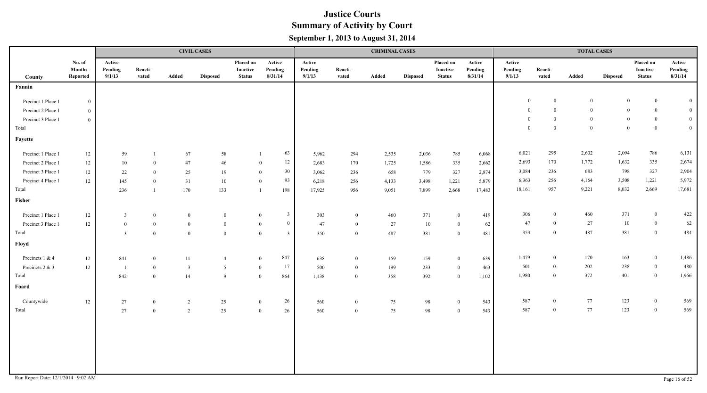|                    |                                     |                             |                  |                  | <b>CIVIL CASES</b> |                                               |                                  |                             |                  | <b>CRIMINAL CASES</b> |                 |                                        |                              |                             |                  | <b>TOTAL CASES</b> |                 |                                        |                              |
|--------------------|-------------------------------------|-----------------------------|------------------|------------------|--------------------|-----------------------------------------------|----------------------------------|-----------------------------|------------------|-----------------------|-----------------|----------------------------------------|------------------------------|-----------------------------|------------------|--------------------|-----------------|----------------------------------------|------------------------------|
| County             | No. of<br><b>Months</b><br>Reported | Active<br>Pending<br>9/1/13 | Reacti-<br>vated | Added            | <b>Disposed</b>    | Placed on<br><b>Inactive</b><br><b>Status</b> | Active<br>Pending<br>8/31/14     | Active<br>Pending<br>9/1/13 | Reacti-<br>vated | Added                 | <b>Disposed</b> | Placed on<br>Inactive<br><b>Status</b> | Active<br>Pending<br>8/31/14 | Active<br>Pending<br>9/1/13 | Reacti-<br>vated | Added              | <b>Disposed</b> | Placed on<br>Inactive<br><b>Status</b> | Active<br>Pending<br>8/31/14 |
| Fannin             |                                     |                             |                  |                  |                    |                                               |                                  |                             |                  |                       |                 |                                        |                              |                             |                  |                    |                 |                                        |                              |
| Precinct 1 Place 1 | $\mathbf{0}$                        |                             |                  |                  |                    |                                               |                                  |                             |                  |                       |                 |                                        |                              | $\mathbf{0}$                | $\mathbf{0}$     | $\overline{0}$     | $\mathbf{0}$    | $\overline{0}$                         | $\overline{0}$               |
| Precinct 2 Place 1 | $\overline{0}$                      |                             |                  |                  |                    |                                               |                                  |                             |                  |                       |                 |                                        |                              | $\mathbf{0}$                | $\mathbf{0}$     | $\overline{0}$     | $\bf{0}$        | $\mathbf{0}$                           | $\mathbf{0}$                 |
| Precinct 3 Place 1 | $\overline{0}$                      |                             |                  |                  |                    |                                               |                                  |                             |                  |                       |                 |                                        |                              | $\overline{0}$              | $\mathbf{0}$     | $\overline{0}$     | $\bf{0}$        | $\overline{0}$                         | $\mathbf{0}$                 |
| Total              |                                     |                             |                  |                  |                    |                                               |                                  |                             |                  |                       |                 |                                        |                              | $\overline{0}$              | $\mathbf{0}$     | $\overline{0}$     | $\overline{0}$  | $\overline{0}$                         | $\mathbf{0}$                 |
| Fayette            |                                     |                             |                  |                  |                    |                                               |                                  |                             |                  |                       |                 |                                        |                              |                             |                  |                    |                 |                                        |                              |
| Precinct 1 Place 1 | 12                                  | 59                          | $\overline{1}$   | 67               | $58\,$             |                                               | 63<br>$\overline{1}$             | 5,962                       | 294              | 2,535                 | 2,036           | 785                                    | 6,068                        | 6,021                       | 295              | 2,602              | 2,094           | 786                                    | 6,131                        |
| Precinct 2 Place 1 | 12                                  | 10                          | $\bf{0}$         | 47               | 46                 |                                               | $12\,$<br>$\bf{0}$               | 2,683                       | 170              | 1,725                 | 1,586           | 335                                    | 2,662                        | 2,693                       | 170              | 1,772              | 1,632           | 335                                    | 2,674                        |
| Precinct 3 Place 1 | 12                                  | 22                          | $\mathbf{0}$     | 25               | 19                 |                                               | 30<br>$\mathbf{0}$               | 3,062                       | 236              | 658                   | 779             | 327                                    | 2,874                        | 3,084                       | 236              | 683                | 798             | 327                                    | 2,904                        |
| Precinct 4 Place 1 | $12\,$                              | 145                         | $\mathbf{0}$     | 31               | 10                 |                                               | 93<br>$\overline{0}$             | 6,218                       | 256              | 4,133                 | 3,498           | 1,221                                  | 5,879                        | 6,363                       | 256              | 4,164              | 3,508           | 1,221                                  | 5,972                        |
| Total              |                                     | 236                         | $\overline{1}$   | 170              | 133                |                                               | 198<br>$\overline{1}$            | 17,925                      | 956              | 9,051                 | 7,899           | 2,668                                  | 17,483                       | 18,161                      | 957              | 9,221              | 8,032           | 2,669                                  | 17,681                       |
| Fisher             |                                     |                             |                  |                  |                    |                                               |                                  |                             |                  |                       |                 |                                        |                              |                             |                  |                    |                 |                                        |                              |
| Precinct 1 Place 1 | $12\,$                              | $\overline{3}$              | $\mathbf{0}$     | $\mathbf{0}$     | $\overline{0}$     |                                               | $\overline{3}$<br>$\mathbf{0}$   | 303                         | $\bf{0}$         | 460                   | 371             | $\overline{0}$                         | 419                          | 306                         | $\overline{0}$   | 460                | 371             | $\overline{0}$                         | 422                          |
| Precinct 3 Place 1 | $12\,$                              | $\bf{0}$                    | $\bf{0}$         | $\boldsymbol{0}$ | $\mathbf{0}$       |                                               | $\bf{0}$<br>$\mathbf{0}$         | 47                          | $\bf{0}$         | 27                    | 10              | $\overline{0}$                         | 62                           | 47                          | $\overline{0}$   | 27                 | 10              | $\overline{0}$                         | 62                           |
| Total              |                                     | $\overline{3}$              | $\overline{0}$   | $\boldsymbol{0}$ | $\bf{0}$           |                                               | $\overline{0}$<br>$\overline{3}$ | 350                         | $\bf{0}$         | 487                   | 381             | $\overline{0}$                         | 481                          | 353                         | $\overline{0}$   | 487                | 381             | $\overline{0}$                         | 484                          |
| Floyd              |                                     |                             |                  |                  |                    |                                               |                                  |                             |                  |                       |                 |                                        |                              |                             |                  |                    |                 |                                        |                              |
| Precincts 1 & 4    | $12\,$                              | 841                         | $\mathbf{0}$     | 11               | $\overline{4}$     |                                               | 847<br>$\overline{0}$            | 638                         | $\mathbf{0}$     | 159                   | 159             | $\overline{0}$                         | 639                          | 1,479                       | $\mathbf{0}$     | 170                | 163             | $\bf{0}$                               | 1,486                        |
| Precincts 2 & 3    | $12 \,$                             | - 1                         | $\overline{0}$   | $\mathbf{3}$     | 5                  |                                               | 17<br>$\overline{0}$             | 500                         | $\overline{0}$   | 199                   | 233             | $\bf{0}$                               | 463                          | 501                         | $\mathbf{0}$     | 202                | 238             | $\bf{0}$                               | 480                          |
| Total              |                                     | 842                         | $\overline{0}$   | 14               | 9                  |                                               | $\overline{0}$<br>864            | 1,138                       | $\overline{0}$   | 358                   | 392             | $\overline{0}$                         | 1,102                        | 1,980                       | $\overline{0}$   | 372                | 401             | $\mathbf{0}$                           | 1,966                        |
| Foard              |                                     |                             |                  |                  |                    |                                               |                                  |                             |                  |                       |                 |                                        |                              |                             |                  |                    |                 |                                        |                              |
| Countywide         | $12\,$                              | 27                          | $\overline{0}$   | $\overline{2}$   | 25                 |                                               | 26<br>$\overline{0}$             | 560                         | $\bf{0}$         | 75                    | 98              | $\bf{0}$                               | 543                          | 587                         | $\bf{0}$         | 77                 | 123             | $\overline{0}$                         | 569                          |
| Total              |                                     | 27                          | $\bf{0}$         | $\overline{2}$   | 25                 |                                               | 26<br>$\overline{0}$             | 560                         | $\bf{0}$         | 75                    | 98              | $\mathbf{0}$                           | 543                          | 587                         | $\overline{0}$   | 77                 | 123             | $\bf{0}$                               | 569                          |
|                    |                                     |                             |                  |                  |                    |                                               |                                  |                             |                  |                       |                 |                                        |                              |                             |                  |                    |                 |                                        |                              |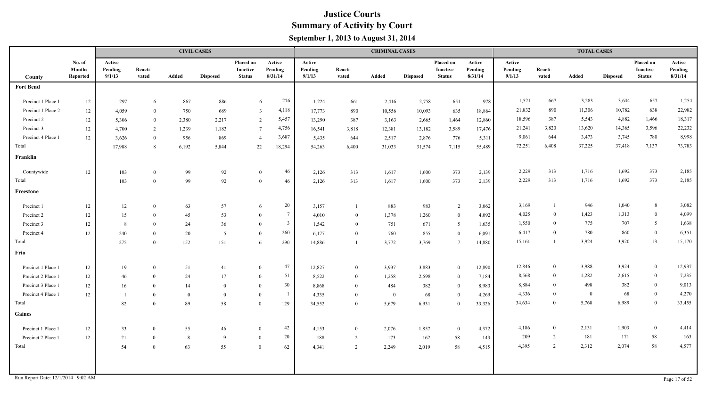|                                    |                                     |                             |                  |                | <b>CIVIL CASES</b> |                                        |                              |                             |                  | <b>CRIMINAL CASES</b> |                 |                                        |                              |                             |                  | <b>TOTAL CASES</b> |                 |                                        |                              |
|------------------------------------|-------------------------------------|-----------------------------|------------------|----------------|--------------------|----------------------------------------|------------------------------|-----------------------------|------------------|-----------------------|-----------------|----------------------------------------|------------------------------|-----------------------------|------------------|--------------------|-----------------|----------------------------------------|------------------------------|
| County                             | No. of<br><b>Months</b><br>Reported | Active<br>Pending<br>9/1/13 | Reacti-<br>vated | Added          | <b>Disposed</b>    | Placed on<br>Inactive<br><b>Status</b> | Active<br>Pending<br>8/31/14 | Active<br>Pending<br>9/1/13 | Reacti-<br>vated | Added                 | <b>Disposed</b> | Placed on<br>Inactive<br><b>Status</b> | Active<br>Pending<br>8/31/14 | Active<br>Pending<br>9/1/13 | Reacti-<br>vated | Added              | <b>Disposed</b> | Placed on<br>Inactive<br><b>Status</b> | Active<br>Pending<br>8/31/14 |
| <b>Fort Bend</b>                   |                                     |                             |                  |                |                    |                                        |                              |                             |                  |                       |                 |                                        |                              |                             |                  |                    |                 |                                        |                              |
| Precinct 1 Place 1                 | 12                                  | 297                         | 6                | 867            | 886                | 6                                      | 276                          | 1,224                       | 661              | 2,416                 | 2,758           | 651                                    | 978                          | 1,521                       | 667              | 3,283              | 3,644           | 657                                    | 1,254                        |
| Precinct 1 Place 2                 | 12                                  | 4,059                       | $\overline{0}$   | 750            | 689                | $\overline{3}$                         | 4,118                        | 17,773                      | 890              | 10,556                | 10,093          | 635                                    | 18,864                       | 21,832                      | 890              | 11,306             | 10,782          | 638                                    | 22,982                       |
| Precinct 2                         | 12                                  | 5,306                       | $\overline{0}$   | 2,380          | 2,217              | 2                                      | 5,457                        | 13,290                      | 387              | 3,163                 | 2,665           | 1,464                                  | 12,860                       | 18,596                      | 387              | 5,543              | 4,882           | 1,466                                  | 18,317                       |
| Precinct 3                         | 12                                  | 4,700                       | 2                | 1,239          | 1,183              | $7\phantom{.0}$                        | 4,756                        | 16,541                      | 3,818            | 12,381                | 13,182          | 3,589                                  | 17,476                       | 21,241                      | 3,820            | 13,620             | 14,365          | 3,596                                  | 22,232                       |
| Precinct 4 Place 1                 | 12                                  | 3,626                       | $\overline{0}$   | 956            | 869                | $\overline{4}$                         | 3,687                        | 5,435                       | 644              | 2,517                 | 2,876           | 776                                    | 5,311                        | 9,061                       | 644              | 3,473              | 3,745           | 780                                    | 8,998                        |
| Total                              |                                     | 17,988                      | 8                | 6,192          | 5,844              | 22                                     | 18,294                       | 54,263                      | 6,400            | 31,033                | 31,574          | 7,115                                  | 55,489                       | 72,251                      | 6,408            | 37,225             | 37,418          | 7,137                                  | 73,783                       |
| Franklin                           |                                     |                             |                  |                |                    |                                        |                              |                             |                  |                       |                 |                                        |                              |                             |                  |                    |                 |                                        |                              |
| Countywide                         | 12                                  | 103                         | $\bf{0}$         | 99             | 92                 | $\overline{0}$                         | 46                           | 2,126                       | 313              | 1,617                 | 1,600           | 373                                    | 2,139                        | 2,229                       | 313              | 1,716              | 1,692           | 373                                    | 2,185                        |
| Total                              |                                     | 103                         | $\theta$         | 99             | 92                 | $\overline{0}$                         | 46                           | 2,126                       | 313              | 1,617                 | 1,600           | 373                                    | 2,139                        | 2,229                       | 313              | 1,716              | 1,692           | 373                                    | 2,185                        |
| Freestone                          |                                     |                             |                  |                |                    |                                        |                              |                             |                  |                       |                 |                                        |                              |                             |                  |                    |                 |                                        |                              |
| Precinct 1                         | 12                                  | 12                          | $\overline{0}$   | 63             | 57                 | 6                                      | 20                           | 3,157                       |                  | 883                   | 983             | 2                                      | 3,062                        | 3,169                       |                  | 946                | 1,040           | 8                                      | 3,082                        |
| Precinct 2                         | 12                                  | 15                          | $\overline{0}$   | 45             | 53                 | $\overline{0}$                         | $7\phantom{.0}$              | 4,010                       | $\overline{0}$   | 1,378                 | 1,260           | $\bf{0}$                               | 4,092                        | 4,025                       | $\overline{0}$   | 1,423              | 1,313           | $\bf{0}$                               | 4,099                        |
| Precinct 3                         | 12                                  | 8                           | $\Omega$         | 24             | 36                 | $\theta$                               | $\overline{3}$               | 1,542                       | $\overline{0}$   | 751                   | 671             | 5                                      | 1,635                        | 1,550                       | $\theta$         | 775                | 707             | 5 <sup>5</sup>                         | 1,638                        |
| Precinct 4                         | 12                                  | 240                         | $\theta$         | 20             | 5                  | $\overline{0}$                         | 260                          | 6,177                       | $\mathbf{0}$     | 760                   | 855             | $\bf{0}$                               | 6,091                        | 6,417                       | $\theta$         | 780                | 860             | $\overline{0}$                         | 6,351                        |
| Total                              |                                     | 275                         | $\theta$         | 152            | 151                | 6                                      | 290                          | 14,886                      |                  | 3,772                 | 3,769           | $7\phantom{.0}$                        | 14,880                       | 15,161                      |                  | 3,924              | 3,920           | 13                                     | 15,170                       |
| Frio                               |                                     |                             |                  |                |                    |                                        |                              |                             |                  |                       |                 |                                        |                              |                             |                  |                    |                 |                                        |                              |
| Precinct 1 Place 1                 | 12                                  | 19                          | $\theta$         | 51             | 41                 | $\overline{0}$                         | 47                           | 12,827                      | $\overline{0}$   | 3,937                 | 3,883           | $\bf{0}$                               | 12,890                       | 12,846                      | $\overline{0}$   | 3,988              | 3,924           | $\bf{0}$                               | 12,937                       |
| Precinct 2 Place 1                 | 12                                  | 46                          | $\overline{0}$   | 24             | 17                 | $\mathbf{0}$                           | 51                           | 8,522                       | $\overline{0}$   | 1,258                 | 2,598           | $\bf{0}$                               | 7,184                        | 8,568                       | $\overline{0}$   | 1,282              | 2,615           | $\overline{0}$                         | 7,235                        |
| Precinct 3 Place 1                 | 12                                  | 16                          | $\theta$         | 14             | $\theta$           | $\theta$                               | 30                           | 8,868                       | $\overline{0}$   | 484                   | 382             | $\bf{0}$                               | 8,983                        | 8,884                       | $\theta$         | 498                | 382             | $\bf{0}$                               | 9,013                        |
| Precinct 4 Place 1                 | 12                                  | $\overline{1}$              | $\overline{0}$   | $\overline{0}$ | $\overline{0}$     | $\theta$                               | -1                           | 4,335                       | $\overline{0}$   | $\bf{0}$              | 68              | $\overline{0}$                         | 4,269                        | 4,336                       | $\theta$         | $\bf{0}$           | 68              | $\mathbf{0}$                           | 4,270                        |
| Total                              |                                     | 82                          | $\Omega$         | 89             | 58                 | $\theta$                               | 129                          | 34,552                      | $\overline{0}$   | 5,679                 | 6,931           | $\overline{0}$                         | 33,326                       | 34,634                      | $\theta$         | 5,768              | 6,989           | $\overline{0}$                         | 33,455                       |
| Gaines                             |                                     |                             |                  |                |                    |                                        |                              |                             |                  |                       |                 |                                        |                              |                             |                  |                    |                 |                                        |                              |
| Precinct 1 Place 1                 | 12                                  | 33                          | $\overline{0}$   | 55             | 46                 | $\mathbf{0}$                           | 42                           | 4,153                       | $\bf{0}$         | 2,076                 | 1,857           | $\bf{0}$                               | 4,372                        | 4,186                       | $\mathbf{0}$     | 2,131              | 1,903           | $\mathbf{0}$                           | 4,414                        |
| Precinct 2 Place 1                 | 12                                  | 21                          | $\overline{0}$   | 8              | 9                  | $\overline{0}$                         | 20                           | 188                         | $\overline{2}$   | 173                   | 162             | 58                                     | 143                          | 209                         | 2                | 181                | 171             | 58                                     | 163                          |
| Total                              |                                     | 54                          | $\overline{0}$   | 63             | 55                 | $\overline{0}$                         | 62                           | 4,341                       | 2                | 2,249                 | 2,019           | 58                                     | 4,515                        | 4,395                       | 2                | 2,312              | 2,074           | 58                                     | 4,577                        |
|                                    |                                     |                             |                  |                |                    |                                        |                              |                             |                  |                       |                 |                                        |                              |                             |                  |                    |                 |                                        |                              |
| Run Report Date: 12/1/2014 9:02 AM |                                     |                             |                  |                |                    |                                        |                              |                             |                  |                       |                 |                                        |                              |                             |                  |                    |                 |                                        | Page 17 of 52                |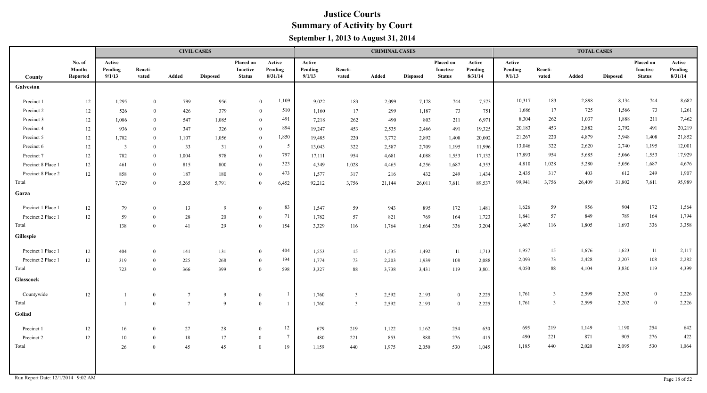|                    |                                     |                             |                  |                 | <b>CIVIL CASES</b> |                                               |                              |                             |                  | <b>CRIMINAL CASES</b> |                 |                                               |                              |                             |                  | <b>TOTAL CASES</b> |                 |                                               |                              |
|--------------------|-------------------------------------|-----------------------------|------------------|-----------------|--------------------|-----------------------------------------------|------------------------------|-----------------------------|------------------|-----------------------|-----------------|-----------------------------------------------|------------------------------|-----------------------------|------------------|--------------------|-----------------|-----------------------------------------------|------------------------------|
| County             | No. of<br><b>Months</b><br>Reported | Active<br>Pending<br>9/1/13 | Reacti-<br>vated | Added           | <b>Disposed</b>    | Placed on<br><b>Inactive</b><br><b>Status</b> | Active<br>Pending<br>8/31/14 | Active<br>Pending<br>9/1/13 | Reacti-<br>vated | Added                 | <b>Disposed</b> | Placed on<br><b>Inactive</b><br><b>Status</b> | Active<br>Pending<br>8/31/14 | Active<br>Pending<br>9/1/13 | Reacti-<br>vated | Added              | <b>Disposed</b> | Placed on<br><b>Inactive</b><br><b>Status</b> | Active<br>Pending<br>8/31/14 |
| Galveston          |                                     |                             |                  |                 |                    |                                               |                              |                             |                  |                       |                 |                                               |                              |                             |                  |                    |                 |                                               |                              |
| Precinct 1         | 12                                  | 1,295                       | $\theta$         | 799             | 956                |                                               | 1,109<br>$\mathbf{0}$        | 9,022                       | 183              | 2,099                 | 7,178           | 744                                           | 7,573                        | 10,317                      | 183              | 2,898              | 8,134           | 744                                           | 8,682                        |
| Precinct 2         | 12                                  | 526                         | $\bf{0}$         | 426             | 379                |                                               | 510<br>$\overline{0}$        | 1,160                       | 17               | 299                   | 1,187           | 73                                            | 751                          | 1,686                       | 17               | 725                | 1,566           | 73                                            | 1,261                        |
| Precinct 3         | $12\,$                              | 1,086                       | $\mathbf{0}$     | 547             | 1,085              |                                               | 491<br>$\mathbf{0}$          | 7,218                       | 262              | 490                   | 803             | 211                                           | 6,971                        | 8,304                       | 262              | 1,037              | 1,888           | 211                                           | 7,462                        |
| Precinct 4         | $12\,$                              | 936                         | $\overline{0}$   | 347             | 326                |                                               | 894<br>$\mathbf{0}$          | 19,247                      | 453              | 2,535                 | 2,466           | 491                                           | 19,325                       | 20,183                      | 453              | 2,882              | 2,792           | 491                                           | 20,219                       |
| Precinct 5         | 12                                  | 1,782                       | $\theta$         | 1,107           | 1,056              |                                               | 1,850<br>$\mathbf{0}$        | 19,485                      | 220              | 3,772                 | 2,892           | 1,408                                         | 20,002                       | 21,267                      | 220              | 4,879              | 3,948           | 1,408                                         | 21,852                       |
| Precinct 6         | 12                                  | $\overline{3}$              | $\theta$         | 33              | 31                 |                                               | $5\overline{)}$<br>$\bf{0}$  | 13,043                      | 322              | 2,587                 | 2,709           | 1,195                                         | 11,996                       | 13,046                      | 322              | 2,620              | 2,740           | 1,195                                         | 12,001                       |
| Precinct 7         | $12\,$                              | 782                         | $\Omega$         | 1,004           | 978                |                                               | 797<br>$\mathbf{0}$          | 17,111                      | 954              | 4,681                 | 4,088           | 1,553                                         | 17,132                       | 17,893                      | 954              | 5,685              | 5,066           | 1,553                                         | 17,929                       |
| Precinct 8 Place 1 | 12                                  | 461                         | $\theta$         | 815             | 800                |                                               | 323<br>$\mathbf{0}$          | 4,349                       | 1,028            | 4,465                 | 4,256           | 1,687                                         | 4,353                        | 4,810                       | 1,028            | 5,280              | 5,056           | 1,687                                         | 4,676                        |
| Precinct 8 Place 2 | 12                                  | 858                         | $\theta$         | 187             | 180                |                                               | 473<br>$\mathbf{0}$          | 1,577                       | 317              | 216                   | 432             | 249                                           | 1,434                        | 2,435                       | 317              | 403                | 612             | 249                                           | 1,907                        |
| Total              |                                     | 7,729                       | $\overline{0}$   | 5,265           | 5,791              |                                               | 6,452<br>$\mathbf{0}$        | 92,212                      | 3,756            | 21,144                | 26,011          | 7,611                                         | 89,537                       | 99,941                      | 3,756            | 26,409             | 31,802          | 7,611                                         | 95,989                       |
| Garza              |                                     |                             |                  |                 |                    |                                               |                              |                             |                  |                       |                 |                                               |                              |                             |                  |                    |                 |                                               |                              |
| Precinct 1 Place 1 | 12                                  | 79                          | $\theta$         | 13              | 9                  |                                               | 83<br>$\overline{0}$         | 1,547                       | 59               | 943                   | 895             | 172                                           | 1,481                        | 1,626                       | 59               | 956                | 904             | 172                                           | 1,564                        |
| Precinct 2 Place 1 | 12                                  | 59                          | $\theta$         | 28              | 20                 |                                               | 71<br>$\overline{0}$         | 1,782                       | 57               | 821                   | 769             | 164                                           | 1,723                        | 1,841                       | 57               | 849                | 789             | 164                                           | 1,794                        |
| Total              |                                     | 138                         | $\mathbf{0}$     | 41              | 29                 |                                               | 154<br>$\overline{0}$        | 3,329                       | 116              | 1,764                 | 1,664           | 336                                           | 3,204                        | 3,467                       | 116              | 1,805              | 1,693           | 336                                           | 3,358                        |
| Gillespie          |                                     |                             |                  |                 |                    |                                               |                              |                             |                  |                       |                 |                                               |                              |                             |                  |                    |                 |                                               |                              |
| Precinct 1 Place 1 | 12                                  | 404                         | $\theta$         | 141             | 131                |                                               | 404<br>$\mathbf{0}$          | 1,553                       | 15               | 1,535                 | 1,492           | 11                                            | 1,713                        | 1,957                       | 15               | 1,676              | 1,623           | 11                                            | 2,117                        |
| Precinct 2 Place 1 | 12                                  | 319                         | $\overline{0}$   | 225             | 268                |                                               | 194<br>$\mathbf{0}$          | 1,774                       | 73               | 2,203                 | 1,939           | 108                                           | 2,088                        | 2,093                       | 73               | 2,428              | 2,207           | 108                                           | 2,282                        |
| Total              |                                     | 723                         | $\bf{0}$         | 366             | 399                |                                               | 598<br>$\overline{0}$        | 3,327                       | 88               | 3,738                 | 3,431           | 119                                           | 3,801                        | 4,050                       | 88               | 4,104              | 3,830           | 119                                           | 4,399                        |
| <b>Glasscock</b>   |                                     |                             |                  |                 |                    |                                               |                              |                             |                  |                       |                 |                                               |                              |                             |                  |                    |                 |                                               |                              |
| Countywide         | $12\,$                              | -1                          | $\overline{0}$   | $7\phantom{.0}$ | 9                  | $\bf{0}$                                      | $\overline{1}$               | 1,760                       | $\overline{3}$   | 2,592                 | 2,193           | $\overline{0}$                                | 2,225                        | 1,761                       | $\overline{3}$   | 2,599              | 2,202           | $\overline{0}$                                | 2,226                        |
| Total              |                                     | $\overline{1}$              | $\overline{0}$   | $\overline{7}$  | 9                  | $\overline{0}$                                | -1                           | 1,760                       | $\overline{3}$   | 2,592                 | 2,193           | $\mathbf{0}$                                  | 2,225                        | 1,761                       | $\overline{3}$   | 2,599              | 2,202           | $\overline{0}$                                | 2,226                        |
| Goliad             |                                     |                             |                  |                 |                    |                                               |                              |                             |                  |                       |                 |                                               |                              |                             |                  |                    |                 |                                               |                              |
| Precinct 1         | 12                                  | 16                          | $\overline{0}$   | 27              | 28                 | $\overline{0}$                                | 12                           | 679                         | 219              | 1,122                 | 1,162           | 254                                           | 630                          | 695                         | 219              | 1,149              | 1,190           | 254                                           | 642                          |
| Precinct 2         | $12\,$                              | 10                          | $\overline{0}$   | 18              | 17                 | $\mathbf{0}$                                  | $7\overline{ }$              | 480                         | 221              | 853                   | 888             | 276                                           | 415                          | 490                         | 221              | 871                | 905             | 276                                           | 422                          |
| Total              |                                     | 26                          | $\Omega$         | 45              | 45                 | $\overline{0}$                                | 19                           | 1,159                       | 440              | 1,975                 | 2,050           | 530                                           | 1,045                        | 1,185                       | 440              | 2,020              | 2,095           | 530                                           | 1,064                        |
|                    |                                     |                             |                  |                 |                    |                                               |                              |                             |                  |                       |                 |                                               |                              |                             |                  |                    |                 |                                               |                              |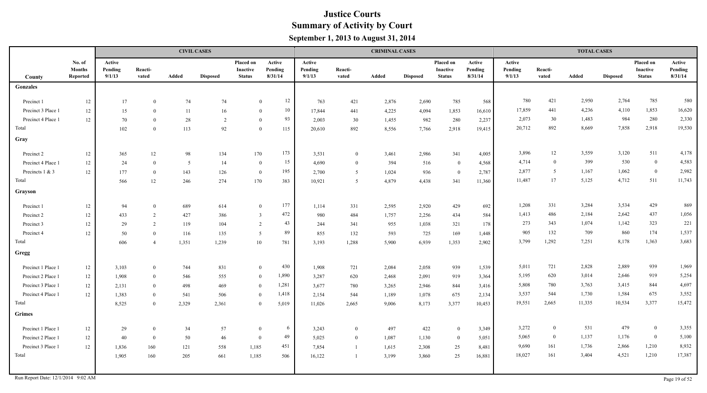|                    |                                     |                             |                  |       | <b>CIVIL CASES</b> |                                               |                              |                             |                  | <b>CRIMINAL CASES</b> |                 |                                               |                              |                             |                  | <b>TOTAL CASES</b> |                 |                                        |                              |
|--------------------|-------------------------------------|-----------------------------|------------------|-------|--------------------|-----------------------------------------------|------------------------------|-----------------------------|------------------|-----------------------|-----------------|-----------------------------------------------|------------------------------|-----------------------------|------------------|--------------------|-----------------|----------------------------------------|------------------------------|
| County             | No. of<br><b>Months</b><br>Reported | Active<br>Pending<br>9/1/13 | Reacti-<br>vated | Added | <b>Disposed</b>    | <b>Placed on</b><br>Inactive<br><b>Status</b> | Active<br>Pending<br>8/31/14 | Active<br>Pending<br>9/1/13 | Reacti-<br>vated | Added                 | <b>Disposed</b> | <b>Placed on</b><br>Inactive<br><b>Status</b> | Active<br>Pending<br>8/31/14 | Active<br>Pending<br>9/1/13 | Reacti-<br>vated | Added              | <b>Disposed</b> | Placed on<br>Inactive<br><b>Status</b> | Active<br>Pending<br>8/31/14 |
| Gonzales           |                                     |                             |                  |       |                    |                                               |                              |                             |                  |                       |                 |                                               |                              |                             |                  |                    |                 |                                        |                              |
| Precinct 1         | 12                                  | 17                          | $\Omega$         | 74    | 74                 | $\theta$                                      | 12                           | 763                         | 421              | 2,876                 | 2,690           | 785                                           | 568                          | 780                         | 421              | 2,950              | 2,764           | 785                                    | 580                          |
| Precinct 3 Place 1 | 12                                  | 15                          | $\theta$         | 11    | 16                 | $\theta$                                      | 10                           | 17,844                      | 441              | 4,225                 | 4,094           | 1,853                                         | 16,610                       | 17,859                      | 441              | 4,236              | 4,110           | 1,853                                  | 16,620                       |
| Precinct 4 Place 1 | 12                                  | 70                          | $\theta$         | 28    | 2                  | $\theta$                                      | 93                           | 2,003                       | 30               | 1,455                 | 982             | 280                                           | 2,237                        | 2,073                       | 30               | 1,483              | 984             | 280                                    | 2,330                        |
| Total              |                                     | 102                         | $\theta$         | 113   | 92                 | $\theta$                                      | 115                          | 20,610                      | 892              | 8,556                 | 7,766           | 2,918                                         | 19,415                       | 20,712                      | 892              | 8,669              | 7,858           | 2,918                                  | 19,530                       |
| Gray               |                                     |                             |                  |       |                    |                                               |                              |                             |                  |                       |                 |                                               |                              |                             |                  |                    |                 |                                        |                              |
| Precinct 2         | $12\,$                              | 365                         | 12               | 98    | 134                | 170                                           | 173                          | 3,531                       | $\theta$         | 3,461                 | 2,986           | 341                                           | 4,005                        | 3,896                       | 12               | 3,559              | 3,120           | 511                                    | 4,178                        |
| Precinct 4 Place 1 | 12                                  | 24                          | $\theta$         | 5     | 14                 | $\overline{0}$                                | 15                           | 4,690                       | $\theta$         | 394                   | 516             | $\bf{0}$                                      | 4,568                        | 4,714                       | $\overline{0}$   | 399                | 530             | $\bf{0}$                               | 4,583                        |
| Precincts 1 & 3    | 12                                  | 177                         | $\overline{0}$   | 143   | 126                | $\overline{0}$                                | 195                          | 2,700                       | 5                | 1,024                 | 936             | $\bf{0}$                                      | 2,787                        | 2,877                       | - 5              | 1,167              | 1,062           | $\overline{0}$                         | 2,982                        |
| Total              |                                     | 566                         | 12               | 246   | 274                | 170                                           | 383                          | 10,921                      | -5               | 4,879                 | 4,438           | 341                                           | 11,360                       | 11,487                      | 17               | 5,125              | 4,712           | 511                                    | 11,743                       |
| Grayson            |                                     |                             |                  |       |                    |                                               |                              |                             |                  |                       |                 |                                               |                              |                             |                  |                    |                 |                                        |                              |
| Precinct 1         | $12\,$                              | 94                          | $\theta$         | 689   | 614                | $\mathbf{0}$                                  | 177                          | 1,114                       | 331              | 2,595                 | 2,920           | 429                                           | 692                          | 1,208                       | 331              | 3,284              | 3,534           | 429                                    | 869                          |
| Precinct 2         | 12                                  | 433                         | 2                | 427   | 386                | $\overline{3}$                                | 472                          | 980                         | 484              | 1,757                 | 2,256           | 434                                           | 584                          | 1,413                       | 486              | 2,184              | 2,642           | 437                                    | 1,056                        |
| Precinct 3         | 12                                  | 29                          | $\overline{2}$   | 119   | 104                | 2                                             | 43                           | 244                         | 341              | 955                   | 1,038           | 321                                           | 178                          | 273                         | 343              | 1,074              | 1,142           | 323                                    | 221                          |
| Precinct 4         | 12                                  | 50                          | $\theta$         | 116   | 135                | -5                                            | 89                           | 855                         | 132              | 593                   | 725             | 169                                           | 1,448                        | 905                         | 132              | 709                | 860             | 174                                    | 1,537                        |
| Total              |                                     | 606                         | $\overline{4}$   | 1,351 | 1,239              | 10                                            | 781                          | 3,193                       | 1,288            | 5,900                 | 6,939           | 1,353                                         | 2,902                        | 3,799                       | 1,292            | 7,251              | 8,178           | 1,363                                  | 3,683                        |
| Gregg              |                                     |                             |                  |       |                    |                                               |                              |                             |                  |                       |                 |                                               |                              |                             |                  |                    |                 |                                        |                              |
| Precinct 1 Place 1 | 12                                  | 3,103                       | $\theta$         | 744   | 831                | $\theta$                                      | 430                          | 1,908                       | 721              | 2,084                 | 2,058           | 939                                           | 1,539                        | 5,011                       | 721              | 2,828              | 2,889           | 939                                    | 1,969                        |
| Precinct 2 Place 1 | 12                                  | 1,908                       | $\theta$         | 546   | 555                | $\theta$                                      | 1,890                        | 3,287                       | 620              | 2,468                 | 2,091           | 919                                           | 3,364                        | 5,195                       | 620              | 3,014              | 2,646           | 919                                    | 5,254                        |
| Precinct 3 Place 1 | 12                                  | 2,131                       | $\theta$         | 498   | 469                | $\mathbf{0}$                                  | 1,281                        | 3,677                       | 780              | 3,265                 | 2,946           | 844                                           | 3,416                        | 5,808                       | 780              | 3,763              | 3,415           | 844                                    | 4,697                        |
| Precinct 4 Place 1 | $12\,$                              | 1,383                       | $\theta$         | 541   | 506                | $\theta$                                      | 1,418                        | 2,154                       | 544              | 1,189                 | 1,078           | 675                                           | 2,134                        | 3,537                       | 544              | 1,730              | 1,584           | 675                                    | 3,552                        |
| Total              |                                     | 8,525                       | $\theta$         | 2,329 | 2,361              | $\overline{0}$                                | 5,019                        | 11,026                      | 2,665            | 9,006                 | 8,173           | 3,377                                         | 10,453                       | 19,551                      | 2,665            | 11,335             | 10,534          | 3,377                                  | 15,472                       |
| <b>Grimes</b>      |                                     |                             |                  |       |                    |                                               |                              |                             |                  |                       |                 |                                               |                              |                             |                  |                    |                 |                                        |                              |
| Precinct 1 Place 1 | 12                                  | 29                          | $\overline{0}$   | 34    | 57                 | $\theta$                                      | 6                            | 3,243                       | $\overline{0}$   | 497                   | 422             | $\bf{0}$                                      | 3,349                        | 3,272                       | $\bf{0}$         | 531                | 479             | $\bf{0}$                               | 3,355                        |
| Precinct 2 Place 1 | $12\,$                              | 40                          | $\overline{0}$   | 50    | 46                 | $\overline{0}$                                | 49                           | 5,025                       | $\overline{0}$   | 1,087                 | 1,130           | $\overline{0}$                                | 5,051                        | 5,065                       | $\overline{0}$   | 1,137              | 1,176           | $\bf{0}$                               | 5,100                        |
| Precinct 3 Place 1 | 12                                  | 1,836                       | 160              | 121   | 558                | 1,185                                         | 451                          | 7,854                       |                  | 1,615                 | 2,308           | 25                                            | 8,481                        | 9,690                       | 161              | 1,736              | 2,866           | 1,210                                  | 8,932                        |
| Total              |                                     | 1,905                       | 160              | 205   | 661                | 1,185                                         | 506                          | 16,122                      |                  | 3,199                 | 3,860           | 25                                            | 16,881                       | 18,027                      | 161              | 3,404              | 4,521           | 1,210                                  | 17,387                       |
|                    |                                     |                             |                  |       |                    |                                               |                              |                             |                  |                       |                 |                                               |                              |                             |                  |                    |                 |                                        |                              |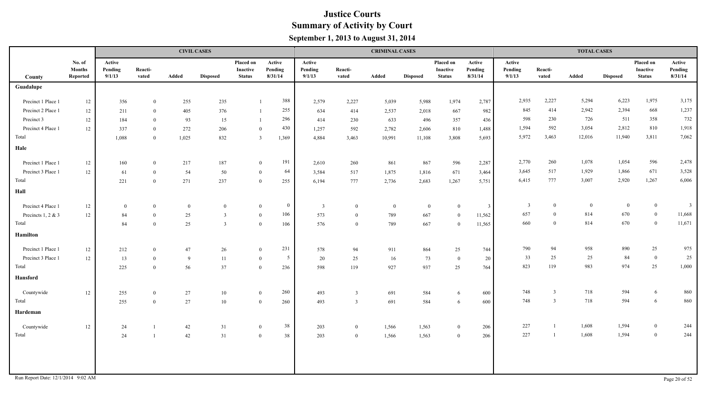|                                    |                                     |                             |                  |          | <b>CIVIL CASES</b> |                                               |                              |                             |                  | <b>CRIMINAL CASES</b> |                 |                                        |                              |                             |                  | <b>TOTAL CASES</b> |                 |                                               |                              |
|------------------------------------|-------------------------------------|-----------------------------|------------------|----------|--------------------|-----------------------------------------------|------------------------------|-----------------------------|------------------|-----------------------|-----------------|----------------------------------------|------------------------------|-----------------------------|------------------|--------------------|-----------------|-----------------------------------------------|------------------------------|
| County                             | No. of<br><b>Months</b><br>Reported | Active<br>Pending<br>9/1/13 | Reacti-<br>vated | Added    | <b>Disposed</b>    | Placed on<br><b>Inactive</b><br><b>Status</b> | Active<br>Pending<br>8/31/14 | Active<br>Pending<br>9/1/13 | Reacti-<br>vated | Added                 | <b>Disposed</b> | Placed on<br>Inactive<br><b>Status</b> | Active<br>Pending<br>8/31/14 | Active<br>Pending<br>9/1/13 | Reacti-<br>vated | Added              | <b>Disposed</b> | Placed on<br><b>Inactive</b><br><b>Status</b> | Active<br>Pending<br>8/31/14 |
| Guadalupe                          |                                     |                             |                  |          |                    |                                               |                              |                             |                  |                       |                 |                                        |                              |                             |                  |                    |                 |                                               |                              |
| Precinct 1 Place 1                 | 12                                  | 356                         | $\overline{0}$   | 255      | 235                | $\overline{1}$                                | 388                          | 2,579                       | 2,227            | 5,039                 | 5,988           | 1,974                                  | 2,787                        | 2,935                       | 2,227            | 5,294              | 6,223           | 1,975                                         | 3,175                        |
| Precinct 2 Place 1                 | 12                                  | 211                         | $\overline{0}$   | 405      | 376                | -1                                            | 255                          | 634                         | 414              | 2,537                 | 2,018           | 667                                    | 982                          | 845                         | 414              | 2,942              | 2,394           | 668                                           | 1,237                        |
| Precinct 3                         | $12\,$                              | 184                         | $\overline{0}$   | 93       | 15                 | $\overline{1}$                                | 296                          | 414                         | 230              | 633                   | 496             | 357                                    | 436                          | 598                         | 230              | 726                | 511             | 358                                           | 732                          |
| Precinct 4 Place 1                 | 12                                  | 337                         | $\overline{0}$   | 272      | 206                |                                               | 430<br>$\overline{0}$        | 1,257                       | 592              | 2,782                 | 2,606           | 810                                    | 1,488                        | 1,594                       | 592              | 3,054              | 2,812           | 810                                           | 1,918                        |
| Total                              |                                     | 1,088                       | $\overline{0}$   | 1,025    | 832                |                                               | $\mathbf{3}$<br>1,369        | 4,884                       | 3,463            | 10,991                | 11,108          | 3,808                                  | 5,693                        | 5,972                       | 3,463            | 12,016             | 11,940          | 3,811                                         | 7,062                        |
| Hale                               |                                     |                             |                  |          |                    |                                               |                              |                             |                  |                       |                 |                                        |                              |                             |                  |                    |                 |                                               |                              |
| Precinct 1 Place 1                 | $12\,$                              | 160                         | $\bf{0}$         | 217      | 187                |                                               | 191<br>$\mathbf{0}$          | 2,610                       | 260              | 861                   | 867             | 596                                    | 2,287                        | 2,770                       | 260              | 1,078              | 1,054           | 596                                           | 2,478                        |
| Precinct 3 Place 1                 | 12                                  | 61                          | $\overline{0}$   | 54       | 50                 |                                               | 64<br>$\bf{0}$               | 3,584                       | 517              | 1,875                 | 1,816           | 671                                    | 3,464                        | 3,645                       | 517              | 1,929              | 1,866           | 671                                           | 3,528                        |
| Total                              |                                     | 221                         | $\overline{0}$   | 271      | 237                |                                               | 255<br>$\overline{0}$        | 6,194                       | 777              | 2,736                 | 2,683           | 1,267                                  | 5,751                        | 6,415                       | 777              | 3,007              | 2,920           | 1,267                                         | 6,006                        |
| Hall                               |                                     |                             |                  |          |                    |                                               |                              |                             |                  |                       |                 |                                        |                              |                             |                  |                    |                 |                                               |                              |
| Precinct 4 Place 1                 | 12                                  | $\bf{0}$                    | $\bf{0}$         | $\bf{0}$ | $\mathbf{0}$       |                                               | $\bf{0}$<br>$\bf{0}$         | $\overline{3}$              | $\overline{0}$   | $\Omega$              | $\overline{0}$  | $\theta$                               | $\overline{3}$               | $\overline{3}$              | $\overline{0}$   | $\overline{0}$     | $\overline{0}$  | $\overline{0}$                                | $\overline{\mathbf{3}}$      |
| Precincts 1, 2 & 3                 | 12                                  | 84                          | $\overline{0}$   | 25       | $\overline{3}$     |                                               | 106<br>$\bf{0}$              | 573                         | $\overline{0}$   | 789                   | 667             | $\overline{0}$                         | 11,562                       | 657                         | $\theta$         | 814                | 670             | $\bf{0}$                                      | 11,668                       |
| Total                              |                                     | 84                          | $\theta$         | 25       | 3                  |                                               | 106<br>$\overline{0}$        | 576                         | $\bf{0}$         | 789                   | 667             | $\Omega$                               | 11,565                       | 660                         | $\theta$         | 814                | 670             | $\overline{0}$                                | 11,671                       |
| Hamilton                           |                                     |                             |                  |          |                    |                                               |                              |                             |                  |                       |                 |                                        |                              |                             |                  |                    |                 |                                               |                              |
| Precinct 1 Place 1                 | 12                                  | 212                         | $\bf{0}$         | 47       | 26                 |                                               | 231<br>$\bf{0}$              | 578                         | 94               | 911                   | 864             | 25                                     | 744                          | 790                         | 94               | 958                | 890             | 25                                            | 975                          |
| Precinct 3 Place 1                 | 12                                  | 13                          | $\Omega$         | 9        | 11                 |                                               | $5\overline{)}$<br>$\bf{0}$  | 20                          | 25               | 16                    | 73              | $\bf{0}$                               | 20                           | 33                          | 25               | 25                 | 84              | $\overline{0}$                                | 25                           |
| Total                              |                                     | 225                         | $\overline{0}$   | 56       | 37                 |                                               | $\mathbf{0}$<br>236          | 598                         | 119              | 927                   | 937             | 25                                     | 764                          | 823                         | 119              | 983                | 974             | 25                                            | 1,000                        |
| Hansford                           |                                     |                             |                  |          |                    |                                               |                              |                             |                  |                       |                 |                                        |                              |                             |                  |                    |                 |                                               |                              |
| Countywide                         | 12                                  | 255                         | $\bf{0}$         | 27       | 10                 |                                               | 260<br>$\mathbf{0}$          | 493                         | $\overline{3}$   | 691                   | 584             | 6                                      | 600                          | 748                         | 3                | 718                | 594             | 6                                             | 860                          |
| Total                              |                                     | 255                         | $\overline{0}$   | 27       | 10                 |                                               | 260<br>$\mathbf{0}$          | 493                         | $\overline{3}$   | 691                   | 584             | -6                                     | 600                          | 748                         | $\overline{3}$   | 718                | 594             | 6                                             | 860                          |
| Hardeman                           |                                     |                             |                  |          |                    |                                               |                              |                             |                  |                       |                 |                                        |                              |                             |                  |                    |                 |                                               |                              |
| Countywide                         | $12\,$                              | 24                          |                  | 42       | 31                 |                                               | 38<br>$\mathbf{0}$           | 203                         | $\overline{0}$   | 1,566                 | 1,563           | $\theta$                               | 206                          | 227                         |                  | 1,608              | 1,594           | $\overline{0}$                                | 244                          |
| Total                              |                                     | 24                          | $\overline{1}$   | 42       | $31\,$             |                                               | $\overline{0}$<br>38         | 203                         | $\mathbf{0}$     | 1,566                 | 1,563           | $\bf{0}$                               | 206                          | 227                         |                  | 1,608              | 1,594           | $\bf{0}$                                      | 244                          |
|                                    |                                     |                             |                  |          |                    |                                               |                              |                             |                  |                       |                 |                                        |                              |                             |                  |                    |                 |                                               |                              |
|                                    |                                     |                             |                  |          |                    |                                               |                              |                             |                  |                       |                 |                                        |                              |                             |                  |                    |                 |                                               |                              |
| Run Report Date: 12/1/2014 9:02 AM |                                     |                             |                  |          |                    |                                               |                              |                             |                  |                       |                 |                                        |                              |                             |                  |                    |                 |                                               | Page 20 of 52                |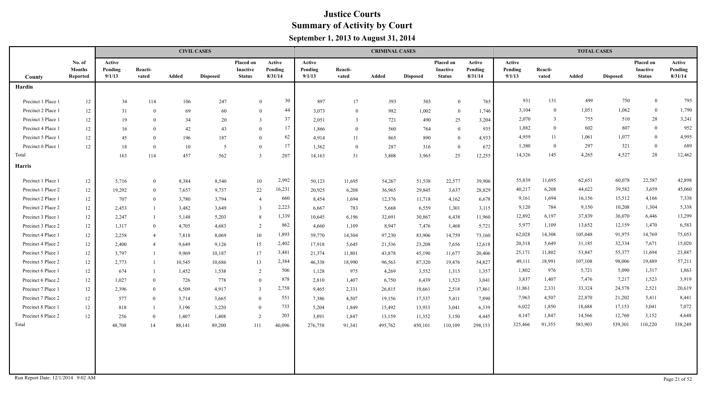|                                    |                                     |                             |                  |        | <b>CIVIL CASES</b> |                                        |                              |                             |                  | <b>CRIMINAL CASES</b> |                 |                                        |                              |                             |                  | <b>TOTAL CASES</b> |                 |                                        |                              |
|------------------------------------|-------------------------------------|-----------------------------|------------------|--------|--------------------|----------------------------------------|------------------------------|-----------------------------|------------------|-----------------------|-----------------|----------------------------------------|------------------------------|-----------------------------|------------------|--------------------|-----------------|----------------------------------------|------------------------------|
| County                             | No. of<br><b>Months</b><br>Reported | Active<br>Pending<br>9/1/13 | Reacti-<br>vated | Added  | <b>Disposed</b>    | Placed on<br>Inactive<br><b>Status</b> | Active<br>Pending<br>8/31/14 | Active<br>Pending<br>9/1/13 | Reacti-<br>vated | Added                 | <b>Disposed</b> | Placed on<br>Inactive<br><b>Status</b> | Active<br>Pending<br>8/31/14 | Active<br>Pending<br>9/1/13 | Reacti-<br>vated | Added              | <b>Disposed</b> | Placed on<br>Inactive<br><b>Status</b> | Active<br>Pending<br>8/31/14 |
| Hardin                             |                                     |                             |                  |        |                    |                                        |                              |                             |                  |                       |                 |                                        |                              |                             |                  |                    |                 |                                        |                              |
| Precinct 1 Place 1                 | 12                                  | 34                          | 114              | 106    | 247                |                                        | 30<br>$\Omega$               | 897                         | 17               | 393                   | 503             | $\Omega$                               | 765                          | 931                         | 131              | 499                | 750             | $\overline{0}$                         | 795                          |
| Precinct 2 Place 1                 | 12                                  | 31                          | $\theta$         | 69     | 60                 | $\Omega$                               | 44                           | 3,073                       | $\theta$         | 982                   | 1,002           | $\Omega$                               | 1,746                        | 3,104                       | $\overline{0}$   | 1,051              | 1,062           | $\mathbf{0}$                           | 1,790                        |
| Precinct 3 Place 1                 | 12                                  | 19                          | $\theta$         | 34     | 20                 | 3                                      | 37                           | 2,051                       | 3                | 721                   | 490             | 25                                     | 3,204                        | 2,070                       | 3                | 755                | 510             | 28                                     | 3,241                        |
| Precinct 4 Place 1                 | 12                                  | 16                          | $\theta$         | 42     | 43                 | $\theta$                               | 17                           | 1,866                       | $\theta$         | 560                   | 764             | $\Omega$                               | 935                          | 1,882                       | $\Omega$         | 602                | 807             | $\bf{0}$                               | 952                          |
| Precinct 5 Place 1                 | 12                                  | 45                          | $\theta$         | 196    | 187                | $\theta$                               | 62                           | 4,914                       | 11               | 865                   | 890             | $\theta$                               | 4,933                        | 4,959                       | 11               | 1,061              | 1,077           | $\mathbf{0}$                           | 4,995                        |
| Precinct 6 Place 1                 | 12                                  | 18                          | $\theta$         | 10     | 5                  | $\theta$                               | 17                           | 1,362                       | $\overline{0}$   | 287                   | 316             | $\bf{0}$                               | 672                          | 1,380                       | $\overline{0}$   | 297                | 321             | $\overline{0}$                         | 689                          |
| Total                              |                                     | 163                         | 114              | 457    | 562                | 3                                      | 207                          | 14,163                      | 31               | 3,808                 | 3,965           | 25                                     | 12,255                       | 14,326                      | 145              | 4,265              | 4,527           | 28                                     | 12,462                       |
| Harris                             |                                     |                             |                  |        |                    |                                        |                              |                             |                  |                       |                 |                                        |                              |                             |                  |                    |                 |                                        |                              |
| Precinct 1 Place 1                 | 12                                  | 5,716                       | $\overline{0}$   | 8,384  | 8,540              | 10                                     | 2,992                        | 50,123                      | 11,695           | 54,267                | 51,538          | 22,577                                 | 39,906                       | 55,839                      | 11,695           | 62,651             | 60,078          | 22,587                                 | 42,898                       |
| Precinct 1 Place 2                 | 12                                  | 19,292                      | $\theta$         | 7,657  | 9,737              | 22                                     | 16,231                       | 20,925                      | 6,208            | 36,965                | 29,845          | 3,637                                  | 28,829                       | 40,217                      | 6,208            | 44,622             | 39,582          | 3,659                                  | 45,060                       |
| Precinct 2 Place 1                 | 12                                  | 707                         | $\theta$         | 3,780  | 3,794              | $\overline{4}$                         | 660                          | 8,454                       | 1,694            | 12,376                | 11,718          | 4,162                                  | 6,678                        | 9,161                       | 1,694            | 16,156             | 15,512          | 4,166                                  | 7,338                        |
| Precinct 2 Place 2                 | 12                                  | 2,453                       |                  | 3,482  | 3,649              | $\overline{3}$                         | 2,223                        | 6,667                       | 783              | 5,668                 | 6,559           | 1,301                                  | 3,115                        | 9,120                       | 784              | 9,150              | 10,208          | 1,304                                  | 5,338                        |
| Precinct 3 Place 1                 | 12                                  | 2,247                       |                  | 5,148  | 5,203              | 8                                      | 1,339                        | 10,645                      | 6,196            | 32,691                | 30,867          | 6,438                                  | 11,960                       | 12,892                      | 6,197            | 37,839             | 36,070          | 6,446                                  | 13,299                       |
| Precinct 3 Place 2                 | 12                                  | 1,317                       | $\theta$         | 4,705  | 4,683              | 2                                      | 862                          | 4,660                       | 1,109            | 8,947                 | 7,476           | 1,468                                  | 5,721                        | 5,977                       | 1,109            | 13,652             | 12,159          | 1,470                                  | 6,583                        |
| Precinct 4 Place 1                 | 12                                  | 2,258                       | $\overline{4}$   | 7,818  | 8,069              | 10                                     | 1,893                        | 59,770                      | 14,304           | 97,230                | 83,906          | 14,759                                 | 73,160                       | 62,028                      | 14,308           | 105,048            | 91,975          | 14,769                                 | 75,053                       |
| Precinct 4 Place 2                 | 12                                  | 2,400                       | $\overline{4}$   | 9,649  | 9,126              | 15                                     | 2,402                        | 17,918                      | 5,645            | 21,536                | 23,208          | 7,656                                  | 12,618                       | 20,318                      | 5,649            | 31,185             | 32,334          | 7,671                                  | 15,020                       |
| Precinct 5 Place 1                 | 12                                  | 3,797                       |                  | 9,969  | 10,187             | 17                                     | 3,481                        | 21,374                      | 11,801           | 43,878                | 45,190          | 11,677                                 | 20,406                       | 25,171                      | 11,802           | 53,847             | 55,377          | 11,694                                 | 23,887                       |
| Precinct 5 Place 2                 | 12                                  | 2,773                       |                  | 10,545 | 10,686             | 13                                     | 2,384                        | 46,338                      | 18,990           | 96,563                | 87,320          | 19,476                                 | 54,827                       | 49,111                      | 18,991           | 107,108            | 98,006          | 19,489                                 | 57,211                       |
| Precinct 6 Place 1                 | 12                                  | 674                         |                  | 1,452  | 1,538              | 2                                      | 506                          | 1,128                       | 975              | 4,269                 | 3,552           | 1,315                                  | 1,357                        | 1,802                       | 976              | 5,721              | 5,090           | 1,317                                  | 1,863                        |
| Precinct 6 Place 2                 | 12                                  | 1,027                       | $\theta$         | 726    | 778                | $\Omega$                               | 878                          | 2,810                       | 1,407            | 6,750                 | 6,439           | 1,523                                  | 3,041                        | 3,837                       | 1,407            | 7,476              | 7,217           | 1,523                                  | 3,919                        |
| Precinct 7 Place 1                 | 12                                  | 2,396                       | $\theta$         | 6,509  | 4,917              | $\overline{3}$                         | 2,758                        | 9,465                       | 2,331            | 26,815                | 19,661          | 2,518                                  | 17,861                       | 11,861                      | 2,331            | 33,324             | 24,578          | 2,521                                  | 20,619                       |
| Precinct 7 Place 2                 | 12                                  | 577                         | $\theta$         | 3,714  | 3,665              | $\theta$                               | 551                          | 7,386                       | 4,507            | 19,156                | 17,537          | 5,411                                  | 7,890                        | 7,963                       | 4,507            | 22,870             | 21,202          | 5,411                                  | 8,441                        |
| Precinct 8 Place 1                 | 12                                  | 818                         |                  | 3,196  | 3,220              | $\theta$                               | 733                          | 5,204                       | 1,849            | 15,492                | 13,933          | 3,041                                  | 6,339                        | 6,022                       | 1,850            | 18,688             | 17,153          | 3,041                                  | 7,072                        |
| Precinct 8 Place 2                 | 12                                  | 256                         | $\overline{0}$   | 1,407  | 1,408              | 2                                      | 203                          | 3,891                       | 1,847            | 13,159                | 11,352          | 3,150                                  | 4,445                        | 4,147                       | 1,847            | 14,566             | 12,760          | 3,152                                  | 4,648                        |
| Total                              |                                     | 48,708                      | 14               | 88,141 | 89,200             | 111                                    | 40,096                       | 276,758                     | 91,341           | 495,762               | 450,101         | 110,109                                | 298,153                      | 325,466                     | 91,355           | 583,903            | 539,301         | 110,220                                | 338,249                      |
| Run Report Date: 12/1/2014 9:02 AM |                                     |                             |                  |        |                    |                                        |                              |                             |                  |                       |                 |                                        |                              |                             |                  |                    |                 |                                        | Page 21 of 52                |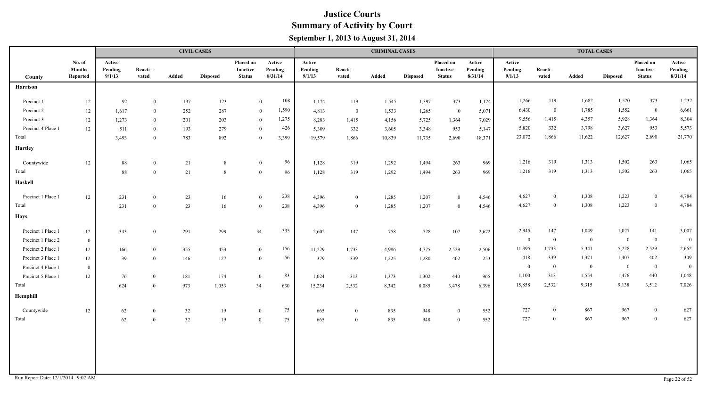|                    |                                     |                             |                  |        | <b>CIVIL CASES</b> |                                               |                              |                             |                  | <b>CRIMINAL CASES</b> |                 |                                        |                              |                             |                  | <b>TOTAL CASES</b> |                 |                                        |                              |
|--------------------|-------------------------------------|-----------------------------|------------------|--------|--------------------|-----------------------------------------------|------------------------------|-----------------------------|------------------|-----------------------|-----------------|----------------------------------------|------------------------------|-----------------------------|------------------|--------------------|-----------------|----------------------------------------|------------------------------|
| County             | No. of<br><b>Months</b><br>Reported | Active<br>Pending<br>9/1/13 | Reacti-<br>vated | Added  | <b>Disposed</b>    | Placed on<br><b>Inactive</b><br><b>Status</b> | Active<br>Pending<br>8/31/14 | Active<br>Pending<br>9/1/13 | Reacti-<br>vated | Added                 | <b>Disposed</b> | Placed on<br>Inactive<br><b>Status</b> | Active<br>Pending<br>8/31/14 | Active<br>Pending<br>9/1/13 | Reacti-<br>vated | Added              | <b>Disposed</b> | Placed on<br>Inactive<br><b>Status</b> | Active<br>Pending<br>8/31/14 |
| <b>Harrison</b>    |                                     |                             |                  |        |                    |                                               |                              |                             |                  |                       |                 |                                        |                              |                             |                  |                    |                 |                                        |                              |
| Precinct 1         | $12\,$                              | 92                          | $\overline{0}$   | 137    | 123                |                                               | 108<br>$\mathbf{0}$          | 1,174                       | 119              | 1,545                 | 1,397           | 373                                    | 1,124                        | 1,266                       | 119              | 1,682              | 1,520           | 373                                    | 1,232                        |
| Precinct 2         | 12                                  | 1,617                       | $\mathbf{0}$     | 252    | 287                |                                               | 1,590<br>$\mathbf{0}$        | 4,813                       | $\bf{0}$         | 1,533                 | 1,265           | $\overline{0}$                         | 5,071                        | 6,430                       | $\bf{0}$         | 1,785              | 1,552           | $\bf{0}$                               | 6,661                        |
| Precinct 3         | 12                                  | 1,273                       | $\mathbf{0}$     | 201    | 203                |                                               | 1,275<br>$\mathbf{0}$        | 8,283                       | 1,415            | 4,156                 | 5,725           | 1,364                                  | 7,029                        | 9,556                       | 1,415            | 4,357              | 5,928           | 1,364                                  | 8,304                        |
| Precinct 4 Place 1 | $12\,$                              | 511                         | $\bf{0}$         | 193    | 279                |                                               | 426<br>$\overline{0}$        | 5,309                       | 332              | 3,605                 | 3,348           | 953                                    | 5,147                        | 5,820                       | 332              | 3,798              | 3,627           | 953                                    | 5,573                        |
| Total              |                                     | 3,493                       | $\mathbf{0}$     | 783    | 892                |                                               | $\overline{0}$<br>3,399      | 19,579                      | 1,866            | 10,839                | 11,735          | 2,690                                  | 18,371                       | 23,072                      | 1,866            | 11,622             | 12,627          | 2,690                                  | 21,770                       |
| <b>Hartley</b>     |                                     |                             |                  |        |                    |                                               |                              |                             |                  |                       |                 |                                        |                              |                             |                  |                    |                 |                                        |                              |
| Countywide         | 12                                  | 88                          | $\mathbf{0}$     | 21     | 8                  |                                               | 96<br>$\mathbf{0}$           | 1,128                       | 319              | 1,292                 | 1,494           | 263                                    | 969                          | 1,216                       | 319              | 1,313              | 1,502           | 263                                    | 1,065                        |
| Total              |                                     | 88                          | $\mathbf{0}$     | $21\,$ | $\,8\,$            |                                               | 96<br>$\overline{0}$         | 1,128                       | 319              | 1,292                 | 1,494           | 263                                    | 969                          | 1,216                       | 319              | 1,313              | 1,502           | 263                                    | 1,065                        |
| <b>Haskell</b>     |                                     |                             |                  |        |                    |                                               |                              |                             |                  |                       |                 |                                        |                              |                             |                  |                    |                 |                                        |                              |
| Precinct 1 Place 1 | 12                                  | 231                         | $\mathbf{0}$     | 23     | 16                 |                                               | 238<br>$\mathbf{0}$          | 4,396                       | $\bf{0}$         | 1,285                 | 1,207           | $\mathbf{0}$                           | 4,546                        | 4,627                       | $\theta$         | 1,308              | 1,223           | $\bf{0}$                               | 4,784                        |
| Total              |                                     | 231                         | $\bf{0}$         | 23     | 16                 |                                               | 238<br>$\mathbf{0}$          | 4,396                       | $\overline{0}$   | 1,285                 | 1,207           | $\overline{0}$                         | 4,546                        | 4,627                       | $\bf{0}$         | 1,308              | 1,223           | $\overline{0}$                         | 4,784                        |
| <b>Hays</b>        |                                     |                             |                  |        |                    |                                               |                              |                             |                  |                       |                 |                                        |                              |                             |                  |                    |                 |                                        |                              |
| Precinct 1 Place 1 | 12                                  | 343                         | $\mathbf{0}$     | 291    | 299                | 34                                            | 335                          | 2,602                       | 147              | 758                   | 728             | 107                                    | 2,672                        | 2,945                       | 147              | 1,049              | 1,027           | 141                                    | 3,007                        |
| Precinct 1 Place 2 | $\mathbf{0}$                        |                             |                  |        |                    |                                               |                              |                             |                  |                       |                 |                                        |                              | $\overline{0}$              | $\bf{0}$         | $\overline{0}$     | $\overline{0}$  | $\bf{0}$                               | $\overline{0}$               |
| Precinct 2 Place 1 | $12\,$                              | 166                         | $\bf{0}$         | 355    | 453                |                                               | 156<br>$\overline{0}$        | 11,229                      | 1,733            | 4,986                 | 4,775           | 2,529                                  | 2,506                        | 11,395                      | 1,733            | 5,341              | 5,228           | 2,529                                  | 2,662                        |
| Precinct 3 Place 1 | $12\,$                              | 39                          | $\mathbf{0}$     | 146    | 127                |                                               | 56<br>$\overline{0}$         | 379                         | 339              | 1,225                 | 1,280           | 402                                    | 253                          | 418                         | 339              | 1,371              | 1,407           | 402                                    | 309                          |
| Precinct 4 Place 1 | $\overline{0}$                      |                             |                  |        |                    |                                               |                              |                             |                  |                       |                 |                                        |                              | $\overline{0}$              | $\overline{0}$   | $\overline{0}$     | $\overline{0}$  | $\bf{0}$                               | $\overline{0}$               |
| Precinct 5 Place 1 | 12                                  | 76                          | $\theta$         | 181    | 174                |                                               | 83<br>$\overline{0}$         | 1,024                       | 313              | 1,373                 | 1,302           | 440                                    | 965                          | 1,100                       | 313              | 1,554              | 1,476           | 440                                    | 1,048                        |
| Total              |                                     | 624                         | $\overline{0}$   | 973    | 1,053              | 34                                            | 630                          | 15,234                      | 2,532            | 8,342                 | 8,085           | 3,478                                  | 6,396                        | 15,858                      | 2,532            | 9,315              | 9,138           | 3,512                                  | 7,026                        |
| Hemphill           |                                     |                             |                  |        |                    |                                               |                              |                             |                  |                       |                 |                                        |                              |                             |                  |                    |                 |                                        |                              |
| Countywide         | 12                                  | $62\,$                      | $\mathbf{0}$     | 32     | 19                 |                                               | 75<br>$\overline{0}$         | 665                         | $\overline{0}$   | 835                   | 948             | $\bf{0}$                               | 552                          | 727                         | $\overline{0}$   | 867                | 967             | $\overline{0}$                         | 627                          |
| Total              |                                     | 62                          | $\mathbf{0}$     | 32     | 19                 |                                               | 75<br>$\overline{0}$         | 665                         | $\theta$         | 835                   | 948             | $\bf{0}$                               | 552                          | 727                         | $\overline{0}$   | 867                | 967             | $\overline{0}$                         | 627                          |
|                    |                                     |                             |                  |        |                    |                                               |                              |                             |                  |                       |                 |                                        |                              |                             |                  |                    |                 |                                        |                              |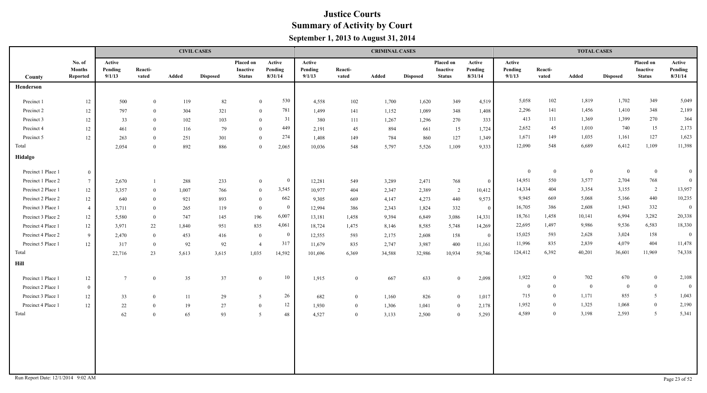|                    |                                     |                             |                  |       | <b>CIVIL CASES</b> |                                        |                              |                             |                  | <b>CRIMINAL CASES</b> |                 |                                        |                              |                             |                  | <b>TOTAL CASES</b> |                 |                                               |                              |
|--------------------|-------------------------------------|-----------------------------|------------------|-------|--------------------|----------------------------------------|------------------------------|-----------------------------|------------------|-----------------------|-----------------|----------------------------------------|------------------------------|-----------------------------|------------------|--------------------|-----------------|-----------------------------------------------|------------------------------|
| County             | No. of<br><b>Months</b><br>Reported | Active<br>Pending<br>9/1/13 | Reacti-<br>vated | Added | <b>Disposed</b>    | Placed on<br>Inactive<br><b>Status</b> | Active<br>Pending<br>8/31/14 | Active<br>Pending<br>9/1/13 | Reacti-<br>vated | Added                 | <b>Disposed</b> | Placed on<br>Inactive<br><b>Status</b> | Active<br>Pending<br>8/31/14 | Active<br>Pending<br>9/1/13 | Reacti-<br>vated | Added              | <b>Disposed</b> | Placed on<br><b>Inactive</b><br><b>Status</b> | Active<br>Pending<br>8/31/14 |
| Henderson          |                                     |                             |                  |       |                    |                                        |                              |                             |                  |                       |                 |                                        |                              |                             |                  |                    |                 |                                               |                              |
| Precinct 1         | 12                                  | 500                         | $\overline{0}$   | 119   | 82                 | $\overline{0}$                         | 530                          | 4,558                       | 102              | 1,700                 | 1,620           | 349                                    | 4,519                        | 5,058                       | 102              | 1,819              | 1,702           | 349                                           | 5,049                        |
| Precinct 2         | $12\,$                              | 797                         | $\overline{0}$   | 304   | 321                | $\overline{0}$                         | 781                          | 1,499                       | 141              | 1,152                 | 1,089           | 348                                    | 1,408                        | 2,296                       | 141              | 1,456              | 1,410           | 348                                           | 2,189                        |
| Precinct 3         | $12 \,$                             | 33                          | $\theta$         | 102   | 103                | $\mathbf{0}$                           | 31                           | 380                         | 111              | 1,267                 | 1,296           | 270                                    | 333                          | 413                         | 111              | 1,369              | 1,399           | 270                                           | 364                          |
| Precinct 4         | 12                                  | 461                         | $\theta$         | 116   | 79                 | $\theta$                               | 449                          | 2,191                       | 45               | 894                   | 661             | 15                                     | 1,724                        | 2,652                       | 45               | 1,010              | 740             | 15                                            | 2,173                        |
| Precinct 5         | 12                                  | 263                         | $\mathbf{0}$     | 251   | 301                | $\mathbf{0}$                           | 274                          | 1,408                       | 149              | 784                   | 860             | 127                                    | 1,349                        | 1,671                       | 149              | 1,035              | 1,161           | 127                                           | 1,623                        |
| Total              |                                     | 2,054                       | $\Omega$         | 892   | 886                | $\Omega$                               | 2,065                        | 10,036                      | 548              | 5,797                 | 5,526           | 1,109                                  | 9,333                        | 12,090                      | 548              | 6,689              | 6,412           | 1,109                                         | 11,398                       |
| Hidalgo            |                                     |                             |                  |       |                    |                                        |                              |                             |                  |                       |                 |                                        |                              |                             |                  |                    |                 |                                               |                              |
| Precinct 1 Place 1 | $\overline{0}$                      |                             |                  |       |                    |                                        |                              |                             |                  |                       |                 |                                        |                              | $\theta$                    | $\bf{0}$         | $\mathbf{0}$       | $\bf{0}$        | $\boldsymbol{0}$                              | $\bf{0}$                     |
| Precinct 1 Place 2 | $7\phantom{.0}$                     | 2,670                       |                  | 288   | 233                | $\mathbf{0}$                           | $\overline{0}$               | 12,281                      | 549              | 3,289                 | 2,471           | 768                                    | $\bf{0}$                     | 14,951                      | 550              | 3,577              | 2,704           | 768                                           | $\mathbf{0}$                 |
| Precinct 2 Place 1 | $12 \,$                             | 3,357                       | $\overline{0}$   | 1,007 | 766                | $\mathbf{0}$                           | 3,545                        | 10,977                      | 404              | 2,347                 | 2,389           | $\overline{2}$                         | 10,412                       | 14,334                      | 404              | 3,354              | 3,155           | $\overline{2}$                                | 13,957                       |
| Precinct 2 Place 2 | 12                                  | 640                         | $\mathbf{0}$     | 921   | 893                | $\overline{0}$                         | 662                          | 9,305                       | 669              | 4,147                 | 4,273           | 440                                    | 9,573                        | 9,945                       | 669              | 5,068              | 5,166           | 440                                           | 10,235                       |
| Precinct 3 Place 1 | $\overline{4}$                      | 3,711                       | $\bf{0}$         | 265   | 119                | $\overline{0}$                         | $\Omega$                     | 12,994                      | 386              | 2,343                 | 1,824           | 332                                    | $\mathbf{0}$                 | 16,705                      | 386              | 2,608              | 1,943           | 332                                           | $\overline{0}$               |
| Precinct 3 Place 2 | 12                                  | 5,580                       | $\bf{0}$         | 747   | 145                | 196                                    | 6,007                        | 13,181                      | 1,458            | 9,394                 | 6,849           | 3,086                                  | 14,331                       | 18,761                      | 1,458            | 10,141             | 6,994           | 3,282                                         | 20,338                       |
| Precinct 4 Place 1 | $12 \,$                             | 3,971                       | $22\,$           | 1,840 | 951                | 835                                    | 4,061                        | 18,724                      | 1,475            | 8,146                 | 8,585           | 5,748                                  | 14,269                       | 22,695                      | 1,497            | 9,986              | 9,536           | 6,583                                         | 18,330                       |
| Precinct 4 Place 2 | -9                                  | 2,470                       | $\overline{0}$   | 453   | 416                | $\overline{0}$                         | $\overline{0}$               | 12,555                      | 593              | 2,175                 | 2,608           | 158                                    | $\mathbf{0}$                 | 15,025                      | 593              | 2,628              | 3,024           | 158                                           | $\overline{0}$               |
| Precinct 5 Place 1 | 12                                  | 317                         | $\overline{0}$   | 92    | 92                 | $\overline{4}$                         | 317                          | 11,679                      | 835              | 2,747                 | 3,987           | 400                                    | 11,161                       | 11,996                      | 835              | 2,839              | 4,079           | 404                                           | 11,478                       |
| Total              |                                     | 22,716                      | 23               | 5,613 | 3,615              | 1,035                                  | 14,592                       | 101,696                     | 6,369            | 34,588                | 32,986          | 10,934                                 | 59,746                       | 124,412                     | 6,392            | 40,201             | 36,601          | 11,969                                        | 74,338                       |
| Hill               |                                     |                             |                  |       |                    |                                        |                              |                             |                  |                       |                 |                                        |                              |                             |                  |                    |                 |                                               |                              |
| Precinct 1 Place 1 | 12                                  | $7\overline{ }$             | $\overline{0}$   | 35    | 37                 | $\mathbf{0}$                           | 10                           | 1,915                       | $\mathbf{0}$     | 667                   | 633             | $\overline{0}$                         | 2,098                        | 1,922                       | $\bf{0}$         | 702                | 670             | $\boldsymbol{0}$                              | 2,108                        |
| Precinct 2 Place 1 | $\bf{0}$                            |                             |                  |       |                    |                                        |                              |                             |                  |                       |                 |                                        |                              | $\bf{0}$                    | $\overline{0}$   | $\bf{0}$           | $\mathbf{0}$    | $\boldsymbol{0}$                              | $\overline{0}$               |
| Precinct 3 Place 1 | 12                                  | 33                          | $\overline{0}$   | 11    | 29                 | $5\overline{)}$                        | 26                           | 682                         | $\overline{0}$   | 1,160                 | 826             | $\bf{0}$                               | 1,017                        | 715                         | $\overline{0}$   | 1,171              | 855             | 5 <sup>5</sup>                                | 1,043                        |
| Precinct 4 Place 1 | 12                                  | 22                          | $\theta$         | 19    | 27                 | $\theta$                               | 12                           | 1,930                       | $\overline{0}$   | 1,306                 | 1,041           | $\bf{0}$                               | 2,178                        | 1,952                       | $\bf{0}$         | 1,325              | 1,068           | $\mathbf{0}$                                  | 2,190                        |
| Total              |                                     | 62                          | $\theta$         | 65    | 93                 | 5                                      | 48                           | 4,527                       | $\overline{0}$   | 3,133                 | 2,500           | $\bf{0}$                               | 5,293                        | 4,589                       | $\bf{0}$         | 3,198              | 2,593           | $5\overline{)}$                               | 5,341                        |
|                    |                                     |                             |                  |       |                    |                                        |                              |                             |                  |                       |                 |                                        |                              |                             |                  |                    |                 |                                               |                              |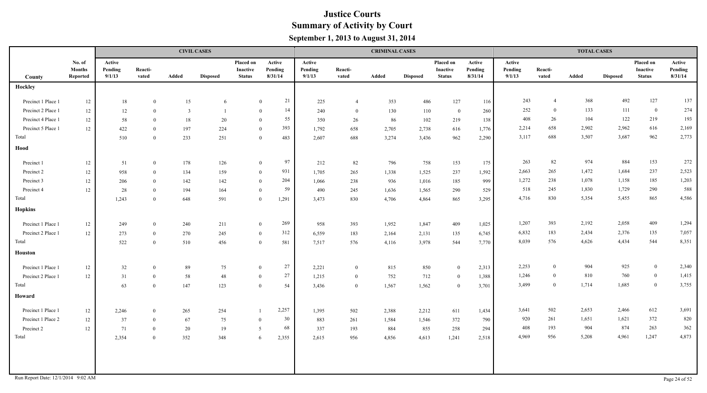|                                    |                                     |                             |                  |                         | <b>CIVIL CASES</b> |                                        |                              |                             |                  | <b>CRIMINAL CASES</b> |                 |                                        |                              |                             |                  | <b>TOTAL CASES</b> |                 |                                        |                              |
|------------------------------------|-------------------------------------|-----------------------------|------------------|-------------------------|--------------------|----------------------------------------|------------------------------|-----------------------------|------------------|-----------------------|-----------------|----------------------------------------|------------------------------|-----------------------------|------------------|--------------------|-----------------|----------------------------------------|------------------------------|
| County                             | No. of<br><b>Months</b><br>Reported | Active<br>Pending<br>9/1/13 | Reacti-<br>vated | Added                   | <b>Disposed</b>    | Placed on<br>Inactive<br><b>Status</b> | Active<br>Pending<br>8/31/14 | Active<br>Pending<br>9/1/13 | Reacti-<br>vated | Added                 | <b>Disposed</b> | Placed on<br>Inactive<br><b>Status</b> | Active<br>Pending<br>8/31/14 | Active<br>Pending<br>9/1/13 | Reacti-<br>vated | Added              | <b>Disposed</b> | Placed on<br>Inactive<br><b>Status</b> | Active<br>Pending<br>8/31/14 |
| Hockley                            |                                     |                             |                  |                         |                    |                                        |                              |                             |                  |                       |                 |                                        |                              |                             |                  |                    |                 |                                        |                              |
| Precinct 1 Place 1                 | 12                                  | 18                          | $\overline{0}$   | 15                      | 6                  |                                        | 21<br>$\mathbf{0}$           | 225                         | $\overline{4}$   | 353                   | 486             | 127                                    | 116                          | 243                         | $\overline{4}$   | 368                | 492             | 127                                    | 137                          |
| Precinct 2 Place 1                 | 12                                  | 12                          | $\theta$         | $\overline{\mathbf{3}}$ |                    |                                        | 14<br>$\overline{0}$         | 240                         | $\bf{0}$         | 130                   | 110             | $\overline{0}$                         | 260                          | 252                         | $\overline{0}$   | 133                | 111             | $\overline{0}$                         | 274                          |
| Precinct 4 Place 1                 | 12                                  | 58                          | $\theta$         | 18                      | 20                 |                                        | 55<br>$\theta$               | 350                         | 26               | 86                    | 102             | 219                                    | 138                          | 408                         | 26               | 104                | 122             | 219                                    | 193                          |
| Precinct 5 Place 1                 | 12                                  | 422                         | $\theta$         | 197                     | 224                |                                        | 393<br>$\mathbf{0}$          | 1,792                       | 658              | 2,705                 | 2,738           | 616                                    | 1,776                        | 2,214                       | 658              | 2,902              | 2,962           | 616                                    | 2,169                        |
| Total                              |                                     | 510                         | $\bf{0}$         | 233                     | 251                |                                        | 483<br>$\bf{0}$              | 2,607                       | 688              | 3,274                 | 3,436           | 962                                    | 2,290                        | 3,117                       | 688              | 3,507              | 3,687           | 962                                    | 2,773                        |
| Hood                               |                                     |                             |                  |                         |                    |                                        |                              |                             |                  |                       |                 |                                        |                              |                             |                  |                    |                 |                                        |                              |
| Precinct 1                         | 12                                  | 51                          | $\overline{0}$   | 178                     | 126                |                                        | 97<br>$\mathbf{0}$           | 212                         | 82               | 796                   | 758             | 153                                    | 175                          | 263                         | 82               | 974                | 884             | 153                                    | 272                          |
| Precinct 2                         | 12                                  | 958                         | $\theta$         | 134                     | 159                |                                        | 931<br>$\bf{0}$              | 1,705                       | 265              | 1,338                 | 1,525           | 237                                    | 1,592                        | 2,663                       | 265              | 1,472              | 1,684           | 237                                    | 2,523                        |
| Precinct 3                         | 12                                  | 206                         | $\overline{0}$   | 142                     | 142                |                                        | 204<br>$\mathbf{0}$          | 1,066                       | 238              | 936                   | 1,016           | 185                                    | 999                          | 1,272                       | 238              | 1,078              | 1,158           | 185                                    | 1,203                        |
| Precinct 4                         | 12                                  | 28                          | $\overline{0}$   | 194                     | 164                | $\overline{0}$                         | 59                           | 490                         | 245              | 1,636                 | 1,565           | 290                                    | 529                          | 518                         | 245              | 1,830              | 1,729           | 290                                    | 588                          |
| Total                              |                                     | 1,243                       | $\overline{0}$   | 648                     | 591                | $\overline{0}$                         | 1,291                        | 3,473                       | 830              | 4,706                 | 4,864           | 865                                    | 3,295                        | 4,716                       | 830              | 5,354              | 5,455           | 865                                    | 4,586                        |
| <b>Hopkins</b>                     |                                     |                             |                  |                         |                    |                                        |                              |                             |                  |                       |                 |                                        |                              |                             |                  |                    |                 |                                        |                              |
| Precinct 1 Place 1                 | 12                                  | 249                         | $\theta$         | 240                     | 211                |                                        | 269<br>$\bf{0}$              | 958                         | 393              | 1,952                 | 1,847           | 409                                    | 1,025                        | 1,207                       | 393              | 2,192              | 2,058           | 409                                    | 1,294                        |
| Precinct 2 Place 1                 | 12                                  | 273                         | $\overline{0}$   | 270                     | 245                | $\mathbf{0}$                           | 312                          | 6,559                       | 183              | 2,164                 | 2,131           | 135                                    | 6,745                        | 6,832                       | 183              | 2,434              | 2,376           | 135                                    | 7,057                        |
| Total                              |                                     | 522                         | $\theta$         | 510                     | 456                | $\overline{0}$                         | 581                          | 7,517                       | 576              | 4,116                 | 3,978           | 544                                    | 7,770                        | 8,039                       | 576              | 4,626              | 4,434           | 544                                    | 8,351                        |
| <b>Houston</b>                     |                                     |                             |                  |                         |                    |                                        |                              |                             |                  |                       |                 |                                        |                              |                             |                  |                    |                 |                                        |                              |
| Precinct 1 Place 1                 | 12                                  | 32                          | $\theta$         | 89                      | 75                 | $\overline{0}$                         | 27                           | 2,221                       | $\overline{0}$   | 815                   | 850             | $\overline{0}$                         | 2,313                        | 2,253                       | $\mathbf{0}$     | 904                | 925             | $\mathbf{0}$                           | 2,340                        |
| Precinct 2 Place 1                 | 12                                  | 31                          | $\overline{0}$   | 58                      | 48                 | $\overline{0}$                         | 27                           | 1,215                       | $\bf{0}$         | 752                   | 712             | $\bf{0}$                               | 1,388                        | 1,246                       | $\bf{0}$         | 810                | 760             | $\overline{0}$                         | 1,415                        |
| Total                              |                                     | 63                          | $\theta$         | 147                     | 123                | $\theta$                               | 54                           | 3,436                       | $\overline{0}$   | 1,567                 | 1,562           | $\mathbf{0}$                           | 3,701                        | 3,499                       | $\overline{0}$   | 1,714              | 1,685           | $\bf{0}$                               | 3,755                        |
| Howard                             |                                     |                             |                  |                         |                    |                                        |                              |                             |                  |                       |                 |                                        |                              |                             |                  |                    |                 |                                        |                              |
| Precinct 1 Place 1                 | 12                                  | 2,246                       | $\overline{0}$   | 265                     | 254                |                                        | 2,257                        | 1,395                       | 502              | 2,388                 | 2,212           | 611                                    | 1,434                        | 3,641                       | 502              | 2,653              | 2,466           | 612                                    | 3,691                        |
| Precinct 1 Place 2                 | 12                                  | 37                          | $\overline{0}$   | 67                      | 75                 | $\overline{0}$                         | 30                           | 883                         | 261              | 1,584                 | 1,546           | 372                                    | 790                          | 920                         | 261              | 1,651              | 1,621           | 372                                    | 820                          |
| Precinct 2                         | $12 \,$                             | 71                          | $\theta$         | 20                      | 19                 | -5                                     | 68                           | 337                         | 193              | 884                   | 855             | 258                                    | 294                          | 408                         | 193              | 904                | 874             | 263                                    | 362                          |
| Total                              |                                     | 2,354                       | $\overline{0}$   | 352                     | 348                |                                        | 6<br>2,355                   | 2,615                       | 956              | 4,856                 | 4,613           | 1,241                                  | 2,518                        | 4,969                       | 956              | 5,208              | 4,961           | 1,247                                  | 4,873                        |
|                                    |                                     |                             |                  |                         |                    |                                        |                              |                             |                  |                       |                 |                                        |                              |                             |                  |                    |                 |                                        |                              |
|                                    |                                     |                             |                  |                         |                    |                                        |                              |                             |                  |                       |                 |                                        |                              |                             |                  |                    |                 |                                        |                              |
| Run Report Date: 12/1/2014 9:02 AM |                                     |                             |                  |                         |                    |                                        |                              |                             |                  |                       |                 |                                        |                              |                             |                  |                    |                 |                                        | Page 24 of 52                |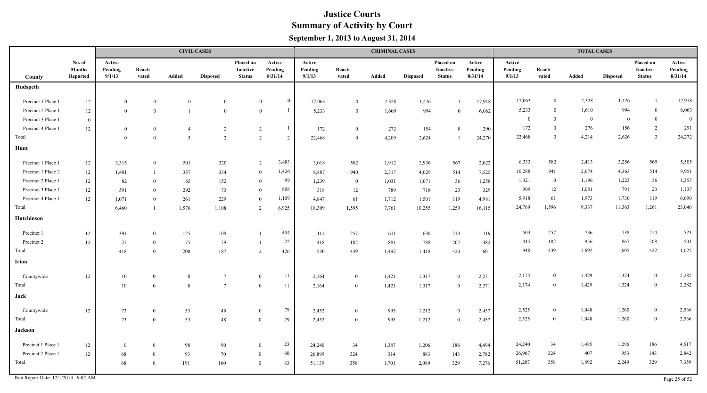|                    |                                     |                             |                  |                | <b>CIVIL CASES</b> |                                        |                                  |                             |                  | <b>CRIMINAL CASES</b> |                 |                                        |                              |                             |                  | <b>TOTAL CASES</b> |                 |                                        |                              |
|--------------------|-------------------------------------|-----------------------------|------------------|----------------|--------------------|----------------------------------------|----------------------------------|-----------------------------|------------------|-----------------------|-----------------|----------------------------------------|------------------------------|-----------------------------|------------------|--------------------|-----------------|----------------------------------------|------------------------------|
| County             | No. of<br><b>Months</b><br>Reported | Active<br>Pending<br>9/1/13 | Reacti-<br>vated | Added          | <b>Disposed</b>    | Placed on<br>Inactive<br><b>Status</b> | Active<br>Pending<br>8/31/14     | Active<br>Pending<br>9/1/13 | Reacti-<br>vated | Added                 | <b>Disposed</b> | Placed on<br>Inactive<br><b>Status</b> | Active<br>Pending<br>8/31/14 | Active<br>Pending<br>9/1/13 | Reacti-<br>vated | Added              | <b>Disposed</b> | Placed on<br>Inactive<br><b>Status</b> | Active<br>Pending<br>8/31/14 |
| Hudspeth           |                                     |                             |                  |                |                    |                                        |                                  |                             |                  |                       |                 |                                        |                              |                             |                  |                    |                 |                                        |                              |
| Precinct 1 Place 1 | 12                                  | $\bf{0}$                    | $\theta$         | $\mathbf{0}$   | $\mathbf{0}$       |                                        | $\bf{0}$<br>$\mathbf{0}$         | 17,063                      | $\overline{0}$   | 2,328                 | 1,476           | $\overline{1}$                         | 17,918                       | 17,063                      | $\theta$         | 2,328              | 1,476           | $\mathbf{1}$                           | 17,918                       |
| Precinct 2 Place 1 | 12                                  | $\overline{0}$              | $\theta$         | $\overline{1}$ | $\mathbf{0}$       |                                        | $\overline{1}$<br>$\overline{0}$ | 5,233                       | $\overline{0}$   | 1,609                 | 994             | $\overline{0}$                         | 6,062                        | 5,233                       | $\theta$         | 1,610              | 994             | $\bf{0}$                               | 6,063                        |
| Precinct 3 Place 1 | $\overline{0}$                      |                             |                  |                |                    |                                        |                                  |                             |                  |                       |                 |                                        |                              | $\bf{0}$                    | $\theta$         | $\overline{0}$     | $\overline{0}$  | $\bf{0}$                               | $\overline{0}$               |
| Precinct 4 Place 1 | 12                                  | $\mathbf{0}$                | $\theta$         | $\overline{4}$ | 2                  |                                        | $\overline{1}$<br>2              | 172                         | $\overline{0}$   | 272                   | 154             | $\overline{0}$                         | 290                          | 172                         | $\theta$         | 276                | 156             | $\overline{2}$                         | 291                          |
| Total              |                                     | $\mathbf{0}$                | $\theta$         | 5              | 2                  | 2                                      | 2                                | 22,468                      | $\theta$         | 4,209                 | 2,624           | $\overline{1}$                         | 24,270                       | 22,468                      | $\Omega$         | 4,214              | 2,626           | $\overline{\mathbf{3}}$                | 24,272                       |
| Hunt               |                                     |                             |                  |                |                    |                                        |                                  |                             |                  |                       |                 |                                        |                              |                             |                  |                    |                 |                                        |                              |
| Precinct 1 Place 1 | $12 \,$                             | 3,315                       | $\theta$         | 501            | 320                |                                        | 3,483<br>$\overline{2}$          | 3,018                       | 582              | 1,912                 | 2,936           | 567                                    | 2,022                        | 6,333                       | 582              | 2,413              | 3,256           | 569                                    | 5,505                        |
| Precinct 1 Place 2 | 12                                  | 1,401                       |                  | 357            | 334                |                                        | 1,426<br>$\theta$                | 8,887                       | 940              | 2,317                 | 4,029           | 514                                    | 7,525                        | 10,288                      | 941              | 2,674              | 4,363           | 514                                    | 8,951                        |
| Precinct 2 Place 1 | 12                                  | 82                          | $\theta$         | 165            | 152                |                                        | 99<br>$\overline{0}$             | 1,239                       | $\overline{0}$   | 1,031                 | 1,071           | 36                                     | 1,258                        | 1,321                       | $\overline{0}$   | 1,196              | 1,223           | 36                                     | 1,357                        |
| Precinct 3 Place 1 | 12                                  | 591                         | $\mathbf{0}$     | 292            | 73                 | $\mathbf{0}$                           | 808                              | 318                         | $12\,$           | 789                   | 718             | 23                                     | 329                          | 909                         | 12               | 1,081              | 791             | 23                                     | 1,137                        |
| Precinct 4 Place 1 | 12                                  | 1,071                       | $\theta$         | 261            | 229                | $\theta$                               | 1,109                            | 4,847                       | 61               | 1,712                 | 1,501           | 119                                    | 4,981                        | 5,918                       | 61               | 1,973              | 1,730           | 119                                    | 6,090                        |
| Total              |                                     | 6,460                       | $\overline{1}$   | 1,576          | 1,108              | 2                                      | 6,925                            | 18,309                      | 1,595            | 7,761                 | 10,255          | 1,259                                  | 16,115                       | 24,769                      | 1,596            | 9,337              | 11,363          | 1,261                                  | 23,040                       |
| Hutchinson         |                                     |                             |                  |                |                    |                                        |                                  |                             |                  |                       |                 |                                        |                              |                             |                  |                    |                 |                                        |                              |
| Precinct 1         | $12 \,$                             | 391                         | $\theta$         | 125            | 108                |                                        | 404                              | 112                         | 257              | 611                   | 630             | 213                                    | 119                          | 503                         | 257              | 736                | 738             | 214                                    | 523                          |
| Precinct 2         | 12                                  | 27                          | $\theta$         | 75             | 79                 | $\overline{1}$                         | 22                               | 418                         | 182              | 881                   | 788             | 207                                    | 482                          | 445                         | 182              | 956                | 867             | 208                                    | 504                          |
| Total              |                                     | 418                         | $\theta$         | 200            | 187                | 2                                      | 426                              | 530                         | 439              | 1,492                 | 1,418           | 420                                    | 601                          | 948                         | 439              | 1,692              | 1,605           | 422                                    | 1,027                        |
| <b>Irion</b>       |                                     |                             |                  |                |                    |                                        |                                  |                             |                  |                       |                 |                                        |                              |                             |                  |                    |                 |                                        |                              |
| Countywide         | 12                                  | 10                          | $\overline{0}$   | 8              | $7\overline{ }$    | $\mathbf{0}$                           | 11                               | 2,164                       | $\overline{0}$   | 1,421                 | 1,317           | $\overline{0}$                         | 2,271                        | 2,174                       | $\overline{0}$   | 1,429              | 1,324           | $\bf{0}$                               | 2,282                        |
| Total              |                                     | 10                          | $\overline{0}$   | 8              | $7\overline{ }$    | $\overline{0}$                         | 11                               | 2,164                       | $\overline{0}$   | 1,421                 | 1,317           | $\theta$                               | 2,271                        | 2,174                       | $\mathbf{0}$     | 1,429              | 1,324           | $\boldsymbol{0}$                       | 2,282                        |
| Jack               |                                     |                             |                  |                |                    |                                        |                                  |                             |                  |                       |                 |                                        |                              |                             |                  |                    |                 |                                        |                              |
| Countywide         | 12                                  | 73                          | $\overline{0}$   | 53             | 48                 | $\theta$                               | 79                               | 2,452                       | $\bf{0}$         | 995                   | 1,212           | $\bf{0}$                               | 2,457                        | 2,525                       | $\bf{0}$         | 1,048              | 1,260           | $\bf{0}$                               | 2,536                        |
| Total              |                                     | 73                          | $\overline{0}$   | 53             | 48                 | $\overline{0}$                         | 79                               | 2,452                       | $\overline{0}$   | 995                   | 1,212           | $\overline{0}$                         | 2,457                        | 2,525                       | $\overline{0}$   | 1,048              | 1,260           | $\boldsymbol{0}$                       | 2,536                        |
| <b>Jackson</b>     |                                     |                             |                  |                |                    |                                        |                                  |                             |                  |                       |                 |                                        |                              |                             |                  |                    |                 |                                        |                              |
| Precinct 1 Place 1 | 12                                  | $\bf{0}$                    | $\overline{0}$   | 98             | 90                 | $\theta$                               | 23                               | 24,240                      | 34               | 1,387                 | 1,206           | 186                                    | 4,494                        | 24,240                      | 34               | 1,485              | 1,296           | 186                                    | 4,517                        |
| Precinct 2 Place 1 | 12                                  | 68                          | $\theta$         | 93             | 70                 | $\theta$                               | 60                               | 26,899                      | 324              | 314                   | 883             | 143                                    | 2,782                        | 26,967                      | 324              | 407                | 953             | 143                                    | 2,842                        |
| Total              |                                     | 68                          | $\theta$         | 191            | 160                | $\theta$                               | 83                               | 51,139                      | 358              | 1,701                 | 2,089           | 329                                    | 7,276                        | 51,207                      | 358              | 1,892              | 2,249           | 329                                    | 7,359                        |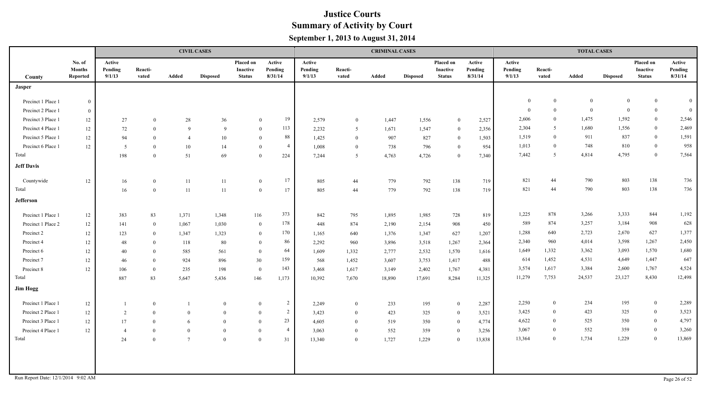|                                    |                                     |                             |                  |                 | <b>CIVIL CASES</b> |                                        |                              |                             |                  | <b>CRIMINAL CASES</b> |                 |                                        |                              |                             |                  | <b>TOTAL CASES</b> |                 |                                               |                              |
|------------------------------------|-------------------------------------|-----------------------------|------------------|-----------------|--------------------|----------------------------------------|------------------------------|-----------------------------|------------------|-----------------------|-----------------|----------------------------------------|------------------------------|-----------------------------|------------------|--------------------|-----------------|-----------------------------------------------|------------------------------|
| County                             | No. of<br><b>Months</b><br>Reported | Active<br>Pending<br>9/1/13 | Reacti-<br>vated | Added           | <b>Disposed</b>    | Placed on<br>Inactive<br><b>Status</b> | Active<br>Pending<br>8/31/14 | Active<br>Pending<br>9/1/13 | Reacti-<br>vated | Added                 | <b>Disposed</b> | Placed on<br>Inactive<br><b>Status</b> | Active<br>Pending<br>8/31/14 | Active<br>Pending<br>9/1/13 | Reacti-<br>vated | Added              | <b>Disposed</b> | Placed on<br><b>Inactive</b><br><b>Status</b> | Active<br>Pending<br>8/31/14 |
| <b>Jasper</b>                      |                                     |                             |                  |                 |                    |                                        |                              |                             |                  |                       |                 |                                        |                              |                             |                  |                    |                 |                                               |                              |
| Precinct 1 Place 1                 | $\overline{0}$                      |                             |                  |                 |                    |                                        |                              |                             |                  |                       |                 |                                        |                              | $\theta$                    | $\mathbf{0}$     | $\mathbf{0}$       | $\overline{0}$  | $\overline{0}$                                | $\overline{0}$               |
| Precinct 2 Place 1                 | $\overline{0}$                      |                             |                  |                 |                    |                                        |                              |                             |                  |                       |                 |                                        |                              | $\Omega$                    | $\mathbf{0}$     | $\overline{0}$     | $\overline{0}$  | $\bf{0}$                                      | $\overline{0}$               |
| Precinct 3 Place 1                 | 12                                  | 27                          | $\theta$         | 28              | 36                 | $\bf{0}$                               | 19                           | 2,579                       | $\bf{0}$         | 1,447                 | 1,556           | $\overline{0}$                         | 2,527                        | 2,606                       | $\theta$         | 1,475              | 1,592           | $\mathbf{0}$                                  | 2,546                        |
| Precinct 4 Place 1                 | 12                                  | 72                          | $\theta$         | 9               | 9                  | $\bf{0}$                               | 113                          | 2,232                       | -5               | 1,671                 | 1,547           | $\theta$                               | 2,356                        | 2,304                       | 5                | 1,680              | 1,556           | $\mathbf{0}$                                  | 2,469                        |
| Precinct 5 Place 1                 | 12                                  | 94                          | $\overline{0}$   | $\overline{4}$  | 10                 | $\bf{0}$                               | 88                           | 1,425                       | $\overline{0}$   | 907                   | 827             | $\overline{0}$                         | 1,503                        | 1,519                       | $\overline{0}$   | 911                | 837             | $\mathbf{0}$                                  | 1,591                        |
| Precinct 6 Place 1                 | $12\,$                              | $5\overline{)}$             | $\theta$         | 10              | 14                 | $\overline{0}$                         | $\overline{4}$               | 1,008                       | $\overline{0}$   | 738                   | 796             | $\overline{0}$                         | 954                          | 1,013                       | $\theta$         | 748                | 810             | $\bf{0}$                                      | 958                          |
| Total                              |                                     | 198                         | $\theta$         | 51              | 69                 | $\overline{0}$                         | 224                          | 7,244                       | 5                | 4,763                 | 4,726           | $\overline{0}$                         | 7,340                        | 7,442                       | 5                | 4,814              | 4,795           | $\bf{0}$                                      | 7,564                        |
| <b>Jeff Davis</b>                  |                                     |                             |                  |                 |                    |                                        |                              |                             |                  |                       |                 |                                        |                              |                             |                  |                    |                 |                                               |                              |
| Countywide                         | 12                                  | 16                          | $\overline{0}$   | 11              | 11                 | $\mathbf{0}$                           | 17                           | 805                         | 44               | 779                   | 792             | 138                                    | 719                          | 821                         | 44               | 790                | 803             | 138                                           | 736                          |
| Total                              |                                     | 16                          | $\overline{0}$   | 11              | 11                 | $\overline{0}$                         | 17                           | 805                         | 44               | 779                   | 792             | 138                                    | 719                          | 821                         | 44               | 790                | 803             | 138                                           | 736                          |
| Jefferson                          |                                     |                             |                  |                 |                    |                                        |                              |                             |                  |                       |                 |                                        |                              |                             |                  |                    |                 |                                               |                              |
| Precinct 1 Place 1                 | 12                                  | 383                         | 83               | 1,371           | 1,348              | 116                                    | 373                          | 842                         | 795              | 1,895                 | 1,985           | 728                                    | 819                          | 1,225                       | 878              | 3,266              | 3,333           | 844                                           | 1,192                        |
| Precinct 1 Place 2                 | 12                                  | 141                         | $\bf{0}$         | 1,067           | 1,030              | $\overline{0}$                         | 178                          | 448                         | 874              | 2,190                 | 2,154           | 908                                    | 450                          | 589                         | 874              | 3,257              | 3,184           | 908                                           | 628                          |
| Precinct 2                         | 12                                  | 123                         | $\overline{0}$   | 1,347           | 1,323              | $\mathbf{0}$                           | 170                          | 1,165                       | 640              | 1,376                 | 1,347           | 627                                    | 1,207                        | 1,288                       | 640              | 2,723              | 2,670           | 627                                           | 1,377                        |
| Precinct 4                         | 12                                  | 48                          | $\theta$         | 118             | 80                 | $\theta$                               | 86                           | 2,292                       | 960              | 3,896                 | 3,518           | 1,267                                  | 2,364                        | 2,340                       | 960              | 4,014              | 3,598           | 1,267                                         | 2,450                        |
| Precinct 6                         | 12                                  | 40                          | $\Omega$         | 585             | 561                | $\overline{0}$                         | 64                           | 1,609                       | 1,332            | 2,777                 | 2,532           | 1,570                                  | 1,616                        | 1,649                       | 1,332            | 3,362              | 3,093           | 1,570                                         | 1,680                        |
| Precinct 7                         | 12                                  | 46                          | $\overline{0}$   | 924             | 896                | 30                                     | 159                          | 568                         | 1,452            | 3,607                 | 3,753           | 1,417                                  | 488                          | 614                         | 1,452            | 4,531              | 4,649           | 1,447                                         | 647                          |
| Precinct 8                         | 12                                  | 106                         | $\overline{0}$   | 235             | 198                | $\overline{0}$                         | 143                          | 3,468                       | 1,617            | 3,149                 | 2,402           | 1,767                                  | 4,381                        | 3,574                       | 1,617            | 3,384              | 2,600           | 1,767                                         | 4,524                        |
| Total                              |                                     | 887                         | 83               | 5,647           | 5,436              | 146                                    | 1,173                        | 10,392                      | 7,670            | 18,890                | 17,691          | 8,284                                  | 11,325                       | 11,279                      | 7,753            | 24,537             | 23,127          | 8,430                                         | 12,498                       |
| <b>Jim Hogg</b>                    |                                     |                             |                  |                 |                    |                                        |                              |                             |                  |                       |                 |                                        |                              |                             |                  |                    |                 |                                               |                              |
| Precinct 1 Place 1                 | 12                                  | $\mathbf{1}$                | $\overline{0}$   |                 | $\mathbf{0}$       | $\theta$                               | $\overline{2}$               | 2,249                       | $\overline{0}$   | 233                   | 195             | $\bf{0}$                               | 2,287                        | 2,250                       | $\overline{0}$   | 234                | 195             | $\bf{0}$                                      | 2,289                        |
| Precinct 2 Place 1                 | 12                                  | 2                           | $\theta$         | $\overline{0}$  | $\overline{0}$     | $\overline{0}$                         | $\overline{2}$               | 3,423                       | $\overline{0}$   | 423                   | 325             | $\bf{0}$                               | 3,521                        | 3,425                       | $\Omega$         | 423                | 325             | $\overline{0}$                                | 3,523                        |
| Precinct 3 Place 1                 | 12                                  | 17                          | $\theta$         | 6               | $\theta$           | $\theta$                               | 23                           | 4,605                       | $\theta$         | 519                   | 350             | $\Omega$                               | 4,774                        | 4,622                       | $\Omega$         | 525                | 350             | $\overline{0}$                                | 4,797                        |
| Precinct 4 Place 1                 | 12                                  | $\overline{4}$              | $\theta$         | $\theta$        | $\mathbf{0}$       | $\theta$                               | $\overline{4}$               | 3,063                       | $\theta$         | 552                   | 359             | $\overline{0}$                         | 3,256                        | 3,067                       | $\theta$         | 552                | 359             | $\overline{0}$                                | 3,260                        |
| Total                              |                                     | 24                          | $\theta$         | $7\phantom{.0}$ | $\mathbf{0}$       | $\mathbf{0}$                           | 31                           | 13,340                      | $\overline{0}$   | 1,727                 | 1,229           | $\overline{0}$                         | 13,838                       | 13,364                      | $\theta$         | 1,734              | 1,229           | $\mathbf{0}$                                  | 13,869                       |
| Run Report Date: 12/1/2014 9:02 AM |                                     |                             |                  |                 |                    |                                        |                              |                             |                  |                       |                 |                                        |                              |                             |                  |                    |                 |                                               | Page 26 of 52                |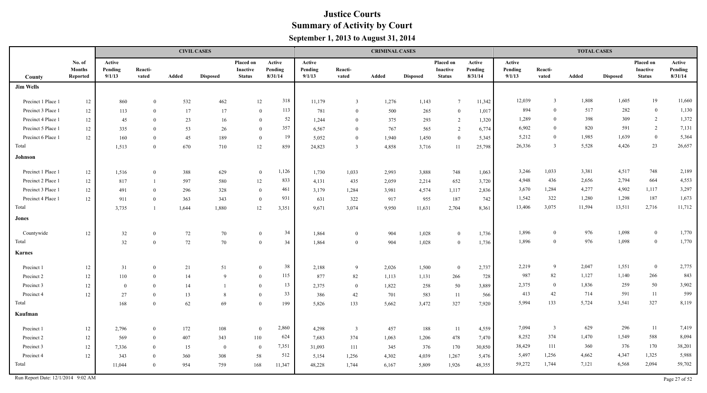|                    |                                     |                             |                  |       | <b>CIVIL CASES</b> |                                               |                              |                             |                         | <b>CRIMINAL CASES</b> |                 |                                               |                              |                             |                         | <b>TOTAL CASES</b> |                 |                                               |                              |
|--------------------|-------------------------------------|-----------------------------|------------------|-------|--------------------|-----------------------------------------------|------------------------------|-----------------------------|-------------------------|-----------------------|-----------------|-----------------------------------------------|------------------------------|-----------------------------|-------------------------|--------------------|-----------------|-----------------------------------------------|------------------------------|
| County             | No. of<br><b>Months</b><br>Reported | Active<br>Pending<br>9/1/13 | Reacti-<br>vated | Added | <b>Disposed</b>    | Placed on<br><b>Inactive</b><br><b>Status</b> | Active<br>Pending<br>8/31/14 | Active<br>Pending<br>9/1/13 | Reacti-<br>vated        | Added                 | <b>Disposed</b> | Placed on<br><b>Inactive</b><br><b>Status</b> | Active<br>Pending<br>8/31/14 | Active<br>Pending<br>9/1/13 | Reacti-<br>vated        | Added              | <b>Disposed</b> | Placed on<br><b>Inactive</b><br><b>Status</b> | Active<br>Pending<br>8/31/14 |
| <b>Jim Wells</b>   |                                     |                             |                  |       |                    |                                               |                              |                             |                         |                       |                 |                                               |                              |                             |                         |                    |                 |                                               |                              |
| Precinct 1 Place 1 | $12\,$                              | 860                         | $\Omega$         | 532   | 462                | 12                                            | 318                          | 11,179                      | $\overline{3}$          | 1,276                 | 1,143           | $\overline{7}$                                | 11,342                       | 12,039                      | $\overline{\mathbf{3}}$ | 1,808              | 1,605           | 19                                            | 11,660                       |
| Precinct 3 Place 1 | $12\,$                              | 113                         | $\Omega$         | 17    | 17                 |                                               | 113<br>$\Omega$              | 781                         | $\theta$                | 500                   | 265             | $\Omega$                                      | 1,017                        | 894                         | $\overline{0}$          | 517                | 282             | $\bf{0}$                                      | 1,130                        |
| Precinct 4 Place 1 | 12                                  | 45                          | $\Omega$         | 23    | 16                 |                                               | 52<br>$\theta$               | 1,244                       | $\theta$                | 375                   | 293             | 2                                             | 1,320                        | 1,289                       | $\overline{0}$          | 398                | 309             | $\overline{2}$                                | 1,372                        |
| Precinct 5 Place 1 | 12                                  | 335                         | $\theta$         | 53    | 26                 |                                               | 357<br>$\theta$              | 6,567                       | $\theta$                | 767                   | 565             | 2                                             | 6,774                        | 6,902                       | $\Omega$                | 820                | 591             | $\overline{2}$                                | 7,131                        |
| Precinct 6 Place 1 | 12                                  | 160                         | $\theta$         | 45    | 189                |                                               | 19<br>$\theta$               | 5,052                       | $\theta$                | 1,940                 | 1,450           | $\theta$                                      | 5,345                        | 5,212                       | $\overline{0}$          | 1,985              | 1,639           | $\mathbf{0}$                                  | 5,364                        |
| Total              |                                     | 1,513                       | $\Omega$         | 670   | 710                | 12                                            | 859                          | 24,823                      | $\overline{3}$          | 4,858                 | 3,716           | 11                                            | 25,798                       | 26,336                      | 3                       | 5,528              | 4,426           | 23                                            | 26,657                       |
| Johnson            |                                     |                             |                  |       |                    |                                               |                              |                             |                         |                       |                 |                                               |                              |                             |                         |                    |                 |                                               |                              |
| Precinct 1 Place 1 | $12 \,$                             | 1,516                       | $\mathbf{0}$     | 388   | 629                |                                               | 1,126<br>$\mathbf{0}$        | 1,730                       | 1,033                   | 2,993                 | 3,888           | 748                                           | 1,063                        | 3,246                       | 1,033                   | 3,381              | 4,517           | 748                                           | 2,189                        |
| Precinct 2 Place 1 | 12                                  | 817                         | $\overline{1}$   | 597   | 580                | 12                                            | 833                          | 4,131                       | 435                     | 2,059                 | 2,214           | 652                                           | 3,720                        | 4,948                       | 436                     | 2,656              | 2,794           | 664                                           | 4,553                        |
| Precinct 3 Place 1 | $12\,$                              | 491                         | $\theta$         | 296   | 328                |                                               | 461<br>$\theta$              | 3,179                       | 1,284                   | 3,981                 | 4,574           | 1,117                                         | 2,836                        | 3,670                       | 1,284                   | 4,277              | 4,902           | 1,117                                         | 3,297                        |
| Precinct 4 Place 1 | 12                                  | 911                         | $\overline{0}$   | 363   | 343                |                                               | 931<br>$\overline{0}$        | 631                         | 322                     | 917                   | 955             | 187                                           | 742                          | 1,542                       | 322                     | 1,280              | 1,298           | 187                                           | 1,673                        |
| Total              |                                     | 3,735                       | $\overline{1}$   | 1,644 | 1,880              | 12                                            | 3,351                        | 9,671                       | 3,074                   | 9,950                 | 11,631          | 2,704                                         | 8,361                        | 13,406                      | 3,075                   | 11,594             | 13,511          | 2,716                                         | 11,712                       |
| Jones              |                                     |                             |                  |       |                    |                                               |                              |                             |                         |                       |                 |                                               |                              |                             |                         |                    |                 |                                               |                              |
| Countywide         | 12                                  | 32                          | $\theta$         | 72    | 70                 |                                               | 34<br>$\mathbf{0}$           | 1,864                       | $\overline{0}$          | 904                   | 1,028           | $\overline{0}$                                | 1,736                        | 1,896                       | $\overline{0}$          | 976                | 1,098           | $\mathbf{0}$                                  | 1,770                        |
| Total              |                                     | 32                          | $\overline{0}$   | 72    | 70                 |                                               | 34<br>$\overline{0}$         | 1.864                       | $\theta$                | 904                   | 1,028           | $\theta$                                      | 1,736                        | 1,896                       | $\overline{0}$          | 976                | 1,098           | $\overline{0}$                                | 1,770                        |
| <b>Karnes</b>      |                                     |                             |                  |       |                    |                                               |                              |                             |                         |                       |                 |                                               |                              |                             |                         |                    |                 |                                               |                              |
| Precinct 1         | $12\,$                              | 31                          | $\theta$         | 21    | 51                 |                                               | 38<br>$\overline{0}$         | 2,188                       | -9                      | 2,026                 | 1,500           | $\theta$                                      | 2,737                        | 2,219                       | 9                       | 2,047              | 1,551           | $\mathbf{0}$                                  | 2,775                        |
| Precinct 2         | 12                                  | 110                         | $\Omega$         | 14    | $\mathbf{Q}$       |                                               | 115<br>$\theta$              | 877                         | 82                      | 1,113                 | 1,131           | 266                                           | 728                          | 987                         | 82                      | 1,127              | 1,140           | 266                                           | 843                          |
| Precinct 3         | $12\,$                              | $\bf{0}$                    | $\Omega$         | 14    |                    |                                               | 13<br>$\Omega$               | 2,375                       | $\mathbf{0}$            | 1,822                 | 258             | 50                                            | 3,889                        | 2,375                       | $\theta$                | 1,836              | 259             | 50                                            | 3,902                        |
| Precinct 4         | 12                                  | 27                          | $\theta$         | 13    | 8                  |                                               | 33<br>$\theta$               | 386                         | 42                      | 701                   | 583             | 11                                            | 566                          | 413                         | 42                      | 714                | 591             | 11                                            | 599                          |
| Total              |                                     | 168                         | $\theta$         | 62    | 69                 |                                               | $\overline{0}$<br>199        | 5,826                       | 133                     | 5,662                 | 3,472           | 327                                           | 7,920                        | 5,994                       | 133                     | 5,724              | 3,541           | 327                                           | 8,119                        |
| Kaufman            |                                     |                             |                  |       |                    |                                               |                              |                             |                         |                       |                 |                                               |                              |                             |                         |                    |                 |                                               |                              |
| Precinct 1         | 12                                  | 2,796                       | $\overline{0}$   | 172   | 108                |                                               | 2,860<br>$\overline{0}$      | 4,298                       | $\overline{\mathbf{3}}$ | 457                   | 188             | 11                                            | 4,559                        | 7,094                       | $\overline{\mathbf{3}}$ | 629                | 296             | 11                                            | 7,419                        |
| Precinct 2         | $12\,$                              | 569                         | $\Omega$         | 407   | 343                | 110                                           | 624                          | 7,683                       | 374                     | 1,063                 | 1,206           | 478                                           | 7,470                        | 8,252                       | 374                     | 1,470              | 1,549           | 588                                           | 8,094                        |
| Precinct 3         | $12\,$                              | 7,336                       | $\Omega$         | 15    | $\overline{0}$     |                                               | 7,351<br>$\overline{0}$      | 31,093                      | 111                     | 345                   | 376             | 170                                           | 30,850                       | 38,429                      | 111                     | 360                | 376             | 170                                           | 38,201                       |
| Precinct 4         | 12                                  | 343                         | $\theta$         | 360   | 308                | 58                                            | 512                          | 5,154                       | 1,256                   | 4,302                 | 4,039           | 1,267                                         | 5,476                        | 5,497                       | 1,256                   | 4,662              | 4,347           | 1,325                                         | 5,988                        |
| Total              |                                     | 11,044                      | $\Omega$         | 954   | 759                | 168                                           | 11,347                       | 48,228                      | 1,744                   | 6,167                 | 5,809           | 1,926                                         | 48,355                       | 59,272                      | 1,744                   | 7,121              | 6,568           | 2,094                                         | 59,702                       |

Run Report Date:  $12/1/2014$  9:02 AM Page 27 of 52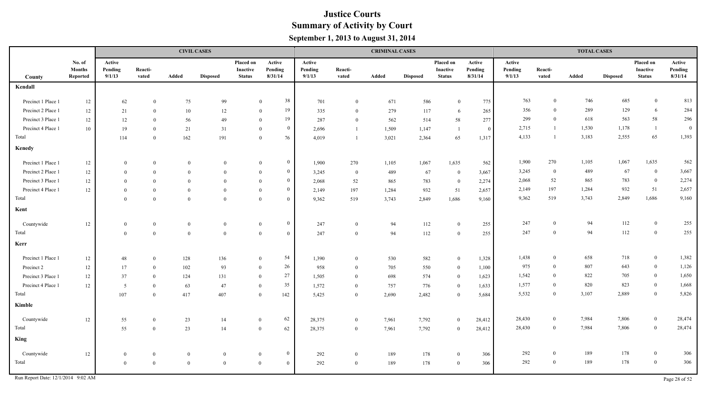|                    |                                     |                             |                  |              | <b>CIVIL CASES</b> |                                        |                                |                             |                  | <b>CRIMINAL CASES</b> |                 |                                        |                              |                             |                  | <b>TOTAL CASES</b> |                 |                                               |                              |
|--------------------|-------------------------------------|-----------------------------|------------------|--------------|--------------------|----------------------------------------|--------------------------------|-----------------------------|------------------|-----------------------|-----------------|----------------------------------------|------------------------------|-----------------------------|------------------|--------------------|-----------------|-----------------------------------------------|------------------------------|
| County             | No. of<br><b>Months</b><br>Reported | Active<br>Pending<br>9/1/13 | Reacti-<br>vated | Added        | <b>Disposed</b>    | Placed on<br>Inactive<br><b>Status</b> | Active<br>Pending<br>8/31/14   | Active<br>Pending<br>9/1/13 | Reacti-<br>vated | Added                 | <b>Disposed</b> | Placed on<br>Inactive<br><b>Status</b> | Active<br>Pending<br>8/31/14 | Active<br>Pending<br>9/1/13 | Reacti-<br>vated | Added              | <b>Disposed</b> | Placed on<br><b>Inactive</b><br><b>Status</b> | Active<br>Pending<br>8/31/14 |
| Kendall            |                                     |                             |                  |              |                    |                                        |                                |                             |                  |                       |                 |                                        |                              |                             |                  |                    |                 |                                               |                              |
| Precinct 1 Place 1 | 12                                  | 62                          | $\Omega$         | 75           | 99                 |                                        | 38<br>$\Omega$                 | 701                         | $\overline{0}$   | 671                   | 586             | $\mathbf{0}$                           | 775                          | 763                         | $\theta$         | 746                | 685             | $\mathbf{0}$                                  | 813                          |
| Precinct 2 Place 1 | $12 \,$                             | 21                          | $\theta$         | 10           | 12                 |                                        | 19<br>$\theta$                 | 335                         | $\theta$         | 279                   | 117             | 6                                      | 265                          | 356                         | $\theta$         | 289                | 129             | 6                                             | 284                          |
| Precinct 3 Place 1 | $12 \,$                             | 12                          | $\theta$         | 56           | 49                 |                                        | 19<br>$\theta$                 | 287                         | $\theta$         | 562                   | 514             | 58                                     | 277                          | 299                         | $\Omega$         | 618                | 563             | 58                                            | 296                          |
| Precinct 4 Place 1 | 10                                  | 19                          | $\theta$         | 21           | 31                 |                                        | $\mathbf{0}$<br>$\theta$       | 2,696                       | $\overline{1}$   | 1,509                 | 1,147           | $\overline{1}$                         | $\overline{0}$               | 2,715                       | $\mathbf{1}$     | 1,530              | 1,178           | $\overline{1}$                                | $\boldsymbol{0}$             |
| Total              |                                     | 114                         | $\theta$         | 162          | 191                | $\overline{0}$                         | 76                             | 4,019                       |                  | 3,021                 | 2,364           | 65                                     | 1,317                        | 4,133                       | $\overline{1}$   | 3,183              | 2,555           | 65                                            | 1,393                        |
| Kenedy             |                                     |                             |                  |              |                    |                                        |                                |                             |                  |                       |                 |                                        |                              |                             |                  |                    |                 |                                               |                              |
| Precinct 1 Place 1 | 12                                  | $\theta$                    | $\theta$         | $\mathbf{0}$ | $\mathbf{0}$       |                                        | $\mathbf{0}$<br>$\mathbf{0}$   | 1,900                       | 270              | 1,105                 | 1,067           | 1,635                                  | 562                          | 1,900                       | 270              | 1,105              | 1,067           | 1,635                                         | 562                          |
| Precinct 2 Place 1 | 12                                  | $\Omega$                    | $\overline{0}$   | $\mathbf{0}$ | $\mathbf{0}$       |                                        | $\overline{0}$<br>$\mathbf{0}$ | 3,245                       | $\overline{0}$   | 489                   | 67              | $\mathbf{0}$                           | 3,667                        | 3,245                       | $\theta$         | 489                | 67              | $\bf{0}$                                      | 3,667                        |
| Precinct 3 Place 1 | $12 \,$                             | $\Omega$                    | $\theta$         | $\theta$     | $\theta$           | $\theta$                               | $\overline{0}$                 | 2,068                       | 52               | 865                   | 783             | $\mathbf{0}$                           | 2,274                        | 2,068                       | 52               | 865                | 783             | $\bf{0}$                                      | 2,274                        |
| Precinct 4 Place 1 | 12                                  | $\Omega$                    | $\theta$         | $\theta$     | $\theta$           | $\theta$                               | $\mathbf{0}$                   | 2,149                       | 197              | 1,284                 | 932             | 51                                     | 2,657                        | 2,149                       | 197              | 1,284              | 932             | 51                                            | 2,657                        |
| Total              |                                     | $\Omega$                    | $\theta$         | $\theta$     | $\theta$           | $\theta$                               | $\overline{0}$                 | 9,362                       | 519              | 3,743                 | 2,849           | 1,686                                  | 9,160                        | 9,362                       | 519              | 3,743              | 2,849           | 1,686                                         | 9,160                        |
| Kent               |                                     |                             |                  |              |                    |                                        |                                |                             |                  |                       |                 |                                        |                              |                             |                  |                    |                 |                                               |                              |
| Countywide         | 12                                  | $\bf{0}$                    | $\overline{0}$   | $\mathbf{0}$ | $\bf{0}$           | $\mathbf{0}$                           | $\overline{0}$                 | 247                         | $\overline{0}$   | 94                    | 112             | $\mathbf{0}$                           | 255                          | 247                         | $\Omega$         | 94                 | 112             | $\overline{0}$                                | 255                          |
| Total              |                                     | $\theta$                    | $\overline{0}$   | $\mathbf{0}$ | $\overline{0}$     | $\mathbf{0}$                           | $\overline{0}$                 | 247                         | $\overline{0}$   | 94                    | 112             | $\overline{0}$                         | 255                          | 247                         | $\theta$         | 94                 | 112             | $\bf{0}$                                      | 255                          |
| Kerr               |                                     |                             |                  |              |                    |                                        |                                |                             |                  |                       |                 |                                        |                              |                             |                  |                    |                 |                                               |                              |
| Precinct 1 Place 1 | $12\,$                              | 48                          | $\theta$         | 128          | 136                | $\theta$                               | 54                             | 1,390                       | $\overline{0}$   | 530                   | 582             | $\mathbf{0}$                           | 1,328                        | 1,438                       | $\mathbf{0}$     | 658                | 718             | $\boldsymbol{0}$                              | 1,382                        |
| Precinct 2         | 12                                  | 17                          | $\theta$         | 102          | 93                 | $\overline{0}$                         | 26                             | 958                         | $\overline{0}$   | 705                   | 550             | $\overline{0}$                         | 1,100                        | 975                         | $\theta$         | 807                | 643             | $\bf{0}$                                      | 1,126                        |
| Precinct 3 Place 1 | 12                                  | 37                          | $\mathbf{0}$     | 124          | 131                | $\overline{0}$                         | 27                             | 1,505                       | $\overline{0}$   | 698                   | 574             | $\overline{0}$                         | 1,623                        | 1,542                       | $\theta$         | 822                | 705             | $\bf{0}$                                      | 1,650                        |
| Precinct 4 Place 1 | $12\,$                              | $5\overline{)}$             | $\theta$         | 63           | 47                 | $\theta$                               | 35                             | 1,572                       | $\overline{0}$   | 757                   | 776             | $\theta$                               | 1,633                        | 1,577                       | $\theta$         | 820                | 823             | $\mathbf{0}$                                  | 1,668                        |
| Total              |                                     | 107                         | $\theta$         | 417          | 407                | $\theta$                               | 142                            | 5,425                       | $\overline{0}$   | 2,690                 | 2,482           | $\theta$                               | 5,684                        | 5,532                       | $\overline{0}$   | 3,107              | 2,889           | $\boldsymbol{0}$                              | 5,826                        |
| Kimble             |                                     |                             |                  |              |                    |                                        |                                |                             |                  |                       |                 |                                        |                              |                             |                  |                    |                 |                                               |                              |
| Countywide         | $12\,$                              | 55                          | $\theta$         | 23           | 14                 | $\theta$                               | 62                             | 28,375                      | $\mathbf{0}$     | 7,961                 | 7,792           | $\bf{0}$                               | 28,412                       | 28,430                      | $\overline{0}$   | 7,984              | 7,806           | $\mathbf{0}$                                  | 28,474                       |
| Total              |                                     | 55                          | $\theta$         | 23           | 14                 | $\overline{0}$                         | 62                             | 28,375                      | $\overline{0}$   | 7,961                 | 7,792           | $\theta$                               | 28,412                       | 28,430                      | $\overline{0}$   | 7,984              | 7,806           | $\boldsymbol{0}$                              | 28,474                       |
| King               |                                     |                             |                  |              |                    |                                        |                                |                             |                  |                       |                 |                                        |                              |                             |                  |                    |                 |                                               |                              |
| Countywide         | $12 \,$                             | $\bf{0}$                    | $\overline{0}$   | $\mathbf{0}$ | $\mathbf{0}$       | $\overline{0}$                         | $\bf{0}$                       | 292                         | $\bf{0}$         | 189                   | 178             | $\theta$                               | 306                          | 292                         | $\overline{0}$   | 189                | 178             | $\mathbf{0}$                                  | 306                          |
| Total              |                                     | $\mathbf{0}$                | $\theta$         | $\theta$     | $\overline{0}$     | $\theta$                               | $\theta$                       | 292                         | $\bf{0}$         | 189                   | 178             | $\bf{0}$                               | 306                          | 292                         | $\bf{0}$         | 189                | 178             | $\bf{0}$                                      | 306                          |

Run Report Date:  $12/1/2014$  9:02 AM Page 28 of 52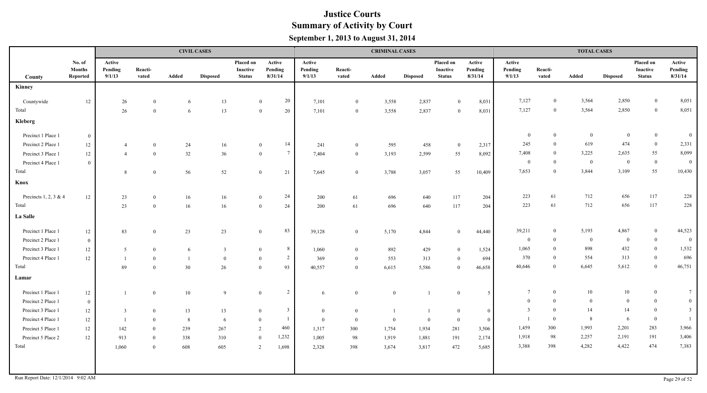|                                    |                                     |                             |                  |       | <b>CIVIL CASES</b> |                                        |                                  |                             |                  | <b>CRIMINAL CASES</b> |                 |                                        |                              |                             |                  | <b>TOTAL CASES</b> |                 |                                               |                              |
|------------------------------------|-------------------------------------|-----------------------------|------------------|-------|--------------------|----------------------------------------|----------------------------------|-----------------------------|------------------|-----------------------|-----------------|----------------------------------------|------------------------------|-----------------------------|------------------|--------------------|-----------------|-----------------------------------------------|------------------------------|
| County                             | No. of<br><b>Months</b><br>Reported | Active<br>Pending<br>9/1/13 | Reacti-<br>vated | Added | <b>Disposed</b>    | Placed on<br>Inactive<br><b>Status</b> | Active<br>Pending<br>8/31/14     | Active<br>Pending<br>9/1/13 | Reacti-<br>vated | Added                 | <b>Disposed</b> | Placed on<br>Inactive<br><b>Status</b> | Active<br>Pending<br>8/31/14 | Active<br>Pending<br>9/1/13 | Reacti-<br>vated | Added              | <b>Disposed</b> | Placed on<br><b>Inactive</b><br><b>Status</b> | Active<br>Pending<br>8/31/14 |
| Kinney                             |                                     |                             |                  |       |                    |                                        |                                  |                             |                  |                       |                 |                                        |                              |                             |                  |                    |                 |                                               |                              |
| Countywide                         | 12                                  | 26                          | $\overline{0}$   | 6     | 13                 |                                        | 20<br>$\overline{0}$             | 7,101                       | $\mathbf{0}$     | 3,558                 | 2,837           | $\theta$                               | 8,031                        | 7,127                       | $\mathbf{0}$     | 3,564              | 2,850           | $\overline{0}$                                | 8,051                        |
| Total                              |                                     | 26                          | $\Omega$         | -6    | 13                 |                                        | 20<br>$\overline{0}$             | 7,101                       | $\overline{0}$   | 3,558                 | 2,837           | $\Omega$                               | 8,031                        | 7,127                       | $\mathbf{0}$     | 3,564              | 2,850           | $\bf{0}$                                      | 8,051                        |
| Kleberg                            |                                     |                             |                  |       |                    |                                        |                                  |                             |                  |                       |                 |                                        |                              |                             |                  |                    |                 |                                               |                              |
| Precinct 1 Place 1                 | $\overline{0}$                      |                             |                  |       |                    |                                        |                                  |                             |                  |                       |                 |                                        |                              | $\bf{0}$                    | $\theta$         | $\overline{0}$     | $\overline{0}$  | $\overline{0}$                                | $\overline{0}$               |
| Precinct 2 Place 1                 | 12                                  | -4                          | $\bf{0}$         | 24    | 16                 |                                        | 14<br>$\mathbf{0}$               | 241                         | $\bf{0}$         | 595                   | 458             | $\overline{0}$                         | 2,317                        | 245                         | $\Omega$         | 619                | 474             | $\overline{0}$                                | 2,331                        |
| Precinct 3 Place 1                 | 12                                  | $\overline{4}$              | $\overline{0}$   | 32    | 36                 |                                        | $7\overline{ }$<br>$\mathbf{0}$  | 7,404                       | $\mathbf{0}$     | 3,193                 | 2,599           | 55                                     | 8,092                        | 7,408                       | $\theta$         | 3,225              | 2,635           | 55                                            | 8,099                        |
| Precinct 4 Place 1                 | $\overline{0}$                      |                             |                  |       |                    |                                        |                                  |                             |                  |                       |                 |                                        |                              | $\mathbf{0}$                | $\overline{0}$   | $\bf{0}$           | $\bf{0}$        | $\overline{0}$                                | $\overline{0}$               |
| Total                              |                                     | 8                           | $\bf{0}$         | 56    | 52                 |                                        | 21<br>$\overline{0}$             | 7,645                       | $\bf{0}$         | 3,788                 | 3,057           | 55                                     | 10,409                       | 7,653                       | $\theta$         | 3,844              | 3,109           | 55                                            | 10,430                       |
| Knox                               |                                     |                             |                  |       |                    |                                        |                                  |                             |                  |                       |                 |                                        |                              |                             |                  |                    |                 |                                               |                              |
| Precincts 1, 2, 3 & 4              | 12                                  | 23                          | $\overline{0}$   | 16    | 16                 |                                        | 24<br>$\overline{0}$             | 200                         | 61               | 696                   | 640             | 117                                    | 204                          | 223                         | 61               | 712                | 656             | 117                                           | 228                          |
| Total                              |                                     | 23                          | $\overline{0}$   | 16    | 16                 |                                        | 24<br>$\mathbf{0}$               | 200                         | 61               | 696                   | 640             | 117                                    | 204                          | 223                         | 61               | 712                | 656             | 117                                           | 228                          |
| La Salle                           |                                     |                             |                  |       |                    |                                        |                                  |                             |                  |                       |                 |                                        |                              |                             |                  |                    |                 |                                               |                              |
| Precinct 1 Place 1                 | 12                                  | 83                          | $\mathbf{0}$     | 23    | $23\,$             |                                        | 83<br>$\bf{0}$                   | 39,128                      | $\boldsymbol{0}$ | 5,170                 | 4,844           | $\bf{0}$                               | 44,440                       | 39,211                      | $\theta$         | 5,193              | 4,867           | $\overline{0}$                                | 44,523                       |
| Precinct 2 Place 1                 | $\mathbf{0}$                        |                             |                  |       |                    |                                        |                                  |                             |                  |                       |                 |                                        |                              | $\overline{0}$              | $\Omega$         | $\overline{0}$     | $\bf{0}$        | $\bf{0}$                                      | $\overline{0}$               |
| Precinct 3 Place 1                 | 12                                  | 5                           | $\bf{0}$         | 6     | $\overline{3}$     |                                        | 8<br>$\mathbf{0}$                | 1,060                       | $\bf{0}$         | 892                   | 429             | $\overline{0}$                         | 1,524                        | 1,065                       | $\theta$         | 898                | 432             | $\bf{0}$                                      | 1,532                        |
| Precinct 4 Place 1                 | 12                                  |                             | $\theta$         |       | $\overline{0}$     |                                        | $\overline{2}$<br>$\overline{0}$ | 369                         | $\mathbf{0}$     | 553                   | 313             | $\bf{0}$                               | 694                          | 370                         | $\Omega$         | 554                | 313             | $\bf{0}$                                      | 696                          |
| Total                              |                                     | 89                          | $\theta$         | 30    | 26                 |                                        | 93<br>$\mathbf{0}$               | 40,557                      | $\overline{0}$   | 6,615                 | 5,586           | $\bf{0}$                               | 46,658                       | 40,646                      | $\Omega$         | 6,645              | 5,612           | $\mathbf{0}$                                  | 46,751                       |
| Lamar                              |                                     |                             |                  |       |                    |                                        |                                  |                             |                  |                       |                 |                                        |                              |                             |                  |                    |                 |                                               |                              |
| Precinct 1 Place 1                 | $12 \,$                             |                             | $\mathbf{0}$     | 10    | 9                  | $\overline{0}$                         | 2                                | -6                          | $\bf{0}$         | $\mathbf{0}$          |                 | $\bf{0}$                               | 5                            | $\overline{7}$              | $\mathbf{0}$     | 10                 | 10              | $\overline{0}$                                | $7\phantom{.0}$              |
| Precinct 2 Place 1                 | $\overline{0}$                      |                             |                  |       |                    |                                        |                                  |                             |                  |                       |                 |                                        |                              | $\bf{0}$                    | $\Omega$         | $\Omega$           | $\overline{0}$  | $\bf{0}$                                      | $\mathbf{0}$                 |
| Precinct 3 Place 1                 | 12                                  | 3                           | $\bf{0}$         | 13    | 13                 | $\bf{0}$                               | $\overline{3}$                   | $\theta$                    | $\overline{0}$   |                       |                 | $\overline{0}$                         | $\bf{0}$                     |                             | $\Omega$         | 14                 | 14              | $\bf{0}$                                      | $\overline{\mathbf{3}}$      |
| Precinct 4 Place 1                 | 12                                  |                             | $\Omega$         | 8     | 6                  | $\Omega$                               | $\overline{1}$                   | $\Omega$                    | $\theta$         | $\Omega$              | $\theta$        | $\theta$                               | $\bf{0}$                     |                             | $\Omega$         | 8                  | 6               | $\bf{0}$                                      |                              |
| Precinct 5 Place 1                 | 12                                  | 142                         | $\Omega$         | 239   | 267                | 2                                      | 460                              | 1,317                       | 300              | 1,754                 | 1,934           | 281                                    | 3,506                        | 1,459                       | 300              | 1,993              | 2,201           | 283                                           | 3,966                        |
| Precinct 5 Place 2                 | $12 \,$                             | 913                         | $\overline{0}$   | 338   | 310                |                                        | 1,232<br>$\mathbf{0}$            | 1,005                       | 98               | 1,919                 | 1,881           | 191                                    | 2,174                        | 1,918                       | 98               | 2,257              | 2,191           | 191                                           | 3,406                        |
| Total                              |                                     | 1,060                       | $\bf{0}$         | 608   | 605                |                                        | 1,698<br>2                       | 2,328                       | 398              | 3,674                 | 3,817           | 472                                    | 5,685                        | 3,388                       | 398              | 4,282              | 4,422           | 474                                           | 7,383                        |
|                                    |                                     |                             |                  |       |                    |                                        |                                  |                             |                  |                       |                 |                                        |                              |                             |                  |                    |                 |                                               |                              |
| Run Report Date: 12/1/2014 9:02 AM |                                     |                             |                  |       |                    |                                        |                                  |                             |                  |                       |                 |                                        |                              |                             |                  |                    |                 |                                               | Page 29 of 52                |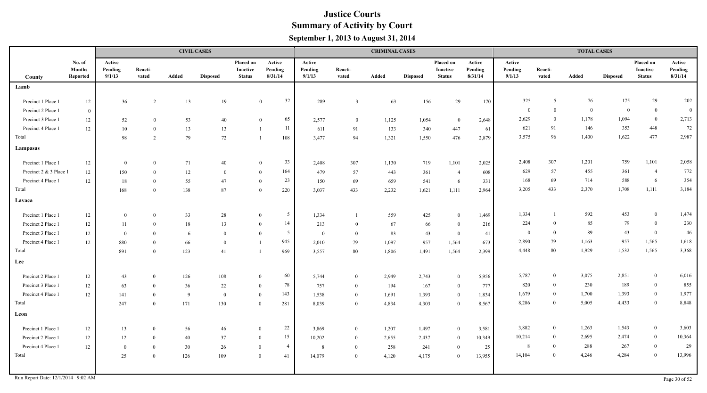|                        |                                     |                             |                  |              | <b>CIVIL CASES</b> |                                        |                                  |                             |                  | <b>CRIMINAL CASES</b> |                 |                                        |                              |                             |                  | <b>TOTAL CASES</b> |                 |                                        |                              |
|------------------------|-------------------------------------|-----------------------------|------------------|--------------|--------------------|----------------------------------------|----------------------------------|-----------------------------|------------------|-----------------------|-----------------|----------------------------------------|------------------------------|-----------------------------|------------------|--------------------|-----------------|----------------------------------------|------------------------------|
| County                 | No. of<br><b>Months</b><br>Reported | Active<br>Pending<br>9/1/13 | Reacti-<br>vated | Added        | <b>Disposed</b>    | Placed on<br>Inactive<br><b>Status</b> | Active<br>Pending<br>8/31/14     | Active<br>Pending<br>9/1/13 | Reacti-<br>vated | Added                 | <b>Disposed</b> | Placed on<br>Inactive<br><b>Status</b> | Active<br>Pending<br>8/31/14 | Active<br>Pending<br>9/1/13 | Reacti-<br>vated | Added              | <b>Disposed</b> | Placed on<br>Inactive<br><b>Status</b> | Active<br>Pending<br>8/31/14 |
| Lamb                   |                                     |                             |                  |              |                    |                                        |                                  |                             |                  |                       |                 |                                        |                              |                             |                  |                    |                 |                                        |                              |
| Precinct 1 Place 1     | $12 \,$                             | 36                          | $\overline{2}$   | 13           | 19                 |                                        | 32<br>$\overline{0}$             | 289                         | $\overline{3}$   | 63                    | 156             | 29                                     | 170                          | 325                         | 5                | 76                 | 175             | 29                                     | 202                          |
| Precinct 2 Place 1     | $\overline{0}$                      |                             |                  |              |                    |                                        |                                  |                             |                  |                       |                 |                                        |                              | $\overline{0}$              | $\mathbf{0}$     | $\overline{0}$     | $\overline{0}$  | $\overline{0}$                         | $\bf{0}$                     |
| Precinct 3 Place 1     | $12 \,$                             | 52                          | $\theta$         | 53           | 40                 |                                        | 65<br>$\theta$                   | 2,577                       | $\overline{0}$   | 1,125                 | 1,054           | $\overline{0}$                         | 2,648                        | 2,629                       | $\bf{0}$         | 1,178              | 1,094           | $\bf{0}$                               | 2,713                        |
| Precinct 4 Place 1     | 12                                  | 10                          | $\mathbf{0}$     | 13           | 13                 |                                        | -11<br>$\overline{1}$            | 611                         | 91               | 133                   | 340             | 447                                    | 61                           | 621                         | 91               | 146                | 353             | 448                                    | 72                           |
| Total                  |                                     | 98                          | 2                | 79           | 72                 |                                        | 108<br>$\overline{1}$            | 3,477                       | 94               | 1,321                 | 1,550           | 476                                    | 2,879                        | 3,575                       | 96               | 1,400              | 1,622           | 477                                    | 2,987                        |
| Lampasas               |                                     |                             |                  |              |                    |                                        |                                  |                             |                  |                       |                 |                                        |                              |                             |                  |                    |                 |                                        |                              |
| Precinct 1 Place 1     | 12                                  | $\overline{0}$              | $\overline{0}$   | 71           | 40                 |                                        | 33<br>$\overline{0}$             | 2,408                       | 307              | 1,130                 | 719             | 1,101                                  | 2,025                        | 2,408                       | 307              | 1,201              | 759             | 1,101                                  | 2,058                        |
| Precinct 2 & 3 Place 1 | 12                                  | 150                         | $\theta$         | 12           | $\theta$           |                                        | 164<br>$\theta$                  | 479                         | 57               | 443                   | 361             | -4                                     | 608                          | 629                         | 57               | 455                | 361             | $\overline{4}$                         | 772                          |
| Precinct 4 Place 1     | 12                                  | 18                          | $\theta$         | 55           | 47                 |                                        | 23<br>$\theta$                   | 150                         | 69               | 659                   | 541             | 6                                      | 331                          | 168                         | 69               | 714                | 588             | 6                                      | 354                          |
| Total                  |                                     | 168                         | $\Omega$         | 138          | 87                 |                                        | $\Omega$<br>220                  | 3,037                       | 433              | 2,232                 | 1,621           | 1,111                                  | 2,964                        | 3,205                       | 433              | 2,370              | 1,708           | 1,111                                  | 3,184                        |
| Lavaca                 |                                     |                             |                  |              |                    |                                        |                                  |                             |                  |                       |                 |                                        |                              |                             |                  |                    |                 |                                        |                              |
| Precinct 1 Place 1     | 12                                  | $\bf{0}$                    | $\overline{0}$   | 33           | 28                 |                                        | $5\overline{)}$<br>$\theta$      | 1,334                       |                  | 559                   | 425             | $\mathbf{0}$                           | 1,469                        | 1,334                       |                  | 592                | 453             | $\bf{0}$                               | 1,474                        |
| Precinct 2 Place 1     | 12                                  | 11                          | $\theta$         | 18           | 13                 |                                        | 14<br>$\theta$                   | 213                         | $\bf{0}$         | 67                    | 66              | $\overline{0}$                         | 216                          | 224                         | $\Omega$         | 85                 | 79              | $\bf{0}$                               | 230                          |
| Precinct 3 Place 1     | 12                                  | $\bf{0}$                    | $\Omega$         | 6            | $\bf{0}$           |                                        | 5<br>$\Omega$                    | $\bf{0}$                    | $\mathbf{0}$     | 83                    | 43              | $\bf{0}$                               | 41                           | $\bf{0}$                    | $\theta$         | 89                 | 43              | $\mathbf{0}$                           | 46                           |
| Precinct 4 Place 1     | 12                                  | 880                         | $\theta$         | 66           | $\theta$           |                                        | 945<br>$\mathbf{1}$              | 2.010                       | 79               | 1.097                 | 957             | 1,564                                  | 673                          | 2,890                       | 79               | 1,163              | 957             | 1,565                                  | 1,618                        |
| Total                  |                                     | 891                         | $\overline{0}$   | 123          | 41                 |                                        | 969<br>$\overline{1}$            | 3,557                       | 80               | 1,806                 | 1,491           | 1,564                                  | 2,399                        | 4,448                       | 80               | 1,929              | 1,532           | 1,565                                  | 3,368                        |
| Lee                    |                                     |                             |                  |              |                    |                                        |                                  |                             |                  |                       |                 |                                        |                              |                             |                  |                    |                 |                                        |                              |
| Precinct 2 Place 1     | 12                                  | 43                          | $\theta$         | 126          | 108                |                                        | 60<br>$\overline{0}$             | 5,744                       | $\overline{0}$   | 2,949                 | 2,743           | $\mathbf{0}$                           | 5,956                        | 5,787                       | $\overline{0}$   | 3,075              | 2,851           | $\bf{0}$                               | 6,016                        |
| Precinct 3 Place 1     | 12                                  | 63                          | $\theta$         | 36           | 22                 |                                        | 78<br>$\overline{0}$             | 757                         | $\overline{0}$   | 194                   | 167             | $\overline{0}$                         | 777                          | 820                         | $\overline{0}$   | 230                | 189             | $\boldsymbol{0}$                       | 855                          |
| Precinct 4 Place 1     | $12\,$                              | 141                         | $\theta$         | $\mathbf{Q}$ | $\Omega$           |                                        | 143<br>$\mathbf{0}$              | 1,538                       | $\overline{0}$   | 1,691                 | 1,393           | $\mathbf{0}$                           | 1,834                        | 1,679                       | $\overline{0}$   | 1,700              | 1,393           | $\boldsymbol{0}$                       | 1,977                        |
| Total                  |                                     | 247                         | $\theta$         | 171          | 130                |                                        | $\overline{0}$<br>281            | 8,039                       | $\overline{0}$   | 4,834                 | 4,303           | $\theta$                               | 8,567                        | 8,286                       | $\overline{0}$   | 5,005              | 4,433           | $\overline{0}$                         | 8,848                        |
| Leon                   |                                     |                             |                  |              |                    |                                        |                                  |                             |                  |                       |                 |                                        |                              |                             |                  |                    |                 |                                        |                              |
| Precinct 1 Place 1     | $12\,$                              | 13                          | $\theta$         | 56           | 46                 |                                        | $22\,$<br>$\theta$               | 3,869                       | $\overline{0}$   | 1,207                 | 1,497           | $\overline{0}$                         | 3,581                        | 3,882                       | $\overline{0}$   | 1,263              | 1,543           | $\overline{0}$                         | 3,603                        |
| Precinct 2 Place 1     | $12\,$                              | 12                          | $\overline{0}$   | 40           | 37                 | $\overline{0}$                         | 15                               | 10,202                      | $\overline{0}$   | 2,655                 | 2,437           | $\overline{0}$                         | 10,349                       | 10,214                      | $\overline{0}$   | 2,695              | 2,474           | $\overline{0}$                         | 10,364                       |
| Precinct 4 Place 1     | $12 \,$                             | $\mathbf{0}$                | $\overline{0}$   | 30           | 26                 |                                        | $\overline{4}$<br>$\overline{0}$ | 8                           | $\bf{0}$         | 258                   | 241             | $\overline{0}$                         | 25                           | 8                           | $\theta$         | 288                | 267             | $\boldsymbol{0}$                       | 29                           |
| Total                  |                                     | 25                          | $\overline{0}$   | 126          | 109                |                                        | $\overline{0}$<br>41             | 14,079                      | $\overline{0}$   | 4,120                 | 4,175           | $\overline{0}$                         | 13,955                       | 14,104                      | $\theta$         | 4,246              | 4,284           | $\overline{0}$                         | 13,996                       |
|                        |                                     |                             |                  |              |                    |                                        |                                  |                             |                  |                       |                 |                                        |                              |                             |                  |                    |                 |                                        |                              |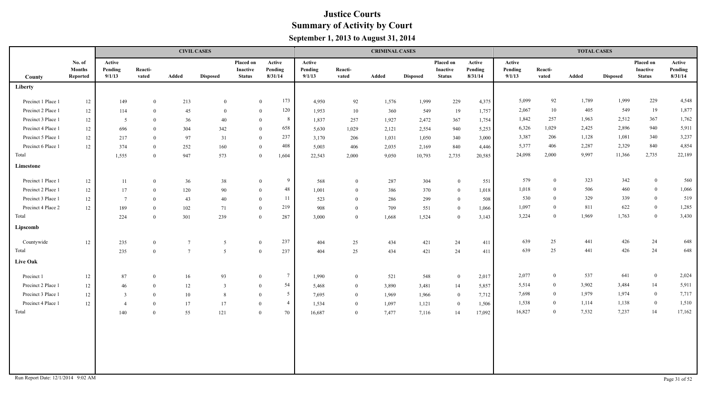|                    |                                     |                             |                  |                 | <b>CIVIL CASES</b> |                                               |                                 |                             |                  | <b>CRIMINAL CASES</b> |                 |                                               |                              |                             |                  | <b>TOTAL CASES</b> |                 |                                        |                              |
|--------------------|-------------------------------------|-----------------------------|------------------|-----------------|--------------------|-----------------------------------------------|---------------------------------|-----------------------------|------------------|-----------------------|-----------------|-----------------------------------------------|------------------------------|-----------------------------|------------------|--------------------|-----------------|----------------------------------------|------------------------------|
| County             | No. of<br><b>Months</b><br>Reported | Active<br>Pending<br>9/1/13 | Reacti-<br>vated | <b>Added</b>    | <b>Disposed</b>    | Placed on<br><b>Inactive</b><br><b>Status</b> | Active<br>Pending<br>8/31/14    | Active<br>Pending<br>9/1/13 | Reacti-<br>vated | Added                 | <b>Disposed</b> | Placed on<br><b>Inactive</b><br><b>Status</b> | Active<br>Pending<br>8/31/14 | Active<br>Pending<br>9/1/13 | Reacti-<br>vated | Added              | <b>Disposed</b> | Placed on<br>Inactive<br><b>Status</b> | Active<br>Pending<br>8/31/14 |
| Liberty            |                                     |                             |                  |                 |                    |                                               |                                 |                             |                  |                       |                 |                                               |                              |                             |                  |                    |                 |                                        |                              |
| Precinct 1 Place 1 | 12                                  | 149                         | $\overline{0}$   | 213             | $\theta$           |                                               | 173<br>$\mathbf{0}$             | 4,950                       | 92               | 1,576                 | 1,999           | 229                                           | 4,375                        | 5,099                       | 92               | 1,789              | 1,999           | 229                                    | 4,548                        |
| Precinct 2 Place 1 | $12\,$                              | 114                         | $\mathbf{0}$     | 45              | $\theta$           |                                               | 120<br>$\overline{0}$           | 1,953                       | $10\,$           | 360                   | 549             | 19                                            | 1,757                        | 2,067                       | 10               | 405                | 549             | 19                                     | 1,877                        |
| Precinct 3 Place 1 | 12                                  | 5                           | $\overline{0}$   | 36              | 40                 |                                               | 8<br>$\overline{0}$             | 1,837                       | 257              | 1,927                 | 2,472           | 367                                           | 1,754                        | 1,842                       | 257              | 1,963              | 2,512           | 367                                    | 1,762                        |
| Precinct 4 Place 1 | 12                                  | 696                         | $\theta$         | 304             | 342                |                                               | 658<br>$\mathbf{0}$             | 5,630                       | 1,029            | 2,121                 | 2,554           | 940                                           | 5,253                        | 6,326                       | 1,029            | 2,425              | 2,896           | 940                                    | 5,911                        |
| Precinct 5 Place 1 | $12\,$                              | 217                         | $\theta$         | 97              | 31                 |                                               | 237<br>$\mathbf{0}$             | 3,170                       | 206              | 1,031                 | 1,050           | 340                                           | 3,000                        | 3,387                       | 206              | 1,128              | 1,081           | 340                                    | 3,237                        |
| Precinct 6 Place 1 | 12                                  | 374                         | $\mathbf{0}$     | 252             | 160                |                                               | 408<br>$\mathbf{0}$             | 5,003                       | 406              | 2,035                 | 2,169           | 840                                           | 4,446                        | 5,377                       | 406              | 2,287              | 2,329           | 840                                    | 4,854                        |
| Total              |                                     | 1,555                       | $\overline{0}$   | 947             | 573                |                                               | $\overline{0}$<br>1,604         | 22,543                      | 2,000            | 9,050                 | 10,793          | 2,735                                         | 20,585                       | 24,098                      | 2,000            | 9,997              | 11,366          | 2,735                                  | 22,189                       |
| Limestone          |                                     |                             |                  |                 |                    |                                               |                                 |                             |                  |                       |                 |                                               |                              |                             |                  |                    |                 |                                        |                              |
| Precinct 1 Place 1 | 12                                  | 11                          | $\mathbf{0}$     | 36              | 38                 |                                               | 9<br>$\overline{0}$             | 568                         | $\overline{0}$   | 287                   | 304             | $\mathbf{0}$                                  | 551                          | 579                         | $\overline{0}$   | 323                | 342             | $\boldsymbol{0}$                       | 560                          |
| Precinct 2 Place 1 | 12                                  | 17                          | $\mathbf{0}$     | 120             | 90                 |                                               | 48<br>$\overline{0}$            | 1,001                       | $\overline{0}$   | 386                   | 370             | $\mathbf{0}$                                  | 1,018                        | 1,018                       | $\overline{0}$   | 506                | 460             | $\bf{0}$                               | 1,066                        |
| Precinct 3 Place 1 | 12                                  | $7\phantom{.0}$             | $\theta$         | 43              | 40                 |                                               | -11<br>$\overline{0}$           | 523                         | $\theta$         | 286                   | 299             | $\mathbf{0}$                                  | 508                          | 530                         | $\overline{0}$   | 329                | 339             | $\bf{0}$                               | 519                          |
| Precinct 4 Place 2 | 12                                  | 189                         | $\theta$         | 102             | 71                 |                                               | 219<br>$\theta$                 | 908                         | $\theta$         | 709                   | 551             | $\mathbf{0}$                                  | 1,066                        | 1,097                       | $\mathbf{0}$     | 811                | 622             | $\overline{0}$                         | 1,285                        |
| Total              |                                     | 224                         | $\theta$         | 301             | 239                |                                               | 287<br>$\theta$                 | 3,000                       | $\overline{0}$   | 1,668                 | 1,524           | $\mathbf{0}$                                  | 3,143                        | 3,224                       | $\mathbf{0}$     | 1,969              | 1,763           | $\boldsymbol{0}$                       | 3,430                        |
| Lipscomb           |                                     |                             |                  |                 |                    |                                               |                                 |                             |                  |                       |                 |                                               |                              |                             |                  |                    |                 |                                        |                              |
| Countywide         | 12                                  | 235                         | $\overline{0}$   | $7\phantom{.0}$ | 5                  |                                               | 237<br>$\overline{0}$           | 404                         | 25               | 434                   | 421             | 24                                            | 411                          | 639                         | 25               | 441                | 426             | 24                                     | 648                          |
| Total              |                                     | 235                         | $\theta$         | $7\phantom{.0}$ | 5                  |                                               | $\overline{0}$<br>237           | 404                         | 25               | 434                   | 421             | 24                                            | 411                          | 639                         | 25               | 441                | 426             | 24                                     | 648                          |
| <b>Live Oak</b>    |                                     |                             |                  |                 |                    |                                               |                                 |                             |                  |                       |                 |                                               |                              |                             |                  |                    |                 |                                        |                              |
| Precinct 1         | 12                                  | 87                          | $\mathbf{0}$     | 16              | 93                 |                                               | $7\phantom{.0}$<br>$\mathbf{0}$ | 1,990                       | $\bf{0}$         | 521                   | 548             | $\mathbf{0}$                                  | 2,017                        | 2,077                       | $\overline{0}$   | 537                | 641             | $\bf{0}$                               | 2,024                        |
| Precinct 2 Place 1 | $12 \,$                             | $46\,$                      | $\mathbf{0}$     | 12              | $\overline{3}$     |                                               | 54<br>$\bf{0}$                  | 5,468                       | $\bf{0}$         | 3,890                 | 3,481           | 14                                            | 5,857                        | 5,514                       | $\overline{0}$   | 3,902              | 3,484           | 14                                     | 5,911                        |
| Precinct 3 Place 1 | $12 \,$                             | $\overline{\mathbf{3}}$     | $\theta$         | 10              | 8                  | $\theta$                                      | $5\overline{)}$                 | 7,695                       | $\bf{0}$         | 1,969                 | 1,966           | $\overline{0}$                                | 7,712                        | 7,698                       | $\bf{0}$         | 1,979              | 1,974           | $\overline{0}$                         | 7,717                        |
| Precinct 4 Place 1 | 12                                  | $\overline{4}$              | $\mathbf{0}$     | 17              | 17                 | $\theta$                                      | $\overline{4}$                  | 1,534                       | $\overline{0}$   | 1,097                 | 1,121           | $\overline{0}$                                | 1,506                        | 1,538                       | $\overline{0}$   | 1,114              | 1,138           | $\overline{0}$                         | 1,510                        |
| Total              |                                     | 140                         | $\theta$         | 55              | 121                | $\theta$                                      | 70                              | 16,687                      | $\overline{0}$   | 7,477                 | 7,116           | 14                                            | 17,092                       | 16,827                      | $\mathbf{0}$     | 7,532              | 7,237           | 14                                     | 17,162                       |
|                    |                                     |                             |                  |                 |                    |                                               |                                 |                             |                  |                       |                 |                                               |                              |                             |                  |                    |                 |                                        |                              |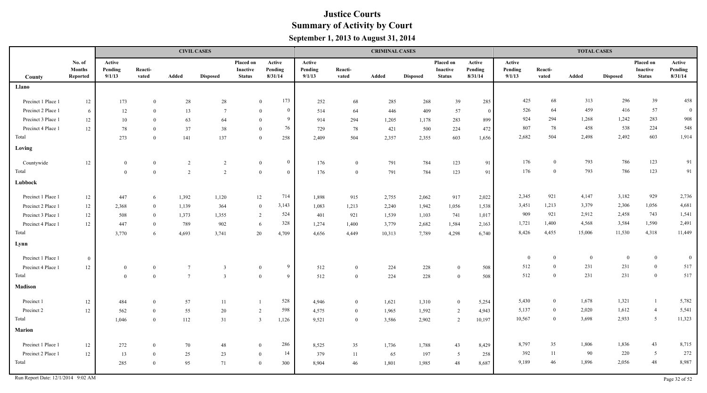|                    |                                            |                             |                  |                 | <b>CIVIL CASES</b> |                                               |                                  |                             |                  | <b>CRIMINAL CASES</b> |                 |                                        |                              |                             |                  | <b>TOTAL CASES</b> |                 |                                               |                              |
|--------------------|--------------------------------------------|-----------------------------|------------------|-----------------|--------------------|-----------------------------------------------|----------------------------------|-----------------------------|------------------|-----------------------|-----------------|----------------------------------------|------------------------------|-----------------------------|------------------|--------------------|-----------------|-----------------------------------------------|------------------------------|
| County             | No. of<br><b>Months</b><br><b>Reported</b> | Active<br>Pending<br>9/1/13 | Reacti-<br>vated | Added           | <b>Disposed</b>    | Placed on<br><b>Inactive</b><br><b>Status</b> | Active<br>Pending<br>8/31/14     | Active<br>Pending<br>9/1/13 | Reacti-<br>vated | Added                 | <b>Disposed</b> | Placed on<br>Inactive<br><b>Status</b> | Active<br>Pending<br>8/31/14 | Active<br>Pending<br>9/1/13 | Reacti-<br>vated | Added              | <b>Disposed</b> | Placed on<br><b>Inactive</b><br><b>Status</b> | Active<br>Pending<br>8/31/14 |
| Llano              |                                            |                             |                  |                 |                    |                                               |                                  |                             |                  |                       |                 |                                        |                              |                             |                  |                    |                 |                                               |                              |
| Precinct 1 Place 1 | $12\,$                                     | 173                         | $\mathbf{0}$     | $28\,$          | 28                 |                                               | 173<br>$\overline{0}$            | 252                         | 68               | 285                   | 268             | 39                                     | 285                          | 425                         | 68               | 313                | 296             | 39                                            | 458                          |
| Precinct 2 Place 1 | - 6                                        | 12                          | $\overline{0}$   | 13              | $\overline{7}$     | $\theta$                                      | $\mathbf{0}$                     | 514                         | 64               | 446                   | 409             | 57                                     | $\overline{0}$               | 526                         | 64               | 459                | 416             | 57                                            | $\bf{0}$                     |
| Precinct 3 Place 1 | $12\,$                                     | 10                          | $\theta$         | 63              | 64                 |                                               | -9<br>$\Omega$                   | 914                         | 294              | 1,205                 | 1,178           | 283                                    | 899                          | 924                         | 294              | 1,268              | 1,242           | 283                                           | 908                          |
| Precinct 4 Place 1 | 12                                         | 78                          | $\Omega$         | 37              | 38                 | $\Omega$                                      | 76                               | 729                         | 78               | 421                   | 500             | 224                                    | 472                          | 807                         | 78               | 458                | 538             | 224                                           | 548                          |
| Total              |                                            | 273                         | $\theta$         | 141             | 137                |                                               | 258<br>$\overline{0}$            | 2,409                       | 504              | 2,357                 | 2,355           | 603                                    | 1,656                        | 2,682                       | 504              | 2,498              | 2,492           | 603                                           | 1,914                        |
| Loving             |                                            |                             |                  |                 |                    |                                               |                                  |                             |                  |                       |                 |                                        |                              |                             |                  |                    |                 |                                               |                              |
| Countywide         | $12\,$                                     | $\mathbf{0}$                | $\overline{0}$   | 2               | $\overline{2}$     |                                               | $\bf{0}$<br>$\mathbf{0}$         | 176                         | $\overline{0}$   | 791                   | 784             | 123                                    | 91                           | 176                         | $\overline{0}$   | 793                | 786             | 123                                           | 91                           |
| Total              |                                            | $\overline{0}$              | $\Omega$         | $\overline{2}$  | $\overline{2}$     |                                               | $\overline{0}$<br>$\overline{0}$ | 176                         | $\overline{0}$   | 791                   | 784             | 123                                    | 91                           | 176                         | $\theta$         | 793                | 786             | 123                                           | 91                           |
| Lubbock            |                                            |                             |                  |                 |                    |                                               |                                  |                             |                  |                       |                 |                                        |                              |                             |                  |                    |                 |                                               |                              |
| Precinct 1 Place 1 | $12\,$                                     | 447                         | -6               | 1,392           | 1,120              | 12                                            | 714                              | 1,898                       | 915              | 2,755                 | 2,062           | 917                                    | 2,022                        | 2,345                       | 921              | 4,147              | 3,182           | 929                                           | 2,736                        |
| Precinct 2 Place 1 | $12\,$                                     | 2,368                       | $\Omega$         | 1,139           | 364                |                                               | 3,143<br>$\mathbf{0}$            | 1,083                       | 1,213            | 2,240                 | 1,942           | 1,056                                  | 1,538                        | 3,451                       | 1,213            | 3,379              | 2,306           | 1,056                                         | 4,681                        |
| Precinct 3 Place 1 | $12\,$                                     | 508                         | $\theta$         | 1,373           | 1,355              |                                               | 524<br>2                         | 401                         | 921              | 1,539                 | 1,103           | 741                                    | 1,017                        | 909                         | 921              | 2,912              | 2,458           | 743                                           | 1,541                        |
| Precinct 4 Place 1 | $12\,$                                     | 447                         | $\theta$         | 789             | 902                | 6                                             | 328                              | 1,274                       | 1,400            | 3,779                 | 2,682           | 1,584                                  | 2,163                        | 1,721                       | 1,400            | 4,568              | 3,584           | 1,590                                         | 2,491                        |
| Total              |                                            | 3,770                       | 6                | 4,693           | 3,741              | 20                                            | 4,709                            | 4,656                       | 4,449            | 10,313                | 7,789           | 4,298                                  | 6,740                        | 8,426                       | 4,455            | 15,006             | 11,530          | 4,318                                         | 11,449                       |
| Lynn               |                                            |                             |                  |                 |                    |                                               |                                  |                             |                  |                       |                 |                                        |                              |                             |                  |                    |                 |                                               |                              |
| Precinct 1 Place 1 | $\overline{0}$                             |                             |                  |                 |                    |                                               |                                  |                             |                  |                       |                 |                                        |                              | $\bf{0}$                    | $\overline{0}$   | $\bf{0}$           | $\overline{0}$  | $\overline{0}$                                | $\bf{0}$                     |
| Precinct 4 Place 1 | $12\,$                                     | $\bf{0}$                    | $\mathbf{0}$     | $7\phantom{.0}$ | $\overline{3}$     |                                               | 9<br>$\mathbf{0}$                | 512                         | $\overline{0}$   | 224                   | 228             | $\overline{0}$                         | 508                          | 512                         | $\mathbf{0}$     | 231                | 231             | $\mathbf{0}$                                  | 517                          |
| Total              |                                            | $\bf{0}$                    | $\overline{0}$   | $7\phantom{.0}$ | 3                  |                                               | $\overline{0}$<br>9              | 512                         | $\bf{0}$         | 224                   | 228             | $\mathbf{0}$                           | 508                          | 512                         | $\overline{0}$   | 231                | 231             | $\bf{0}$                                      | 517                          |
| <b>Madison</b>     |                                            |                             |                  |                 |                    |                                               |                                  |                             |                  |                       |                 |                                        |                              |                             |                  |                    |                 |                                               |                              |
| Precinct 1         | $12\,$                                     | 484                         | $\mathbf{0}$     | 57              | 11                 |                                               | 528                              | 4,946                       | $\overline{0}$   | 1,621                 | 1,310           | $\mathbf{0}$                           | 5,254                        | 5,430                       | $\mathbf{0}$     | 1,678              | 1,321           | $\mathbf{1}$                                  | 5,782                        |
| Precinct 2         | 12                                         | 562                         | $\theta$         | 55              | $20\,$             | 2                                             | 598                              | 4,575                       | $\theta$         | 1,965                 | 1,592           | 2                                      | 4,943                        | 5,137                       | $\overline{0}$   | 2,020              | 1,612           | $\overline{4}$                                | 5,541                        |
| Total              |                                            | 1,046                       | $\theta$         | 112             | 31                 | $\overline{3}$                                | 1,126                            | 9,521                       | $\theta$         | 3,586                 | 2,902           | 2                                      | 10,197                       | 10,567                      | $\overline{0}$   | 3,698              | 2,933           | $5\overline{)}$                               | 11,323                       |
| <b>Marion</b>      |                                            |                             |                  |                 |                    |                                               |                                  |                             |                  |                       |                 |                                        |                              |                             |                  |                    |                 |                                               |                              |
| Precinct 1 Place 1 | 12                                         | 272                         | $\overline{0}$   | 70              | 48                 | $\mathbf{0}$                                  | 286                              | 8,525                       | 35               | 1,736                 | 1,788           | 43                                     | 8,429                        | 8,797                       | 35               | 1,806              | 1,836           | 43                                            | 8,715                        |
| Precinct 2 Place 1 | 12                                         | 13                          | $\overline{0}$   | 25              | 23                 | $\mathbf{0}$                                  | 14                               | 379                         | 11               | 65                    | 197             | 5                                      | 258                          | 392                         | 11               | 90                 | 220             | 5                                             | 272                          |
| Total              |                                            | 285                         | $\theta$         | 95              | 71                 | $\mathbf{0}$                                  | 300                              | 8,904                       | 46               | 1,801                 | 1,985           | 48                                     | 8,687                        | 9,189                       | 46               | 1,896              | 2,056           | 48                                            | 8,987                        |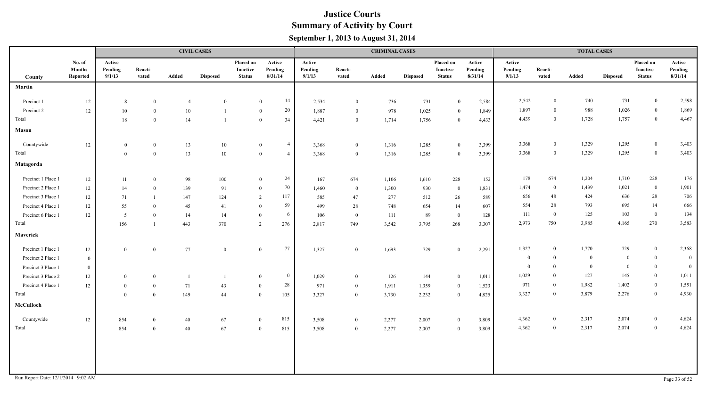|                                    |                                     |                             |                  |                | <b>CIVIL CASES</b> |                                        |                                  |                             |                  | <b>CRIMINAL CASES</b> |                 |                                        |                              |                             |                  | <b>TOTAL CASES</b> |                 |                                        |                              |
|------------------------------------|-------------------------------------|-----------------------------|------------------|----------------|--------------------|----------------------------------------|----------------------------------|-----------------------------|------------------|-----------------------|-----------------|----------------------------------------|------------------------------|-----------------------------|------------------|--------------------|-----------------|----------------------------------------|------------------------------|
| County                             | No. of<br><b>Months</b><br>Reported | Active<br>Pending<br>9/1/13 | Reacti-<br>vated | Added          | <b>Disposed</b>    | Placed on<br>Inactive<br><b>Status</b> | Active<br>Pending<br>8/31/14     | Active<br>Pending<br>9/1/13 | Reacti-<br>vated | Added                 | <b>Disposed</b> | Placed on<br>Inactive<br><b>Status</b> | Active<br>Pending<br>8/31/14 | Active<br>Pending<br>9/1/13 | Reacti-<br>vated | Added              | <b>Disposed</b> | Placed on<br>Inactive<br><b>Status</b> | Active<br>Pending<br>8/31/14 |
| Martin                             |                                     |                             |                  |                |                    |                                        |                                  |                             |                  |                       |                 |                                        |                              |                             |                  |                    |                 |                                        |                              |
| Precinct 1                         | 12                                  | 8                           | $\overline{0}$   | $\overline{4}$ | $\mathbf{0}$       |                                        | 14<br>$\mathbf{0}$               | 2,534                       | $\overline{0}$   | 736                   | 731             | $\mathbf{0}$                           | 2,584                        | 2,542                       | $\overline{0}$   | 740                | 731             | $\mathbf{0}$                           | 2,598                        |
| Precinct 2                         | 12                                  | 10                          | $\overline{0}$   | 10             |                    | $\overline{0}$                         | 20                               | 1,887                       | $\bf{0}$         | 978                   | 1,025           | $\bf{0}$                               | 1,849                        | 1,897                       | $\overline{0}$   | 988                | 1,026           | $\mathbf{0}$                           | 1,869                        |
| Total                              |                                     | 18                          | $\theta$         | 14             |                    |                                        | 34<br>$\overline{0}$             | 4,421                       | $\overline{0}$   | 1,714                 | 1,756           | $\mathbf{0}$                           | 4,433                        | 4,439                       | $\overline{0}$   | 1,728              | 1,757           | $\mathbf{0}$                           | 4,467                        |
| Mason                              |                                     |                             |                  |                |                    |                                        |                                  |                             |                  |                       |                 |                                        |                              |                             |                  |                    |                 |                                        |                              |
| Countywide                         | 12                                  | $\bf{0}$                    | $\bf{0}$         | 13             | 10                 |                                        | $\overline{4}$<br>$\bf{0}$       | 3,368                       | $\bf{0}$         | 1,316                 | 1,285           | $\bf{0}$                               | 3,399                        | 3,368                       | $\bf{0}$         | 1,329              | 1,295           | $\overline{0}$                         | 3,403                        |
| Total                              |                                     | $\overline{0}$              | $\overline{0}$   | 13             | 10                 |                                        | $\overline{0}$<br>$\overline{4}$ | 3,368                       | $\overline{0}$   | 1,316                 | 1,285           | $\overline{0}$                         | 3,399                        | 3,368                       | $\overline{0}$   | 1,329              | 1,295           | $\boldsymbol{0}$                       | 3,403                        |
| Matagorda                          |                                     |                             |                  |                |                    |                                        |                                  |                             |                  |                       |                 |                                        |                              |                             |                  |                    |                 |                                        |                              |
| Precinct 1 Place 1                 | $12\,$                              | -11                         | $\overline{0}$   | 98             | 100                |                                        | 24<br>$\overline{0}$             | 167                         | 674              | 1,106                 | 1,610           | 228                                    | 152                          | 178                         | 674              | 1,204              | 1,710           | 228                                    | 176                          |
| Precinct 2 Place 1                 | 12                                  | 14                          | $\theta$         | 139            | 91                 |                                        | 70<br>$\bf{0}$                   | 1,460                       | $\bf{0}$         | 1,300                 | 930             | $\overline{0}$                         | 1,831                        | 1,474                       | $\bf{0}$         | 1,439              | 1,021           | $\boldsymbol{0}$                       | 1,901                        |
| Precinct 3 Place 1                 | 12                                  | 71                          |                  | 147            | 124                | 2                                      | 117                              | 585                         | 47               | 277                   | 512             | 26                                     | 589                          | 656                         | 48               | 424                | 636             | 28                                     | 706                          |
| Precinct 4 Place 1                 | 12                                  | 55                          | $\overline{0}$   | 45             | 41                 | $\overline{0}$                         | 59                               | 499                         | 28               | 748                   | 654             | 14                                     | 607                          | 554                         | 28               | 793                | 695             | 14                                     | 666                          |
| Precinct 6 Place 1                 | 12                                  | 5                           | $\theta$         | 14             | 14                 | $\overline{0}$                         | - 6                              | 106                         | $\overline{0}$   | 111                   | 89              | $\bf{0}$                               | 128                          | 111                         | $\bf{0}$         | 125                | 103             | $\bf{0}$                               | 134                          |
| Total                              |                                     | 156                         |                  | 443            | 370                | 2                                      | 276                              | 2,817                       | 749              | 3,542                 | 3,795           | 268                                    | 3,307                        | 2,973                       | 750              | 3,985              | 4,165           | 270                                    | 3,583                        |
| Maverick                           |                                     |                             |                  |                |                    |                                        |                                  |                             |                  |                       |                 |                                        |                              |                             |                  |                    |                 |                                        |                              |
| Precinct 1 Place 1                 | $12 \,$                             | $\mathbf{0}$                | $\overline{0}$   | 77             | $\Omega$           | $\overline{0}$                         | 77                               | 1,327                       | $\bf{0}$         | 1,693                 | 729             | $\overline{0}$                         | 2,291                        | 1,327                       | $\bf{0}$         | 1,770              | 729             | $\overline{0}$                         | 2,368                        |
| Precinct 2 Place 1                 | $\bf{0}$                            |                             |                  |                |                    |                                        |                                  |                             |                  |                       |                 |                                        |                              | $\theta$                    | $\mathbf{0}$     | $\Omega$           | $\mathbf{0}$    | $\bf{0}$                               | $\overline{0}$               |
| Precinct 3 Place 1                 | $\bf{0}$                            |                             |                  |                |                    |                                        |                                  |                             |                  |                       |                 |                                        |                              | $\theta$                    | $\theta$         | $\theta$           | $\theta$        | $\bf{0}$                               | $\bf{0}$                     |
| Precinct 3 Place 2                 | $12\,$                              | $\overline{0}$              | $\overline{0}$   |                | $\overline{1}$     | $\overline{0}$                         | $\overline{0}$                   | 1,029                       | $\overline{0}$   | 126                   | 144             | $\bf{0}$                               | 1,011                        | 1,029                       | $\theta$         | 127                | 145             | $\bf{0}$                               | 1,011                        |
| Precinct 4 Place 1                 | $12 \,$                             | $\overline{0}$              | $\overline{0}$   | 71             | 43                 | $\overline{0}$                         | $28\,$                           | 971                         | $\bf{0}$         | 1,911                 | 1,359           | $\bf{0}$                               | 1,523                        | 971                         | $\mathbf{0}$     | 1,982              | 1,402           | $\overline{0}$                         | 1,551                        |
| Total                              |                                     | $\overline{0}$              | $\overline{0}$   | 149            | 44                 | $\overline{0}$                         | 105                              | 3,327                       | $\mathbf{0}$     | 3,730                 | 2,232           | $\overline{0}$                         | 4,825                        | 3,327                       | $\mathbf{0}$     | 3,879              | 2,276           | $\bf{0}$                               | 4,930                        |
| McCulloch                          |                                     |                             |                  |                |                    |                                        |                                  |                             |                  |                       |                 |                                        |                              |                             |                  |                    |                 |                                        |                              |
| Countywide                         | $12\,$                              | 854                         | $\overline{0}$   | 40             | 67                 | $\bf{0}$                               | 815                              | 3,508                       | $\bf{0}$         | 2,277                 | 2,007           | $\overline{0}$                         | 3,809                        | 4,362                       | $\theta$         | 2,317              | 2,074           | $\bf{0}$                               | 4,624                        |
| Total                              |                                     | 854                         | $\overline{0}$   | 40             | 67                 | $\overline{0}$                         | 815                              | 3,508                       | $\mathbf{0}$     | 2,277                 | 2,007           | $\overline{0}$                         | 3,809                        | 4,362                       | $\mathbf{0}$     | 2,317              | 2,074           | $\mathbf{0}$                           | 4,624                        |
|                                    |                                     |                             |                  |                |                    |                                        |                                  |                             |                  |                       |                 |                                        |                              |                             |                  |                    |                 |                                        |                              |
|                                    |                                     |                             |                  |                |                    |                                        |                                  |                             |                  |                       |                 |                                        |                              |                             |                  |                    |                 |                                        |                              |
|                                    |                                     |                             |                  |                |                    |                                        |                                  |                             |                  |                       |                 |                                        |                              |                             |                  |                    |                 |                                        |                              |
| Run Report Date: 12/1/2014 9:02 AM |                                     |                             |                  |                |                    |                                        |                                  |                             |                  |                       |                 |                                        |                              |                             |                  |                    |                 |                                        | Page 33 of 52                |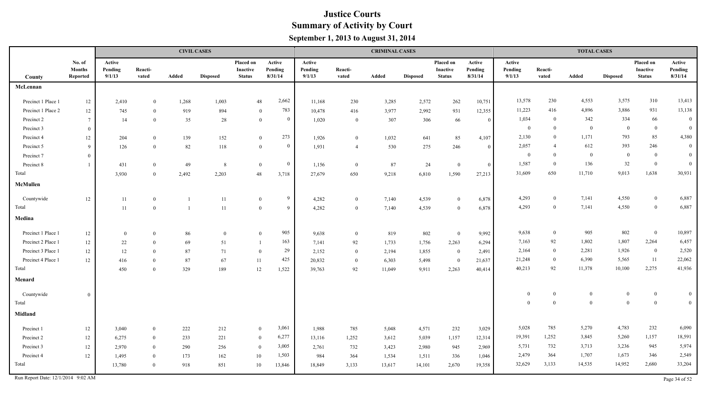|                    |                                     |                             |                  |       | <b>CIVIL CASES</b> |                                        |                              |                             |                  | <b>CRIMINAL CASES</b> |                 |                                        |                              |                             |                  | <b>TOTAL CASES</b> |                 |                                        |                              |
|--------------------|-------------------------------------|-----------------------------|------------------|-------|--------------------|----------------------------------------|------------------------------|-----------------------------|------------------|-----------------------|-----------------|----------------------------------------|------------------------------|-----------------------------|------------------|--------------------|-----------------|----------------------------------------|------------------------------|
| County             | No. of<br><b>Months</b><br>Reported | Active<br>Pending<br>9/1/13 | Reacti-<br>vated | Added | <b>Disposed</b>    | Placed on<br>Inactive<br><b>Status</b> | Active<br>Pending<br>8/31/14 | Active<br>Pending<br>9/1/13 | Reacti-<br>vated | Added                 | <b>Disposed</b> | Placed on<br>Inactive<br><b>Status</b> | Active<br>Pending<br>8/31/14 | Active<br>Pending<br>9/1/13 | Reacti-<br>vated | Added              | <b>Disposed</b> | Placed on<br>Inactive<br><b>Status</b> | Active<br>Pending<br>8/31/14 |
| McLennan           |                                     |                             |                  |       |                    |                                        |                              |                             |                  |                       |                 |                                        |                              |                             |                  |                    |                 |                                        |                              |
| Precinct 1 Place 1 | $12\,$                              | 2,410                       | $\theta$         | 1,268 | 1,003              | 48                                     | 2,662                        | 11,168                      | 230              | 3,285                 | 2,572           | 262                                    | 10,751                       | 13,578                      | 230              | 4,553              | 3,575           | 310                                    | 13,413                       |
| Precinct 1 Place 2 | $12 \,$                             | 745                         | $\theta$         | 919   | 894                | $\theta$                               | 783                          | 10,478                      | 416              | 3,977                 | 2,992           | 931                                    | 12,355                       | 11,223                      | 416              | 4,896              | 3,886           | 931                                    | 13,138                       |
| Precinct 2         | $7\phantom{.0}$                     | 14                          | $\overline{0}$   | 35    | 28                 | $\mathbf{0}$                           | $\Omega$                     | 1,020                       | $\overline{0}$   | 307                   | 306             | 66                                     | $\overline{0}$               | 1,034                       | $\overline{0}$   | 342                | 334             | 66                                     | $\overline{0}$               |
| Precinct 3         | $\overline{0}$                      |                             |                  |       |                    |                                        |                              |                             |                  |                       |                 |                                        |                              | $\overline{0}$              | $\overline{0}$   | $\overline{0}$     | $\overline{0}$  | $\bf{0}$                               | $\mathbf{0}$                 |
| Precinct 4         | 12                                  | 204                         | $\mathbf{0}$     | 139   | 152                | $\overline{0}$                         | 273                          | 1,926                       | $\mathbf{0}$     | 1,032                 | 641             | 85                                     | 4,107                        | 2,130                       | $\overline{0}$   | 1,171              | 793             | 85                                     | 4,380                        |
| Precinct 5         | $\mathbf{q}$                        | 126                         | $\mathbf{0}$     | 82    | 118                | $\mathbf{0}$                           | $\theta$                     | 1,931                       | $\overline{4}$   | 530                   | 275             | 246                                    | $\theta$                     | 2,057                       | $\overline{4}$   | 612                | 393             | 246                                    | $\overline{0}$               |
| Precinct 7         | $\theta$                            |                             |                  |       |                    |                                        |                              |                             |                  |                       |                 |                                        |                              | $\bf{0}$                    | $\mathbf{0}$     | $\bf{0}$           | $\theta$        | $\mathbf{0}$                           | $\overline{0}$               |
| Precinct 8         |                                     | 431                         | $\theta$         | 49    | 8                  | $\bf{0}$                               | $\overline{0}$               | 1,156                       | $\bf{0}$         | 87                    | 24              | $\bf{0}$                               | $\overline{0}$               | 1,587                       | $\theta$         | 136                | 32              | $\bf{0}$                               | $\overline{0}$               |
| Total              |                                     | 3,930                       | $\Omega$         | 2,492 | 2,203              | $48\,$                                 | 3,718                        | 27,679                      | 650              | 9,218                 | 6,810           | 1,590                                  | 27,213                       | 31,609                      | 650              | 11,710             | 9,013           | 1,638                                  | 30,931                       |
| McMullen           |                                     |                             |                  |       |                    |                                        |                              |                             |                  |                       |                 |                                        |                              |                             |                  |                    |                 |                                        |                              |
| Countywide         | $12\,$                              | 11                          | $\overline{0}$   |       | $11\,$             | $\overline{0}$                         | -9                           | 4,282                       | $\overline{0}$   | 7,140                 | 4,539           | $\mathbf{0}$                           | 6,878                        | 4,293                       | $\overline{0}$   | 7,141              | 4,550           | $\overline{0}$                         | 6,887                        |
| Total              |                                     | 11                          | $\theta$         | -1    | 11                 | $\mathbf{0}$                           | $\mathbf{Q}$                 | 4,282                       | $\theta$         | 7,140                 | 4,539           | $\theta$                               | 6,878                        | 4,293                       | $\mathbf{0}$     | 7,141              | 4,550           | $\mathbf{0}$                           | 6,887                        |
| Medina             |                                     |                             |                  |       |                    |                                        |                              |                             |                  |                       |                 |                                        |                              |                             |                  |                    |                 |                                        |                              |
| Precinct 1 Place 1 | 12                                  | $\bf{0}$                    | $\overline{0}$   | 86    | $\mathbf{0}$       | $\mathbf{0}$                           | 905                          | 9,638                       | $\overline{0}$   | 819                   | 802             | $\overline{0}$                         | 9,992                        | 9,638                       | $\overline{0}$   | 905                | 802             | $\overline{0}$                         | 10,897                       |
| Precinct 2 Place 1 | 12                                  | 22                          | $\theta$         | 69    | 51                 | -1                                     | 163                          | 7,141                       | 92               | 1,733                 | 1,756           | 2,263                                  | 6,294                        | 7,163                       | 92               | 1,802              | 1,807           | 2,264                                  | 6,457                        |
| Precinct 3 Place 1 | 12                                  | 12                          | $\theta$         | 87    | 71                 | $\overline{0}$                         | 29                           | 2,152                       | $\theta$         | 2,194                 | 1,855           | $\overline{0}$                         | 2,491                        | 2,164                       | $\overline{0}$   | 2,281              | 1,926           | $\overline{0}$                         | 2,520                        |
| Precinct 4 Place 1 | 12                                  | 416                         | $\theta$         | 87    | 67                 | 11                                     | 425                          | 20,832                      | $\overline{0}$   | 6,303                 | 5,498           | $\overline{0}$                         | 21,637                       | 21,248                      | $\mathbf{0}$     | 6,390              | 5,565           | 11                                     | 22,062                       |
| Total              |                                     | 450                         | $\theta$         | 329   | 189                | 12                                     | 1,522                        | 39,763                      | 92               | 11,049                | 9,911           | 2,263                                  | 40,414                       | 40,213                      | 92               | 11,378             | 10,100          | 2,275                                  | 41,936                       |
| Menard             |                                     |                             |                  |       |                    |                                        |                              |                             |                  |                       |                 |                                        |                              |                             |                  |                    |                 |                                        |                              |
| Countywide         | $\overline{0}$                      |                             |                  |       |                    |                                        |                              |                             |                  |                       |                 |                                        |                              | $\boldsymbol{0}$            | $\theta$         | $\theta$           | $\theta$        | $\bf{0}$                               | $\overline{0}$               |
| Total              |                                     |                             |                  |       |                    |                                        |                              |                             |                  |                       |                 |                                        |                              | $\theta$                    | $\overline{0}$   | $\theta$           | $\theta$        | $\overline{0}$                         | $\mathbf{0}$                 |
| <b>Midland</b>     |                                     |                             |                  |       |                    |                                        |                              |                             |                  |                       |                 |                                        |                              |                             |                  |                    |                 |                                        |                              |
| Precinct 1         | 12                                  | 3,040                       | $\overline{0}$   | 222   | 212                | $\overline{0}$                         | 3,061                        | 1,988                       | 785              | 5,048                 | 4,571           | 232                                    | 3,029                        | 5,028                       | 785              | 5,270              | 4,783           | 232                                    | 6,090                        |
| Precinct 2         | 12                                  | 6,275                       | $\overline{0}$   | 233   | 221                | $\bf{0}$                               | 6,277                        | 13,116                      | 1,252            | 3,612                 | 5,039           | 1,157                                  | 12,314                       | 19,391                      | 1,252            | 3,845              | 5,260           | 1,157                                  | 18,591                       |
| Precinct 3         | $12 \,$                             | 2,970                       | $\theta$         | 290   | 256                | $\mathbf{0}$                           | 3,005                        | 2,761                       | 732              | 3,423                 | 2,980           | 945                                    | 2,969                        | 5,731                       | 732              | 3,713              | 3,236           | 945                                    | 5,974                        |
| Precinct 4         | 12                                  | 1,495                       | $\Omega$         | 173   | 162                | 10                                     | 1,503                        | 984                         | 364              | 1,534                 | 1,511           | 336                                    | 1,046                        | 2,479                       | 364              | 1,707              | 1,673           | 346                                    | 2,549                        |
| Total              |                                     | 13,780                      | $\theta$         | 918   | 851                | 10                                     | 13,846                       | 18,849                      | 3,133            | 13,617                | 14,101          | 2,670                                  | 19,358                       | 32,629                      | 3,133            | 14,535             | 14,952          | 2,680                                  | 33,204                       |

Run Report Date:  $12/1/2014$  9:02 AM Page 34 of 52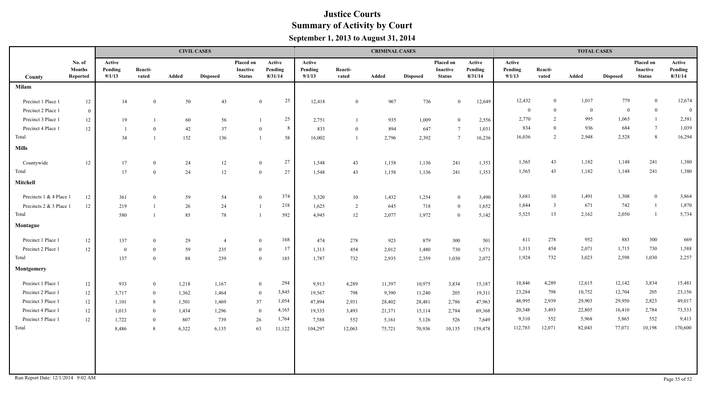|                                    |                                     |                             |                  |       | <b>CIVIL CASES</b> |                                        |                              |                             |                  | <b>CRIMINAL CASES</b> |                 |                                        |                              |                             |                  | <b>TOTAL CASES</b> |                 |                                        |                              |
|------------------------------------|-------------------------------------|-----------------------------|------------------|-------|--------------------|----------------------------------------|------------------------------|-----------------------------|------------------|-----------------------|-----------------|----------------------------------------|------------------------------|-----------------------------|------------------|--------------------|-----------------|----------------------------------------|------------------------------|
| County                             | No. of<br><b>Months</b><br>Reported | Active<br>Pending<br>9/1/13 | Reacti-<br>vated | Added | <b>Disposed</b>    | Placed on<br>Inactive<br><b>Status</b> | Active<br>Pending<br>8/31/14 | Active<br>Pending<br>9/1/13 | Reacti-<br>vated | Added                 | <b>Disposed</b> | Placed on<br>Inactive<br><b>Status</b> | Active<br>Pending<br>8/31/14 | Active<br>Pending<br>9/1/13 | Reacti-<br>vated | Added              | <b>Disposed</b> | Placed on<br>Inactive<br><b>Status</b> | Active<br>Pending<br>8/31/14 |
| <b>Milam</b>                       |                                     |                             |                  |       |                    |                                        |                              |                             |                  |                       |                 |                                        |                              |                             |                  |                    |                 |                                        |                              |
| Precinct 1 Place 1                 | 12                                  | 14                          | $\bf{0}$         | 50    | 43                 |                                        | 25<br>$\mathbf{0}$           | 12,418                      | $\overline{0}$   | 967                   | 736             | $\mathbf{0}$                           | 12,649                       | 12,432                      | $\bf{0}$         | 1,017              | 779             | $\overline{0}$                         | 12,674                       |
| Precinct 2 Place 1                 | $\overline{0}$                      |                             |                  |       |                    |                                        |                              |                             |                  |                       |                 |                                        |                              | $\overline{0}$              | $\bf{0}$         | $\bf{0}$           | $\overline{0}$  | $\overline{0}$                         | $\overline{0}$               |
| Precinct 3 Place 1                 | 12                                  | 19                          |                  | 60    | 56                 |                                        | 25                           | 2,751                       |                  | 935                   | 1,009           | $\overline{0}$                         | 2,556                        | 2,770                       | 2                | 995                | 1,065           | $\mathbf{1}$                           | 2,581                        |
| Precinct 4 Place 1                 | 12                                  | $\overline{\phantom{0}}$    | $\Omega$         | 42    | 37                 |                                        | 8<br>$\mathbf{0}$            | 833                         | $\overline{0}$   | 894                   | 647             | $7\phantom{.0}$                        | 1,031                        | 834                         | $\theta$         | 936                | 684             | $7\overline{ }$                        | 1,039                        |
| Total                              |                                     | 34                          |                  | 152   | 136                |                                        | 58                           | 16,002                      |                  | 2,796                 | 2,392           | $7\overline{ }$                        | 16,236                       | 16,036                      | 2                | 2,948              | 2,528           | 8                                      | 16,294                       |
| <b>Mills</b>                       |                                     |                             |                  |       |                    |                                        |                              |                             |                  |                       |                 |                                        |                              |                             |                  |                    |                 |                                        |                              |
| Countywide                         | $12 \,$                             | 17                          | $\theta$         | 24    | 12                 |                                        | 27<br>$\mathbf{0}$           | 1,548                       | 43               | 1,158                 | 1,136           | 241                                    | 1,353                        | 1,565                       | 43               | 1,182              | 1,148           | 241                                    | 1,380                        |
| Total                              |                                     | 17                          | $\theta$         | 24    | 12                 |                                        | 27<br>$\mathbf{0}$           | 1,548                       | 43               | 1,158                 | 1,136           | 241                                    | 1,353                        | 1,565                       | 43               | 1,182              | 1,148           | 241                                    | 1,380                        |
| Mitchell                           |                                     |                             |                  |       |                    |                                        |                              |                             |                  |                       |                 |                                        |                              |                             |                  |                    |                 |                                        |                              |
| Precincts 1 & 4 Place 1            | 12                                  | 361                         | $\theta$         | 59    | 54                 |                                        | 374<br>$\overline{0}$        | 3,320                       | 10               | 1,432                 | 1,254           | $\overline{0}$                         | 3,490                        | 3,681                       | 10               | 1,491              | 1,308           | $\overline{0}$                         | 3,864                        |
| Precincts 2 & 3 Place 1            | 12                                  | 219                         |                  | 26    | 24                 |                                        | 218<br>$\mathbf{1}$          | 1,625                       | $\overline{2}$   | 645                   | 718             | $\overline{0}$                         | 1,652                        | 1,844                       | $\overline{3}$   | 671                | 742             | -1                                     | 1,870                        |
| Total                              |                                     | 580                         |                  | 85    | 78                 |                                        | 592                          | 4,945                       | $12\,$           | 2,077                 | 1,972           | $\overline{0}$                         | 5,142                        | 5,525                       | 13               | 2,162              | 2,050           | $\overline{1}$                         | 5,734                        |
| Montague                           |                                     |                             |                  |       |                    |                                        |                              |                             |                  |                       |                 |                                        |                              |                             |                  |                    |                 |                                        |                              |
| Precinct 1 Place 1                 | 12                                  | 137                         | $\overline{0}$   | 29    | $\overline{4}$     |                                        | 168<br>$\mathbf{0}$          | 474                         | 278              | 923                   | 879             | 300                                    | 501                          | 611                         | 278              | 952                | 883             | 300                                    | 669                          |
| Precinct 2 Place 1                 | 12                                  | $\bf{0}$                    | $\theta$         | 59    | 235                |                                        | 17<br>$\mathbf{0}$           | 1,313                       | 454              | 2,012                 | 1,480           | 730                                    | 1,571                        | 1,313                       | 454              | 2,071              | 1,715           | 730                                    | 1,588                        |
| Total                              |                                     | 137                         | $\theta$         | 88    | 239                |                                        | $\mathbf{0}$<br>185          | 1,787                       | 732              | 2,935                 | 2,359           | 1,030                                  | 2,072                        | 1,924                       | 732              | 3,023              | 2,598           | 1,030                                  | 2,257                        |
| Montgomery                         |                                     |                             |                  |       |                    |                                        |                              |                             |                  |                       |                 |                                        |                              |                             |                  |                    |                 |                                        |                              |
| Precinct 1 Place 1                 | 12                                  | 933                         | $\bf{0}$         | 1,218 | 1,167              |                                        | 294<br>$\mathbf{0}$          | 9,913                       | 4,289            | 11,397                | 10,975          | 3,834                                  | 15,187                       | 10,846                      | 4,289            | 12,615             | 12,142          | 3,834                                  | 15,481                       |
| Precinct 2 Place 1                 | 12                                  | 3,717                       | $\overline{0}$   | 1,362 | 1,464              |                                        | 3,845<br>$\bf{0}$            | 19,567                      | 798              | 9,390                 | 11,240          | 205                                    | 19,311                       | 23,284                      | 798              | 10,752             | 12,704          | 205                                    | 23,156                       |
| Precinct 3 Place 1                 | 12                                  | 1,101                       | 8                | 1,501 | 1,469              | 37                                     | 1,054                        | 47,894                      | 2,931            | 28,402                | 28,481          | 2,786                                  | 47,963                       | 48,995                      | 2,939            | 29,903             | 29,950          | 2,823                                  | 49,017                       |
| Precinct 4 Place 1                 | 12                                  | 1,013                       | $\overline{0}$   | 1,434 | 1,296              |                                        | 4,165<br>$\overline{0}$      | 19,335                      | 3,493            | 21,371                | 15,114          | 2,784                                  | 69,368                       | 20,348                      | 3,493            | 22,805             | 16,410          | 2,784                                  | 73,533                       |
| Precinct 5 Place 1                 | 12                                  | 1,722                       | $\theta$         | 807   | 739                | $26\,$                                 | 1,764                        | 7,588                       | 552              | 5,161                 | 5,126           | 526                                    | 7,649                        | 9,310                       | 552              | 5,968              | 5,865           | 552                                    | 9,413                        |
| Total                              |                                     | 8,486                       | 8                | 6,322 | 6,135              | 63                                     | 11,122                       | 104,297                     | 12,063           | 75,721                | 70,936          | 10,135                                 | 159,478                      | 112,783                     | 12,071           | 82,043             | 77,071          | 10,198                                 | 170,600                      |
|                                    |                                     |                             |                  |       |                    |                                        |                              |                             |                  |                       |                 |                                        |                              |                             |                  |                    |                 |                                        |                              |
|                                    |                                     |                             |                  |       |                    |                                        |                              |                             |                  |                       |                 |                                        |                              |                             |                  |                    |                 |                                        |                              |
|                                    |                                     |                             |                  |       |                    |                                        |                              |                             |                  |                       |                 |                                        |                              |                             |                  |                    |                 |                                        |                              |
| Run Report Date: 12/1/2014 9:02 AM |                                     |                             |                  |       |                    |                                        |                              |                             |                  |                       |                 |                                        |                              |                             |                  |                    |                 |                                        | Page 35 of 52                |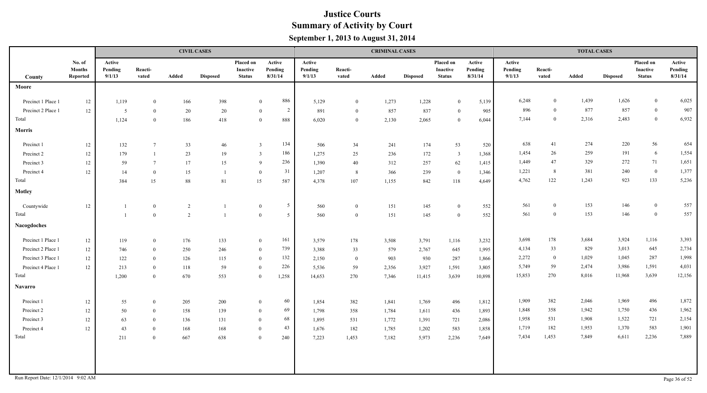|                                    |                                     |                             |                  | <b>CIVIL CASES</b> |                 |                                               |                                  |                             |                  | <b>CRIMINAL CASES</b> |                 |                                        |                              |                             |                  | <b>TOTAL CASES</b> |                 |                                               |                              |
|------------------------------------|-------------------------------------|-----------------------------|------------------|--------------------|-----------------|-----------------------------------------------|----------------------------------|-----------------------------|------------------|-----------------------|-----------------|----------------------------------------|------------------------------|-----------------------------|------------------|--------------------|-----------------|-----------------------------------------------|------------------------------|
| County                             | No. of<br><b>Months</b><br>Reported | Active<br>Pending<br>9/1/13 | Reacti-<br>vated | Added              | <b>Disposed</b> | Placed on<br><b>Inactive</b><br><b>Status</b> | Active<br>Pending<br>8/31/14     | Active<br>Pending<br>9/1/13 | Reacti-<br>vated | Added                 | <b>Disposed</b> | Placed on<br>Inactive<br><b>Status</b> | Active<br>Pending<br>8/31/14 | Active<br>Pending<br>9/1/13 | Reacti-<br>vated | Added              | <b>Disposed</b> | Placed on<br><b>Inactive</b><br><b>Status</b> | Active<br>Pending<br>8/31/14 |
| Moore                              |                                     |                             |                  |                    |                 |                                               |                                  |                             |                  |                       |                 |                                        |                              |                             |                  |                    |                 |                                               |                              |
| Precinct 1 Place 1                 | 12                                  | 1,119                       | $\bf{0}$         | 166                | 398             |                                               | 886<br>$\mathbf{0}$              | 5,129                       | $\overline{0}$   | 1,273                 | 1,228           | $\mathbf{0}$                           | 5,139                        | 6,248                       | $\overline{0}$   | 1,439              | 1,626           | $\overline{0}$                                | 6,025                        |
| Precinct 2 Place 1                 | 12                                  | 5                           | $\overline{0}$   | 20                 | 20              |                                               | $\overline{2}$<br>$\overline{0}$ | 891                         | $\overline{0}$   | 857                   | 837             | $\bf{0}$                               | 905                          | 896                         | $\overline{0}$   | 877                | 857             | $\bf{0}$                                      | 907                          |
| Total                              |                                     | 1,124                       | $\overline{0}$   | 186                | 418             |                                               | 888<br>$\mathbf{0}$              | 6,020                       | $\overline{0}$   | 2,130                 | 2,065           | $\overline{0}$                         | 6,044                        | 7,144                       | $\mathbf{0}$     | 2,316              | 2,483           | $\bf{0}$                                      | 6,932                        |
| <b>Morris</b>                      |                                     |                             |                  |                    |                 |                                               |                                  |                             |                  |                       |                 |                                        |                              |                             |                  |                    |                 |                                               |                              |
| Precinct 1                         | 12                                  | 132                         | $\overline{7}$   | 33                 | 46              | $\overline{3}$                                | 134                              | 506                         | 34               | 241                   | 174             | 53                                     | 520                          | 638                         | 41               | 274                | 220             | 56                                            | 654                          |
| Precinct 2                         | 12                                  | 179                         |                  | 23                 | 19              | $\overline{3}$                                | 186                              | 1,275                       | 25               | 236                   | 172             | $\overline{3}$                         | 1,368                        | 1,454                       | 26               | 259                | 191             | 6                                             | 1,554                        |
| Precinct 3                         | 12                                  | 59                          | $\overline{7}$   | 17                 | 15              | 9                                             | 236                              | 1,390                       | 40               | 312                   | 257             | 62                                     | 1,415                        | 1,449                       | 47               | 329                | 272             | 71                                            | 1,651                        |
| Precinct 4                         | 12                                  | 14                          | $\overline{0}$   | 15                 |                 | $\overline{0}$                                | 31                               | 1,207                       | 8                | 366                   | 239             | $\bf{0}$                               | 1,346                        | 1,221                       | 8                | 381                | 240             | $\bf{0}$                                      | 1,377                        |
| Total                              |                                     | 384                         | 15               | $88\,$             | 81              | 15                                            | 587                              | 4,378                       | 107              | 1,155                 | 842             | 118                                    | 4,649                        | 4,762                       | 122              | 1,243              | 923             | 133                                           | 5,236                        |
| Motley                             |                                     |                             |                  |                    |                 |                                               |                                  |                             |                  |                       |                 |                                        |                              |                             |                  |                    |                 |                                               |                              |
| Countywide                         | 12                                  |                             | $\overline{0}$   | $\overline{c}$     |                 | $\mathbf{0}$                                  | $5\overline{)}$                  | 560                         | $\overline{0}$   | 151                   | 145             | $\bf{0}$                               | 552                          | 561                         | $\mathbf{0}$     | 153                | 146             | $\bf{0}$                                      | 557                          |
| Total                              |                                     |                             | $\overline{0}$   | $\overline{2}$     |                 | $\bf{0}$                                      | 5                                | 560                         | $\overline{0}$   | 151                   | 145             | $\bf{0}$                               | 552                          | 561                         | $\overline{0}$   | 153                | 146             | $\bf{0}$                                      | 557                          |
| <b>Nacogdoches</b>                 |                                     |                             |                  |                    |                 |                                               |                                  |                             |                  |                       |                 |                                        |                              |                             |                  |                    |                 |                                               |                              |
| Precinct 1 Place 1                 | 12                                  | 119                         | $\overline{0}$   | 176                | 133             | $\mathbf{0}$                                  | 161                              | 3,579                       | 178              | 3,508                 | 3,791           | 1,116                                  | 3,232                        | 3,698                       | 178              | 3,684              | 3,924           | 1,116                                         | 3,393                        |
| Precinct 2 Place 1                 | 12                                  | 746                         | $\overline{0}$   | 250                | 246             | $\bf{0}$                                      | 739                              | 3,388                       | 33               | 579                   | 2,767           | 645                                    | 1,995                        | 4,134                       | 33               | 829                | 3,013           | 645                                           | 2,734                        |
| Precinct 3 Place 1                 | 12                                  | 122                         | $\overline{0}$   | 126                | 115             | $\bf{0}$                                      | 132                              | 2,150                       | $\overline{0}$   | 903                   | 930             | 287                                    | 1,866                        | 2,272                       | $\overline{0}$   | 1,029              | 1,045           | 287                                           | 1,998                        |
| Precinct 4 Place 1                 | 12                                  | 213                         | $\overline{0}$   | 118                | 59              | $\overline{0}$                                | 226                              | 5,536                       | 59               | 2,356                 | 3,927           | 1,591                                  | 3,805                        | 5,749                       | 59               | 2,474              | 3,986           | 1,591                                         | 4,031                        |
| Total                              |                                     | 1,200                       | $\overline{0}$   | 670                | 553             | $\bf{0}$                                      | 1,258                            | 14,653                      | 270              | 7,346                 | 11,415          | 3,639                                  | 10,898                       | 15,853                      | 270              | 8,016              | 11,968          | 3,639                                         | 12,156                       |
| <b>Navarro</b>                     |                                     |                             |                  |                    |                 |                                               |                                  |                             |                  |                       |                 |                                        |                              |                             |                  |                    |                 |                                               |                              |
| Precinct 1                         | 12                                  | 55                          | $\overline{0}$   | 205                | 200             | $\overline{0}$                                | 60                               | 1,854                       | 382              | 1,841                 | 1,769           | 496                                    | 1,812                        | 1,909                       | 382              | 2,046              | 1,969           | 496                                           | 1,872                        |
| Precinct 2                         | 12                                  | 50                          | $\overline{0}$   | 158                | 139             | $\overline{0}$                                | 69                               | 1,798                       | 358              | 1,784                 | 1,611           | 436                                    | 1,893                        | 1,848                       | 358              | 1,942              | 1,750           | 436                                           | 1,962                        |
| Precinct 3                         | $12\,$                              | 63                          | $\theta$         | 136                | 131             | $\theta$                                      | 68                               | 1,895                       | 531              | 1,772                 | 1,391           | 721                                    | 2,086                        | 1,958                       | 531              | 1,908              | 1,522           | 721                                           | 2,154                        |
| Precinct 4                         | 12                                  | 43                          | $\theta$         | 168                | 168             | $\overline{0}$                                | 43                               | 1,676                       | 182              | 1,785                 | 1,202           | 583                                    | 1,858                        | 1,719                       | 182              | 1,953              | 1,370           | 583                                           | 1,901                        |
| Total                              |                                     | 211                         | $\overline{0}$   | 667                | 638             | $\overline{0}$                                | 240                              | 7,223                       | 1,453            | 7,182                 | 5,973           | 2,236                                  | 7,649                        | 7,434                       | 1,453            | 7,849              | 6,611           | 2,236                                         | 7,889                        |
|                                    |                                     |                             |                  |                    |                 |                                               |                                  |                             |                  |                       |                 |                                        |                              |                             |                  |                    |                 |                                               |                              |
|                                    |                                     |                             |                  |                    |                 |                                               |                                  |                             |                  |                       |                 |                                        |                              |                             |                  |                    |                 |                                               |                              |
|                                    |                                     |                             |                  |                    |                 |                                               |                                  |                             |                  |                       |                 |                                        |                              |                             |                  |                    |                 |                                               |                              |
| Run Report Date: 12/1/2014 9:02 AM |                                     |                             |                  |                    |                 |                                               |                                  |                             |                  |                       |                 |                                        |                              |                             |                  |                    |                 |                                               | Page 36 of 52                |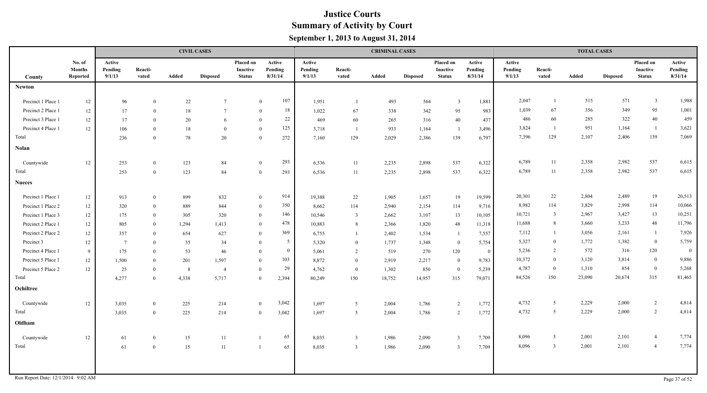|                    |                                     |                             |                  |       | <b>CIVIL CASES</b> |                                               |                              |                             |                         | <b>CRIMINAL CASES</b> |                 |                                        |                              |                             |                         | <b>TOTAL CASES</b> |                 |                                               |                              |
|--------------------|-------------------------------------|-----------------------------|------------------|-------|--------------------|-----------------------------------------------|------------------------------|-----------------------------|-------------------------|-----------------------|-----------------|----------------------------------------|------------------------------|-----------------------------|-------------------------|--------------------|-----------------|-----------------------------------------------|------------------------------|
| County             | No. of<br><b>Months</b><br>Reported | Active<br>Pending<br>9/1/13 | Reacti-<br>vated | Added | <b>Disposed</b>    | Placed on<br><b>Inactive</b><br><b>Status</b> | Active<br>Pending<br>8/31/14 | Active<br>Pending<br>9/1/13 | Reacti-<br>vated        | Added                 | <b>Disposed</b> | Placed on<br>Inactive<br><b>Status</b> | Active<br>Pending<br>8/31/14 | Active<br>Pending<br>9/1/13 | Reacti-<br>vated        | Added              | <b>Disposed</b> | Placed on<br><b>Inactive</b><br><b>Status</b> | Active<br>Pending<br>8/31/14 |
| <b>Newton</b>      |                                     |                             |                  |       |                    |                                               |                              |                             |                         |                       |                 |                                        |                              |                             |                         |                    |                 |                                               |                              |
| Precinct 1 Place 1 | 12                                  | 96                          | $\theta$         | 22    | $7\phantom{.0}$    |                                               | 107<br>$\mathbf{0}$          | 1,951                       |                         | 493                   | 564             | $\overline{3}$                         | 1,881                        | 2,047                       | $\overline{1}$          | 515                | 571             | $\mathbf{3}$                                  | 1,988                        |
| Precinct 2 Place 1 | $12 \,$                             | 17                          | $\overline{0}$   | 18    | $7\phantom{.0}$    |                                               | 18<br>$\bf{0}$               | 1,022                       | 67                      | 338                   | 342             | 95                                     | 983                          | 1,039                       | 67                      | 356                | 349             | 95                                            | 1,001                        |
| Precinct 3 Place 1 | $12\,$                              | 17                          | $\theta$         | 20    | 6                  |                                               | 22<br>$\overline{0}$         | 469                         | 60                      | 265                   | 316             | $40\,$                                 | 437                          | 486                         | 60                      | 285                | 322             | 40                                            | 459                          |
| Precinct 4 Place 1 | 12                                  | 106                         | $\theta$         | 18    | $\theta$           |                                               | 125<br>$\overline{0}$        | 3,718                       | - 1                     | 933                   | 1,164           | - 1                                    | 3,496                        | 3,824                       | $\overline{1}$          | 951                | 1,164           | $\mathbf{1}$                                  | 3,621                        |
| Total              |                                     | 236                         | $\theta$         | 78    | 20                 |                                               | 272<br>$\overline{0}$        | 7,160                       | 129                     | 2,029                 | 2,386           | 139                                    | 6,797                        | 7,396                       | 129                     | 2,107              | 2,406           | 139                                           | 7,069                        |
| <b>Nolan</b>       |                                     |                             |                  |       |                    |                                               |                              |                             |                         |                       |                 |                                        |                              |                             |                         |                    |                 |                                               |                              |
| Countywide         | 12                                  | 253                         | $\theta$         | 123   | 84                 |                                               | 293<br>$\overline{0}$        | 6,536                       | 11                      | 2,235                 | 2,898           | 537                                    | 6,322                        | 6,789                       | 11                      | 2,358              | 2,982           | 537                                           | 6,615                        |
| Total              |                                     | 253                         | $\theta$         | 123   | 84                 |                                               | 293<br>$\overline{0}$        | 6,536                       | 11                      | 2,235                 | 2,898           | 537                                    | 6,322                        | 6,789                       | 11                      | 2,358              | 2,982           | 537                                           | 6,615                        |
| <b>Nueces</b>      |                                     |                             |                  |       |                    |                                               |                              |                             |                         |                       |                 |                                        |                              |                             |                         |                    |                 |                                               |                              |
| Precinct 1 Place 1 | $12 \,$                             | 913                         | $\bf{0}$         | 899   | 832                |                                               | 914<br>$\overline{0}$        | 19,388                      | 22                      | 1,905                 | 1,657           | 19                                     | 19,599                       | 20,301                      | 22                      | 2,804              | 2,489           | 19                                            | 20,513                       |
| Precinct 1 Place 2 | 12                                  | 320                         | $\theta$         | 889   | 844                |                                               | 350<br>$\overline{0}$        | 8,662                       | 114                     | 2,940                 | 2,154           | 114                                    | 9,716                        | 8,982                       | 114                     | 3,829              | 2,998           | 114                                           | 10,066                       |
| Precinct 1 Place 3 | 12                                  | 175                         | $\overline{0}$   | 305   | 320                |                                               | 146<br>$\overline{0}$        | 10,546                      | $\overline{\mathbf{3}}$ | 2,662                 | 3,107           | 13                                     | 10,105                       | 10,721                      | $\overline{\mathbf{3}}$ | 2,967              | 3,427           | 13                                            | 10,251                       |
| Precinct 2 Place 1 | 12                                  | 805                         | $\mathbf{0}$     | 1,294 | 1,413              |                                               | 478<br>$\overline{0}$        | 10,883                      | 8                       | 2,366                 | 1,820           | 48                                     | 11,318                       | 11,688                      | 8                       | 3,660              | 3,233           | 48                                            | 11,796                       |
| Precinct 2 Place 2 | 12                                  | 357                         | $\theta$         | 654   | 627                |                                               | 369<br>$\overline{0}$        | 6,755                       | $\overline{1}$          | 2,402                 | 1,534           | -1                                     | 7,557                        | 7,112                       | $\overline{1}$          | 3,056              | 2,161           | -1                                            | 7,926                        |
| Precinct 3         | 12                                  | $7\phantom{.0}$             | $\theta$         | 35    | 34                 |                                               | 5 <sup>5</sup><br>$\theta$   | 5,320                       | $\overline{0}$          | 1,737                 | 1,348           | $\bf{0}$                               | 5,754                        | 5,327                       | $\theta$                | 1,772              | 1,382           | $\overline{0}$                                | 5,759                        |
| Precinct 4 Place 1 | - 9                                 | 175                         | $\theta$         | 53    | 46                 |                                               | $\overline{0}$<br>$\theta$   | 5,061                       | $\overline{2}$          | 519                   | 270             | 120                                    | $\overline{0}$               | 5,236                       | 2                       | 572                | 316             | 120                                           | $\overline{0}$               |
| Precinct 5 Place 1 | 12                                  | 1,500                       | $\overline{0}$   | 201   | 1,597              |                                               | 103<br>$\mathbf{0}$          | 8,872                       | $\overline{0}$          | 2,919                 | 2,217           | $\bf{0}$                               | 9,783                        | 10,372                      | $\mathbf{0}$            | 3,120              | 3,814           | $\mathbf{0}$                                  | 9,886                        |
| Precinct 5 Place 2 | 12                                  | 25                          | $\overline{0}$   | 8     | $\overline{4}$     |                                               | 29<br>$\mathbf{0}$           | 4,762                       | $\overline{0}$          | 1,302                 | 850             | $\bf{0}$                               | 5,239                        | 4,787                       | $\bf{0}$                | 1,310              | 854             | $\overline{0}$                                | 5,268                        |
| Total              |                                     | 4,277                       | $\theta$         | 4,338 | 5,717              |                                               | $\theta$<br>2,394            | 80,249                      | 150                     | 18,752                | 14,957          | 315                                    | 79,071                       | 84,526                      | 150                     | 23,090             | 20,674          | 315                                           | 81,465                       |
| Ochiltree          |                                     |                             |                  |       |                    |                                               |                              |                             |                         |                       |                 |                                        |                              |                             |                         |                    |                 |                                               |                              |
| Countywide         | 12                                  | 3,035                       | $\overline{0}$   | 225   | 214                |                                               | 3,042<br>$\overline{0}$      | 1,697                       | $5\overline{5}$         | 2,004                 | 1,786           | $\overline{2}$                         | 1,772                        | 4,732                       | 5                       | 2,229              | 2,000           | 2                                             | 4,814                        |
| Total              |                                     | 3,035                       | $\overline{0}$   | 225   | 214                |                                               | 3,042<br>$\overline{0}$      | 1,697                       | 5                       | 2,004                 | 1,786           | $\overline{2}$                         | 1,772                        | 4,732                       | 5                       | 2,229              | 2,000           | 2                                             | 4,814                        |
| Oldham             |                                     |                             |                  |       |                    |                                               |                              |                             |                         |                       |                 |                                        |                              |                             |                         |                    |                 |                                               |                              |
| Countywide         | $12\,$                              | 61                          | $\overline{0}$   | 15    | 11                 | $\mathbf{1}$                                  | 65                           | 8,035                       | $\overline{3}$          | 1,986                 | 2,090           | $\overline{3}$                         | 7,709                        | 8,096                       | $\overline{3}$          | 2,001              | 2,101           | $\overline{4}$                                | 7,774                        |
| Total              |                                     | 61                          | $\Omega$         | 15    | 11                 | $\mathbf{1}$                                  | 65                           | 8,035                       | $\overline{3}$          | 1,986                 | 2,090           | $\overline{3}$                         | 7,709                        | 8,096                       | $\overline{3}$          | 2,001              | 2,101           | $\overline{4}$                                | 7,774                        |
|                    |                                     |                             |                  |       |                    |                                               |                              |                             |                         |                       |                 |                                        |                              |                             |                         |                    |                 |                                               |                              |
|                    |                                     |                             |                  |       |                    |                                               |                              |                             |                         |                       |                 |                                        |                              |                             |                         |                    |                 |                                               |                              |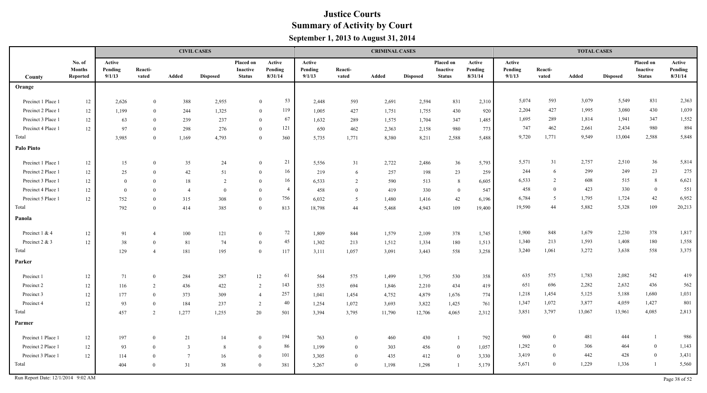|                    |                                     |                             |                  |                | <b>CIVIL CASES</b> |                                        |                              |                             |                  | <b>CRIMINAL CASES</b> |                 |                                        |                              |                             |                  | <b>TOTAL CASES</b> |                 |                                        |                              |
|--------------------|-------------------------------------|-----------------------------|------------------|----------------|--------------------|----------------------------------------|------------------------------|-----------------------------|------------------|-----------------------|-----------------|----------------------------------------|------------------------------|-----------------------------|------------------|--------------------|-----------------|----------------------------------------|------------------------------|
| County             | No. of<br><b>Months</b><br>Reported | Active<br>Pending<br>9/1/13 | Reacti-<br>vated | Added          | <b>Disposed</b>    | Placed on<br>Inactive<br><b>Status</b> | Active<br>Pending<br>8/31/14 | Active<br>Pending<br>9/1/13 | Reacti-<br>vated | Added                 | <b>Disposed</b> | Placed on<br>Inactive<br><b>Status</b> | Active<br>Pending<br>8/31/14 | Active<br>Pending<br>9/1/13 | Reacti-<br>vated | Added              | <b>Disposed</b> | Placed on<br>Inactive<br><b>Status</b> | Active<br>Pending<br>8/31/14 |
| Orange             |                                     |                             |                  |                |                    |                                        |                              |                             |                  |                       |                 |                                        |                              |                             |                  |                    |                 |                                        |                              |
| Precinct 1 Place 1 | 12                                  | 2,626                       | $\theta$         | 388            | 2,955              | $\theta$                               | 53                           | 2,448                       | 593              | 2,691                 | 2,594           | 831                                    | 2,310                        | 5,074                       | 593              | 3,079              | 5,549           | 831                                    | 2,363                        |
| Precinct 2 Place 1 | 12                                  | 1,199                       | $\theta$         | 244            | 1,325              | $\theta$                               | 119                          | 1,005                       | 427              | 1,751                 | 1,755           | 430                                    | 920                          | 2,204                       | 427              | 1,995              | 3,080           | 430                                    | 1,039                        |
| Precinct 3 Place 1 | $12\,$                              | 63                          | $\theta$         | 239            | 237                | $\theta$                               | 67                           | 1,632                       | 289              | 1,575                 | 1,704           | 347                                    | 1,485                        | 1,695                       | 289              | 1,814              | 1,941           | 347                                    | 1,552                        |
| Precinct 4 Place 1 | $12\,$                              | 97                          | $\theta$         | 298            | 276                | $\theta$                               | 121                          | 650                         | 462              | 2,363                 | 2,158           | 980                                    | 773                          | 747                         | 462              | 2,661              | 2,434           | 980                                    | 894                          |
| Total              |                                     | 3,985                       | $\theta$         | 1,169          | 4,793              | $\theta$                               | 360                          | 5,735                       | 1,771            | 8,380                 | 8,211           | 2,588                                  | 5,488                        | 9,720                       | 1,771            | 9,549              | 13,004          | 2,588                                  | 5,848                        |
| <b>Palo Pinto</b>  |                                     |                             |                  |                |                    |                                        |                              |                             |                  |                       |                 |                                        |                              |                             |                  |                    |                 |                                        |                              |
| Precinct 1 Place 1 | 12                                  | 15                          | $\theta$         | 35             | 24                 | $\theta$                               | 21                           | 5,556                       | 31               | 2,722                 | 2,486           | 36                                     | 5,793                        | 5,571                       | 31               | 2,757              | 2,510           | $36\,$                                 | 5,814                        |
| Precinct 2 Place 1 | 12                                  | 25                          | $\theta$         | 42             | 51                 | $\theta$                               | 16                           | 219                         | 6                | 257                   | 198             | 23                                     | 259                          | 244                         | -6               | 299                | 249             | 23                                     | 275                          |
| Precinct 3 Place 1 | $12\,$                              | $\mathbf{0}$                | $\Omega$         | 18             | 2                  | $\theta$                               | 16                           | 6,533                       | 2                | 590                   | 513             | 8                                      | 6,605                        | 6,533                       | 2                | 608                | 515             | 8                                      | 6,621                        |
| Precinct 4 Place 1 | 12                                  | $\mathbf{0}$                | $\Omega$         | $\overline{4}$ | $\theta$           | $\theta$                               | $\overline{4}$               | 458                         | $\overline{0}$   | 419                   | 330             | $\overline{0}$                         | 547                          | 458                         | $\Omega$         | 423                | 330             | $\bf{0}$                               | 551                          |
| Precinct 5 Place 1 | 12                                  | 752                         | $\theta$         | 315            | 308                | $\theta$                               | 756                          | 6,032                       | 5                | 1,480                 | 1,416           | 42                                     | 6,196                        | 6,784                       | -5               | 1,795              | 1,724           | 42                                     | 6,952                        |
| Total              |                                     | 792                         | $\Omega$         | 414            | 385                | $\Omega$                               | 813                          | 18,798                      | 44               | 5,468                 | 4,943           | 109                                    | 19,400                       | 19,590                      | 44               | 5,882              | 5,328           | 109                                    | 20,213                       |
| Panola             |                                     |                             |                  |                |                    |                                        |                              |                             |                  |                       |                 |                                        |                              |                             |                  |                    |                 |                                        |                              |
| Precinct 1 & 4     | 12                                  | 91                          | $\overline{4}$   | 100            | 121                | $\mathbf{0}$                           | 72                           | 1,809                       | 844              | 1,579                 | 2,109           | 378                                    | 1,745                        | 1,900                       | 848              | 1,679              | 2,230           | 378                                    | 1,817                        |
| Precinct 2 & 3     | $12 \,$                             | 38                          | $\theta$         | 81             | 74                 | $\theta$                               | 45                           | 1,302                       | 213              | 1,512                 | 1,334           | 180                                    | 1,513                        | 1,340                       | 213              | 1,593              | 1,408           | 180                                    | 1,558                        |
| Total              |                                     | 129                         | $\overline{4}$   | 181            | 195                | $\theta$                               | 117                          | 3,111                       | 1,057            | 3,091                 | 3,443           | 558                                    | 3,258                        | 3,240                       | 1,061            | 3,272              | 3,638           | 558                                    | 3,375                        |
| Parker             |                                     |                             |                  |                |                    |                                        |                              |                             |                  |                       |                 |                                        |                              |                             |                  |                    |                 |                                        |                              |
| Precinct 1         | $12\,$                              | 71                          | $\overline{0}$   | 284            | 287                | 12                                     | 61                           | 564                         | 575              | 1,499                 | 1,795           | 530                                    | 358                          | 635                         | 575              | 1,783              | 2,082           | 542                                    | 419                          |
| Precinct 2         | 12                                  | 116                         | 2                | 436            | 422                | 2                                      | 143                          | 535                         | 694              | 1,846                 | 2,210           | 434                                    | 419                          | 651                         | 696              | 2,282              | 2,632           | 436                                    | 562                          |
| Precinct 3         | $12\,$                              | 177                         | $\overline{0}$   | 373            | 309                | $\overline{4}$                         | 257                          | 1,041                       | 1,454            | 4,752                 | 4,879           | 1,676                                  | 774                          | 1,218                       | 1,454            | 5,125              | 5,188           | 1,680                                  | 1,031                        |
| Precinct 4         | 12                                  | 93                          | $\Omega$         | 184            | 237                | 2                                      | 40                           | 1,254                       | 1,072            | 3,693                 | 3,822           | 1,425                                  | 761                          | 1,347                       | 1,072            | 3,877              | 4,059           | 1,427                                  | 801                          |
| Total              |                                     | 457                         | 2                | 1,277          | 1,255              | 20                                     | 501                          | 3,394                       | 3,795            | 11,790                | 12,706          | 4,065                                  | 2,312                        | 3,851                       | 3,797            | 13,067             | 13,961          | 4,085                                  | 2,813                        |
| Parmer             |                                     |                             |                  |                |                    |                                        |                              |                             |                  |                       |                 |                                        |                              |                             |                  |                    |                 |                                        |                              |
| Precinct 1 Place 1 | $12\,$                              | 197                         | $\overline{0}$   | 21             | 14                 | $\overline{0}$                         | 194                          | 763                         | $\bf{0}$         | 460                   | 430             |                                        | 792                          | 960                         | $\overline{0}$   | 481                | 444             | $\overline{1}$                         | 986                          |
| Precinct 2 Place 1 | 12                                  | 93                          | $\overline{0}$   | 3              | 8                  | $\overline{0}$                         | 86                           | 1,199                       | $\bf{0}$         | 303                   | 456             | $\bf{0}$                               | 1,057                        | 1,292                       | $\theta$         | 306                | 464             | $\bf{0}$                               | 1,143                        |
| Precinct 3 Place 1 | 12                                  | 114                         | $\theta$         | $\overline{7}$ | 16                 | $\overline{0}$                         | 101                          | 3,305                       | $\theta$         | 435                   | 412             | $\overline{0}$                         | 3,330                        | 3,419                       | $\Omega$         | 442                | 428             | $\bf{0}$                               | 3,431                        |
| Total              |                                     | 404                         | $\mathbf{0}$     | 31             | 38                 | $\overline{0}$                         | 381                          | 5,267                       | $\mathbf{0}$     | 1,198                 | 1,298           | - 1                                    | 5,179                        | 5,671                       | $\overline{0}$   | 1,229              | 1,336           | -1                                     | 5,560                        |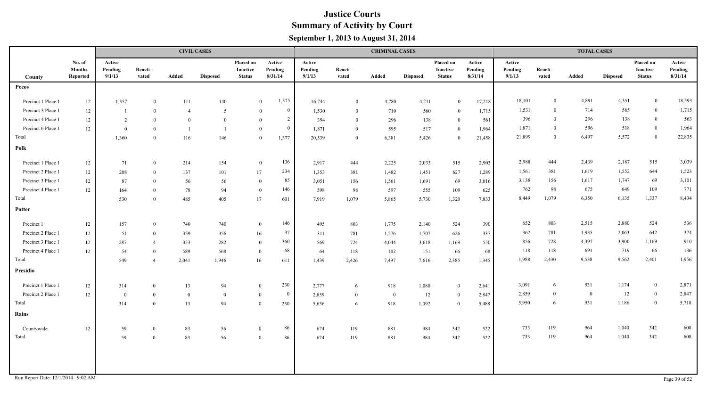|                                    |                                     |                             |                  |                | <b>CIVIL CASES</b> |                                        |                              |                             |                  | <b>CRIMINAL CASES</b> |                 |                                        |                              |                             |                  | <b>TOTAL CASES</b> |                 |                                               |                              |
|------------------------------------|-------------------------------------|-----------------------------|------------------|----------------|--------------------|----------------------------------------|------------------------------|-----------------------------|------------------|-----------------------|-----------------|----------------------------------------|------------------------------|-----------------------------|------------------|--------------------|-----------------|-----------------------------------------------|------------------------------|
| County                             | No. of<br><b>Months</b><br>Reported | Active<br>Pending<br>9/1/13 | Reacti-<br>vated | Added          | <b>Disposed</b>    | Placed on<br>Inactive<br><b>Status</b> | Active<br>Pending<br>8/31/14 | Active<br>Pending<br>9/1/13 | Reacti-<br>vated | Added                 | <b>Disposed</b> | Placed on<br>Inactive<br><b>Status</b> | Active<br>Pending<br>8/31/14 | Active<br>Pending<br>9/1/13 | Reacti-<br>vated | Added              | <b>Disposed</b> | Placed on<br><b>Inactive</b><br><b>Status</b> | Active<br>Pending<br>8/31/14 |
| Pecos                              |                                     |                             |                  |                |                    |                                        |                              |                             |                  |                       |                 |                                        |                              |                             |                  |                    |                 |                                               |                              |
| Precinct 1 Place 1                 | 12                                  | 1,357                       | $\bf{0}$         | 111            | 140                |                                        | 1,375<br>$\overline{0}$      | 16,744                      | $\overline{0}$   | 4,780                 | 4,211           | $\mathbf{0}$                           | 17,218                       | 18,101                      | $\overline{0}$   | 4,891              | 4,351           | $\mathbf{0}$                                  | 18,593                       |
| Precinct 3 Place 1                 | 12                                  |                             | $\mathbf{0}$     | $\overline{4}$ | 5                  | $\overline{0}$                         | $\bf{0}$                     | 1,530                       | $\overline{0}$   | 710                   | 560             | $\bf{0}$                               | 1,715                        | 1,531                       | $\overline{0}$   | 714                | 565             | $\bf{0}$                                      | 1,715                        |
| Precinct 4 Place 1                 | 12                                  | 2                           | $\theta$         | $\overline{0}$ | $\theta$           | $\theta$                               | $\overline{2}$               | 394                         | $\overline{0}$   | 296                   | 138             | $\bf{0}$                               | 561                          | 396                         | $\theta$         | 296                | 138             | $\bf{0}$                                      | 563                          |
| Precinct 6 Place 1                 | 12                                  | $\overline{0}$              | $\theta$         |                |                    | $\bf{0}$                               | $\overline{0}$               | 1,871                       | $\overline{0}$   | 595                   | 517             | $\bf{0}$                               | 1,964                        | 1,871                       | $\overline{0}$   | 596                | 518             | $\mathbf{0}$                                  | 1,964                        |
| Total                              |                                     | 1,360                       | $\overline{0}$   | 116            | 146                | $\mathbf{0}$                           | 1,377                        | 20,539                      | $\overline{0}$   | 6,381                 | 5,426           | $\overline{0}$                         | 21,458                       | 21,899                      | $\overline{0}$   | 6,497              | 5,572           | $\overline{0}$                                | 22,835                       |
| Polk                               |                                     |                             |                  |                |                    |                                        |                              |                             |                  |                       |                 |                                        |                              |                             |                  |                    |                 |                                               |                              |
| Precinct 1 Place 1                 | 12                                  | 71                          | $\overline{0}$   | 214            | 154                | $\bf{0}$                               | 136                          | 2,917                       | 444              | 2,225                 | 2,033           | 515                                    | 2,903                        | 2,988                       | 444              | 2,439              | 2,187           | 515                                           | 3,039                        |
| Precinct 2 Place 1                 | 12                                  | 208                         | $\theta$         | 137            | 101                | 17                                     | 234                          | 1,353                       | 381              | 1,482                 | 1,451           | 627                                    | 1,289                        | 1,561                       | 381              | 1,619              | 1,552           | 644                                           | 1,523                        |
| Precinct 3 Place 1                 | 12                                  | 87                          | $\overline{0}$   | 56             | 56                 | $\theta$                               | 85                           | 3,051                       | 156              | 1,561                 | 1,691           | 69                                     | 3,016                        | 3,138                       | 156              | 1,617              | 1,747           | 69                                            | 3,101                        |
| Precinct 4 Place 1                 | 12                                  | 164                         | $\theta$         | 78             | 94                 | $\overline{0}$                         | 146                          | 598                         | 98               | 597                   | 555             | 109                                    | 625                          | 762                         | 98               | 675                | 649             | 109                                           | 771                          |
| Total                              |                                     | 530                         | $\theta$         | 485            | 405                | 17                                     | 601                          | 7,919                       | 1,079            | 5,865                 | 5,730           | 1,320                                  | 7,833                        | 8,449                       | 1,079            | 6,350              | 6,135           | 1,337                                         | 8,434                        |
| Potter                             |                                     |                             |                  |                |                    |                                        |                              |                             |                  |                       |                 |                                        |                              |                             |                  |                    |                 |                                               |                              |
| Precinct 1                         | 12                                  | 157                         | $\overline{0}$   | 740            | 740                | $\bf{0}$                               | 146                          | 495                         | 803              | 1,775                 | 2,140           | 524                                    | 390                          | 652                         | 803              | 2,515              | 2,880           | 524                                           | 536                          |
| Precinct 2 Place 1                 | 12                                  | 51                          | $\overline{0}$   | 359            | 356                | 16                                     | 37                           | 311                         | 781              | 1,576                 | 1,707           | 626                                    | 337                          | 362                         | 781              | 1,935              | 2,063           | 642                                           | 374                          |
| Precinct 3 Place 1                 | 12                                  | 287                         | $\overline{4}$   | 353            | 282                | $\overline{0}$                         | 360                          | 569                         | 724              | 4,044                 | 3,618           | 1,169                                  | 550                          | 856                         | 728              | 4,397              | 3,900           | 1,169                                         | 910                          |
| Precinct 4 Place 1                 | 12                                  | 54                          | $\overline{0}$   | 589            | 568                | $\bf{0}$                               | 68                           | 64                          | 118              | 102                   | 151             | 66                                     | 68                           | 118                         | 118              | 691                | 719             | 66                                            | 136                          |
| Total                              |                                     | 549                         | $\overline{4}$   | 2,041          | 1,946              | 16                                     | 611                          | 1,439                       | 2,426            | 7,497                 | 7,616           | 2,385                                  | 1,345                        | 1,988                       | 2,430            | 9,538              | 9,562           | 2,401                                         | 1,956                        |
| <b>Presidio</b>                    |                                     |                             |                  |                |                    |                                        |                              |                             |                  |                       |                 |                                        |                              |                             |                  |                    |                 |                                               |                              |
| Precinct 1 Place 1                 | $12\,$                              | 314                         | $\overline{0}$   | 13             | 94                 | $\bf{0}$                               | 230                          | 2,777                       | 6                | 918                   | 1,080           | $\overline{0}$                         | 2,641                        | 3,091                       | 6                | 931                | 1,174           | $\bf{0}$                                      | 2,871                        |
| Precinct 2 Place 1                 | 12                                  | $\bf{0}$                    | $\overline{0}$   | $\overline{0}$ | $\theta$           | $\bf{0}$                               | $\overline{0}$               | 2,859                       | $\overline{0}$   | $\bf{0}$              | 12              | $\bf{0}$                               | 2,847                        | 2,859                       | $\mathbf{0}$     | $\bf{0}$           | 12              | $\overline{0}$                                | 2,847                        |
| Total                              |                                     | 314                         | $\theta$         | 13             | 94                 | $\theta$                               | 230                          | 5,636                       | 6                | 918                   | 1,092           | $\overline{0}$                         | 5,488                        | 5,950                       | 6                | 931                | 1,186           | $\bf{0}$                                      | 5,718                        |
| Rains                              |                                     |                             |                  |                |                    |                                        |                              |                             |                  |                       |                 |                                        |                              |                             |                  |                    |                 |                                               |                              |
| Countywide                         | 12                                  | 59                          | $\overline{0}$   | 83             | 56                 | $\overline{0}$                         | 86                           | 674                         | 119              | 881                   | 984             | 342                                    | 522                          | 733                         | 119              | 964                | 1,040           | 342                                           | 608                          |
| Total                              |                                     | 59                          | $\bf{0}$         | 83             | 56                 | $\overline{0}$                         | 86                           | 674                         | 119              | 881                   | 984             | 342                                    | 522                          | 733                         | 119              | 964                | 1,040           | 342                                           | 608                          |
|                                    |                                     |                             |                  |                |                    |                                        |                              |                             |                  |                       |                 |                                        |                              |                             |                  |                    |                 |                                               |                              |
|                                    |                                     |                             |                  |                |                    |                                        |                              |                             |                  |                       |                 |                                        |                              |                             |                  |                    |                 |                                               |                              |
|                                    |                                     |                             |                  |                |                    |                                        |                              |                             |                  |                       |                 |                                        |                              |                             |                  |                    |                 |                                               |                              |
| Run Report Date: 12/1/2014 9:02 AM |                                     |                             |                  |                |                    |                                        |                              |                             |                  |                       |                 |                                        |                              |                             |                  |                    |                 |                                               | Page 39 of 52                |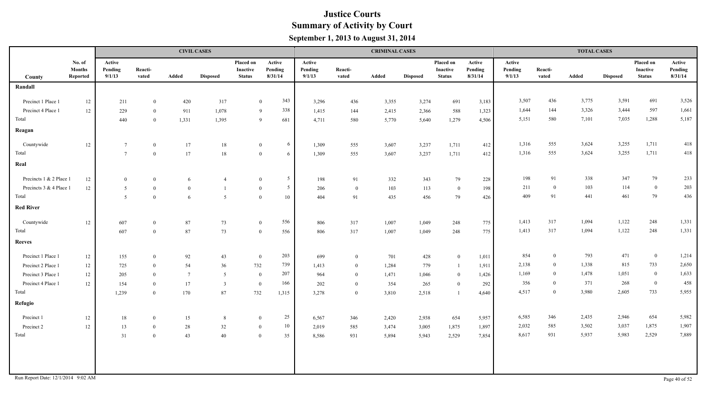|                                    |                                     |                             |                  |                 | <b>CIVIL CASES</b> |                                               |                                  |                             |                  | <b>CRIMINAL CASES</b> |                 |                                        |                              |                             |                  | <b>TOTAL CASES</b> |                 |                                               |                              |
|------------------------------------|-------------------------------------|-----------------------------|------------------|-----------------|--------------------|-----------------------------------------------|----------------------------------|-----------------------------|------------------|-----------------------|-----------------|----------------------------------------|------------------------------|-----------------------------|------------------|--------------------|-----------------|-----------------------------------------------|------------------------------|
| County                             | No. of<br><b>Months</b><br>Reported | Active<br>Pending<br>9/1/13 | Reacti-<br>vated | Added           | <b>Disposed</b>    | Placed on<br><b>Inactive</b><br><b>Status</b> | Active<br>Pending<br>8/31/14     | Active<br>Pending<br>9/1/13 | Reacti-<br>vated | Added                 | <b>Disposed</b> | Placed on<br>Inactive<br><b>Status</b> | Active<br>Pending<br>8/31/14 | Active<br>Pending<br>9/1/13 | Reacti-<br>vated | Added              | <b>Disposed</b> | Placed on<br><b>Inactive</b><br><b>Status</b> | Active<br>Pending<br>8/31/14 |
| Randall                            |                                     |                             |                  |                 |                    |                                               |                                  |                             |                  |                       |                 |                                        |                              |                             |                  |                    |                 |                                               |                              |
| Precinct 1 Place 1                 | $12\,$                              | 211                         | $\overline{0}$   | 420             | 317                |                                               | 343<br>$\overline{0}$            | 3,296                       | 436              | 3,355                 | 3,274           | 691                                    | 3,183                        | 3,507                       | 436              | 3,775              | 3,591           | 691                                           | 3,526                        |
| Precinct 4 Place 1                 | 12                                  | 229                         | $\Omega$         | 911             | 1,078              |                                               | 338<br>9                         | 1,415                       | 144              | 2,415                 | 2,366           | 588                                    | 1,323                        | 1,644                       | 144              | 3,326              | 3,444           | 597                                           | 1,661                        |
| Total                              |                                     | 440                         | $\Omega$         | 1,331           | 1,395              |                                               | 9<br>681                         | 4,711                       | 580              | 5,770                 | 5,640           | 1,279                                  | 4,506                        | 5,151                       | 580              | 7,101              | 7,035           | 1,288                                         | 5,187                        |
| Reagan                             |                                     |                             |                  |                 |                    |                                               |                                  |                             |                  |                       |                 |                                        |                              |                             |                  |                    |                 |                                               |                              |
|                                    |                                     |                             |                  |                 |                    |                                               |                                  |                             |                  |                       |                 |                                        |                              |                             |                  |                    |                 |                                               |                              |
| Countywide                         | 12                                  | $7\phantom{.0}$             | $\bf{0}$         | 17              | 18                 |                                               | 6<br>$\bf{0}$                    | 1,309                       | 555              | 3,607                 | 3,237           | 1,711                                  | 412                          | 1,316                       | 555              | 3,624              | 3,255           | 1,711                                         | 418                          |
| Total                              |                                     | $7\overline{ }$             | $\mathbf{0}$     | 17              | $18\,$             |                                               | $\mathbf{0}$<br>6                | 1,309                       | 555              | 3,607                 | 3,237           | 1,711                                  | 412                          | 1,316                       | 555              | 3,624              | 3,255           | 1,711                                         | 418                          |
| Real                               |                                     |                             |                  |                 |                    |                                               |                                  |                             |                  |                       |                 |                                        |                              |                             |                  |                    |                 |                                               |                              |
| Precincts 1 & 2 Place 1            | 12                                  | $\bf{0}$                    | $\overline{0}$   | 6               |                    |                                               | $5\overline{)}$<br>$\bf{0}$      | 198                         | 91               | 332                   | 343             | 79                                     | 228                          | 198                         | 91               | 338                | 347             | 79                                            | 233                          |
| Precincts 3 & 4 Place 1            | $12\,$                              | 5                           | $\theta$         | $\theta$        |                    |                                               | 5 <sup>5</sup><br>$\overline{0}$ | 206                         | $\overline{0}$   | 103                   | 113             | $\mathbf{0}$                           | 198                          | 211                         | $\theta$         | 103                | 114             | $\overline{0}$                                | 203                          |
| Total                              |                                     | 5                           | $\theta$         | 6               | 5                  |                                               | $\mathbf{0}$<br>10               | 404                         | 91               | 435                   | 456             | 79                                     | 426                          | 409                         | 91               | 441                | 461             | 79                                            | 436                          |
| <b>Red River</b>                   |                                     |                             |                  |                 |                    |                                               |                                  |                             |                  |                       |                 |                                        |                              |                             |                  |                    |                 |                                               |                              |
| Countywide                         | 12                                  | 607                         | $\overline{0}$   | 87              | 73                 |                                               | 556<br>$\bf{0}$                  | 806                         | 317              | 1,007                 | 1,049           | 248                                    | 775                          | 1,413                       | 317              | 1,094              | 1,122           | 248                                           | 1,331                        |
| Total                              |                                     | 607                         | $\Omega$         | 87              | 73                 |                                               | 556<br>$\overline{0}$            | 806                         | 317              | 1,007                 | 1,049           | 248                                    | 775                          | 1,413                       | 317              | 1,094              | 1,122           | 248                                           | 1,331                        |
| <b>Reeves</b>                      |                                     |                             |                  |                 |                    |                                               |                                  |                             |                  |                       |                 |                                        |                              |                             |                  |                    |                 |                                               |                              |
| Precinct 1 Place 1                 | 12                                  | 155                         | $\bf{0}$         | 92              | 43                 |                                               | 203<br>$\mathbf{0}$              | 699                         | $\overline{0}$   | 701                   | 428             | $\bf{0}$                               | 1,011                        | 854                         | $\overline{0}$   | 793                | 471             | $\bf{0}$                                      | 1,214                        |
| Precinct 2 Place 1                 | $12\,$                              | 725                         | $\theta$         | 54              | 36                 | 732                                           | 739                              | 1,413                       | $\overline{0}$   | 1,284                 | 779             |                                        | 1,911                        | 2,138                       | $\theta$         | 1,338              | 815             | 733                                           | 2,650                        |
| Precinct 3 Place 1                 | 12                                  | 205                         | $\theta$         | $7\phantom{.0}$ | 5                  |                                               | 207<br>$\mathbf{0}$              | 964                         | $\overline{0}$   | 1,471                 | 1,046           | $\bf{0}$                               | 1,426                        | 1,169                       | $\theta$         | 1,478              | 1,051           | $\bf{0}$                                      | 1,633                        |
| Precinct 4 Place 1                 | 12                                  | 154                         | $\theta$         | 17              | $\overline{3}$     | $\bf{0}$                                      | 166                              | 202                         | $\overline{0}$   | 354                   | 265             | $\bf{0}$                               | 292                          | 356                         | $\theta$         | 371                | 268             | $\mathbf{0}$                                  | 458                          |
| Total                              |                                     | 1,239                       | $\overline{0}$   | 170             | 87                 | 732                                           | 1,315                            | 3,278                       | $\overline{0}$   | 3,810                 | 2,518           | $\overline{1}$                         | 4,640                        | 4,517                       | $\theta$         | 3,980              | 2,605           | 733                                           | 5,955                        |
| Refugio                            |                                     |                             |                  |                 |                    |                                               |                                  |                             |                  |                       |                 |                                        |                              |                             |                  |                    |                 |                                               |                              |
| Precinct 1                         | 12                                  | 18                          | $\overline{0}$   | 15              | 8                  | $\overline{0}$                                | 25                               | 6,567                       | 346              | 2,420                 | 2,938           | 654                                    | 5,957                        | 6,585                       | 346              | 2,435              | 2,946           | 654                                           | 5,982                        |
| Precinct 2                         | $12\,$                              | 13                          | $\theta$         | 28              | 32                 | $\mathbf{0}$                                  | 10                               | 2,019                       | 585              | 3,474                 | 3,005           | 1,875                                  | 1,897                        | 2,032                       | 585              | 3,502              | 3,037           | 1,875                                         | 1,907                        |
| Total                              |                                     | 31                          | $\overline{0}$   | 43              | 40                 |                                               | $\mathbf{0}$<br>35               | 8,586                       | 931              | 5,894                 | 5,943           | 2,529                                  | 7,854                        | 8,617                       | 931              | 5,937              | 5,983           | 2,529                                         | 7,889                        |
|                                    |                                     |                             |                  |                 |                    |                                               |                                  |                             |                  |                       |                 |                                        |                              |                             |                  |                    |                 |                                               |                              |
|                                    |                                     |                             |                  |                 |                    |                                               |                                  |                             |                  |                       |                 |                                        |                              |                             |                  |                    |                 |                                               |                              |
| Run Report Date: 12/1/2014 9:02 AM |                                     |                             |                  |                 |                    |                                               |                                  |                             |                  |                       |                 |                                        |                              |                             |                  |                    |                 |                                               | Page 40 of 52                |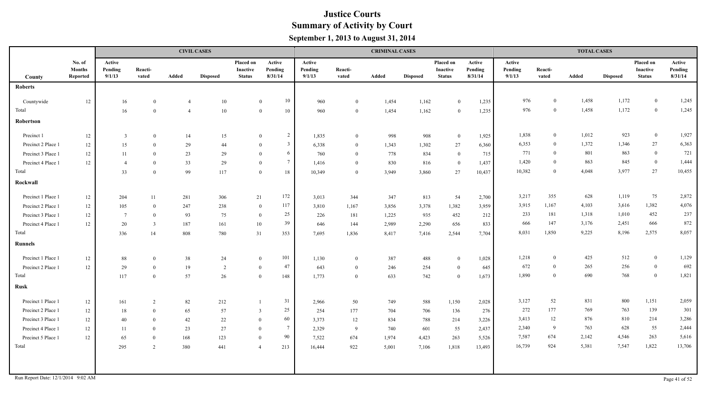|                                    |                                     |                             |                  |                | <b>CIVIL CASES</b> |                                        |                              |                             |                  | <b>CRIMINAL CASES</b> |                 |                                        |                              |                             |                  | <b>TOTAL CASES</b> |                 |                                               |                              |
|------------------------------------|-------------------------------------|-----------------------------|------------------|----------------|--------------------|----------------------------------------|------------------------------|-----------------------------|------------------|-----------------------|-----------------|----------------------------------------|------------------------------|-----------------------------|------------------|--------------------|-----------------|-----------------------------------------------|------------------------------|
| County                             | No. of<br><b>Months</b><br>Reported | Active<br>Pending<br>9/1/13 | Reacti-<br>vated | Added          | <b>Disposed</b>    | Placed on<br>Inactive<br><b>Status</b> | Active<br>Pending<br>8/31/14 | Active<br>Pending<br>9/1/13 | Reacti-<br>vated | Added                 | <b>Disposed</b> | Placed on<br>Inactive<br><b>Status</b> | Active<br>Pending<br>8/31/14 | Active<br>Pending<br>9/1/13 | Reacti-<br>vated | Added              | <b>Disposed</b> | Placed on<br><b>Inactive</b><br><b>Status</b> | Active<br>Pending<br>8/31/14 |
| <b>Roberts</b>                     |                                     |                             |                  |                |                    |                                        |                              |                             |                  |                       |                 |                                        |                              |                             |                  |                    |                 |                                               |                              |
| Countywide                         | 12                                  | 16                          | $\overline{0}$   | $\overline{4}$ | 10                 |                                        | 10<br>$\mathbf{0}$           | 960                         | $\overline{0}$   | 1,454                 | 1,162           | $\mathbf{0}$                           | 1,235                        | 976                         | $\bf{0}$         | 1,458              | 1,172           | $\bf{0}$                                      | 1,245                        |
| Total                              |                                     | 16                          | $\Omega$         | $\overline{4}$ | 10                 |                                        | 10<br>$\overline{0}$         | 960                         | $\theta$         | 1,454                 | 1,162           | $\overline{0}$                         | 1,235                        | 976                         | $\bf{0}$         | 1,458              | 1,172           | $\bf{0}$                                      | 1,245                        |
| Robertson                          |                                     |                             |                  |                |                    |                                        |                              |                             |                  |                       |                 |                                        |                              |                             |                  |                    |                 |                                               |                              |
| Precinct 1                         | 12                                  | $\overline{\mathbf{3}}$     | $\theta$         | 14             | 15                 |                                        | 2<br>$\mathbf{0}$            | 1,835                       | $\overline{0}$   | 998                   | 908             | $\bf{0}$                               | 1,925                        | 1,838                       | $\mathbf{0}$     | 1,012              | 923             | $\bf{0}$                                      | 1,927                        |
| Precinct 2 Place 1                 | 12                                  | 15                          | $\theta$         | 29             | 44                 |                                        | $\overline{3}$<br>$\theta$   | 6,338                       | $\overline{0}$   | 1,343                 | 1,302           | 27                                     | 6,360                        | 6,353                       | $\overline{0}$   | 1,372              | 1,346           | $27\,$                                        | 6,363                        |
| Precinct 3 Place 1                 | 12                                  | 11                          | $\theta$         | 23             | 29                 |                                        | 6<br>$\theta$                | 760                         | $\theta$         | 778                   | 834             | $\bf{0}$                               | 715                          | 771                         | $\overline{0}$   | 801                | 863             | $\bf{0}$                                      | 721                          |
| Precinct 4 Place 1                 | 12                                  | $\overline{4}$              | $\theta$         | 33             | 29                 |                                        | $7\overline{ }$<br>$\theta$  | 1,416                       | $\overline{0}$   | 830                   | 816             | $\bf{0}$                               | 1,437                        | 1,420                       | $\theta$         | 863                | 845             | $\boldsymbol{0}$                              | 1,444                        |
| Total                              |                                     | 33                          | $\Omega$         | 99             | 117                |                                        | 18<br>$\theta$               | 10,349                      | $\theta$         | 3,949                 | 3,860           | 27                                     | 10,437                       | 10,382                      | $\theta$         | 4,048              | 3,977           | $27\,$                                        | 10,455                       |
| Rockwall                           |                                     |                             |                  |                |                    |                                        |                              |                             |                  |                       |                 |                                        |                              |                             |                  |                    |                 |                                               |                              |
| Precinct 1 Place 1                 | 12                                  | 204                         | 11               | 281            | 306                | 21                                     | 172                          | 3,013                       | 344              | 347                   | 813             | 54                                     | 2,700                        | 3,217                       | 355              | 628                | 1,119           | 75                                            | 2,872                        |
| Precinct 2 Place 1                 | 12                                  | 105                         | $\overline{0}$   | 247            | 238                |                                        | 117<br>$\bf{0}$              | 3,810                       | 1,167            | 3,856                 | 3,378           | 1,382                                  | 3,959                        | 3,915                       | 1,167            | 4,103              | 3,616           | 1,382                                         | 4,076                        |
| Precinct 3 Place 1                 | 12                                  | $7\overline{ }$             | $\overline{0}$   | 93             | 75                 |                                        | 25<br>$\bf{0}$               | 226                         | 181              | 1,225                 | 935             | 452                                    | 212                          | 233                         | 181              | 1,318              | 1,010           | 452                                           | 237                          |
| Precinct 4 Place 1                 | 12                                  | 20                          | $\overline{3}$   | 187            | 161                | 10                                     | 39                           | 646                         | 144              | 2,989                 | 2,290           | 656                                    | 833                          | 666                         | 147              | 3,176              | 2,451           | 666                                           | 872                          |
| Total                              |                                     | 336                         | 14               | 808            | 780                | 31                                     | 353                          | 7,695                       | 1,836            | 8,417                 | 7,416           | 2,544                                  | 7,704                        | 8,031                       | 1,850            | 9,225              | 8,196           | 2,575                                         | 8,057                        |
| <b>Runnels</b>                     |                                     |                             |                  |                |                    |                                        |                              |                             |                  |                       |                 |                                        |                              |                             |                  |                    |                 |                                               |                              |
| Precinct 1 Place 1                 | 12                                  | 88                          | $\theta$         | 38             | 24                 | $\mathbf{0}$                           | 101                          | 1,130                       | $\overline{0}$   | 387                   | 488             | $\overline{0}$                         | 1,028                        | 1,218                       | $\overline{0}$   | 425                | 512             | $\bf{0}$                                      | 1,129                        |
| Precinct 2 Place 1                 | 12                                  | 29                          | $\overline{0}$   | 19             | 2                  | $\mathbf{0}$                           | 47                           | 643                         | $\overline{0}$   | 246                   | 254             | $\overline{0}$                         | 645                          | 672                         | $\theta$         | 265                | 256             | $\bf{0}$                                      | 692                          |
| Total                              |                                     | 117                         | $\overline{0}$   | 57             | 26                 | $\overline{0}$                         | 148                          | 1,773                       | $\overline{0}$   | 633                   | 742             | $\mathbf{0}$                           | 1,673                        | 1,890                       | $\theta$         | 690                | 768             | $\bf{0}$                                      | 1,821                        |
| <b>Rusk</b>                        |                                     |                             |                  |                |                    |                                        |                              |                             |                  |                       |                 |                                        |                              |                             |                  |                    |                 |                                               |                              |
| Precinct 1 Place 1                 | 12                                  | 161                         | 2                | 82             | 212                |                                        | 31                           | 2,966                       | 50               | 749                   | 588             | 1,150                                  | 2,028                        | 3,127                       | 52               | 831                | 800             | 1,151                                         | 2,059                        |
| Precinct 2 Place 1                 | 12                                  | 18                          | $\overline{0}$   | 65             | 57                 | -3                                     | 25                           | 254                         | 177              | 704                   | 706             | 136                                    | 276                          | 272                         | 177              | 769                | 763             | 139                                           | 301                          |
| Precinct 3 Place 1                 | $12\,$                              | 40                          | $\Omega$         | 42             | 22                 | $\theta$                               | 60                           | 3,373                       | 12               | 834                   | 788             | 214                                    | 3,226                        | 3,413                       | 12               | 876                | 810             | 214                                           | 3,286                        |
| Precinct 4 Place 1                 | 12                                  | 11                          | $\Omega$         | 23             | 27                 | $\mathbf{0}$                           | $7\phantom{.0}$              | 2,329                       | -9               | 740                   | 601             | 55                                     | 2,437                        | 2,340                       | -9               | 763                | 628             | 55                                            | 2,444                        |
| Precinct 5 Place 1                 | 12                                  | 65                          | $\overline{0}$   | 168            | 123                | $\overline{0}$                         | 90                           | 7,522                       | 674              | 1,974                 | 4,423           | 263                                    | 5,526                        | 7,587                       | 674              | 2,142              | 4,546           | 263                                           | 5,616                        |
| Total                              |                                     | 295                         | $\overline{2}$   | 380            | 441                | $\overline{4}$                         | 213                          | 16,444                      | 922              | 5,001                 | 7,106           | 1,818                                  | 13,493                       | 16,739                      | 924              | 5,381              | 7,547           | 1,822                                         | 13,706                       |
|                                    |                                     |                             |                  |                |                    |                                        |                              |                             |                  |                       |                 |                                        |                              |                             |                  |                    |                 |                                               |                              |
|                                    |                                     |                             |                  |                |                    |                                        |                              |                             |                  |                       |                 |                                        |                              |                             |                  |                    |                 |                                               |                              |
| Run Report Date: 12/1/2014 9:02 AM |                                     |                             |                  |                |                    |                                        |                              |                             |                  |                       |                 |                                        |                              |                             |                  |                    |                 |                                               | Page 41 of 52                |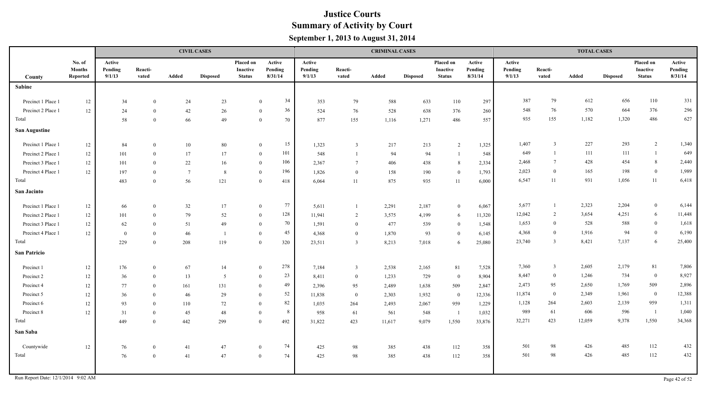|                      |                                            |                             |                  |                 | <b>CIVIL CASES</b> |                                        |                              |                             |                  | <b>CRIMINAL CASES</b> |                 |                                        |                              |                             |                  | <b>TOTAL CASES</b> |                 |                                        |                              |
|----------------------|--------------------------------------------|-----------------------------|------------------|-----------------|--------------------|----------------------------------------|------------------------------|-----------------------------|------------------|-----------------------|-----------------|----------------------------------------|------------------------------|-----------------------------|------------------|--------------------|-----------------|----------------------------------------|------------------------------|
| County               | No. of<br><b>Months</b><br><b>Reported</b> | Active<br>Pending<br>9/1/13 | Reacti-<br>vated | Added           | <b>Disposed</b>    | Placed on<br>Inactive<br><b>Status</b> | Active<br>Pending<br>8/31/14 | Active<br>Pending<br>9/1/13 | Reacti-<br>vated | Added                 | <b>Disposed</b> | Placed on<br>Inactive<br><b>Status</b> | Active<br>Pending<br>8/31/14 | Active<br>Pending<br>9/1/13 | Reacti-<br>vated | Added              | <b>Disposed</b> | Placed on<br>Inactive<br><b>Status</b> | Active<br>Pending<br>8/31/14 |
| <b>Sabine</b>        |                                            |                             |                  |                 |                    |                                        |                              |                             |                  |                       |                 |                                        |                              |                             |                  |                    |                 |                                        |                              |
| Precinct 1 Place 1   | 12                                         | 34                          | $\theta$         | 24              | 23                 |                                        | 34<br>$\theta$               | 353                         | 79               | 588                   | 633             | 110                                    | 297                          | 387                         | 79               | 612                | 656             | 110                                    | 331                          |
| Precinct 2 Place 1   | 12                                         | 24                          | $\theta$         | $42\,$          | 26                 |                                        | 36<br>$\theta$               | 524                         | 76               | 528                   | 638             | 376                                    | 260                          | 548                         | 76               | 570                | 664             | 376                                    | 296                          |
| Total                |                                            | 58                          | $\theta$         | 66              | 49                 |                                        | 70<br>$\theta$               | 877                         | 155              | 1,116                 | 1,271           | 486                                    | 557                          | 935                         | 155              | 1,182              | 1,320           | 486                                    | 627                          |
| <b>San Augustine</b> |                                            |                             |                  |                 |                    |                                        |                              |                             |                  |                       |                 |                                        |                              |                             |                  |                    |                 |                                        |                              |
| Precinct 1 Place 1   | 12                                         | 84                          | $\overline{0}$   | 10              | 80                 |                                        | 15<br>$\mathbf{0}$           | 1,323                       | $\overline{3}$   | 217                   | 213             | $\overline{2}$                         | 1,325                        | 1,407                       | $\overline{3}$   | 227                | 293             | $\overline{2}$                         | 1,340                        |
| Precinct 2 Place 1   | $12 \,$                                    | 101                         | $\theta$         | 17              | 17                 |                                        | 101<br>$\theta$              | 548                         | $\overline{1}$   | 94                    | 94              | $\overline{1}$                         | 548                          | 649                         | $\overline{1}$   | 111                | 111             | -1                                     | 649                          |
| Precinct 3 Place 1   | $12\,$                                     | 101                         | $\theta$         | $22\,$          | 16                 |                                        | 106<br>$\mathbf{0}$          | 2,367                       | $\overline{7}$   | 406                   | 438             | 8                                      | 2,334                        | 2,468                       | $7\phantom{.0}$  | 428                | 454             | 8                                      | 2,440                        |
| Precinct 4 Place 1   | 12                                         | 197                         | $\overline{0}$   | $7\overline{ }$ | 8                  |                                        | 196<br>$\theta$              | 1,826                       | $\overline{0}$   | 158                   | 190             | $\overline{0}$                         | 1,793                        | 2,023                       | $\Omega$         | 165                | 198             | $\mathbf{0}$                           | 1,989                        |
| Total                |                                            | 483                         | $\theta$         | 56              | 121                |                                        | $\Omega$<br>418              | 6,064                       | 11               | 875                   | 935             | 11                                     | 6,000                        | 6,547                       | 11               | 931                | 1,056           | 11                                     | 6,418                        |
| San Jacinto          |                                            |                             |                  |                 |                    |                                        |                              |                             |                  |                       |                 |                                        |                              |                             |                  |                    |                 |                                        |                              |
| Precinct 1 Place 1   | 12                                         | 66                          | $\theta$         | 32              | 17                 |                                        | 77<br>$\bf{0}$               | 5,611                       |                  | 2,291                 | 2,187           | $\mathbf{0}$                           | 6,067                        | 5,677                       |                  | 2,323              | 2,204           | $\boldsymbol{0}$                       | 6,144                        |
| Precinct 2 Place 1   | 12                                         | 101                         | $\theta$         | 79              | 52                 |                                        | 128<br>$\theta$              | 11,941                      | $\overline{2}$   | 3,575                 | 4,199           | 6                                      | 11,320                       | 12,042                      | 2                | 3,654              | 4,251           | 6                                      | 11,448                       |
| Precinct 3 Place 1   | 12                                         | 62                          | $\theta$         | 51              | 49                 |                                        | 70<br>$\overline{0}$         | 1,591                       | $\overline{0}$   | 477                   | 539             | $\mathbf{0}$                           | 1,548                        | 1,653                       | $\overline{0}$   | 528                | 588             | $\mathbf{0}$                           | 1,618                        |
| Precinct 4 Place 1   | 12                                         | $\bf{0}$                    | $\overline{0}$   | 46              | $\overline{1}$     |                                        | 45<br>$\overline{0}$         | 4,368                       | $\bf{0}$         | 1,870                 | 93              | $\mathbf{0}$                           | 6,145                        | 4,368                       | $\theta$         | 1,916              | 94              | $\bf{0}$                               | 6,190                        |
| Total                |                                            | 229                         | $\overline{0}$   | 208             | 119                |                                        | 320<br>$\theta$              | 23,511                      | $\overline{3}$   | 8,213                 | 7,018           | -6                                     | 25,080                       | 23,740                      | $\overline{3}$   | 8,421              | 7,137           | 6                                      | 25,400                       |
| <b>San Patricio</b>  |                                            |                             |                  |                 |                    |                                        |                              |                             |                  |                       |                 |                                        |                              |                             |                  |                    |                 |                                        |                              |
| Precinct 1           | 12                                         | 176                         | $\theta$         | 67              | 14                 |                                        | 278<br>$\mathbf{0}$          | 7,184                       | $\overline{3}$   | 2,538                 | 2,165           | 81                                     | 7,528                        | 7,360                       | $\overline{3}$   | 2,605              | 2,179           | 81                                     | 7,806                        |
| Precinct 2           | $12\,$                                     | 36                          | $\theta$         | 13              | 5                  |                                        | $23\,$<br>$\theta$           | 8,411                       | $\overline{0}$   | 1,233                 | 729             | $\bf{0}$                               | 8,904                        | 8,447                       | $\mathbf{0}$     | 1,246              | 734             | $\bf{0}$                               | 8,927                        |
| Precinct 4           | $12\,$                                     | 77                          | $\overline{0}$   | 161             | 131                | $\overline{0}$                         | 49                           | 2,396                       | 95               | 2,489                 | 1,638           | 509                                    | 2,847                        | 2,473                       | 95               | 2,650              | 1,769           | 509                                    | 2,896                        |
| Precinct 5           | $12\,$                                     | 36                          | $\theta$         | 46              | 29                 | $\theta$                               | 52                           | 11,838                      | $\overline{0}$   | 2,303                 | 1,932           | $\overline{0}$                         | 12,336                       | 11,874                      | $\overline{0}$   | 2,349              | 1,961           | $\mathbf{0}$                           | 12,388                       |
| Precinct 6           | 12                                         | 93                          | $\theta$         | 110             | 72                 | $\theta$                               | 82                           | 1,035                       | 264              | 2,493                 | 2,067           | 959                                    | 1,229                        | 1,128                       | 264              | 2,603              | 2,139           | 959                                    | 1,311                        |
| Precinct 8           | $12\,$                                     | 31                          | $\overline{0}$   | 45              | 48                 | $\overline{0}$                         | 8                            | 958                         | 61               | 561                   | 548             | $\overline{1}$                         | 1,032                        | 989                         | 61               | 606                | 596             | $\overline{1}$                         | 1,040                        |
| Total                |                                            | 449                         | $\Omega$         | 442             | 299                | $\Omega$                               | 492                          | 31,822                      | 423              | 11,617                | 9,079           | 1,550                                  | 33,876                       | 32,271                      | 423              | 12,059             | 9,378           | 1,550                                  | 34,368                       |
| San Saba             |                                            |                             |                  |                 |                    |                                        |                              |                             |                  |                       |                 |                                        |                              |                             |                  |                    |                 |                                        |                              |
| Countywide           | $12\,$                                     | 76                          | $\overline{0}$   | 41              | 47                 | $\overline{0}$                         | 74                           | 425                         | 98               | 385                   | 438             | 112                                    | 358                          | 501                         | 98               | 426                | 485             | 112                                    | 432                          |
| Total                |                                            | 76                          | $\theta$         | 41              | 47                 | $\theta$                               | 74                           | 425                         | 98               | 385                   | 438             | 112                                    | 358                          | 501                         | 98               | 426                | 485             | 112                                    | 432                          |
|                      |                                            |                             |                  |                 |                    |                                        |                              |                             |                  |                       |                 |                                        |                              |                             |                  |                    |                 |                                        |                              |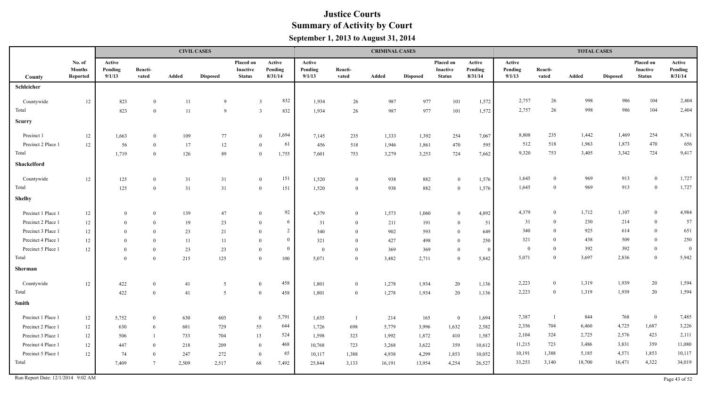|                                    |                                     |                             |                  |        | <b>CIVIL CASES</b> |                                        |                              |                             |                  | <b>CRIMINAL CASES</b> |                 |                                        |                              |                             |                  | <b>TOTAL CASES</b> |                 |                                               |                              |
|------------------------------------|-------------------------------------|-----------------------------|------------------|--------|--------------------|----------------------------------------|------------------------------|-----------------------------|------------------|-----------------------|-----------------|----------------------------------------|------------------------------|-----------------------------|------------------|--------------------|-----------------|-----------------------------------------------|------------------------------|
| County                             | No. of<br><b>Months</b><br>Reported | Active<br>Pending<br>9/1/13 | Reacti-<br>vated | Added  | <b>Disposed</b>    | Placed on<br>Inactive<br><b>Status</b> | Active<br>Pending<br>8/31/14 | Active<br>Pending<br>9/1/13 | Reacti-<br>vated | Added                 | <b>Disposed</b> | Placed on<br>Inactive<br><b>Status</b> | Active<br>Pending<br>8/31/14 | Active<br>Pending<br>9/1/13 | Reacti-<br>vated | Added              | <b>Disposed</b> | Placed on<br><b>Inactive</b><br><b>Status</b> | Active<br>Pending<br>8/31/14 |
| Schleicher                         |                                     |                             |                  |        |                    |                                        |                              |                             |                  |                       |                 |                                        |                              |                             |                  |                    |                 |                                               |                              |
| Countywide                         | 12                                  | 823                         | $\overline{0}$   | 11     | 9                  | $\overline{3}$                         | 832                          | 1,934                       | 26               | 987                   | 977             | 101                                    | 1,572                        | 2,757                       | 26               | 998                | 986             | 104                                           | 2,404                        |
| Total                              |                                     | 823                         | $\theta$         | $11\,$ | 9                  | $\overline{3}$                         | 832                          | 1,934                       | 26               | 987                   | 977             | 101                                    | 1,572                        | 2,757                       | 26               | 998                | 986             | 104                                           | 2,404                        |
| Scurry                             |                                     |                             |                  |        |                    |                                        |                              |                             |                  |                       |                 |                                        |                              |                             |                  |                    |                 |                                               |                              |
| Precinct 1                         | 12                                  | 1,663                       | $\overline{0}$   | 109    | 77                 | $\theta$                               | 1,694                        | 7,145                       | 235              | 1,333                 | 1,392           | 254                                    | 7,067                        | 8,808                       | 235              | 1,442              | 1,469           | 254                                           | 8,761                        |
| Precinct 2 Place 1                 | 12                                  | 56                          | $\overline{0}$   | 17     | 12                 | $\mathbf{0}$                           | 61                           | 456                         | 518              | 1,946                 | 1,861           | 470                                    | 595                          | 512                         | 518              | 1,963              | 1,873           | 470                                           | 656                          |
| Total                              |                                     | 1,719                       | $\overline{0}$   | 126    | 89                 | $\mathbf{0}$                           | 1,755                        | 7,601                       | 753              | 3,279                 | 3,253           | 724                                    | 7,662                        | 9,320                       | 753              | 3,405              | 3,342           | 724                                           | 9,417                        |
| Shackelford                        |                                     |                             |                  |        |                    |                                        |                              |                             |                  |                       |                 |                                        |                              |                             |                  |                    |                 |                                               |                              |
| Countywide                         | 12                                  | 125                         | $\mathbf{0}$     | 31     | 31                 | $\bf{0}$                               | 151                          | 1,520                       | $\overline{0}$   | 938                   | 882             | $\mathbf{0}$                           | 1,576                        | 1,645                       | $\theta$         | 969                | 913             | $\bf{0}$                                      | 1,727                        |
| Total                              |                                     | 125                         | $\theta$         | 31     | 31                 | $\bf{0}$                               | 151                          | 1,520                       | $\overline{0}$   | 938                   | 882             | $\overline{0}$                         | 1,576                        | 1,645                       | $\theta$         | 969                | 913             | $\bf{0}$                                      | 1,727                        |
| <b>Shelby</b>                      |                                     |                             |                  |        |                    |                                        |                              |                             |                  |                       |                 |                                        |                              |                             |                  |                    |                 |                                               |                              |
| Precinct 1 Place 1                 | 12                                  | $\theta$                    | $\overline{0}$   | 139    | 47                 | $\overline{0}$                         | 92                           | 4,379                       | $\overline{0}$   | 1,573                 | 1,060           | $\bf{0}$                               | 4,892                        | 4,379                       | $\theta$         | 1,712              | 1,107           | $\bf{0}$                                      | 4,984                        |
| Precinct 2 Place 1                 | 12                                  | $\theta$                    | $\overline{0}$   | 19     | 23                 | $\overline{0}$                         | 6                            | 31                          | $\overline{0}$   | 211                   | 191             | $\bf{0}$                               | 51                           | 31                          | $\theta$         | 230                | 214             | $\overline{0}$                                | 57                           |
| Precinct 3 Place 1                 | 12                                  | $\theta$                    | $\theta$         | 23     | 21                 | $\theta$                               | $\overline{2}$               | 340                         | $\theta$         | 902                   | 593             | $\bf{0}$                               | 649                          | 340                         | $\theta$         | 925                | 614             | $\bf{0}$                                      | 651                          |
| Precinct 4 Place 1                 | 12                                  | $\theta$                    | $\theta$         | 11     | 11                 | $\theta$                               | $\mathbf{0}$                 | 321                         | $\theta$         | 427                   | 498             | $\overline{0}$                         | 250                          | 321                         | $\Omega$         | 438                | 509             | $\bf{0}$                                      | 250                          |
| Precinct 5 Place 1                 | 12                                  | $\theta$                    | $\theta$         | 23     | 23                 | $\theta$                               | $\overline{0}$               | $\mathbf{0}$                | $\overline{0}$   | 369                   | 369             | $\mathbf{0}$                           | $\bf{0}$                     | $\overline{0}$              | $\theta$         | 392                | 392             | $\overline{0}$                                | $\overline{0}$               |
| Total                              |                                     | $\theta$                    | $\theta$         | 215    | 125                | $\theta$                               | 100                          | 5,071                       | $\overline{0}$   | 3,482                 | 2,711           | $\mathbf{0}$                           | 5,842                        | 5,071                       | $\theta$         | 3,697              | 2,836           | $\bf{0}$                                      | 5,942                        |
| Sherman                            |                                     |                             |                  |        |                    |                                        |                              |                             |                  |                       |                 |                                        |                              |                             |                  |                    |                 |                                               |                              |
| Countywide                         | 12                                  | 422                         | $\overline{0}$   | 41     | 5                  | $\overline{0}$                         | 458                          | 1,801                       | $\overline{0}$   | 1,278                 | 1,934           | 20                                     | 1,136                        | 2,223                       | $\mathbf{0}$     | 1,319              | 1,939           | 20                                            | 1,594                        |
| Total                              |                                     | 422                         | $\theta$         | 41     | 5                  | $\bf{0}$                               | 458                          | 1,801                       | $\overline{0}$   | 1,278                 | 1,934           | 20                                     | 1,136                        | 2,223                       | $\overline{0}$   | 1,319              | 1,939           | 20                                            | 1,594                        |
| Smith                              |                                     |                             |                  |        |                    |                                        |                              |                             |                  |                       |                 |                                        |                              |                             |                  |                    |                 |                                               |                              |
| Precinct 1 Place 1                 | 12                                  | 5,752                       | $\theta$         | 630    | 603                | $\bf{0}$                               | 5,791                        | 1,635                       |                  | 214                   | 165             | $\bf{0}$                               | 1,694                        | 7,387                       |                  | 844                | 768             | $\bf{0}$                                      | 7,485                        |
| Precinct 2 Place 1                 | 12                                  | 630                         | 6                | 681    | 729                | 55                                     | 644                          | 1,726                       | 698              | 5,779                 | 3,996           | 1,632                                  | 2,582                        | 2,356                       | 704              | 6,460              | 4,725           | 1,687                                         | 3,226                        |
| Precinct 3 Place 1                 | 12                                  | 506                         |                  | 733    | 704                | 13                                     | 524                          | 1,598                       | 323              | 1,992                 | 1,872           | 410                                    | 1,587                        | 2,104                       | 324              | 2,725              | 2,576           | 423                                           | 2,111                        |
| Precinct 4 Place 1                 | 12                                  | 447                         | $\overline{0}$   | 218    | 209                | $\overline{0}$                         | 468                          | 10,768                      | 723              | 3,268                 | 3,622           | 359                                    | 10,612                       | 11,215                      | 723              | 3,486              | 3,831           | 359                                           | 11,080                       |
| Precinct 5 Place 1                 | 12                                  | 74                          | $\overline{0}$   | 247    | 272                | $\overline{0}$                         | 65                           | 10,117                      | 1,388            | 4,938                 | 4,299           | 1,853                                  | 10,052                       | 10,191                      | 1,388            | 5,185              | 4,571           | 1,853                                         | 10,117                       |
| Total                              |                                     | 7,409                       | $7\phantom{.0}$  | 2,509  | 2,517              | 68                                     | 7,492                        | 25,844                      | 3,133            | 16,191                | 13,954          | 4,254                                  | 26,527                       | 33,253                      | 3,140            | 18,700             | 16,471          | 4,322                                         | 34,019                       |
| Run Report Date: 12/1/2014 9:02 AM |                                     |                             |                  |        |                    |                                        |                              |                             |                  |                       |                 |                                        |                              |                             |                  |                    |                 |                                               | Page 43 of 52                |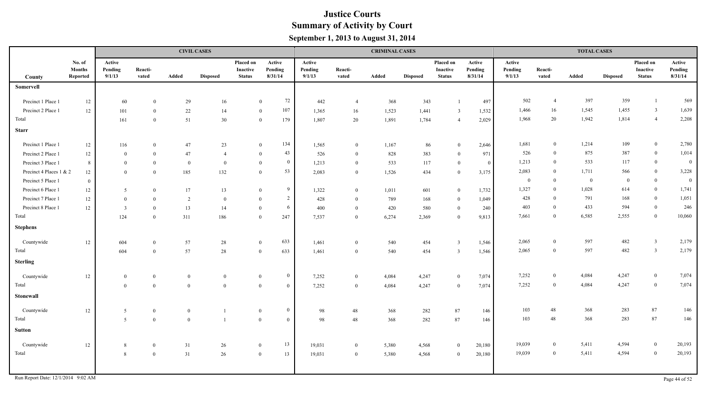|                         |                                            |                             |                  |              | <b>CIVIL CASES</b> |                                        |                                  |                             |                  | <b>CRIMINAL CASES</b> |                 |                                               |                              |                             |                  | <b>TOTAL CASES</b> |                 |                                        |                              |
|-------------------------|--------------------------------------------|-----------------------------|------------------|--------------|--------------------|----------------------------------------|----------------------------------|-----------------------------|------------------|-----------------------|-----------------|-----------------------------------------------|------------------------------|-----------------------------|------------------|--------------------|-----------------|----------------------------------------|------------------------------|
| County                  | No. of<br><b>Months</b><br><b>Reported</b> | Active<br>Pending<br>9/1/13 | Reacti-<br>vated | Added        | <b>Disposed</b>    | Placed on<br>Inactive<br><b>Status</b> | Active<br>Pending<br>8/31/14     | Active<br>Pending<br>9/1/13 | Reacti-<br>vated | Added                 | <b>Disposed</b> | Placed on<br><b>Inactive</b><br><b>Status</b> | Active<br>Pending<br>8/31/14 | Active<br>Pending<br>9/1/13 | Reacti-<br>vated | Added              | <b>Disposed</b> | Placed on<br>Inactive<br><b>Status</b> | Active<br>Pending<br>8/31/14 |
| Somervell               |                                            |                             |                  |              |                    |                                        |                                  |                             |                  |                       |                 |                                               |                              |                             |                  |                    |                 |                                        |                              |
| Precinct 1 Place 1      |                                            |                             | $\theta$         |              |                    |                                        | 72<br>$\theta$                   | 442                         | $\overline{4}$   | 368                   | 343             |                                               |                              | 502                         | $\overline{4}$   | 397                | 359             | $\mathbf{1}$                           | 569                          |
| Precinct 2 Place 1      | $12\,$<br>12                               | 60<br>101                   | $\overline{0}$   | 29<br>$22\,$ | 16<br>14           |                                        | 107<br>$\mathbf{0}$              | 1,365                       | 16               | 1,523                 | 1,441           | $\overline{3}$                                | 497<br>1,532                 | 1,466                       | 16               | 1,545              | 1,455           | $\overline{3}$                         | 1,639                        |
| Total                   |                                            | 161                         | $\overline{0}$   | 51           | 30                 |                                        | 179<br>$\mathbf{0}$              | 1,807                       | 20               | 1,891                 | 1,784           | $\overline{4}$                                | 2,029                        | 1,968                       | 20               | 1,942              | 1,814           | $\overline{4}$                         | 2,208                        |
|                         |                                            |                             |                  |              |                    |                                        |                                  |                             |                  |                       |                 |                                               |                              |                             |                  |                    |                 |                                        |                              |
| <b>Starr</b>            |                                            |                             |                  |              |                    |                                        |                                  |                             |                  |                       |                 |                                               |                              |                             |                  |                    |                 |                                        |                              |
| Precinct 1 Place 1      | 12                                         | 116                         | $\theta$         | 47           | 23                 |                                        | 134<br>$\overline{0}$            | 1,565                       | $\overline{0}$   | 1,167                 | 86              | $\mathbf{0}$                                  | 2,646                        | 1,681                       | $\theta$         | 1,214              | 109             | $\bf{0}$                               | 2,780                        |
| Precinct 2 Place 1      | $12\,$                                     | $\bf{0}$                    | $\theta$         | 47           | $\overline{4}$     |                                        | 43<br>$\theta$                   | 526                         | $\overline{0}$   | 828                   | 383             | $\theta$                                      | 971                          | 526                         | $\theta$         | 875                | 387             | $\overline{0}$                         | 1,014                        |
| Precinct 3 Place 1      | 8                                          | $\bf{0}$                    | $\theta$         | $\theta$     | $\bf{0}$           |                                        | $\bf{0}$<br>$\overline{0}$       | 1,213                       | $\mathbf{0}$     | 533                   | 117             | $\overline{0}$                                | $\bf{0}$                     | 1,213                       | $\theta$         | 533                | 117             | $\mathbf{0}$                           | $\bf{0}$                     |
| Precinct 4 Places 1 & 2 | $12\,$                                     | $\bf{0}$                    | $\overline{0}$   | 185          | 132                |                                        | 53<br>$\overline{0}$             | 2,083                       | $\bf{0}$         | 1,526                 | 434             | $\mathbf{0}$                                  | 3,175                        | 2,083                       | $\theta$         | 1,711              | 566             | $\overline{0}$                         | 3,228                        |
| Precinct 5 Place 1      | $\overline{0}$                             |                             |                  |              |                    |                                        |                                  |                             |                  |                       |                 |                                               |                              | $\overline{0}$              | $\theta$         | $\overline{0}$     | $\overline{0}$  | $\bf{0}$                               | $\overline{0}$               |
| Precinct 6 Place 1      | 12                                         | $5\overline{)}$             | $\theta$         | 17           | 13                 |                                        | 9<br>$\theta$                    | 1,322                       | $\overline{0}$   | 1,011                 | 601             | $\mathbf{0}$                                  | 1,732                        | 1,327                       | $\overline{0}$   | 1,028              | 614             | $\boldsymbol{0}$                       | 1,741                        |
| Precinct 7 Place 1      | 12                                         | $\mathbf{0}$                | $\theta$         | 2            | $\bf{0}$           |                                        | $\overline{c}$<br>$\theta$       | 428                         | $\overline{0}$   | 789                   | 168             | $\overline{0}$                                | 1,049                        | 428                         | $\Omega$         | 791                | 168             | $\overline{0}$                         | 1,051                        |
| Precinct 8 Place 1      | $12\,$                                     | $\mathbf{3}$                | $\theta$         | 13           | 14                 |                                        | 6<br>$\theta$                    | 400                         | $\mathbf{0}$     | 420                   | 580             | $\theta$                                      | 240                          | 403                         | $\theta$         | 433                | 594             | $\bf{0}$                               | 246                          |
| Total                   |                                            | 124                         | $\theta$         | 311          | 186                |                                        | 247<br>$\theta$                  | 7,537                       | $\overline{0}$   | 6,274                 | 2,369           | $\theta$                                      | 9,813                        | 7,661                       | $\theta$         | 6,585              | 2,555           | $\bf{0}$                               | 10,060                       |
| <b>Stephens</b>         |                                            |                             |                  |              |                    |                                        |                                  |                             |                  |                       |                 |                                               |                              |                             |                  |                    |                 |                                        |                              |
| Countywide              | $12\,$                                     | 604                         | $\theta$         | 57           | 28                 |                                        | 633<br>$\overline{0}$            | 1,461                       | $\overline{0}$   | 540                   | 454             | $\overline{3}$                                | 1,546                        | 2,065                       | $\overline{0}$   | 597                | 482             | $\overline{3}$                         | 2,179                        |
| Total                   |                                            | 604                         | $\theta$         | 57           | 28                 |                                        | 633<br>$\theta$                  | 1,461                       | $\overline{0}$   | 540                   | 454             | $\overline{3}$                                | 1,546                        | 2,065                       | $\mathbf{0}$     | 597                | 482             | $\overline{3}$                         | 2,179                        |
| <b>Sterling</b>         |                                            |                             |                  |              |                    |                                        |                                  |                             |                  |                       |                 |                                               |                              |                             |                  |                    |                 |                                        |                              |
| Countywide              | 12                                         | $\mathbf{0}$                | $\mathbf{0}$     | $\mathbf{0}$ | $\mathbf{0}$       |                                        | $\overline{0}$<br>$\overline{0}$ | 7,252                       | $\bf{0}$         | 4,084                 | 4,247           | $\mathbf{0}$                                  | 7,074                        | 7,252                       | $\overline{0}$   | 4,084              | 4,247           | $\bf{0}$                               | 7,074                        |
| Total                   |                                            | $\overline{0}$              | $\overline{0}$   | $\mathbf{0}$ | $\overline{0}$     |                                        | $\overline{0}$<br>$\overline{0}$ | 7,252                       | $\overline{0}$   | 4,084                 | 4,247           | $\bf{0}$                                      | 7,074                        | 7,252                       | $\overline{0}$   | 4,084              | 4,247           | $\overline{0}$                         | 7,074                        |
| Stonewall               |                                            |                             |                  |              |                    |                                        |                                  |                             |                  |                       |                 |                                               |                              |                             |                  |                    |                 |                                        |                              |
| Countywide              | $12\,$                                     | 5                           | $\bf{0}$         | $\mathbf{0}$ |                    |                                        | $\overline{0}$<br>$\overline{0}$ | 98                          | 48               | 368                   | 282             | 87                                            | 146                          | 103                         | 48               | 368                | 283             | 87                                     | 146                          |
| Total                   |                                            | $\mathfrak{S}$              | $\overline{0}$   | $\theta$     |                    |                                        | $\overline{0}$<br>$\theta$       | 98                          | 48               | 368                   | 282             | $\bf 87$                                      | 146                          | 103                         | 48               | 368                | 283             | 87                                     | 146                          |
| <b>Sutton</b>           |                                            |                             |                  |              |                    |                                        |                                  |                             |                  |                       |                 |                                               |                              |                             |                  |                    |                 |                                        |                              |
| Countywide              | 12                                         | $8\,$                       | $\bf{0}$         | 31           | 26                 |                                        | 13<br>$\bf{0}$                   | 19,031                      | $\bf{0}$         | 5,380                 | 4,568           | $\mathbf{0}$                                  | 20,180                       | 19,039                      | $\overline{0}$   | 5,411              | 4,594           | $\mathbf{0}$                           | 20,193                       |
| Total                   |                                            | 8                           | $\mathbf{0}$     | 31           | 26                 |                                        | $\overline{0}$<br>13             | 19,031                      | $\bf{0}$         | 5,380                 | 4,568           | $\overline{0}$                                | 20,180                       | 19,039                      | $\overline{0}$   | 5,411              | 4,594           | $\boldsymbol{0}$                       | 20,193                       |
|                         |                                            |                             |                  |              |                    |                                        |                                  |                             |                  |                       |                 |                                               |                              |                             |                  |                    |                 |                                        |                              |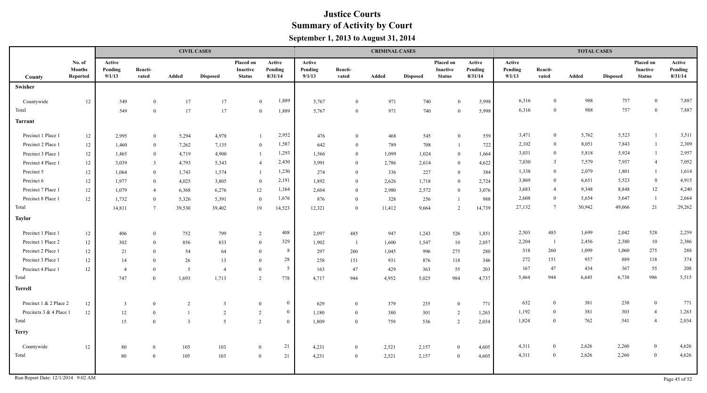|                         |                                     |                             |                  |                | <b>CIVIL CASES</b> |                                        |                              |                             |                  | <b>CRIMINAL CASES</b> |                 |                                        |                              |                             |                  | <b>TOTAL CASES</b> |                 |                                               |                              |
|-------------------------|-------------------------------------|-----------------------------|------------------|----------------|--------------------|----------------------------------------|------------------------------|-----------------------------|------------------|-----------------------|-----------------|----------------------------------------|------------------------------|-----------------------------|------------------|--------------------|-----------------|-----------------------------------------------|------------------------------|
| County                  | No. of<br><b>Months</b><br>Reported | Active<br>Pending<br>9/1/13 | Reacti-<br>vated | Added          | <b>Disposed</b>    | Placed on<br>Inactive<br><b>Status</b> | Active<br>Pending<br>8/31/14 | Active<br>Pending<br>9/1/13 | Reacti-<br>vated | Added                 | <b>Disposed</b> | Placed on<br>Inactive<br><b>Status</b> | Active<br>Pending<br>8/31/14 | Active<br>Pending<br>9/1/13 | Reacti-<br>vated | Added              | <b>Disposed</b> | Placed on<br><b>Inactive</b><br><b>Status</b> | Active<br>Pending<br>8/31/14 |
| <b>Swisher</b>          |                                     |                             |                  |                |                    |                                        |                              |                             |                  |                       |                 |                                        |                              |                             |                  |                    |                 |                                               |                              |
|                         |                                     |                             |                  |                |                    |                                        |                              |                             |                  |                       |                 |                                        |                              |                             | $\theta$         | 988                |                 | $\mathbf{0}$                                  | 7,887                        |
| Countywide<br>Total     | 12                                  | 549                         | $\mathbf{0}$     | 17             | 17                 |                                        | 1,889<br>$\overline{0}$      | 5,767                       | $\overline{0}$   | 971                   | 740             | $\Omega$                               | 5,998                        | 6,316<br>6,316              | $\theta$         | 988                | 757<br>757      | $\mathbf{0}$                                  | 7,887                        |
|                         |                                     | 549                         | $\overline{0}$   | 17             | 17                 |                                        | 1,889<br>$\overline{0}$      | 5,767                       | $\overline{0}$   | 971                   | 740             | $\Omega$                               | 5,998                        |                             |                  |                    |                 |                                               |                              |
| <b>Tarrant</b>          |                                     |                             |                  |                |                    |                                        |                              |                             |                  |                       |                 |                                        |                              |                             |                  |                    |                 |                                               |                              |
| Precinct 1 Place 1      | $12\,$                              | 2,995                       | $\overline{0}$   | 5,294          | 4,978              |                                        | 2,952<br>-1                  | 476                         | $\overline{0}$   | 468                   | 545             | $\theta$                               | 559                          | 3,471                       | $\bf{0}$         | 5,762              | 5,523           | $\mathbf{1}$                                  | 3,511                        |
| Precinct 2 Place 1      | $12\,$                              | 1,460                       | $\mathbf{0}$     | 7,262          | 7,135              |                                        | 1,587<br>$\overline{0}$      | 642                         | $\theta$         | 789                   | 708             |                                        | 722                          | 2,102                       | $\bf{0}$         | 8,051              | 7,843           | -1                                            | 2,309                        |
| Precinct 3 Place 1      | 12                                  | 1,465                       | $\mathbf{0}$     | 4,719          | 4,900              |                                        | 1,293<br>$\mathbf{1}$        | 1,566                       | $\theta$         | 1,099                 | 1,024           | $\bf{0}$                               | 1,664                        | 3,031                       | $\bf{0}$         | 5,818              | 5,924           | $\mathbf{1}$                                  | 2,957                        |
| Precinct 4 Place 1      | 12                                  | 3,039                       | 3                | 4,793          | 5,343              |                                        | 2,430<br>$\overline{4}$      | 3,991                       | $\theta$         | 2,786                 | 2,614           | $\bf{0}$                               | 4,622                        | 7,030                       | $\overline{3}$   | 7,579              | 7,957           | $\overline{4}$                                | 7,052                        |
| Precinct 5              | 12                                  | 1,064                       | $\overline{0}$   | 1,743          | 1,574              |                                        | 1,230<br>$\overline{1}$      | 274                         | $\theta$         | 336                   | 227             | $\bf{0}$                               | 384                          | 1,338                       | $\theta$         | 2,079              | 1,801           | $\mathbf{1}$                                  | 1,614                        |
| Precinct 6              | 12                                  | 1,977                       | $\theta$         | 4,025          | 3,805              |                                        | 2,191<br>$\overline{0}$      | 1,892                       | $\overline{0}$   | 2,626                 | 1,718           | $\overline{0}$                         | 2,724                        | 3,869                       | $\theta$         | 6,651              | 5,523           | $\boldsymbol{0}$                              | 4,915                        |
| Precinct 7 Place 1      | $12\,$                              | 1,079                       | $\overline{4}$   | 6,368          | 6,276              | $12\,$                                 | 1,164                        | 2,604                       | $\theta$         | 2,980                 | 2,572           | $\mathbf{0}$                           | 3,076                        | 3,683                       | $\overline{4}$   | 9,348              | 8,848           | 12                                            | 4,240                        |
| Precinct 8 Place 1      | 12                                  | 1,732                       | $\theta$         | 5,326          | 5,391              |                                        | 1,676<br>$\theta$            | 876                         | $\theta$         | 328                   | 256             |                                        | 988                          | 2,608                       | $\theta$         | 5,654              | 5,647           | $\overline{1}$                                | 2,664                        |
| Total                   |                                     | 14,811                      | $\overline{7}$   | 39,530         | 39,402             | 19                                     | 14,523                       | 12,321                      | $\Omega$         | 11,412                | 9,664           | 2                                      | 14,739                       | 27,132                      | $7\phantom{.0}$  | 50,942             | 49,066          | 21                                            | 29,262                       |
| <b>Taylor</b>           |                                     |                             |                  |                |                    |                                        |                              |                             |                  |                       |                 |                                        |                              |                             |                  |                    |                 |                                               |                              |
| Precinct 1 Place 1      | 12                                  | 406                         | $\overline{0}$   | 752            | 799                |                                        | 408<br>$\overline{2}$        | 2,097                       | 485              | 947                   | 1,243           | 526                                    | 1,851                        | 2,503                       | 485              | 1,699              | 2,042           | 528                                           | 2,259                        |
| Precinct 1 Place 2      | 12                                  | 302                         | $\theta$         | 856            | 833                |                                        | 329<br>$\theta$              | 1,902                       | $\overline{1}$   | 1,600                 | 1,547           | 10                                     | 2,057                        | 2,204                       | -1               | 2,456              | 2,380           | 10                                            | 2,386                        |
| Precinct 2 Place 1      | 12                                  | 21                          | $\theta$         | 54             | 64                 |                                        | 8<br>$\theta$                | 297                         | 260              | 1,045                 | 996             | 275                                    | 280                          | 318                         | 260              | 1,099              | 1,060           | 275                                           | 288                          |
| Precinct 3 Place 1      | $12 \,$                             | 14                          | $\theta$         | 26             | 13                 | $\theta$                               | 28                           | 258                         | 151              | 931                   | 876             | $118\,$                                | 346                          | 272                         | 151              | 957                | 889             | 118                                           | 374                          |
| Precinct 4 Place 1      | 12                                  | $\overline{4}$              | $\theta$         | 5              | $\overline{4}$     | $\theta$                               | $5\overline{)}$              | 163                         | 47               | 429                   | 363             | 55                                     | 203                          | 167                         | 47               | 434                | 367             | 55                                            | 208                          |
| Total                   |                                     | 747                         | $\Omega$         | 1,693          | 1,713              | $\overline{2}$                         | 778                          | 4,717                       | 944              | 4,952                 | 5,025           | 984                                    | 4,737                        | 5,464                       | 944              | 6,645              | 6,738           | 986                                           | 5,515                        |
| <b>Terrell</b>          |                                     |                             |                  |                |                    |                                        |                              |                             |                  |                       |                 |                                        |                              |                             |                  |                    |                 |                                               |                              |
| Precinct 1 & 2 Place 2  | 12                                  | $\overline{\mathbf{3}}$     | $\overline{0}$   | $\overline{2}$ | 3                  | $\Omega$                               | $\overline{0}$               | 629                         | $\overline{0}$   | 379                   | 235             | $\overline{0}$                         | 771                          | 632                         | $\overline{0}$   | 381                | 238             | $\bf{0}$                                      | 771                          |
| Precincts 3 & 4 Place 1 | 12                                  | $12\,$                      | $\theta$         |                | 2                  | $\overline{2}$                         | $\overline{0}$               | 1,180                       | $\overline{0}$   | 380                   | 301             | 2                                      | 1,263                        | 1,192                       | $\overline{0}$   | 381                | 303             | $\overline{4}$                                | 1,263                        |
| Total                   |                                     | 15                          | $\overline{0}$   | $\overline{3}$ | $\overline{5}$     | $\overline{2}$                         | $\overline{0}$               | 1,809                       | $\overline{0}$   | 759                   | 536             | 2                                      | 2,034                        | 1,824                       | $\overline{0}$   | 762                | 541             | $\overline{4}$                                | 2,034                        |
| <b>Terry</b>            |                                     |                             |                  |                |                    |                                        |                              |                             |                  |                       |                 |                                        |                              |                             |                  |                    |                 |                                               |                              |
| Countywide              | 12                                  | 80                          | $\theta$         | 105            | 103                | $\mathbf{0}$                           | 21                           | 4,231                       | $\overline{0}$   | 2,521                 | 2,157           | $\mathbf{0}$                           | 4,605                        | 4,311                       | $\overline{0}$   | 2,626              | 2,260           | $\boldsymbol{0}$                              | 4,626                        |
| Total                   |                                     | 80                          | $\overline{0}$   | 105            | 103                | $\theta$                               | 21                           | 4,231                       | $\overline{0}$   | 2,521                 | 2,157           | $\Omega$                               | 4,605                        | 4,311                       | $\overline{0}$   | 2,626              | 2,260           | $\overline{0}$                                | 4,626                        |
|                         |                                     |                             |                  |                |                    |                                        |                              |                             |                  |                       |                 |                                        |                              |                             |                  |                    |                 |                                               |                              |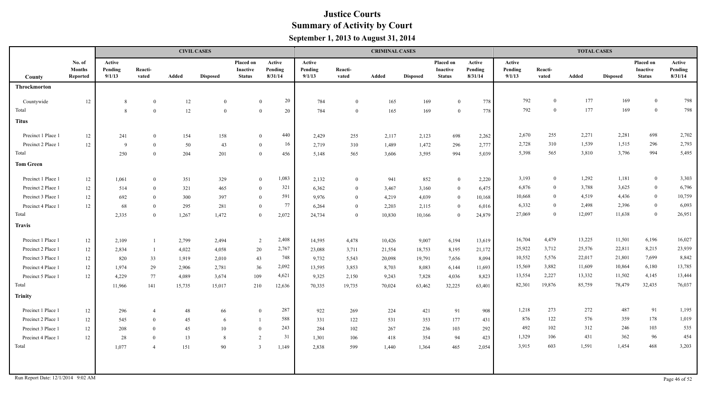|                                    |                                     |                             |                          |        | <b>CIVIL CASES</b> |                                        |                              |                             |                  | <b>CRIMINAL CASES</b> |                 |                                        |                              |                             |                  | <b>TOTAL CASES</b> |                 |                                        |                              |
|------------------------------------|-------------------------------------|-----------------------------|--------------------------|--------|--------------------|----------------------------------------|------------------------------|-----------------------------|------------------|-----------------------|-----------------|----------------------------------------|------------------------------|-----------------------------|------------------|--------------------|-----------------|----------------------------------------|------------------------------|
| <b>County</b>                      | No. of<br><b>Months</b><br>Reported | Active<br>Pending<br>9/1/13 | Reacti-<br>vated         | Added  | <b>Disposed</b>    | Placed on<br>Inactive<br><b>Status</b> | Active<br>Pending<br>8/31/14 | Active<br>Pending<br>9/1/13 | Reacti-<br>vated | <b>Added</b>          | <b>Disposed</b> | Placed on<br>Inactive<br><b>Status</b> | Active<br>Pending<br>8/31/14 | Active<br>Pending<br>9/1/13 | Reacti-<br>vated | Added              | <b>Disposed</b> | Placed on<br>Inactive<br><b>Status</b> | Active<br>Pending<br>8/31/14 |
| Throckmorton                       |                                     |                             |                          |        |                    |                                        |                              |                             |                  |                       |                 |                                        |                              |                             |                  |                    |                 |                                        |                              |
| Countywide                         | 12                                  | -8                          | $\overline{0}$           | 12     | $\overline{0}$     | $\theta$                               | 20                           | 784                         | $\overline{0}$   | 165                   | 169             | $\theta$                               | 778                          | 792                         | $\bf{0}$         | 177                | 169             | $\mathbf{0}$                           | 798                          |
| Total                              |                                     | -8                          | $\Omega$                 | 12     | $\overline{0}$     | $\Omega$                               | 20                           | 784                         | $\overline{0}$   | 165                   | 169             | $\theta$                               | 778                          | 792                         | $\overline{0}$   | 177                | 169             | $\mathbf{0}$                           | 798                          |
| <b>Titus</b>                       |                                     |                             |                          |        |                    |                                        |                              |                             |                  |                       |                 |                                        |                              |                             |                  |                    |                 |                                        |                              |
| Precinct 1 Place 1                 | 12                                  | 241                         | $\Omega$                 | 154    | 158                | $\Omega$                               | 440                          | 2,429                       | 255              | 2,117                 | 2,123           | 698                                    | 2,262                        | 2,670                       | 255              | 2,271              | 2,281           | 698                                    | 2,702                        |
| Precinct 2 Place 1                 | 12                                  | - 9                         | $\theta$                 | 50     | 43                 | $\bf{0}$                               | 16                           | 2,719                       | 310              | 1,489                 | 1,472           | 296                                    | 2,777                        | 2,728                       | 310              | 1,539              | 1,515           | 296                                    | 2,793                        |
| Total                              |                                     | 250                         | $\Omega$                 | 204    | 201                | $\Omega$                               | 456                          | 5,148                       | 565              | 3,606                 | 3,595           | 994                                    | 5,039                        | 5,398                       | 565              | 3,810              | 3,796           | 994                                    | 5,495                        |
| <b>Tom Green</b>                   |                                     |                             |                          |        |                    |                                        |                              |                             |                  |                       |                 |                                        |                              |                             |                  |                    |                 |                                        |                              |
| Precinct 1 Place 1                 | 12                                  | 1,061                       | $\Omega$                 | 351    | 329                | $\overline{0}$                         | 1,083                        | 2,132                       | $\bf{0}$         | 941                   | 852             | $\bf{0}$                               | 2,220                        | 3,193                       | $\mathbf{0}$     | 1,292              | 1,181           | $\bf{0}$                               | 3,303                        |
| Precinct 2 Place 1                 | 12                                  | 514                         | $\Omega$                 | 321    | 465                | $\Omega$                               | 321                          | 6,362                       | $\overline{0}$   | 3,467                 | 3,160           | $\mathbf{0}$                           | 6,475                        | 6,876                       | $\bf{0}$         | 3,788              | 3,625           | $\mathbf{0}$                           | 6,796                        |
| Precinct 3 Place 1                 | 12                                  | 692                         | $\Omega$                 | 300    | 397                | $\Omega$                               | 591                          | 9,976                       | $\theta$         | 4,219                 | 4,039           | $\theta$                               | 10,168                       | 10,668                      | $\overline{0}$   | 4,519              | 4,436           | $\mathbf{0}$                           | 10,759                       |
| Precinct 4 Place 1                 | 12                                  | 68                          | $\Omega$                 | 295    | 281                | $\Omega$                               | 77                           | 6,264                       | $\overline{0}$   | 2,203                 | 2,115           | $\bf{0}$                               | 6,016                        | 6,332                       | $\theta$         | 2,498              | 2,396           | $\overline{0}$                         | 6,093                        |
| Total                              |                                     | 2,335                       | $\Omega$                 | 1,267  | 1,472              | $\Omega$                               | 2,072                        | 24,734                      | $\bf{0}$         | 10,830                | 10,166          | $\theta$                               | 24,879                       | 27,069                      | $\theta$         | 12,097             | 11,638          | $\mathbf{0}$                           | 26,951                       |
| <b>Travis</b>                      |                                     |                             |                          |        |                    |                                        |                              |                             |                  |                       |                 |                                        |                              |                             |                  |                    |                 |                                        |                              |
| Precinct 1 Place 1                 | 12                                  | 2,109                       |                          | 2,799  | 2,494              | 2                                      | 2,408                        | 14,595                      | 4,478            | 10,426                | 9,007           | 6,194                                  | 13,619                       | 16,704                      | 4,479            | 13,225             | 11,501          | 6,196                                  | 16,027                       |
| Precinct 2 Place 1                 | 12                                  | 2,834                       |                          | 4,022  | 4,058              | 20                                     | 2,767                        | 23,088                      | 3,711            | 21,554                | 18,753          | 8,195                                  | 21,172                       | 25,922                      | 3,712            | 25,576             | 22,811          | 8,215                                  | 23,939                       |
| Precinct 3 Place 1                 | 12                                  | 820                         | 33                       | 1,919  | 2,010              | 43                                     | 748                          | 9,732                       | 5,543            | 20,098                | 19,791          | 7,656                                  | 8,094                        | 10,552                      | 5,576            | 22,017             | 21,801          | 7,699                                  | 8,842                        |
| Precinct 4 Place 1                 | 12                                  | 1,974                       | 29                       | 2,906  | 2,781              | 36                                     | 2,092                        | 13,595                      | 3,853            | 8,703                 | 8,083           | 6,144                                  | 11,693                       | 15,569                      | 3,882            | 11,609             | 10,864          | 6,180                                  | 13,785                       |
| Precinct 5 Place 1                 | 12                                  | 4,229                       | 77                       | 4,089  | 3,674              | 109                                    | 4,621                        | 9,325                       | 2,150            | 9,243                 | 7,828           | 4,036                                  | 8,823                        | 13,554                      | 2,227            | 13,332             | 11,502          | 4,145                                  | 13,444                       |
| Total                              |                                     | 11,966                      | 141                      | 15,735 | 15,017             | 210                                    | 12,636                       | 70,335                      | 19,735           | 70,024                | 63,462          | 32,225                                 | 63,401                       | 82,301                      | 19,876           | 85,759             | 78,479          | 32,435                                 | 76,037                       |
| <b>Trinity</b>                     |                                     |                             |                          |        |                    |                                        |                              |                             |                  |                       |                 |                                        |                              |                             |                  |                    |                 |                                        |                              |
| Precinct 1 Place 1                 | 12                                  | 296                         | $\overline{\mathcal{L}}$ | 48     | 66                 | $\Omega$                               | 287                          | 922                         | 269              | 224                   | 421             | 91                                     | 908                          | 1,218                       | 273              | 272                | 487             | 91                                     | 1,195                        |
| Precinct 2 Place 1                 | 12                                  | 545                         | $\theta$                 | 45     | 6                  |                                        | 588                          | 331                         | 122              | 531                   | 353             | 177                                    | 431                          | 876                         | 122              | 576                | 359             | 178                                    | 1,019                        |
| Precinct 3 Place 1                 | 12                                  | 208                         | $\Omega$                 | 45     | 10                 | $\overline{0}$                         | 243                          | 284                         | 102              | 267                   | 236             | 103                                    | 292                          | 492                         | 102              | 312                | 246             | 103                                    | 535                          |
| Precinct 4 Place 1                 | 12                                  | 28                          | $\Omega$                 | 13     | 8                  | 2                                      | 31                           | 1,301                       | 106              | 418                   | 354             | 94                                     | 423                          | 1,329                       | 106              | 431                | 362             | 96                                     | 454                          |
| Total                              |                                     | 1,077                       | 4                        | 151    | 90                 | $\overline{3}$                         | 1,149                        | 2,838                       | 599              | 1,440                 | 1,364           | 465                                    | 2,054                        | 3,915                       | 603              | 1,591              | 1,454           | 468                                    | 3,203                        |
|                                    |                                     |                             |                          |        |                    |                                        |                              |                             |                  |                       |                 |                                        |                              |                             |                  |                    |                 |                                        |                              |
| Run Report Date: 12/1/2014 9:02 AM |                                     |                             |                          |        |                    |                                        |                              |                             |                  |                       |                 |                                        |                              |                             |                  |                    |                 |                                        | Page 46 of 52                |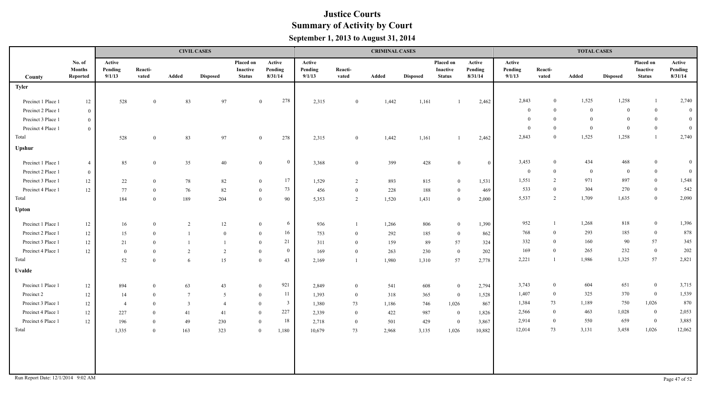| No. of<br>Active<br>Placed on<br>Active<br>Active<br>Placed on<br>Active<br>Active<br>Placed on<br><b>Months</b><br>Pending<br>Reacti-<br>Pending<br>Pending<br>Reacti-<br>Inactive<br>Pending<br>Pending<br>Reacti-<br>Inactive<br>Inactive<br>8/31/14<br>8/31/14<br>9/1/13<br>vated<br>9/1/13<br>vated<br>Added<br>9/1/13<br>vated<br>Added<br>Reported<br>Added<br><b>Status</b><br><b>Status</b><br><b>Disposed</b><br><b>Disposed</b><br><b>Disposed</b><br><b>Status</b><br>County<br><b>Tyler</b><br>278<br>2,843<br>1,525<br>1,258<br>$\bf{0}$<br>Precinct 1 Place 1<br>528<br>83<br>97<br>2,315<br>1,442<br>2,462<br>12<br>$\mathbf{0}$<br>1,161<br>$\bf{0}$<br>$\mathbf{0}$<br>$\overline{0}$<br>$\mathbf{0}$<br>$\overline{0}$<br>$\bf{0}$<br>Precinct 2 Place 1<br>$\overline{0}$<br>$\overline{0}$<br>$\theta$<br>$\overline{0}$<br>$\theta$<br>Precinct 3 Place 1<br>$\bf{0}$<br>$\theta$<br>$\overline{0}$<br>$\bf{0}$<br>Precinct 4 Place 1<br>$\overline{0}$<br>$\overline{0}$<br>1,525<br>2,843<br>1,258<br>$\theta$<br>Total<br>528<br>83<br>97<br>278<br>1,442<br>1,161<br>2,462<br>$\mathbf{0}$<br>2,315<br>$\mathbf{0}$<br>$\mathbf{0}$<br>Upshur<br>3,453<br>434<br>$\bf{0}$<br>$\mathbf{0}$<br>468<br>Precinct 1 Place 1<br>85<br>35<br>$40\,$<br>399<br>428<br>$\overline{4}$<br>3,368<br>$\mathbf{0}$<br>$\bf{0}$<br>$\overline{0}$<br>$\Omega$<br>$\overline{0}$<br>$\overline{0}$<br>$\mathbf{0}$<br>$\overline{0}$<br>Precinct 2 Place 1<br>$\overline{0}$<br>$\bf{0}$<br>17<br>971<br>1,551<br>897<br>2<br>Precinct 3 Place 1<br>22<br>78<br>82<br>1,529<br>893<br>815<br>1,531<br>12<br>$\overline{0}$<br>2<br>$\bf{0}$<br>$\mathbf{0}$<br>73<br>533<br>304<br>270<br>$\theta$<br>Precinct 4 Place 1<br>12<br>82<br>77<br>188<br>469<br>76<br>456<br>$\overline{0}$<br>228<br>$\theta$<br>$\bf{0}$<br>$\mathbf{0}$<br>5,537<br>2<br>1,709<br>1,635<br>Total<br>184<br>189<br>204<br>90<br>$\mathbf{0}$<br>5,353<br>$\overline{2}$<br>1,520<br>1,431<br>2,000<br>$\theta$<br>$\theta$<br><b>Upton</b><br>952<br>1,268<br>818<br>6<br>Precinct 1 Place 1<br>806<br>1,390<br>12<br>16<br>2<br>12<br>936<br>1,266<br>$\overline{0}$<br>$\mathbf{0}$<br>$\overline{0}$<br>768<br>293<br>16<br>$\theta$<br>185<br>Precinct 2 Place 1<br>753<br>862<br>12<br>15<br>$\bf{0}$<br>292<br>185<br>$\theta$<br>$\overline{0}$<br>$\mathbf{0}$<br>$\bf{0}$<br>57<br>21<br>332<br>160<br>90<br>$\theta$<br>Precinct 3 Place 1<br>57<br>12<br>159<br>89<br>324<br>21<br>$\theta$<br>$\overline{0}$<br>311<br>$\overline{0}$<br>169<br>265<br>232<br>$\overline{0}$<br>$\overline{0}$<br>$\theta$<br>Precinct 4 Place 1<br>12<br>202<br>2<br>169<br>263<br>230<br>$\bf{0}$<br>$\overline{0}$<br>$\theta$<br>2<br>$\theta$<br>$\overline{0}$ | Active<br>Pending<br>8/31/14<br>2,740<br>$\overline{0}$<br>$\overline{0}$<br>$\overline{0}$<br>$\mathbf{0}$ |
|-----------------------------------------------------------------------------------------------------------------------------------------------------------------------------------------------------------------------------------------------------------------------------------------------------------------------------------------------------------------------------------------------------------------------------------------------------------------------------------------------------------------------------------------------------------------------------------------------------------------------------------------------------------------------------------------------------------------------------------------------------------------------------------------------------------------------------------------------------------------------------------------------------------------------------------------------------------------------------------------------------------------------------------------------------------------------------------------------------------------------------------------------------------------------------------------------------------------------------------------------------------------------------------------------------------------------------------------------------------------------------------------------------------------------------------------------------------------------------------------------------------------------------------------------------------------------------------------------------------------------------------------------------------------------------------------------------------------------------------------------------------------------------------------------------------------------------------------------------------------------------------------------------------------------------------------------------------------------------------------------------------------------------------------------------------------------------------------------------------------------------------------------------------------------------------------------------------------------------------------------------------------------------------------------------------------------------------------------------------------------------------------------------------------------------------------------------------------------------------------------------------------------------------------------------------------------------------------------------------------------------------------------------------------------------------------------------------------------------------------------------------|-------------------------------------------------------------------------------------------------------------|
|                                                                                                                                                                                                                                                                                                                                                                                                                                                                                                                                                                                                                                                                                                                                                                                                                                                                                                                                                                                                                                                                                                                                                                                                                                                                                                                                                                                                                                                                                                                                                                                                                                                                                                                                                                                                                                                                                                                                                                                                                                                                                                                                                                                                                                                                                                                                                                                                                                                                                                                                                                                                                                                                                                                                                           |                                                                                                             |
|                                                                                                                                                                                                                                                                                                                                                                                                                                                                                                                                                                                                                                                                                                                                                                                                                                                                                                                                                                                                                                                                                                                                                                                                                                                                                                                                                                                                                                                                                                                                                                                                                                                                                                                                                                                                                                                                                                                                                                                                                                                                                                                                                                                                                                                                                                                                                                                                                                                                                                                                                                                                                                                                                                                                                           |                                                                                                             |
|                                                                                                                                                                                                                                                                                                                                                                                                                                                                                                                                                                                                                                                                                                                                                                                                                                                                                                                                                                                                                                                                                                                                                                                                                                                                                                                                                                                                                                                                                                                                                                                                                                                                                                                                                                                                                                                                                                                                                                                                                                                                                                                                                                                                                                                                                                                                                                                                                                                                                                                                                                                                                                                                                                                                                           |                                                                                                             |
|                                                                                                                                                                                                                                                                                                                                                                                                                                                                                                                                                                                                                                                                                                                                                                                                                                                                                                                                                                                                                                                                                                                                                                                                                                                                                                                                                                                                                                                                                                                                                                                                                                                                                                                                                                                                                                                                                                                                                                                                                                                                                                                                                                                                                                                                                                                                                                                                                                                                                                                                                                                                                                                                                                                                                           |                                                                                                             |
|                                                                                                                                                                                                                                                                                                                                                                                                                                                                                                                                                                                                                                                                                                                                                                                                                                                                                                                                                                                                                                                                                                                                                                                                                                                                                                                                                                                                                                                                                                                                                                                                                                                                                                                                                                                                                                                                                                                                                                                                                                                                                                                                                                                                                                                                                                                                                                                                                                                                                                                                                                                                                                                                                                                                                           |                                                                                                             |
|                                                                                                                                                                                                                                                                                                                                                                                                                                                                                                                                                                                                                                                                                                                                                                                                                                                                                                                                                                                                                                                                                                                                                                                                                                                                                                                                                                                                                                                                                                                                                                                                                                                                                                                                                                                                                                                                                                                                                                                                                                                                                                                                                                                                                                                                                                                                                                                                                                                                                                                                                                                                                                                                                                                                                           |                                                                                                             |
|                                                                                                                                                                                                                                                                                                                                                                                                                                                                                                                                                                                                                                                                                                                                                                                                                                                                                                                                                                                                                                                                                                                                                                                                                                                                                                                                                                                                                                                                                                                                                                                                                                                                                                                                                                                                                                                                                                                                                                                                                                                                                                                                                                                                                                                                                                                                                                                                                                                                                                                                                                                                                                                                                                                                                           | $\mathbf{0}$<br>$\overline{0}$                                                                              |
|                                                                                                                                                                                                                                                                                                                                                                                                                                                                                                                                                                                                                                                                                                                                                                                                                                                                                                                                                                                                                                                                                                                                                                                                                                                                                                                                                                                                                                                                                                                                                                                                                                                                                                                                                                                                                                                                                                                                                                                                                                                                                                                                                                                                                                                                                                                                                                                                                                                                                                                                                                                                                                                                                                                                                           | 2,740<br>$\mathbf{1}$                                                                                       |
|                                                                                                                                                                                                                                                                                                                                                                                                                                                                                                                                                                                                                                                                                                                                                                                                                                                                                                                                                                                                                                                                                                                                                                                                                                                                                                                                                                                                                                                                                                                                                                                                                                                                                                                                                                                                                                                                                                                                                                                                                                                                                                                                                                                                                                                                                                                                                                                                                                                                                                                                                                                                                                                                                                                                                           |                                                                                                             |
|                                                                                                                                                                                                                                                                                                                                                                                                                                                                                                                                                                                                                                                                                                                                                                                                                                                                                                                                                                                                                                                                                                                                                                                                                                                                                                                                                                                                                                                                                                                                                                                                                                                                                                                                                                                                                                                                                                                                                                                                                                                                                                                                                                                                                                                                                                                                                                                                                                                                                                                                                                                                                                                                                                                                                           | $\overline{0}$<br>$\mathbf{0}$                                                                              |
|                                                                                                                                                                                                                                                                                                                                                                                                                                                                                                                                                                                                                                                                                                                                                                                                                                                                                                                                                                                                                                                                                                                                                                                                                                                                                                                                                                                                                                                                                                                                                                                                                                                                                                                                                                                                                                                                                                                                                                                                                                                                                                                                                                                                                                                                                                                                                                                                                                                                                                                                                                                                                                                                                                                                                           | $\overline{0}$<br>$\overline{0}$                                                                            |
|                                                                                                                                                                                                                                                                                                                                                                                                                                                                                                                                                                                                                                                                                                                                                                                                                                                                                                                                                                                                                                                                                                                                                                                                                                                                                                                                                                                                                                                                                                                                                                                                                                                                                                                                                                                                                                                                                                                                                                                                                                                                                                                                                                                                                                                                                                                                                                                                                                                                                                                                                                                                                                                                                                                                                           | 1,548<br>$\mathbf{0}$                                                                                       |
|                                                                                                                                                                                                                                                                                                                                                                                                                                                                                                                                                                                                                                                                                                                                                                                                                                                                                                                                                                                                                                                                                                                                                                                                                                                                                                                                                                                                                                                                                                                                                                                                                                                                                                                                                                                                                                                                                                                                                                                                                                                                                                                                                                                                                                                                                                                                                                                                                                                                                                                                                                                                                                                                                                                                                           | 542<br>$\mathbf{0}$                                                                                         |
|                                                                                                                                                                                                                                                                                                                                                                                                                                                                                                                                                                                                                                                                                                                                                                                                                                                                                                                                                                                                                                                                                                                                                                                                                                                                                                                                                                                                                                                                                                                                                                                                                                                                                                                                                                                                                                                                                                                                                                                                                                                                                                                                                                                                                                                                                                                                                                                                                                                                                                                                                                                                                                                                                                                                                           | 2,090<br>$\overline{0}$                                                                                     |
|                                                                                                                                                                                                                                                                                                                                                                                                                                                                                                                                                                                                                                                                                                                                                                                                                                                                                                                                                                                                                                                                                                                                                                                                                                                                                                                                                                                                                                                                                                                                                                                                                                                                                                                                                                                                                                                                                                                                                                                                                                                                                                                                                                                                                                                                                                                                                                                                                                                                                                                                                                                                                                                                                                                                                           |                                                                                                             |
|                                                                                                                                                                                                                                                                                                                                                                                                                                                                                                                                                                                                                                                                                                                                                                                                                                                                                                                                                                                                                                                                                                                                                                                                                                                                                                                                                                                                                                                                                                                                                                                                                                                                                                                                                                                                                                                                                                                                                                                                                                                                                                                                                                                                                                                                                                                                                                                                                                                                                                                                                                                                                                                                                                                                                           | 1,396<br>$\mathbf{0}$                                                                                       |
|                                                                                                                                                                                                                                                                                                                                                                                                                                                                                                                                                                                                                                                                                                                                                                                                                                                                                                                                                                                                                                                                                                                                                                                                                                                                                                                                                                                                                                                                                                                                                                                                                                                                                                                                                                                                                                                                                                                                                                                                                                                                                                                                                                                                                                                                                                                                                                                                                                                                                                                                                                                                                                                                                                                                                           | 878<br>$\mathbf{0}$                                                                                         |
|                                                                                                                                                                                                                                                                                                                                                                                                                                                                                                                                                                                                                                                                                                                                                                                                                                                                                                                                                                                                                                                                                                                                                                                                                                                                                                                                                                                                                                                                                                                                                                                                                                                                                                                                                                                                                                                                                                                                                                                                                                                                                                                                                                                                                                                                                                                                                                                                                                                                                                                                                                                                                                                                                                                                                           | 345                                                                                                         |
|                                                                                                                                                                                                                                                                                                                                                                                                                                                                                                                                                                                                                                                                                                                                                                                                                                                                                                                                                                                                                                                                                                                                                                                                                                                                                                                                                                                                                                                                                                                                                                                                                                                                                                                                                                                                                                                                                                                                                                                                                                                                                                                                                                                                                                                                                                                                                                                                                                                                                                                                                                                                                                                                                                                                                           | 202                                                                                                         |
| 57<br>2,221<br>1,986<br>1,325<br>Total<br>57<br>52<br>15<br>43<br>$\overline{0}$<br>2,169<br>1,980<br>1,310<br>2,778<br>$\theta$<br>6<br>$\overline{1}$                                                                                                                                                                                                                                                                                                                                                                                                                                                                                                                                                                                                                                                                                                                                                                                                                                                                                                                                                                                                                                                                                                                                                                                                                                                                                                                                                                                                                                                                                                                                                                                                                                                                                                                                                                                                                                                                                                                                                                                                                                                                                                                                                                                                                                                                                                                                                                                                                                                                                                                                                                                                   | 2,821                                                                                                       |
| <b>Uvalde</b>                                                                                                                                                                                                                                                                                                                                                                                                                                                                                                                                                                                                                                                                                                                                                                                                                                                                                                                                                                                                                                                                                                                                                                                                                                                                                                                                                                                                                                                                                                                                                                                                                                                                                                                                                                                                                                                                                                                                                                                                                                                                                                                                                                                                                                                                                                                                                                                                                                                                                                                                                                                                                                                                                                                                             |                                                                                                             |
| 921<br>3,743<br>604<br>651<br>$\bf{0}$<br>$\overline{0}$<br>Precinct 1 Place 1<br>12<br>894<br>63<br>43<br>2,849<br>541<br>608<br>2,794<br>$\theta$<br>$\overline{0}$<br>$\bf{0}$<br>$\mathbf{0}$                                                                                                                                                                                                                                                                                                                                                                                                                                                                                                                                                                                                                                                                                                                                                                                                                                                                                                                                                                                                                                                                                                                                                                                                                                                                                                                                                                                                                                                                                                                                                                                                                                                                                                                                                                                                                                                                                                                                                                                                                                                                                                                                                                                                                                                                                                                                                                                                                                                                                                                                                         | 3,715                                                                                                       |
| $\overline{0}$<br>1,407<br>325<br>370<br>11<br>$\overline{0}$<br>Precinct 2<br>1,528<br>12<br>14<br>$7\phantom{.0}$<br>5<br>1,393<br>$\overline{0}$<br>318<br>365<br>$\overline{0}$<br>$\mathbf{0}$<br>$\overline{0}$                                                                                                                                                                                                                                                                                                                                                                                                                                                                                                                                                                                                                                                                                                                                                                                                                                                                                                                                                                                                                                                                                                                                                                                                                                                                                                                                                                                                                                                                                                                                                                                                                                                                                                                                                                                                                                                                                                                                                                                                                                                                                                                                                                                                                                                                                                                                                                                                                                                                                                                                     | 1,539                                                                                                       |
| 750<br>1,026<br>$\mathbf{3}$<br>1,384<br>73<br>1,189<br>867<br>Precinct 3 Place 1<br>73<br>1,026<br>12<br>1,380<br>1,186<br>746<br>$\overline{0}$<br>$\overline{3}$<br>$\overline{0}$<br>$\overline{4}$<br>$\overline{4}$                                                                                                                                                                                                                                                                                                                                                                                                                                                                                                                                                                                                                                                                                                                                                                                                                                                                                                                                                                                                                                                                                                                                                                                                                                                                                                                                                                                                                                                                                                                                                                                                                                                                                                                                                                                                                                                                                                                                                                                                                                                                                                                                                                                                                                                                                                                                                                                                                                                                                                                                 | 870                                                                                                         |
| 227<br>2,566<br>463<br>1,028<br>$\overline{0}$<br>Precinct 4 Place 1<br>$\theta$<br>12<br>227<br>41<br>2,339<br>422<br>987<br>1,826<br>$\theta$<br>41<br>$\overline{0}$<br>$\overline{0}$<br>$\overline{0}$                                                                                                                                                                                                                                                                                                                                                                                                                                                                                                                                                                                                                                                                                                                                                                                                                                                                                                                                                                                                                                                                                                                                                                                                                                                                                                                                                                                                                                                                                                                                                                                                                                                                                                                                                                                                                                                                                                                                                                                                                                                                                                                                                                                                                                                                                                                                                                                                                                                                                                                                               | 2,053                                                                                                       |
| 18<br>550<br>659<br>$\overline{0}$<br>2,914<br>$\Omega$<br>Precinct 6 Place 1<br>196<br>49<br>230<br>429<br>12<br>$\theta$<br>2,718<br>501<br>3,867<br>$\theta$<br>$\theta$<br>$\overline{0}$                                                                                                                                                                                                                                                                                                                                                                                                                                                                                                                                                                                                                                                                                                                                                                                                                                                                                                                                                                                                                                                                                                                                                                                                                                                                                                                                                                                                                                                                                                                                                                                                                                                                                                                                                                                                                                                                                                                                                                                                                                                                                                                                                                                                                                                                                                                                                                                                                                                                                                                                                             | 3,885                                                                                                       |
| 73<br>1,026<br>3,131<br>3,458<br>Total<br>12,014<br>163<br>323<br>10,679<br>73<br>1,026<br>10,882<br>1,335<br>1,180<br>2,968<br>3,135<br>$\theta$<br>$\overline{0}$                                                                                                                                                                                                                                                                                                                                                                                                                                                                                                                                                                                                                                                                                                                                                                                                                                                                                                                                                                                                                                                                                                                                                                                                                                                                                                                                                                                                                                                                                                                                                                                                                                                                                                                                                                                                                                                                                                                                                                                                                                                                                                                                                                                                                                                                                                                                                                                                                                                                                                                                                                                       | 12,062                                                                                                      |
| Run Report Date: 12/1/2014 9:02 AM                                                                                                                                                                                                                                                                                                                                                                                                                                                                                                                                                                                                                                                                                                                                                                                                                                                                                                                                                                                                                                                                                                                                                                                                                                                                                                                                                                                                                                                                                                                                                                                                                                                                                                                                                                                                                                                                                                                                                                                                                                                                                                                                                                                                                                                                                                                                                                                                                                                                                                                                                                                                                                                                                                                        |                                                                                                             |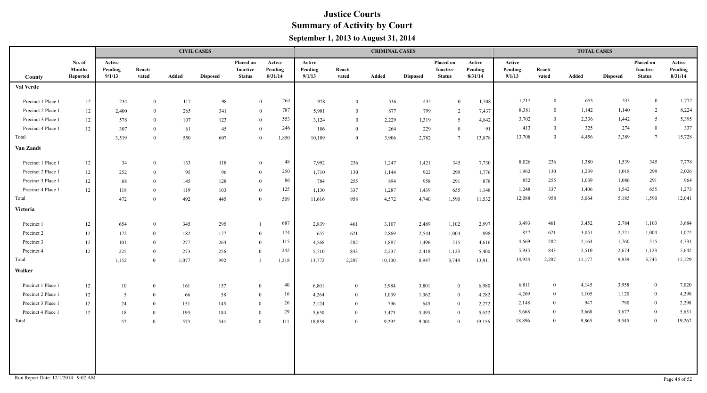|                                    |                                     |                             |                  |       | <b>CIVIL CASES</b> |                                        |                              |                             |                  | <b>CRIMINAL CASES</b> |                 |                                        |                              |                             |                  | <b>TOTAL CASES</b> |                 |                                               |                              |
|------------------------------------|-------------------------------------|-----------------------------|------------------|-------|--------------------|----------------------------------------|------------------------------|-----------------------------|------------------|-----------------------|-----------------|----------------------------------------|------------------------------|-----------------------------|------------------|--------------------|-----------------|-----------------------------------------------|------------------------------|
| <b>County</b>                      | No. of<br><b>Months</b><br>Reported | Active<br>Pending<br>9/1/13 | Reacti-<br>vated | Added | <b>Disposed</b>    | Placed on<br>Inactive<br><b>Status</b> | Active<br>Pending<br>8/31/14 | Active<br>Pending<br>9/1/13 | Reacti-<br>vated | Added                 | <b>Disposed</b> | Placed on<br>Inactive<br><b>Status</b> | Active<br>Pending<br>8/31/14 | Active<br>Pending<br>9/1/13 | Reacti-<br>vated | Added              | <b>Disposed</b> | Placed on<br><b>Inactive</b><br><b>Status</b> | Active<br>Pending<br>8/31/14 |
| Val Verde                          |                                     |                             |                  |       |                    |                                        |                              |                             |                  |                       |                 |                                        |                              |                             |                  |                    |                 |                                               |                              |
| Precinct 1 Place 1                 | 12                                  | 234                         | $\overline{0}$   | 117   | 98                 |                                        | 264<br>$\mathbf{0}$          | 978                         | $\theta$         | 536                   | 435             | $\Omega$                               | 1,508                        | 1,212                       | $\mathbf{0}$     | 653                | 533             | $\mathbf{0}$                                  | 1,772                        |
| Precinct 2 Place 1                 | 12                                  | 2,400                       | $\overline{0}$   | 265   | 341                |                                        | 787<br>$\bf{0}$              | 5,981                       | $\overline{0}$   | 877                   | 799             | 2                                      | 7,437                        | 8,381                       | $\bf{0}$         | 1,142              | 1,140           | $\overline{2}$                                | 8,224                        |
| Precinct 3 Place 1                 | 12                                  | 578                         | $\overline{0}$   | 107   | 123                |                                        | 553<br>$\bf{0}$              | 3,124                       | $\overline{0}$   | 2,229                 | 1,319           | .5                                     | 4,842                        | 3,702                       | $\overline{0}$   | 2,336              | 1,442           | 5 <sup>5</sup>                                | 5,395                        |
| Precinct 4 Place 1                 | 12                                  | 307                         | $\theta$         | 61    | 45                 |                                        | 246<br>$\bf{0}$              | 106                         | $\overline{0}$   | 264                   | 229             | $\theta$                               | 91                           | 413                         | $\theta$         | 325                | 274             | $\overline{0}$                                | 337                          |
| Total                              |                                     | 3,519                       | $\overline{0}$   | 550   | 607                |                                        | 1,850<br>$\bf{0}$            | 10,189                      | $\overline{0}$   | 3,906                 | 2,782           | $7\phantom{.0}$                        | 13,878                       | 13,708                      | $\overline{0}$   | 4,456              | 3,389           | $7\overline{ }$                               | 15,728                       |
| Van Zandt                          |                                     |                             |                  |       |                    |                                        |                              |                             |                  |                       |                 |                                        |                              |                             |                  |                    |                 |                                               |                              |
| Precinct 1 Place 1                 | 12                                  | 34                          | $\overline{0}$   | 133   | 118                |                                        | 48<br>$\overline{0}$         | 7,992                       | 236              | 1,247                 | 1,421           | 345                                    | 7,730                        | 8,026                       | 236              | 1,380              | 1,539           | 345                                           | 7,778                        |
| Precinct 2 Place 1                 | 12                                  | 252                         | $\Omega$         | 95    | 96                 |                                        | 250<br>$\overline{0}$        | 1,710                       | 130              | 1,144                 | 922             | 299                                    | 1,776                        | 1,962                       | 130              | 1,239              | 1,018           | 299                                           | 2,026                        |
| Precinct 3 Place 1                 | 12                                  | 68                          | $\theta$         | 145   | 128                |                                        | 86<br>$\overline{0}$         | 784                         | 255              | 894                   | 958             | 291                                    | 878                          | 852                         | 255              | 1,039              | 1,086           | 291                                           | 964                          |
| Precinct 4 Place 1                 | 12                                  | 118                         | $\Omega$         | 119   | 103                |                                        | 125<br>$\mathbf{0}$          | 1,130                       | 337              | 1,287                 | 1,439           | 655                                    | 1,148                        | 1,248                       | 337              | 1,406              | 1,542           | 655                                           | 1,273                        |
| Total                              |                                     | 472                         | $\theta$         | 492   | 445                |                                        | 509<br>$\mathbf{0}$          | 11,616                      | 958              | 4,572                 | 4,740           | 1,590                                  | 11,532                       | 12,088                      | 958              | 5,064              | 5,185           | 1,590                                         | 12,041                       |
| Victoria                           |                                     |                             |                  |       |                    |                                        |                              |                             |                  |                       |                 |                                        |                              |                             |                  |                    |                 |                                               |                              |
| Precinct 1                         | 12                                  | 654                         | $\overline{0}$   | 345   | 295                |                                        | 687                          | 2,839                       | 461              | 3,107                 | 2,489           | 1,102                                  | 2,997                        | 3,493                       | 461              | 3,452              | 2,784           | 1,103                                         | 3,684                        |
| Precinct 2                         | 12                                  | 172                         | $\Omega$         | 182   | 177                |                                        | 174<br>$\mathbf{0}$          | 655                         | 621              | 2,869                 | 2,544           | 1,004                                  | 898                          | 827                         | 621              | 3,051              | 2,721           | 1,004                                         | 1,072                        |
| Precinct 3                         | 12                                  | 101                         | $\theta$         | 277   | 264                |                                        | 115<br>$\mathbf{0}$          | 4,568                       | 282              | 1,887                 | 1,496           | 515                                    | 4,616                        | 4,669                       | 282              | 2,164              | 1,760           | 515                                           | 4,731                        |
| Precinct 4                         | 12                                  | 225                         | $\mathbf{0}$     | 273   | 256                |                                        | 242<br>$\theta$              | 5,710                       | 843              | 2,237                 | 2,418           | 1,123                                  | 5,400                        | 5,935                       | 843              | 2,510              | 2,674           | 1,123                                         | 5,642                        |
| Total                              |                                     | 1,152                       | $\overline{0}$   | 1,077 | 992                |                                        | 1,218                        | 13,772                      | 2,207            | 10,100                | 8,947           | 3,744                                  | 13,911                       | 14,924                      | 2,207            | 11,177             | 9,939           | 3,745                                         | 15,129                       |
| Walker                             |                                     |                             |                  |       |                    |                                        |                              |                             |                  |                       |                 |                                        |                              |                             |                  |                    |                 |                                               |                              |
| Precinct 1 Place 1                 | 12                                  | 10                          | $\overline{0}$   | 161   | 157                |                                        | 40<br>$\bf{0}$               | 6,801                       | $\overline{0}$   | 3,984                 | 3,801           | $\bf{0}$                               | 6,980                        | 6,811                       | $\overline{0}$   | 4,145              | 3,958           | $\mathbf{0}$                                  | 7,020                        |
| Precinct 2 Place 1                 | 12                                  | $5\overline{)}$             | $\theta$         | 66    | 58                 |                                        | 16<br>$\bf{0}$               | 4,264                       | $\overline{0}$   | 1,039                 | 1,062           | $\overline{0}$                         | 4,282                        | 4,269                       | $\overline{0}$   | 1,105              | 1,120           | $\mathbf{0}$                                  | 4,298                        |
| Precinct 3 Place 1                 | 12                                  | 24                          | $\overline{0}$   | 151   | 145                | $\overline{0}$                         | 26                           | 2,124                       | $\overline{0}$   | 796                   | 645             | $\overline{0}$                         | 2,272                        | 2,148                       | $\theta$         | 947                | 790             | $\mathbf{0}$                                  | 2,298                        |
| Precinct 4 Place 1                 | 12                                  | 18                          | $\theta$         | 195   | 184                | $\theta$                               | 29                           | 5,650                       | $\bf{0}$         | 3,473                 | 3,493           | $\overline{0}$                         | 5,622                        | 5,668                       | $\overline{0}$   | 3,668              | 3,677           | $\mathbf{0}$                                  | 5,651                        |
| Total                              |                                     | 57                          | $\theta$         | 573   | 544                | $\mathbf{0}$                           | 111                          | 18,839                      | $\overline{0}$   | 9,292                 | 9,001           | $\overline{0}$                         | 19,156                       | 18,896                      | $\Omega$         | 9,865              | 9,545           | $\bf{0}$                                      | 19,267                       |
| Run Report Date: 12/1/2014 9:02 AM |                                     |                             |                  |       |                    |                                        |                              |                             |                  |                       |                 |                                        |                              |                             |                  |                    |                 |                                               | Page 48 of 52                |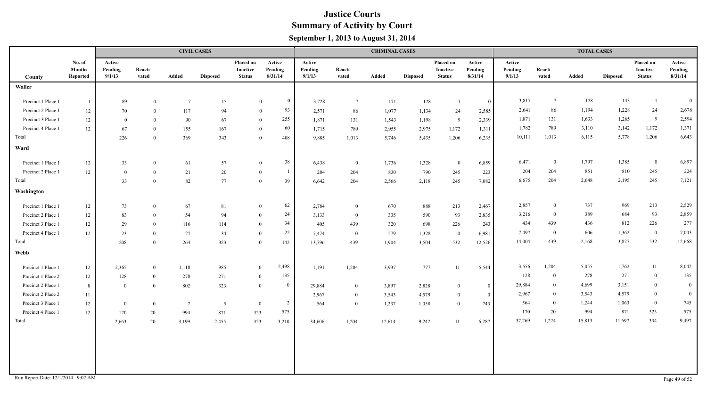|                    |                                     |                             |                  |                 | <b>CIVIL CASES</b> |                                               |                              |                             |                  | <b>CRIMINAL CASES</b> |                 |                                               |                              | <b>TOTAL CASES</b>          |                  |        |                 |                                               |                              |  |
|--------------------|-------------------------------------|-----------------------------|------------------|-----------------|--------------------|-----------------------------------------------|------------------------------|-----------------------------|------------------|-----------------------|-----------------|-----------------------------------------------|------------------------------|-----------------------------|------------------|--------|-----------------|-----------------------------------------------|------------------------------|--|
| County             | No. of<br><b>Months</b><br>Reported | Active<br>Pending<br>9/1/13 | Reacti-<br>vated | Added           | <b>Disposed</b>    | <b>Placed on</b><br>Inactive<br><b>Status</b> | Active<br>Pending<br>8/31/14 | Active<br>Pending<br>9/1/13 | Reacti-<br>vated | Added                 | <b>Disposed</b> | <b>Placed on</b><br>Inactive<br><b>Status</b> | Active<br>Pending<br>8/31/14 | Active<br>Pending<br>9/1/13 | Reacti-<br>vated | Added  | <b>Disposed</b> | Placed on<br><b>Inactive</b><br><b>Status</b> | Active<br>Pending<br>8/31/14 |  |
| Waller             |                                     |                             |                  |                 |                    |                                               |                              |                             |                  |                       |                 |                                               |                              |                             |                  |        |                 |                                               |                              |  |
| Precinct 1 Place 1 | - 1                                 | 89                          | $\theta$         | $7\phantom{.0}$ | 15                 |                                               | $\bf{0}$<br>$\mathbf{0}$     | 3,728                       | $7\phantom{.0}$  | 171                   | 128             | $\overline{1}$                                | $\overline{0}$               | 3,817                       | $7\overline{ }$  | 178    | 143             | -1                                            | $\bf{0}$                     |  |
| Precinct 2 Place 1 | 12                                  | 70                          | $\overline{0}$   | 117             | 94                 |                                               | 93<br>$\mathbf{0}$           | 2,571                       | 86               | 1,077                 | 1,134           | 24                                            | 2,585                        | 2,641                       | 86               | 1,194  | 1,228           | 24                                            | 2,678                        |  |
| Precinct 3 Place 1 | $12 \,$                             | $\bf{0}$                    | $\overline{0}$   | 90              | 67                 |                                               | 255<br>$\bf{0}$              | 1,871                       | 131              | 1,543                 | 1,198           | 9                                             | 2,339                        | 1,871                       | 131              | 1,633  | 1,265           | 9                                             | 2,594                        |  |
| Precinct 4 Place 1 | 12                                  | 67                          | $\theta$         | 155             | 167                |                                               | 60<br>$\theta$               | 1,715                       | 789              | 2,955                 | 2,975           | 1,172                                         | 1,311                        | 1,782                       | 789              | 3,110  | 3,142           | 1,172                                         | 1,371                        |  |
| Total              |                                     | 226                         | $\overline{0}$   | 369             | 343                |                                               | 408<br>$\mathbf{0}$          | 9,885                       | 1,013            | 5,746                 | 5,435           | 1,206                                         | 6,235                        | 10,111                      | 1,013            | 6,115  | 5,778           | 1,206                                         | 6,643                        |  |
| Ward               |                                     |                             |                  |                 |                    |                                               |                              |                             |                  |                       |                 |                                               |                              |                             |                  |        |                 |                                               |                              |  |
| Precinct 1 Place 1 | 12                                  | 33                          | $\mathbf{0}$     | 61              | 57                 |                                               | 38<br>$\overline{0}$         | 6,438                       | $\overline{0}$   | 1,736                 | 1,328           | $\overline{0}$                                | 6,859                        | 6,471                       | $\overline{0}$   | 1,797  | 1,385           | $\overline{0}$                                | 6,897                        |  |
| Precinct 2 Place 1 | 12                                  | $\mathbf{0}$                | $\overline{0}$   | 21              | 20                 | $\theta$                                      | -1                           | 204                         | 204              | 830                   | 790             | 245                                           | 223                          | 204                         | 204              | 851    | 810             | 245                                           | 224                          |  |
| Total              |                                     | 33                          | $\overline{0}$   | 82              | 77                 |                                               | $\overline{0}$<br>39         | 6,642                       | 204              | 2,566                 | 2,118           | 245                                           | 7,082                        | 6,675                       | 204              | 2,648  | 2,195           | 245                                           | 7,121                        |  |
| Washington         |                                     |                             |                  |                 |                    |                                               |                              |                             |                  |                       |                 |                                               |                              |                             |                  |        |                 |                                               |                              |  |
| Precinct 1 Place 1 | 12                                  | 73                          | $\overline{0}$   | 67              | 81                 |                                               | 62<br>$\bf{0}$               | 2,784                       | $\bf{0}$         | 670                   | 888             | 213                                           | 2,467                        | 2,857                       | $\overline{0}$   | 737    | 969             | 213                                           | 2,529                        |  |
| Precinct 2 Place 1 | 12                                  | 83                          | $\overline{0}$   | 54              | 94                 | $\theta$                                      | 24                           | 3,133                       | $\bf{0}$         | 335                   | 590             | 93                                            | 2,835                        | 3,216                       | $\overline{0}$   | 389    | 684             | 93                                            | 2,859                        |  |
| Precinct 3 Place 1 | 12                                  | 29                          | $\overline{0}$   | 116             | 114                | $\overline{0}$                                | 34                           | 405                         | 439              | 320                   | 698             | 226                                           | 243                          | 434                         | 439              | 436    | 812             | 226                                           | 277                          |  |
| Precinct 4 Place 1 | 12                                  | 23                          | $\overline{0}$   | 27              | 34                 | $\theta$                                      | $22\,$                       | 7,474                       | $\overline{0}$   | 579                   | 1,328           | $\bf{0}$                                      | 6,981                        | 7,497                       | $\overline{0}$   | 606    | 1,362           | $\overline{0}$                                | 7,003                        |  |
| Total              |                                     | 208                         | $\overline{0}$   | 264             | 323                | $\overline{0}$                                | 142                          | 13,796                      | 439              | 1,904                 | 3,504           | 532                                           | 12,526                       | 14,004                      | 439              | 2,168  | 3,827           | 532                                           | 12,668                       |  |
| <b>Webb</b>        |                                     |                             |                  |                 |                    |                                               |                              |                             |                  |                       |                 |                                               |                              |                             |                  |        |                 |                                               |                              |  |
| Precinct 1 Place 1 | 12                                  | 2,365                       | $\overline{0}$   | 1,118           | 985                |                                               | 2,498<br>$\bf{0}$            | 1,191                       | 1,204            | 3,937                 | 777             | 11                                            | 5,544                        | 3,556                       | 1,204            | 5,055  | 1,762           | 11                                            | 8,042                        |  |
| Precinct 1 Place 2 | 12                                  | 128                         | $\overline{0}$   | 278             | 271                |                                               | 135<br>$\bf{0}$              |                             |                  |                       |                 |                                               |                              | 128                         | $\overline{0}$   | 278    | 271             | $\bf{0}$                                      | 135                          |  |
| Precinct 2 Place 1 | 8                                   | $\bf{0}$                    | $\overline{0}$   | 802             | 323                |                                               | $\mathbf{0}$<br>$\bf{0}$     | 29,884                      | $\overline{0}$   | 3,897                 | 2,828           | $\bf{0}$                                      | $\mathbf{0}$                 | 29,884                      | $\overline{0}$   | 4,699  | 3,151           | $\bf{0}$                                      | $\boldsymbol{0}$             |  |
| Precinct 2 Place 2 | 11                                  |                             |                  |                 |                    |                                               |                              | 2,967                       | $\overline{0}$   | 3,543                 | 4,579           | $\mathbf{0}$                                  | $\boldsymbol{0}$             | 2,967                       | $\overline{0}$   | 3,543  | 4,579           | $\overline{0}$                                | $\overline{0}$               |  |
| Precinct 3 Place 1 | 12                                  | $\boldsymbol{0}$            | $\overline{0}$   | $7\overline{ }$ | 5                  | $\bf{0}$                                      | $\overline{2}$               | 564                         | $\overline{0}$   | 1,237                 | 1,058           | $\overline{0}$                                | 743                          | 564                         | $\overline{0}$   | 1,244  | 1,063           | $\boldsymbol{0}$                              | 745                          |  |
| Precinct 4 Place 1 | 12                                  | 170                         | 20               | 994             | 871                | 323                                           | 575                          |                             |                  |                       |                 |                                               |                              | 170                         | 20               | 994    | 871             | 323                                           | 575                          |  |
| Total              |                                     | 2,663                       | 20               | 3,199           | 2,455              | 323                                           | 3,210                        | 34,606                      | 1,204            | 12,614                | 9,242           | 11                                            | 6,287                        | 37,269                      | 1,224            | 15,813 | 11,697          | 334                                           | 9,497                        |  |
|                    |                                     |                             |                  |                 |                    |                                               |                              |                             |                  |                       |                 |                                               |                              |                             |                  |        |                 |                                               |                              |  |
|                    |                                     |                             |                  |                 |                    |                                               |                              |                             |                  |                       |                 |                                               |                              |                             |                  |        |                 |                                               |                              |  |
|                    |                                     |                             |                  |                 |                    |                                               |                              |                             |                  |                       |                 |                                               |                              |                             |                  |        |                 |                                               |                              |  |
|                    |                                     |                             |                  |                 |                    |                                               |                              |                             |                  |                       |                 |                                               |                              |                             |                  |        |                 |                                               |                              |  |
|                    |                                     |                             |                  |                 |                    |                                               |                              |                             |                  |                       |                 |                                               |                              |                             |                  |        |                 |                                               |                              |  |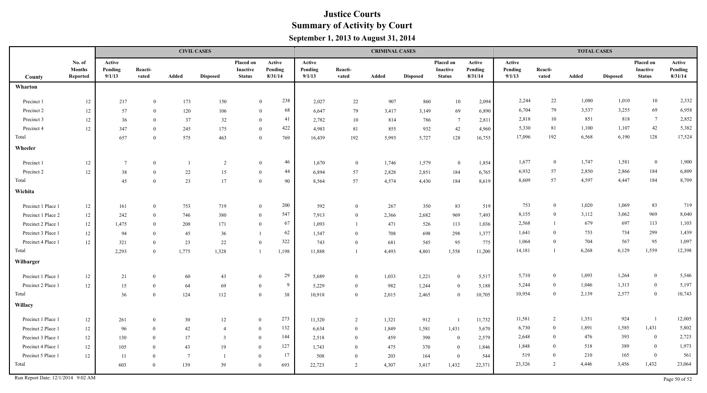|                    |                                     | <b>CIVIL CASES</b>          |                  |                 |                 |                                        |                              |                             |                  |       | <b>CRIMINAL CASES</b> |                                        |                              | <b>TOTAL CASES</b>          |                  |       |                 |                                        |                              |  |
|--------------------|-------------------------------------|-----------------------------|------------------|-----------------|-----------------|----------------------------------------|------------------------------|-----------------------------|------------------|-------|-----------------------|----------------------------------------|------------------------------|-----------------------------|------------------|-------|-----------------|----------------------------------------|------------------------------|--|
| County             | No. of<br><b>Months</b><br>Reported | Active<br>Pending<br>9/1/13 | Reacti-<br>vated | Added           | <b>Disposed</b> | Placed on<br>Inactive<br><b>Status</b> | Active<br>Pending<br>8/31/14 | Active<br>Pending<br>9/1/13 | Reacti-<br>vated | Added | <b>Disposed</b>       | Placed on<br>Inactive<br><b>Status</b> | Active<br>Pending<br>8/31/14 | Active<br>Pending<br>9/1/13 | Reacti-<br>vated | Added | <b>Disposed</b> | Placed on<br>Inactive<br><b>Status</b> | Active<br>Pending<br>8/31/14 |  |
| Wharton            |                                     |                             |                  |                 |                 |                                        |                              |                             |                  |       |                       |                                        |                              |                             |                  |       |                 |                                        |                              |  |
| Precinct 1         | 12                                  | 217                         | $\theta$         | 173             | 150             |                                        | 238<br>$\theta$              | 2,027                       | 22               | 907   | 860                   | 10                                     | 2,094                        | 2,244                       | $22\,$           | 1,080 | 1,010           | 10                                     | 2,332                        |  |
| Precinct 2         | 12                                  | 57                          | $\theta$         | 120             | 106             |                                        | 68<br>$\overline{0}$         | 6,647                       | 79               | 3,417 | 3,149                 | 69                                     | 6,890                        | 6,704                       | 79               | 3,537 | 3,255           | 69                                     | 6,958                        |  |
| Precinct 3         | 12                                  | 36                          | $\theta$         | 37              | 32              |                                        | 41<br>$\mathbf{0}$           | 2,782                       | 10               | 814   | 786                   | - 7                                    | 2,811                        | 2,818                       | 10               | 851   | 818             | $7\phantom{.0}$                        | 2,852                        |  |
| Precinct 4         | $12 \,$                             | 347                         | $\mathbf{0}$     | 245             | 175             |                                        | 422<br>$\mathbf{0}$          | 4,983                       | 81               | 855   | 932                   | 42                                     | 4,960                        | 5,330                       | 81               | 1,100 | 1,107           | 42                                     | 5,382                        |  |
| Total              |                                     | 657                         | $\theta$         | 575             | 463             |                                        | $\theta$<br>769              | 16,439                      | 192              | 5,993 | 5,727                 | 128                                    | 16,755                       | 17,096                      | 192              | 6,568 | 6,190           | 128                                    | 17,524                       |  |
| Wheeler            |                                     |                             |                  |                 |                 |                                        |                              |                             |                  |       |                       |                                        |                              |                             |                  |       |                 |                                        |                              |  |
| Precinct 1         | 12                                  | 7                           | $\theta$         |                 | 2               |                                        | 46<br>$\mathbf{0}$           | 1,670                       | $\overline{0}$   | 1,746 | 1,579                 | $\bf{0}$                               | 1,854                        | 1,677                       | $\bf{0}$         | 1,747 | 1,581           | $\bf{0}$                               | 1,900                        |  |
| Precinct 2         | 12                                  | 38                          | $\theta$         | 22              | 15              |                                        | 44<br>$\mathbf{0}$           | 6,894                       | 57               | 2,828 | 2,851                 | 184                                    | 6,765                        | 6,932                       | 57               | 2,850 | 2,866           | 184                                    | 6,809                        |  |
| Total              |                                     | 45                          | $\Omega$         | 23              | 17              | $\theta$                               | 90                           | 8,564                       | 57               | 4,574 | 4,430                 | 184                                    | 8,619                        | 8,609                       | 57               | 4,597 | 4,447           | 184                                    | 8,709                        |  |
| Wichita            |                                     |                             |                  |                 |                 |                                        |                              |                             |                  |       |                       |                                        |                              |                             |                  |       |                 |                                        |                              |  |
| Precinct 1 Place 1 | 12                                  | 161                         | $\overline{0}$   | 753             | 719             |                                        | 200<br>$\overline{0}$        | 592                         | $\overline{0}$   | 267   | 350                   | 83                                     | 519                          | 753                         | $\theta$         | 1,020 | 1,069           | 83                                     | 719                          |  |
| Precinct 1 Place 2 | 12                                  | 242                         | $\theta$         | 746             | 380             |                                        | 547<br>$\overline{0}$        | 7.913                       | $\overline{0}$   | 2,366 | 2,682                 | 969                                    | 7,493                        | 8,155                       | $\theta$         | 3,112 | 3,062           | 969                                    | 8,040                        |  |
| Precinct 2 Place 1 | 12                                  | 1,475                       | $\Omega$         | 208             | 171             | $\theta$                               | 67                           | 1,093                       |                  | 471   | 526                   | 113                                    | 1,036                        | 2,568                       |                  | 679   | 697             | 113                                    | 1,103                        |  |
| Precinct 3 Place 1 | 12                                  | 94                          | $\Omega$         | 45              | 36              | -1                                     | 62                           | 1,547                       | $\overline{0}$   | 708   | 698                   | 298                                    | 1,377                        | 1,641                       | $\overline{0}$   | 753   | 734             | 299                                    | 1,439                        |  |
| Precinct 4 Place 1 | 12                                  | 321                         | $\theta$         | 23              | 22              | $\theta$                               | 322                          | 743                         | $\overline{0}$   | 681   | 545                   | 95                                     | 775                          | 1,064                       | $\Omega$         | 704   | 567             | 95                                     | 1,097                        |  |
| Total              |                                     | 2,293                       | $\theta$         | 1,775           | 1,328           | $\overline{1}$                         | 1,198                        | 11,888                      |                  | 4,493 | 4,801                 | 1,558                                  | 11,200                       | 14,181                      | $\overline{1}$   | 6,268 | 6,129           | 1,559                                  | 12,398                       |  |
| Wilbarger          |                                     |                             |                  |                 |                 |                                        |                              |                             |                  |       |                       |                                        |                              |                             |                  |       |                 |                                        |                              |  |
| Precinct 1 Place 1 | $12\,$                              | 21                          | $\theta$         | 60              | 43              | $\theta$                               | 29                           | 5,689                       | $\mathbf{0}$     | 1,033 | 1,221                 | $\theta$                               | 5,517                        | 5,710                       | $\bf{0}$         | 1,093 | 1,264           | $\bf{0}$                               | 5,546                        |  |
| Precinct 2 Place 1 | 12                                  | 15                          | $\theta$         | 64              | 69              | $\theta$                               | 9                            | 5,229                       | $\overline{0}$   | 982   | 1,244                 | $\theta$                               | 5,188                        | 5,244                       | $\bf{0}$         | 1,046 | 1,313           | $\overline{0}$                         | 5,197                        |  |
| Total              |                                     | 36                          | $\theta$         | 124             | 112             | $\theta$                               | 38                           | 10,918                      | $\overline{0}$   | 2,015 | 2,465                 | $\theta$                               | 10,705                       | 10,954                      | $\overline{0}$   | 2,139 | 2,577           | $\boldsymbol{0}$                       | 10,743                       |  |
| Willacy            |                                     |                             |                  |                 |                 |                                        |                              |                             |                  |       |                       |                                        |                              |                             |                  |       |                 |                                        |                              |  |
| Precinct 1 Place 1 | $12\,$                              | 261                         | $\theta$         | 30              | 12              | $\theta$                               | 273                          | 11,320                      | 2                | 1,321 | 912                   |                                        | 11,732                       | 11,581                      | 2                | 1,351 | 924             | $\overline{1}$                         | 12,005                       |  |
| Precinct 2 Place 1 | $12\,$                              | 96                          | $\theta$         | 42              | 4               | $\theta$                               | 132                          | 6,634                       | $\overline{0}$   | 1,849 | 1,581                 | 1,431                                  | 5,670                        | 6,730                       | $\overline{0}$   | 1,891 | 1,585           | 1,431                                  | 5,802                        |  |
| Precinct 3 Place 1 | $12 \,$                             | 130                         | $\theta$         | 17              | 3               | $\theta$                               | 144                          | 2,518                       | $\overline{0}$   | 459   | 390                   | $\overline{0}$                         | 2,579                        | 2,648                       | $\overline{0}$   | 476   | 393             | $\bf{0}$                               | 2,723                        |  |
| Precinct 4 Place 1 | $12\,$                              | 105                         | $\theta$         | 43              | 19              | $\overline{0}$                         | 127                          | 1,743                       | $\bf{0}$         | 475   | 370                   | $\overline{0}$                         | 1,846                        | 1,848                       | $\Omega$         | 518   | 389             | $\boldsymbol{0}$                       | 1,973                        |  |
| Precinct 5 Place 1 | $12\,$                              | 11                          | $\theta$         | $7\phantom{.0}$ | - 1             | $\overline{0}$                         | 17                           | 508                         | $\overline{0}$   | 203   | 164                   | $\overline{0}$                         | 544                          | 519                         | $\theta$         | 210   | 165             | $\bf{0}$                               | 561                          |  |
| Total              |                                     | 603                         | $\overline{0}$   | 139             | 39              | $\overline{0}$                         | 693                          | 22,723                      | 2                | 4,307 | 3,417                 | 1,432                                  | 22,371                       | 23,326                      | 2                | 4,446 | 3,456           | 1,432                                  | 23,064                       |  |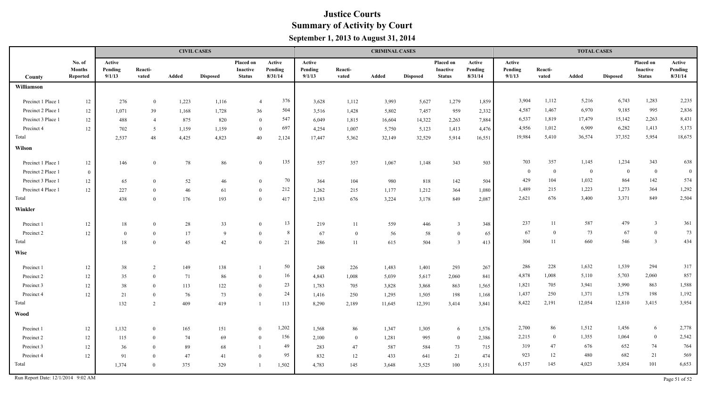|                    |                                     |                             |                  |       | <b>CIVIL CASES</b> |                                        |                              |                             |                  | <b>CRIMINAL CASES</b> |                 |                                        |                              | <b>TOTAL CASES</b>          |                  |                |                 |                                        |                              |  |
|--------------------|-------------------------------------|-----------------------------|------------------|-------|--------------------|----------------------------------------|------------------------------|-----------------------------|------------------|-----------------------|-----------------|----------------------------------------|------------------------------|-----------------------------|------------------|----------------|-----------------|----------------------------------------|------------------------------|--|
| County             | No. of<br><b>Months</b><br>Reported | Active<br>Pending<br>9/1/13 | Reacti-<br>vated | Added | <b>Disposed</b>    | Placed on<br>Inactive<br><b>Status</b> | Active<br>Pending<br>8/31/14 | Active<br>Pending<br>9/1/13 | Reacti-<br>vated | Added                 | <b>Disposed</b> | Placed on<br>Inactive<br><b>Status</b> | Active<br>Pending<br>8/31/14 | Active<br>Pending<br>9/1/13 | Reacti-<br>vated | Added          | <b>Disposed</b> | Placed on<br>Inactive<br><b>Status</b> | Active<br>Pending<br>8/31/14 |  |
| Williamson         |                                     |                             |                  |       |                    |                                        |                              |                             |                  |                       |                 |                                        |                              |                             |                  |                |                 |                                        |                              |  |
| Precinct 1 Place 1 | $12\,$                              | 276                         | $\overline{0}$   | 1,223 | 1,116              | $\overline{4}$                         | 376                          | 3,628                       | 1,112            | 3,993                 | 5,627           | 1,279                                  | 1,859                        | 3,904                       | 1,112            | 5,216          | 6,743           | 1,283                                  | 2,235                        |  |
| Precinct 2 Place 1 | 12                                  | 1,071                       | 39               | 1,168 | 1,728              | 36                                     | 504                          | 3,516                       | 1,428            | 5,802                 | 7,457           | 959                                    | 2,332                        | 4,587                       | 1,467            | 6,970          | 9,185           | 995                                    | 2,836                        |  |
| Precinct 3 Place 1 | 12                                  | 488                         | $\overline{4}$   | 875   | 820                | $\mathbf{0}$                           | 547                          | 6,049                       | 1,815            | 16,604                | 14,322          | 2,263                                  | 7,884                        | 6,537                       | 1,819            | 17,479         | 15,142          | 2,263                                  | 8,431                        |  |
| Precinct 4         | 12                                  | 702                         | 5                | 1,159 | 1,159              | $\mathbf{0}$                           | 697                          | 4,254                       | 1,007            | 5,750                 | 5,123           | 1,413                                  | 4,476                        | 4,956                       | 1,012            | 6,909          | 6,282           | 1,413                                  | 5,173                        |  |
| Total              |                                     | 2,537                       | 48               | 4,425 | 4,823              | 40                                     | 2,124                        | 17,447                      | 5,362            | 32,149                | 32,529          | 5,914                                  | 16,551                       | 19,984                      | 5,410            | 36,574         | 37,352          | 5,954                                  | 18,675                       |  |
| Wilson             |                                     |                             |                  |       |                    |                                        |                              |                             |                  |                       |                 |                                        |                              |                             |                  |                |                 |                                        |                              |  |
| Precinct 1 Place 1 | 12                                  | 146                         | $\bf{0}$         | 78    | 86                 | $\mathbf{0}$                           | 135                          | 557                         | 357              | 1,067                 | 1,148           | 343                                    | 503                          | 703                         | 357              | 1,145          | 1,234           | 343                                    | 638                          |  |
| Precinct 2 Place 1 | $\overline{0}$                      |                             |                  |       |                    |                                        |                              |                             |                  |                       |                 |                                        |                              | $\overline{0}$              | $\theta$         | $\overline{0}$ | $\overline{0}$  | $\overline{0}$                         | $\bf{0}$                     |  |
| Precinct 3 Place 1 | 12                                  | 65                          | $\theta$         | 52    | 46                 | $\theta$                               | 70                           | 364                         | 104              | 980                   | 818             | 142                                    | 504                          | 429                         | 104              | 1,032          | 864             | 142                                    | 574                          |  |
| Precinct 4 Place 1 | 12                                  | 227                         | $\theta$         | 46    | 61                 | $\theta$                               | 212                          | 1,262                       | 215              | 1,177                 | 1,212           | 364                                    | 1,080                        | 1,489                       | 215              | 1,223          | 1,273           | 364                                    | 1,292                        |  |
| Total              |                                     | 438                         | $\theta$         | 176   | 193                | $\theta$                               | 417                          | 2,183                       | 676              | 3,224                 | 3,178           | 849                                    | 2,087                        | 2,621                       | 676              | 3,400          | 3,371           | 849                                    | 2,504                        |  |
| Winkler            |                                     |                             |                  |       |                    |                                        |                              |                             |                  |                       |                 |                                        |                              |                             |                  |                |                 |                                        |                              |  |
| Precinct 1         | 12                                  | $18\,$                      | $\theta$         | 28    | 33                 | $\theta$                               | 13                           | 219                         | 11               | 559                   | 446             | 3                                      | 348                          | 237                         | 11               | 587            | 479             | $\overline{3}$                         | 361                          |  |
| Precinct 2         | 12                                  | $\overline{0}$              | $\theta$         | 17    | $\mathbf{Q}$       | $\Omega$                               | 8                            | 67                          | $\bf{0}$         | 56                    | 58              | $\theta$                               | 65                           | 67                          | $\theta$         | 73             | 67              | $\boldsymbol{0}$                       | 73                           |  |
| Total              |                                     | 18                          | $\theta$         | 45    | 42                 | $\theta$                               | 21                           | 286                         | 11               | 615                   | 504             | $\overline{3}$                         | 413                          | 304                         | 11               | 660            | 546             | $\overline{3}$                         | 434                          |  |
| <b>Wise</b>        |                                     |                             |                  |       |                    |                                        |                              |                             |                  |                       |                 |                                        |                              |                             |                  |                |                 |                                        |                              |  |
| Precinct 1         | 12                                  | 38                          | $\overline{2}$   | 149   | 138                |                                        | 50                           | 248                         | 226              | 1,483                 | 1,401           | 293                                    | 267                          | 286                         | 228              | 1,632          | 1,539           | 294                                    | 317                          |  |
| Precinct 2         | $12 \,$                             | 35                          | $\Omega$         | 71    | 86                 | $\theta$                               | 16                           | 4,843                       | 1,008            | 5,039                 | 5,617           | 2,060                                  | 841                          | 4,878                       | 1,008            | 5,110          | 5,703           | 2,060                                  | 857                          |  |
| Precinct 3         | 12                                  | 38                          | $\theta$         | 113   | 122                | $\theta$                               | 23                           | 1,783                       | 705              | 3,828                 | 3,868           | 863                                    | 1,565                        | 1,821                       | 705              | 3,941          | 3,990           | 863                                    | 1,588                        |  |
| Precinct 4         | 12                                  | 21                          | $\theta$         | 76    | 73                 | $\theta$                               | 24                           | 1,416                       | 250              | 1,295                 | 1,505           | 198                                    | 1,168                        | 1,437                       | 250              | 1,371          | 1,578           | 198                                    | 1,192                        |  |
| Total              |                                     | 132                         | 2                | 409   | 419                | $\mathbf{1}$                           | 113                          | 8,290                       | 2,189            | 11,645                | 12,391          | 3,414                                  | 3,841                        | 8,422                       | 2,191            | 12,054         | 12,810          | 3,415                                  | 3,954                        |  |
| <b>Wood</b>        |                                     |                             |                  |       |                    |                                        |                              |                             |                  |                       |                 |                                        |                              |                             |                  |                |                 |                                        |                              |  |
| Precinct 1         | 12                                  | 1,132                       | $\overline{0}$   | 165   | 151                | $\theta$                               | 1,202                        | 1,568                       | 86               | 1,347                 | 1,305           | 6                                      | 1,576                        | 2,700                       | 86               | 1,512          | 1,456           | 6                                      | 2,778                        |  |
| Precinct 2         | 12                                  | 115                         | $\overline{0}$   | 74    | 69                 | $\theta$                               | 156                          | 2,100                       | $\bf{0}$         | 1,281                 | 995             | $\overline{0}$                         | 2,386                        | 2,215                       | $\bf{0}$         | 1,355          | 1,064           | $\boldsymbol{0}$                       | 2,542                        |  |
| Precinct 3         | 12                                  | 36                          | $\theta$         | 89    | 68                 |                                        | 49                           | 283                         | 47               | 587                   | 584             | 73                                     | 715                          | 319                         | 47               | 676            | 652             | 74                                     | 764                          |  |
| Precinct 4         | 12                                  | 91                          | $\theta$         | 47    | 41                 | $\theta$                               | 95                           | 832                         | 12               | 433                   | 641             | 21                                     | 474                          | 923                         | 12               | 480            | 682             | 21                                     | 569                          |  |
| Total              |                                     | 1,374                       | $\Omega$         | 375   | 329                | $\mathbf{1}$                           | 1,502                        | 4,783                       | 145              | 3,648                 | 3,525           | 100                                    | 5,151                        | 6,157                       | 145              | 4,023          | 3,854           | 101                                    | 6,653                        |  |